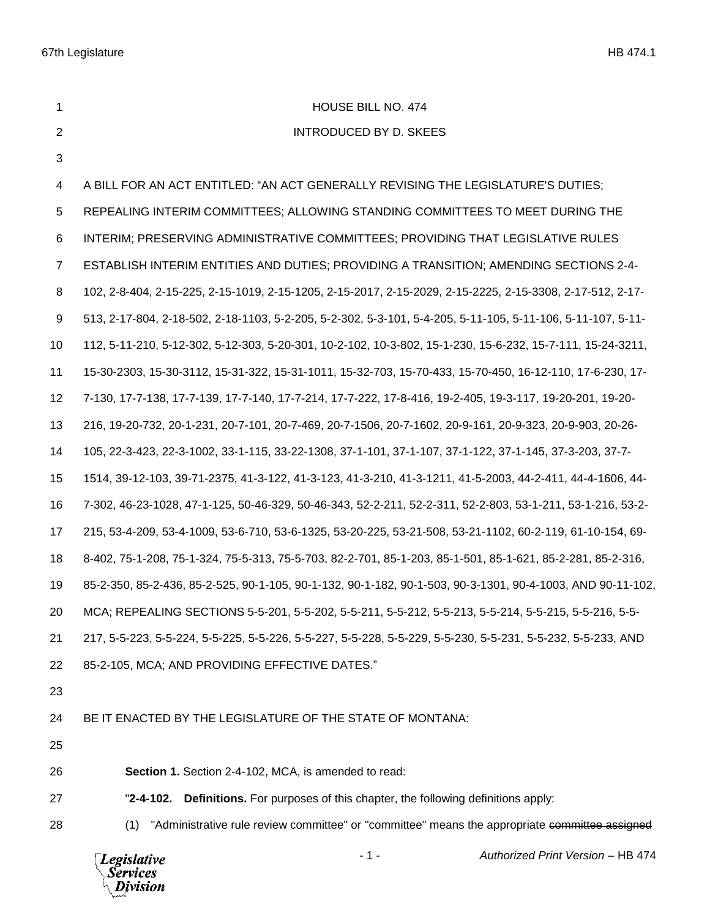**HOUSE BILL NO. 474**  INTRODUCED BY D. SKEES A BILL FOR AN ACT ENTITLED: "AN ACT GENERALLY REVISING THE LEGISLATURE'S DUTIES; REPEALING INTERIM COMMITTEES; ALLOWING STANDING COMMITTEES TO MEET DURING THE INTERIM; PRESERVING ADMINISTRATIVE COMMITTEES; PROVIDING THAT LEGISLATIVE RULES ESTABLISH INTERIM ENTITIES AND DUTIES; PROVIDING A TRANSITION; AMENDING SECTIONS 2-4- 102, 2-8-404, 2-15-225, 2-15-1019, 2-15-1205, 2-15-2017, 2-15-2029, 2-15-2225, 2-15-3308, 2-17-512, 2-17- 513, 2-17-804, 2-18-502, 2-18-1103, 5-2-205, 5-2-302, 5-3-101, 5-4-205, 5-11-105, 5-11-106, 5-11-107, 5-11- 112, 5-11-210, 5-12-302, 5-12-303, 5-20-301, 10-2-102, 10-3-802, 15-1-230, 15-6-232, 15-7-111, 15-24-3211, 15-30-2303, 15-30-3112, 15-31-322, 15-31-1011, 15-32-703, 15-70-433, 15-70-450, 16-12-110, 17-6-230, 17- 7-130, 17-7-138, 17-7-139, 17-7-140, 17-7-214, 17-7-222, 17-8-416, 19-2-405, 19-3-117, 19-20-201, 19-20- 216, 19-20-732, 20-1-231, 20-7-101, 20-7-469, 20-7-1506, 20-7-1602, 20-9-161, 20-9-323, 20-9-903, 20-26- 105, 22-3-423, 22-3-1002, 33-1-115, 33-22-1308, 37-1-101, 37-1-107, 37-1-122, 37-1-145, 37-3-203, 37-7- 1514, 39-12-103, 39-71-2375, 41-3-122, 41-3-123, 41-3-210, 41-3-1211, 41-5-2003, 44-2-411, 44-4-1606, 44- 7-302, 46-23-1028, 47-1-125, 50-46-329, 50-46-343, 52-2-211, 52-2-311, 52-2-803, 53-1-211, 53-1-216, 53-2- 215, 53-4-209, 53-4-1009, 53-6-710, 53-6-1325, 53-20-225, 53-21-508, 53-21-1102, 60-2-119, 61-10-154, 69- 8-402, 75-1-208, 75-1-324, 75-5-313, 75-5-703, 82-2-701, 85-1-203, 85-1-501, 85-1-621, 85-2-281, 85-2-316, 85-2-350, 85-2-436, 85-2-525, 90-1-105, 90-1-132, 90-1-182, 90-1-503, 90-3-1301, 90-4-1003, AND 90-11-102, MCA; REPEALING SECTIONS 5-5-201, 5-5-202, 5-5-211, 5-5-212, 5-5-213, 5-5-214, 5-5-215, 5-5-216, 5-5- 217, 5-5-223, 5-5-224, 5-5-225, 5-5-226, 5-5-227, 5-5-228, 5-5-229, 5-5-230, 5-5-231, 5-5-232, 5-5-233, AND 85-2-105, MCA; AND PROVIDING EFFECTIVE DATES." BE IT ENACTED BY THE LEGISLATURE OF THE STATE OF MONTANA:

**Section 1.** Section 2-4-102, MCA, is amended to read:

- "**2-4-102. Definitions.** For purposes of this chapter, the following definitions apply:
- 

28 (1) "Administrative rule review committee" or "committee" means the appropriate committee assigned

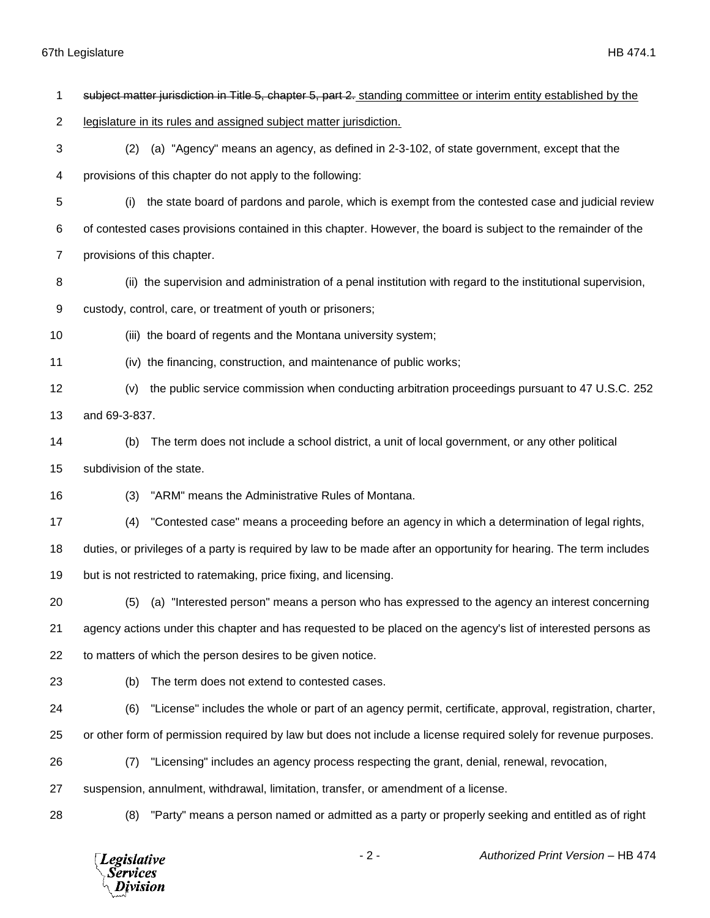| 1  |                           | subject matter jurisdiction in Title 5, chapter 5, part 2. standing committee or interim entity established by the |
|----|---------------------------|--------------------------------------------------------------------------------------------------------------------|
| 2  |                           | legislature in its rules and assigned subject matter jurisdiction.                                                 |
| 3  | (2)                       | (a) "Agency" means an agency, as defined in 2-3-102, of state government, except that the                          |
| 4  |                           | provisions of this chapter do not apply to the following:                                                          |
| 5  | (i)                       | the state board of pardons and parole, which is exempt from the contested case and judicial review                 |
| 6  |                           | of contested cases provisions contained in this chapter. However, the board is subject to the remainder of the     |
| 7  |                           | provisions of this chapter.                                                                                        |
| 8  |                           | (ii) the supervision and administration of a penal institution with regard to the institutional supervision,       |
| 9  |                           | custody, control, care, or treatment of youth or prisoners;                                                        |
| 10 |                           | (iii) the board of regents and the Montana university system;                                                      |
| 11 |                           | (iv) the financing, construction, and maintenance of public works;                                                 |
| 12 | (v)                       | the public service commission when conducting arbitration proceedings pursuant to 47 U.S.C. 252                    |
| 13 | and 69-3-837.             |                                                                                                                    |
| 14 | (b)                       | The term does not include a school district, a unit of local government, or any other political                    |
| 15 | subdivision of the state. |                                                                                                                    |
| 16 | (3)                       | "ARM" means the Administrative Rules of Montana.                                                                   |
| 17 | (4)                       | "Contested case" means a proceeding before an agency in which a determination of legal rights,                     |
| 18 |                           | duties, or privileges of a party is required by law to be made after an opportunity for hearing. The term includes |
| 19 |                           | but is not restricted to ratemaking, price fixing, and licensing.                                                  |
| 20 | (5)                       | (a) "Interested person" means a person who has expressed to the agency an interest concerning                      |
| 21 |                           | agency actions under this chapter and has requested to be placed on the agency's list of interested persons as     |
| 22 |                           | to matters of which the person desires to be given notice.                                                         |
| 23 | (b)                       | The term does not extend to contested cases.                                                                       |
| 24 | (6)                       | "License" includes the whole or part of an agency permit, certificate, approval, registration, charter,            |
| 25 |                           | or other form of permission required by law but does not include a license required solely for revenue purposes.   |
| 26 | (7)                       | "Licensing" includes an agency process respecting the grant, denial, renewal, revocation,                          |
| 27 |                           | suspension, annulment, withdrawal, limitation, transfer, or amendment of a license.                                |
| 28 | (8)                       | "Party" means a person named or admitted as a party or properly seeking and entitled as of right                   |

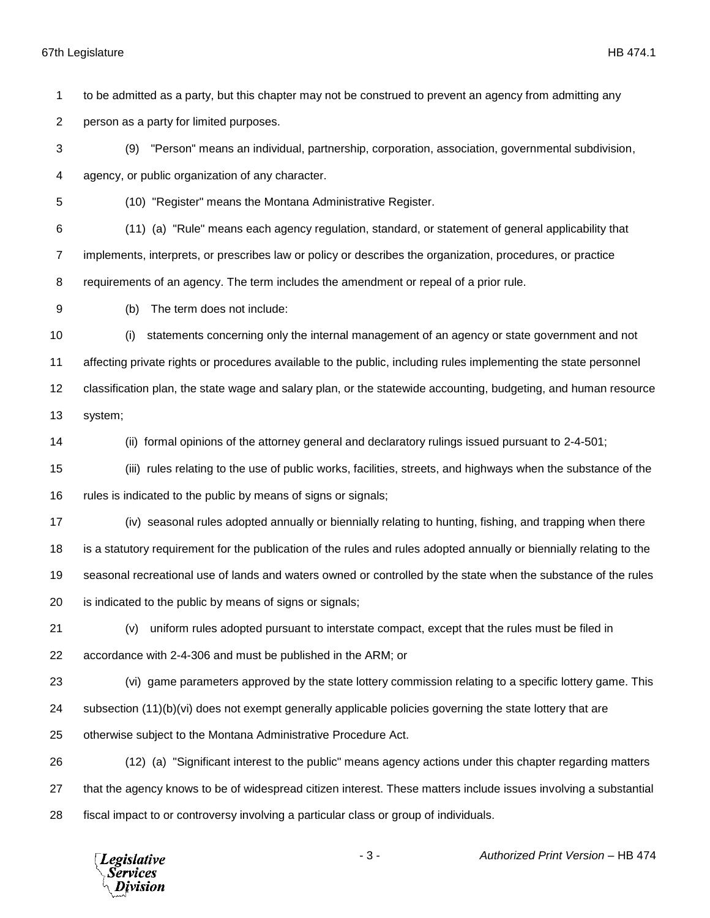to be admitted as a party, but this chapter may not be construed to prevent an agency from admitting any

person as a party for limited purposes.

 (9) "Person" means an individual, partnership, corporation, association, governmental subdivision, agency, or public organization of any character.

(10) "Register" means the Montana Administrative Register.

 (11) (a) "Rule" means each agency regulation, standard, or statement of general applicability that implements, interprets, or prescribes law or policy or describes the organization, procedures, or practice requirements of an agency. The term includes the amendment or repeal of a prior rule.

(b) The term does not include:

 (i) statements concerning only the internal management of an agency or state government and not affecting private rights or procedures available to the public, including rules implementing the state personnel classification plan, the state wage and salary plan, or the statewide accounting, budgeting, and human resource system;

(ii) formal opinions of the attorney general and declaratory rulings issued pursuant to 2-4-501;

 (iii) rules relating to the use of public works, facilities, streets, and highways when the substance of the rules is indicated to the public by means of signs or signals;

 (iv) seasonal rules adopted annually or biennially relating to hunting, fishing, and trapping when there is a statutory requirement for the publication of the rules and rules adopted annually or biennially relating to the seasonal recreational use of lands and waters owned or controlled by the state when the substance of the rules

is indicated to the public by means of signs or signals;

 (v) uniform rules adopted pursuant to interstate compact, except that the rules must be filed in accordance with 2-4-306 and must be published in the ARM; or

(vi) game parameters approved by the state lottery commission relating to a specific lottery game. This

subsection (11)(b)(vi) does not exempt generally applicable policies governing the state lottery that are

otherwise subject to the Montana Administrative Procedure Act.

 (12) (a) "Significant interest to the public" means agency actions under this chapter regarding matters that the agency knows to be of widespread citizen interest. These matters include issues involving a substantial fiscal impact to or controversy involving a particular class or group of individuals.

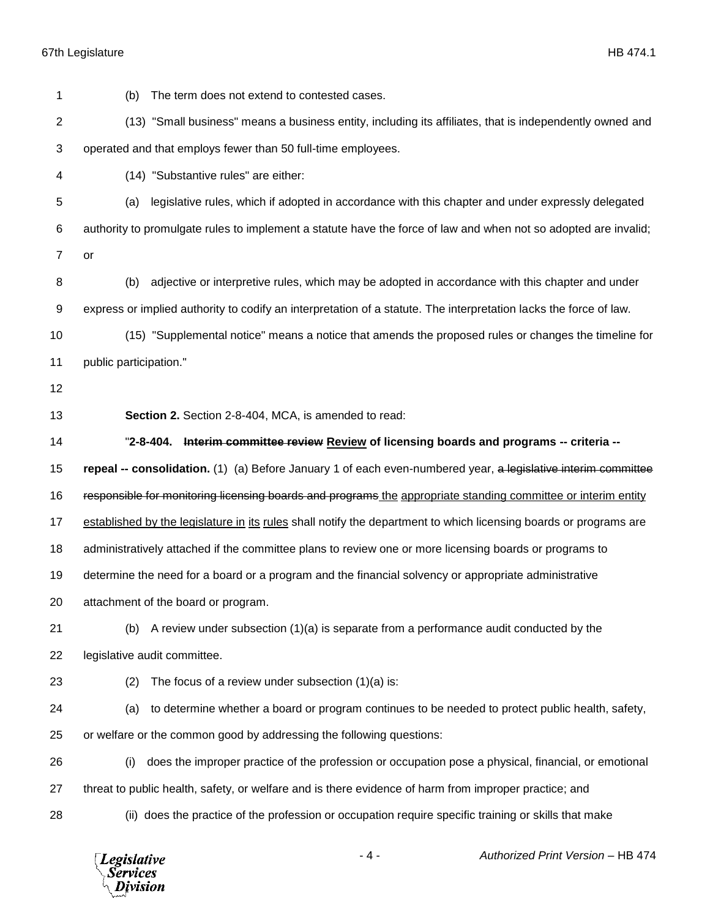*Legislative*<br>Services<br>*Division* 

| 1  | The term does not extend to contested cases.<br>(b)                                                               |
|----|-------------------------------------------------------------------------------------------------------------------|
| 2  | (13) "Small business" means a business entity, including its affiliates, that is independently owned and          |
| 3  | operated and that employs fewer than 50 full-time employees.                                                      |
| 4  | (14) "Substantive rules" are either:                                                                              |
| 5  | legislative rules, which if adopted in accordance with this chapter and under expressly delegated<br>(a)          |
| 6  | authority to promulgate rules to implement a statute have the force of law and when not so adopted are invalid;   |
| 7  | or                                                                                                                |
| 8  | adjective or interpretive rules, which may be adopted in accordance with this chapter and under<br>(b)            |
| 9  | express or implied authority to codify an interpretation of a statute. The interpretation lacks the force of law. |
| 10 | (15) "Supplemental notice" means a notice that amends the proposed rules or changes the timeline for              |
| 11 | public participation."                                                                                            |
| 12 |                                                                                                                   |
| 13 | Section 2. Section 2-8-404, MCA, is amended to read:                                                              |
| 14 | "2-8-404. Interim committee review Review of licensing boards and programs -- criteria --                         |
| 15 | repeal -- consolidation. (1) (a) Before January 1 of each even-numbered year, a legislative interim committee     |
| 16 | responsible for monitoring licensing boards and programs the appropriate standing committee or interim entity     |
| 17 | established by the legislature in its rules shall notify the department to which licensing boards or programs are |
| 18 | administratively attached if the committee plans to review one or more licensing boards or programs to            |
| 19 | determine the need for a board or a program and the financial solvency or appropriate administrative              |
| 20 | attachment of the board or program.                                                                               |
| 21 | A review under subsection $(1)(a)$ is separate from a performance audit conducted by the<br>(b)                   |
| 22 | legislative audit committee.                                                                                      |
| 23 | The focus of a review under subsection $(1)(a)$ is:<br>(2)                                                        |
| 24 | to determine whether a board or program continues to be needed to protect public health, safety,<br>(a)           |
| 25 | or welfare or the common good by addressing the following questions:                                              |
| 26 | does the improper practice of the profession or occupation pose a physical, financial, or emotional<br>(i)        |
| 27 | threat to public health, safety, or welfare and is there evidence of harm from improper practice; and             |
| 28 | (ii) does the practice of the profession or occupation require specific training or skills that make              |
|    |                                                                                                                   |

- 4 - *Authorized Print Version* – HB 474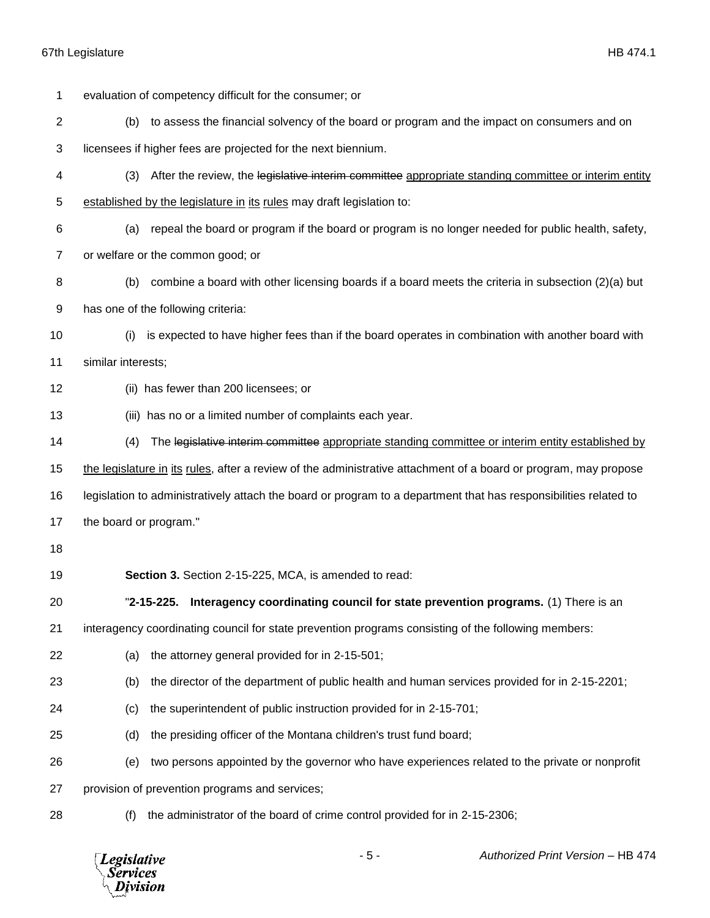| 1  | evaluation of competency difficult for the consumer; or                                                          |  |
|----|------------------------------------------------------------------------------------------------------------------|--|
| 2  | (b) to assess the financial solvency of the board or program and the impact on consumers and on                  |  |
| 3  | licensees if higher fees are projected for the next biennium.                                                    |  |
| 4  | After the review, the legislative interim committee appropriate standing committee or interim entity<br>(3)      |  |
| 5  | established by the legislature in its rules may draft legislation to:                                            |  |
| 6  | repeal the board or program if the board or program is no longer needed for public health, safety,<br>(a)        |  |
| 7  | or welfare or the common good; or                                                                                |  |
| 8  | combine a board with other licensing boards if a board meets the criteria in subsection (2)(a) but<br>(b)        |  |
| 9  | has one of the following criteria:                                                                               |  |
| 10 | is expected to have higher fees than if the board operates in combination with another board with<br>(i)         |  |
| 11 | similar interests;                                                                                               |  |
| 12 | (ii) has fewer than 200 licensees; or                                                                            |  |
| 13 | (iii) has no or a limited number of complaints each year.                                                        |  |
| 14 | The legislative interim committee appropriate standing committee or interim entity established by<br>(4)         |  |
| 15 | the legislature in its rules, after a review of the administrative attachment of a board or program, may propose |  |
| 16 | legislation to administratively attach the board or program to a department that has responsibilities related to |  |
| 17 | the board or program."                                                                                           |  |
| 18 |                                                                                                                  |  |
| 19 | Section 3. Section 2-15-225, MCA, is amended to read:                                                            |  |
| 20 | "2-15-225. Interagency coordinating council for state prevention programs. (1) There is an                       |  |
| 21 | interagency coordinating council for state prevention programs consisting of the following members:              |  |
| 22 | the attorney general provided for in 2-15-501;<br>(a)                                                            |  |
| 23 | the director of the department of public health and human services provided for in 2-15-2201;<br>(b)             |  |
| 24 | the superintendent of public instruction provided for in 2-15-701;<br>(c)                                        |  |
| 25 | the presiding officer of the Montana children's trust fund board;<br>(d)                                         |  |
| 26 | two persons appointed by the governor who have experiences related to the private or nonprofit<br>(e)            |  |
| 27 | provision of prevention programs and services;                                                                   |  |
| 28 | the administrator of the board of crime control provided for in 2-15-2306;<br>(f)                                |  |
|    |                                                                                                                  |  |

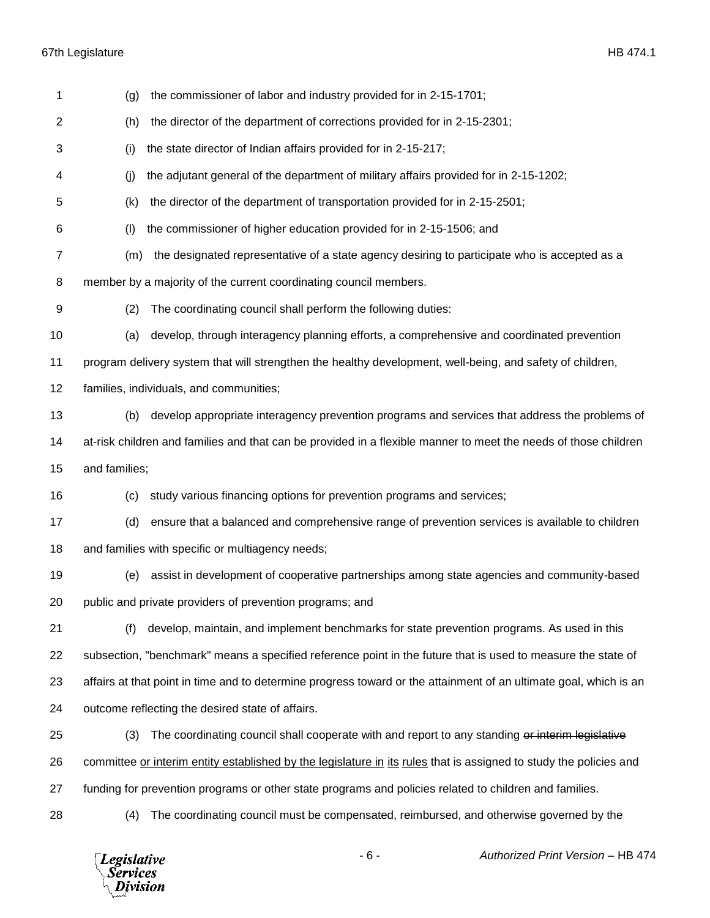| 1              | the commissioner of labor and industry provided for in 2-15-1701;<br>(g)                                           |
|----------------|--------------------------------------------------------------------------------------------------------------------|
| 2              | (h)<br>the director of the department of corrections provided for in 2-15-2301;                                    |
| 3              | the state director of Indian affairs provided for in 2-15-217;<br>(i)                                              |
| 4              | (j)<br>the adjutant general of the department of military affairs provided for in 2-15-1202;                       |
| 5              | (k)<br>the director of the department of transportation provided for in 2-15-2501;                                 |
| 6              | (1)<br>the commissioner of higher education provided for in 2-15-1506; and                                         |
| $\overline{7}$ | the designated representative of a state agency desiring to participate who is accepted as a<br>(m)                |
| 8              | member by a majority of the current coordinating council members.                                                  |
| 9              | The coordinating council shall perform the following duties:<br>(2)                                                |
| 10             | develop, through interagency planning efforts, a comprehensive and coordinated prevention<br>(a)                   |
| 11             | program delivery system that will strengthen the healthy development, well-being, and safety of children,          |
| 12             | families, individuals, and communities;                                                                            |
| 13             | develop appropriate interagency prevention programs and services that address the problems of<br>(b)               |
| 14             | at-risk children and families and that can be provided in a flexible manner to meet the needs of those children    |
| 15             | and families;                                                                                                      |
| 16             | study various financing options for prevention programs and services;<br>(c)                                       |
| 17             | ensure that a balanced and comprehensive range of prevention services is available to children<br>(d)              |
| 18             | and families with specific or multiagency needs;                                                                   |
| 19             | assist in development of cooperative partnerships among state agencies and community-based<br>(e)                  |
| 20             |                                                                                                                    |
|                | public and private providers of prevention programs; and                                                           |
| 21             | develop, maintain, and implement benchmarks for state prevention programs. As used in this<br>(f)                  |
| 22             | subsection, "benchmark" means a specified reference point in the future that is used to measure the state of       |
| 23             | affairs at that point in time and to determine progress toward or the attainment of an ultimate goal, which is an  |
| 24             | outcome reflecting the desired state of affairs.                                                                   |
| 25             | The coordinating council shall cooperate with and report to any standing or interim legislative<br>(3)             |
| 26             | committee or interim entity established by the legislature in its rules that is assigned to study the policies and |
| 27             | funding for prevention programs or other state programs and policies related to children and families.             |

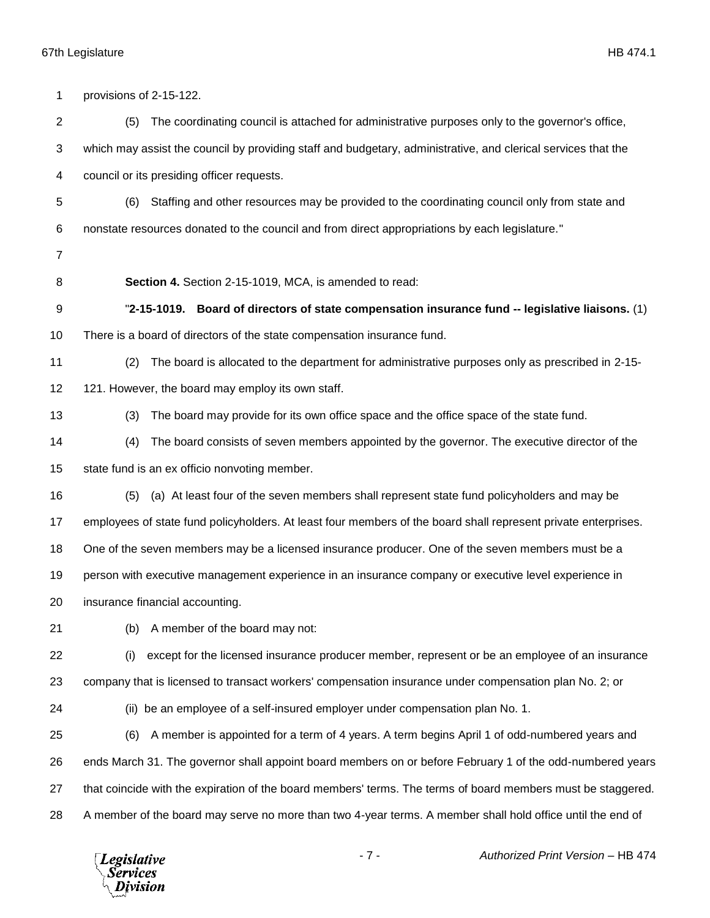| 1              | provisions of 2-15-122.                                                                                        |
|----------------|----------------------------------------------------------------------------------------------------------------|
| $\overline{c}$ | The coordinating council is attached for administrative purposes only to the governor's office,<br>(5)         |
| 3              | which may assist the council by providing staff and budgetary, administrative, and clerical services that the  |
| 4              | council or its presiding officer requests.                                                                     |
| 5              | Staffing and other resources may be provided to the coordinating council only from state and<br>(6)            |
| 6              | nonstate resources donated to the council and from direct appropriations by each legislature."                 |
| $\overline{7}$ |                                                                                                                |
| 8              | Section 4. Section 2-15-1019, MCA, is amended to read:                                                         |
| 9              | "2-15-1019. Board of directors of state compensation insurance fund -- legislative liaisons. (1)               |
| 10             | There is a board of directors of the state compensation insurance fund.                                        |
| 11             | The board is allocated to the department for administrative purposes only as prescribed in 2-15-<br>(2)        |
| 12             | 121. However, the board may employ its own staff.                                                              |
| 13             | The board may provide for its own office space and the office space of the state fund.<br>(3)                  |
| 14             | The board consists of seven members appointed by the governor. The executive director of the<br>(4)            |
| 15             | state fund is an ex officio nonvoting member.                                                                  |
| 16             | (a) At least four of the seven members shall represent state fund policyholders and may be<br>(5)              |
| 17             | employees of state fund policyholders. At least four members of the board shall represent private enterprises. |
| 18             | One of the seven members may be a licensed insurance producer. One of the seven members must be a              |
| 19             | person with executive management experience in an insurance company or executive level experience in           |
| 20             | insurance financial accounting.                                                                                |
| 21             | A member of the board may not:<br>(b)                                                                          |
| 22             | except for the licensed insurance producer member, represent or be an employee of an insurance<br>(i)          |
| 23             | company that is licensed to transact workers' compensation insurance under compensation plan No. 2; or         |
| 24             | (ii) be an employee of a self-insured employer under compensation plan No. 1.                                  |
| 25             | A member is appointed for a term of 4 years. A term begins April 1 of odd-numbered years and<br>(6)            |
| 26             | ends March 31. The governor shall appoint board members on or before February 1 of the odd-numbered years      |
| 27             | that coincide with the expiration of the board members' terms. The terms of board members must be staggered.   |
| 28             | A member of the board may serve no more than two 4-year terms. A member shall hold office until the end of     |
|                |                                                                                                                |

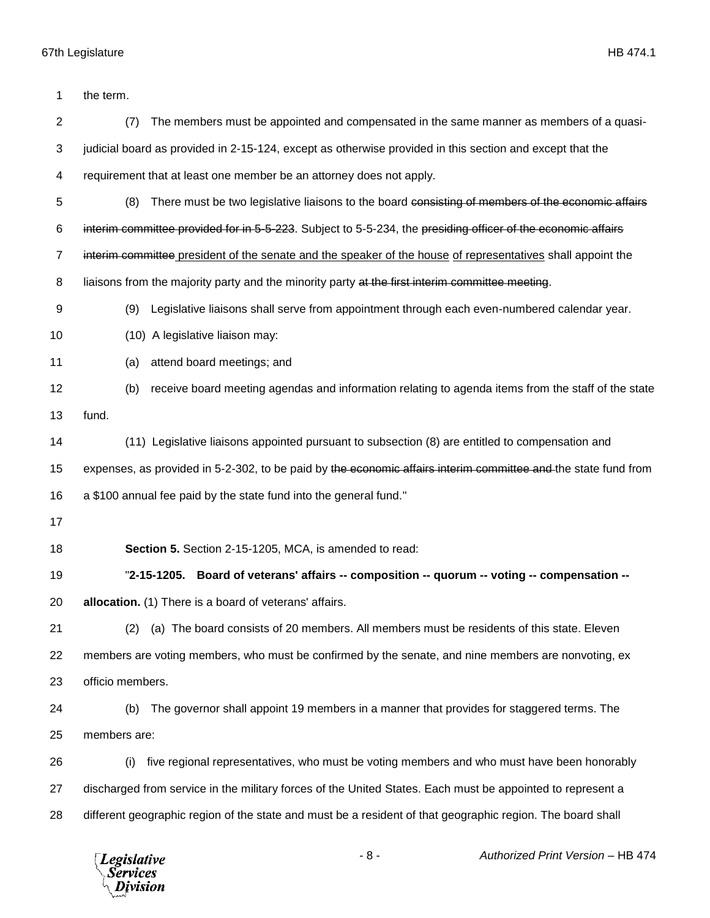| 1              | the term.                                                                                                      |
|----------------|----------------------------------------------------------------------------------------------------------------|
| $\overline{2}$ | (7)<br>The members must be appointed and compensated in the same manner as members of a quasi-                 |
| 3              | judicial board as provided in 2-15-124, except as otherwise provided in this section and except that the       |
| 4              | requirement that at least one member be an attorney does not apply.                                            |
| 5              | There must be two legislative liaisons to the board consisting of members of the economic affairs<br>(8)       |
| 6              | interim committee provided for in 5-5-223. Subject to 5-5-234, the presiding officer of the economic affairs   |
| $\overline{7}$ | interim committee president of the senate and the speaker of the house of representatives shall appoint the    |
| 8              | liaisons from the majority party and the minority party at the first interim committee meeting.                |
| 9              | Legislative liaisons shall serve from appointment through each even-numbered calendar year.<br>(9)             |
| 10             | (10) A legislative liaison may:                                                                                |
| 11             | attend board meetings; and<br>(a)                                                                              |
| 12             | receive board meeting agendas and information relating to agenda items from the staff of the state<br>(b)      |
| 13             | fund.                                                                                                          |
| 14             | (11) Legislative liaisons appointed pursuant to subsection (8) are entitled to compensation and                |
| 15             | expenses, as provided in 5-2-302, to be paid by the economic affairs interim committee and the state fund from |
| 16             | a \$100 annual fee paid by the state fund into the general fund."                                              |
| 17             |                                                                                                                |
| 18             | Section 5. Section 2-15-1205, MCA, is amended to read:                                                         |
| 19             | "2-15-1205. Board of veterans' affairs -- composition -- quorum -- voting -- compensation --                   |
| 20             | allocation. (1) There is a board of veterans' affairs.                                                         |
| 21             | (a) The board consists of 20 members. All members must be residents of this state. Eleven<br>(2)               |
| 22             | members are voting members, who must be confirmed by the senate, and nine members are nonvoting, ex            |
| 23             | officio members.                                                                                               |
| 24             | The governor shall appoint 19 members in a manner that provides for staggered terms. The<br>(b)                |
| 25             | members are:                                                                                                   |
| 26             | five regional representatives, who must be voting members and who must have been honorably<br>(i)              |
| 27             | discharged from service in the military forces of the United States. Each must be appointed to represent a     |
| 28             | different geographic region of the state and must be a resident of that geographic region. The board shall     |
|                |                                                                                                                |

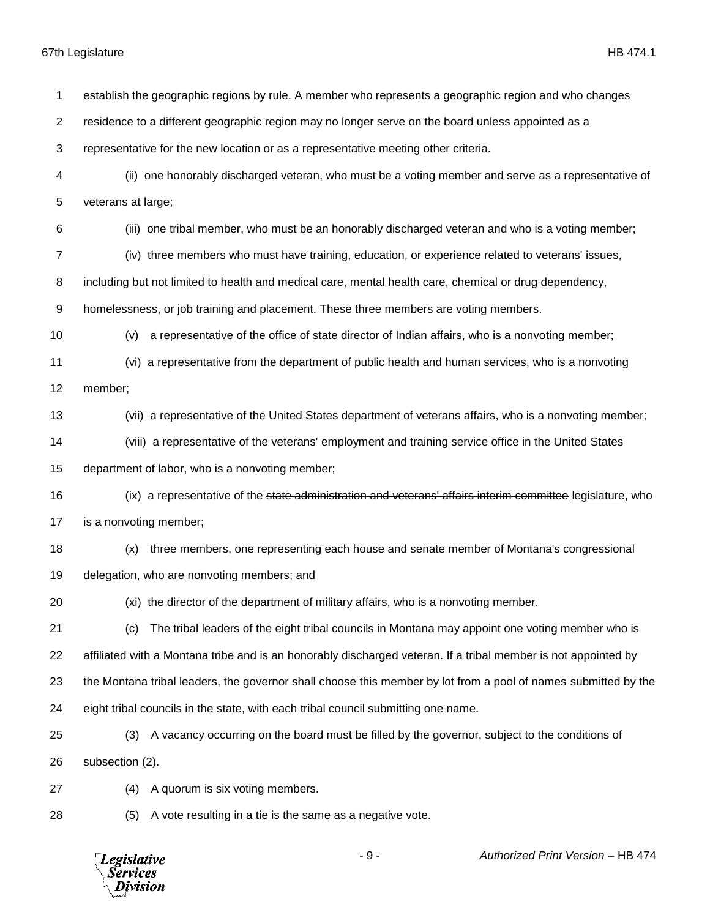*Services* Division

 establish the geographic regions by rule. A member who represents a geographic region and who changes residence to a different geographic region may no longer serve on the board unless appointed as a representative for the new location or as a representative meeting other criteria. (ii) one honorably discharged veteran, who must be a voting member and serve as a representative of veterans at large; (iii) one tribal member, who must be an honorably discharged veteran and who is a voting member; (iv) three members who must have training, education, or experience related to veterans' issues, including but not limited to health and medical care, mental health care, chemical or drug dependency, homelessness, or job training and placement. These three members are voting members. (v) a representative of the office of state director of Indian affairs, who is a nonvoting member; (vi) a representative from the department of public health and human services, who is a nonvoting member; (vii) a representative of the United States department of veterans affairs, who is a nonvoting member; (viii) a representative of the veterans' employment and training service office in the United States department of labor, who is a nonvoting member; 16 (ix) a representative of the state administration and veterans' affairs interim committee legislature, who is a nonvoting member; (x) three members, one representing each house and senate member of Montana's congressional delegation, who are nonvoting members; and (xi) the director of the department of military affairs, who is a nonvoting member. (c) The tribal leaders of the eight tribal councils in Montana may appoint one voting member who is affiliated with a Montana tribe and is an honorably discharged veteran. If a tribal member is not appointed by the Montana tribal leaders, the governor shall choose this member by lot from a pool of names submitted by the eight tribal councils in the state, with each tribal council submitting one name. (3) A vacancy occurring on the board must be filled by the governor, subject to the conditions of subsection (2). (4) A quorum is six voting members. (5) A vote resulting in a tie is the same as a negative vote.- 9 - *Authorized Print Version* – HB 474 **Legislative**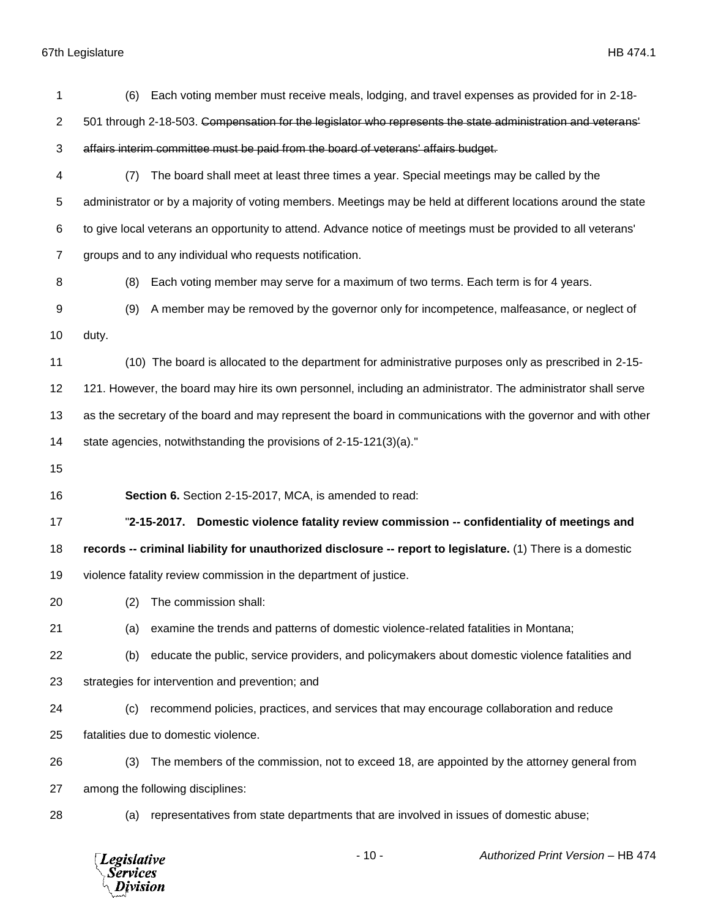*Legislative*<br>Services<br>*Division* 

| 1              | (6)                                                                                | Each voting member must receive meals, lodging, and travel expenses as provided for in 2-18-                            |
|----------------|------------------------------------------------------------------------------------|-------------------------------------------------------------------------------------------------------------------------|
| $\overline{c}$ |                                                                                    | 501 through 2-18-503. Compensation for the legislator who represents the state administration and veterans <sup>1</sup> |
| 3              | affairs interim committee must be paid from the board of veterans' affairs budget. |                                                                                                                         |
| 4              | (7)                                                                                | The board shall meet at least three times a year. Special meetings may be called by the                                 |
| 5              |                                                                                    | administrator or by a majority of voting members. Meetings may be held at different locations around the state          |
| 6              |                                                                                    | to give local veterans an opportunity to attend. Advance notice of meetings must be provided to all veterans'           |
| $\overline{7}$ | groups and to any individual who requests notification.                            |                                                                                                                         |
| 8              | (8)                                                                                | Each voting member may serve for a maximum of two terms. Each term is for 4 years.                                      |
| 9              | (9)                                                                                | A member may be removed by the governor only for incompetence, malfeasance, or neglect of                               |
| 10             | duty.                                                                              |                                                                                                                         |
| 11             |                                                                                    | (10) The board is allocated to the department for administrative purposes only as prescribed in 2-15-                   |
| 12             |                                                                                    | 121. However, the board may hire its own personnel, including an administrator. The administrator shall serve           |
| 13             |                                                                                    | as the secretary of the board and may represent the board in communications with the governor and with other            |
| 14             | state agencies, notwithstanding the provisions of 2-15-121(3)(a)."                 |                                                                                                                         |
|                |                                                                                    |                                                                                                                         |
| 15             |                                                                                    |                                                                                                                         |
| 16             | Section 6. Section 2-15-2017, MCA, is amended to read:                             |                                                                                                                         |
| 17             | $"2-15-2017.$                                                                      | Domestic violence fatality review commission -- confidentiality of meetings and                                         |
| 18             |                                                                                    | records -- criminal liability for unauthorized disclosure -- report to legislature. (1) There is a domestic             |
| 19             | violence fatality review commission in the department of justice.                  |                                                                                                                         |
| 20             | (2)<br>The commission shall:                                                       |                                                                                                                         |
| 21             | (a)                                                                                | examine the trends and patterns of domestic violence-related fatalities in Montana;                                     |
| 22             | (b)                                                                                | educate the public, service providers, and policymakers about domestic violence fatalities and                          |
| 23             | strategies for intervention and prevention; and                                    |                                                                                                                         |
| 24             | (c)                                                                                | recommend policies, practices, and services that may encourage collaboration and reduce                                 |
| 25             | fatalities due to domestic violence.                                               |                                                                                                                         |
| 26             | (3)                                                                                | The members of the commission, not to exceed 18, are appointed by the attorney general from                             |
| 27             | among the following disciplines:                                                   |                                                                                                                         |
| 28             | (a)                                                                                | representatives from state departments that are involved in issues of domestic abuse;                                   |

- 10 - *Authorized Print Version* – HB 474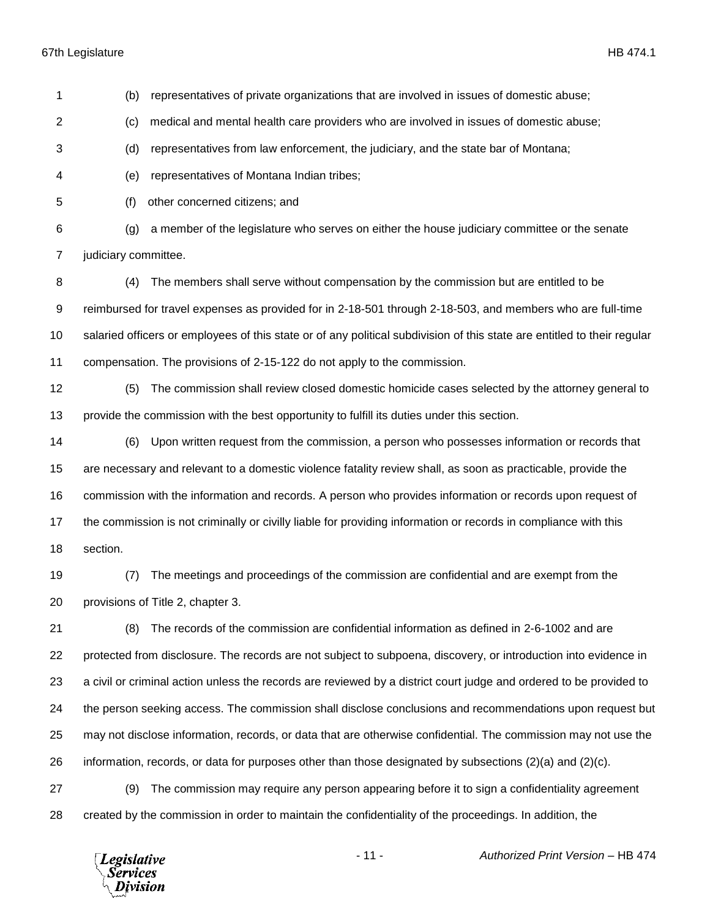| 1              | (b)                  | representatives of private organizations that are involved in issues of domestic abuse;                                  |
|----------------|----------------------|--------------------------------------------------------------------------------------------------------------------------|
| $\overline{2}$ | (c)                  | medical and mental health care providers who are involved in issues of domestic abuse;                                   |
| 3              | (d)                  | representatives from law enforcement, the judiciary, and the state bar of Montana;                                       |
| 4              | (e)                  | representatives of Montana Indian tribes;                                                                                |
| 5              | (f)                  | other concerned citizens; and                                                                                            |
| 6              | (g)                  | a member of the legislature who serves on either the house judiciary committee or the senate                             |
| 7              | judiciary committee. |                                                                                                                          |
| 8              | (4)                  | The members shall serve without compensation by the commission but are entitled to be                                    |
| 9              |                      | reimbursed for travel expenses as provided for in 2-18-501 through 2-18-503, and members who are full-time               |
| 10             |                      | salaried officers or employees of this state or of any political subdivision of this state are entitled to their regular |
| 11             |                      | compensation. The provisions of 2-15-122 do not apply to the commission.                                                 |
| 12             | (5)                  | The commission shall review closed domestic homicide cases selected by the attorney general to                           |
| 13             |                      | provide the commission with the best opportunity to fulfill its duties under this section.                               |
| 14             | (6)                  | Upon written request from the commission, a person who possesses information or records that                             |
| 15             |                      | are necessary and relevant to a domestic violence fatality review shall, as soon as practicable, provide the             |
| 16             |                      | commission with the information and records. A person who provides information or records upon request of                |
| 17             |                      | the commission is not criminally or civilly liable for providing information or records in compliance with this          |
| 18             | section.             |                                                                                                                          |
| 19             | (7)                  | The meetings and proceedings of the commission are confidential and are exempt from the                                  |
| 20             |                      | provisions of Title 2, chapter 3.                                                                                        |
| 21             | (8)                  | The records of the commission are confidential information as defined in 2-6-1002 and are                                |
| 22             |                      | protected from disclosure. The records are not subject to subpoena, discovery, or introduction into evidence in          |
| 23             |                      | a civil or criminal action unless the records are reviewed by a district court judge and ordered to be provided to       |
| 24             |                      | the person seeking access. The commission shall disclose conclusions and recommendations upon request but                |
| 25             |                      | may not disclose information, records, or data that are otherwise confidential. The commission may not use the           |
| 26             |                      | information, records, or data for purposes other than those designated by subsections $(2)(a)$ and $(2)(c)$ .            |
| 27             | (9)                  | The commission may require any person appearing before it to sign a confidentiality agreement                            |
| 28             |                      | created by the commission in order to maintain the confidentiality of the proceedings. In addition, the                  |

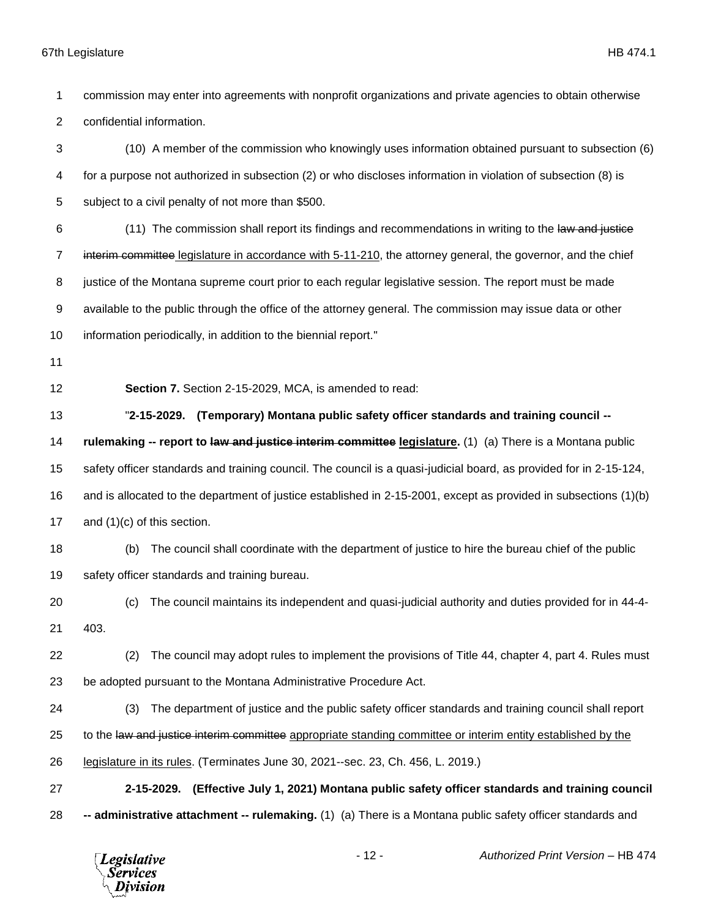commission may enter into agreements with nonprofit organizations and private agencies to obtain otherwise confidential information. (10) A member of the commission who knowingly uses information obtained pursuant to subsection (6) for a purpose not authorized in subsection (2) or who discloses information in violation of subsection (8) is subject to a civil penalty of not more than \$500. 6 (11) The commission shall report its findings and recommendations in writing to the law and justice 7 interim committee legislature in accordance with 5-11-210, the attorney general, the governor, and the chief justice of the Montana supreme court prior to each regular legislative session. The report must be made available to the public through the office of the attorney general. The commission may issue data or other information periodically, in addition to the biennial report." **Section 7.** Section 2-15-2029, MCA, is amended to read: "**2-15-2029. (Temporary) Montana public safety officer standards and training council -- rulemaking -- report to law and justice interim committee legislature.** (1) (a) There is a Montana public safety officer standards and training council. The council is a quasi-judicial board, as provided for in 2-15-124, and is allocated to the department of justice established in 2-15-2001, except as provided in subsections (1)(b) and (1)(c) of this section. (b) The council shall coordinate with the department of justice to hire the bureau chief of the public safety officer standards and training bureau. (c) The council maintains its independent and quasi-judicial authority and duties provided for in 44-4- 403. (2) The council may adopt rules to implement the provisions of Title 44, chapter 4, part 4. Rules must be adopted pursuant to the Montana Administrative Procedure Act. (3) The department of justice and the public safety officer standards and training council shall report 25 to the law and justice interim committee appropriate standing committee or interim entity established by the legislature in its rules. (Terminates June 30, 2021--sec. 23, Ch. 456, L. 2019.) **2-15-2029. (Effective July 1, 2021) Montana public safety officer standards and training council -- administrative attachment -- rulemaking.** (1) (a) There is a Montana public safety officer standards and

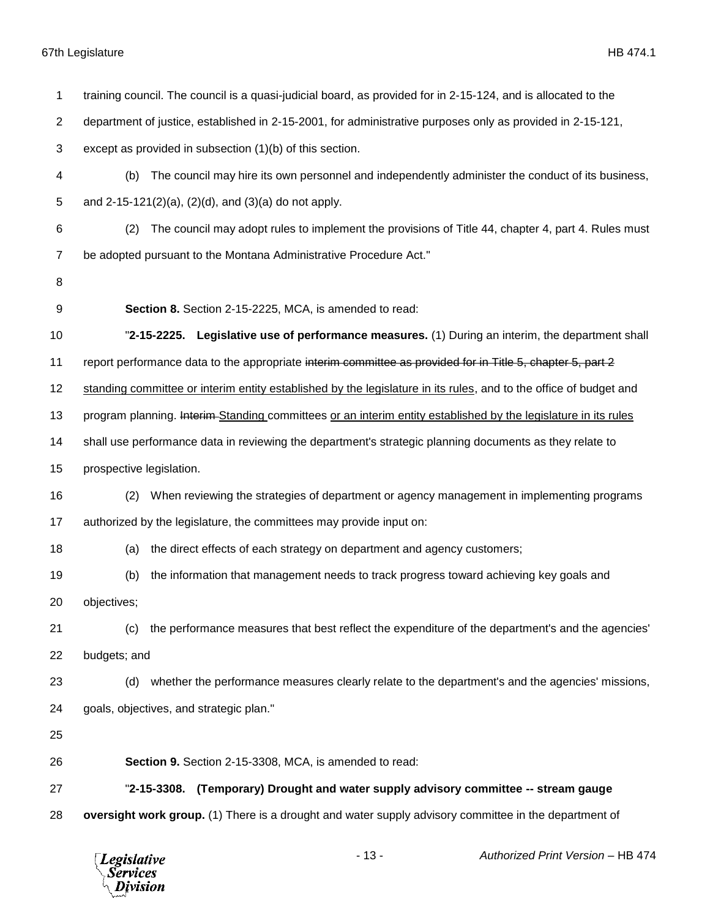| 1              | training council. The council is a quasi-judicial board, as provided for in 2-15-124, and is allocated to the     |
|----------------|-------------------------------------------------------------------------------------------------------------------|
| $\overline{2}$ | department of justice, established in 2-15-2001, for administrative purposes only as provided in 2-15-121,        |
| 3              | except as provided in subsection (1)(b) of this section.                                                          |
| 4              | The council may hire its own personnel and independently administer the conduct of its business,<br>(b)           |
| 5              | and $2-15-121(2)(a)$ , $(2)(d)$ , and $(3)(a)$ do not apply.                                                      |
| 6              | The council may adopt rules to implement the provisions of Title 44, chapter 4, part 4. Rules must<br>(2)         |
| 7              | be adopted pursuant to the Montana Administrative Procedure Act."                                                 |
| 8              |                                                                                                                   |
| 9              | Section 8. Section 2-15-2225, MCA, is amended to read:                                                            |
| 10             | "2-15-2225. Legislative use of performance measures. (1) During an interim, the department shall                  |
| 11             | report performance data to the appropriate interim committee as provided for in Title 5, chapter 5, part 2        |
| 12             | standing committee or interim entity established by the legislature in its rules, and to the office of budget and |
| 13             | program planning. Interim-Standing committees or an interim entity established by the legislature in its rules    |
| 14             | shall use performance data in reviewing the department's strategic planning documents as they relate to           |
| 15             | prospective legislation.                                                                                          |
| 16             | When reviewing the strategies of department or agency management in implementing programs<br>(2)                  |
| 17             | authorized by the legislature, the committees may provide input on:                                               |
| 18             | the direct effects of each strategy on department and agency customers;<br>(a)                                    |
| 19             | the information that management needs to track progress toward achieving key goals and<br>(b)                     |
| 20             | objectives;                                                                                                       |
| 21             | the performance measures that best reflect the expenditure of the department's and the agencies'<br>(c)           |
| 22             | budgets; and                                                                                                      |
| 23             | whether the performance measures clearly relate to the department's and the agencies' missions,<br>(d)            |
| 24             | goals, objectives, and strategic plan."                                                                           |
| 25             |                                                                                                                   |
| 26             | Section 9. Section 2-15-3308, MCA, is amended to read:                                                            |
| 27             | "2-15-3308.<br>(Temporary) Drought and water supply advisory committee -- stream gauge                            |
| 28             | oversight work group. (1) There is a drought and water supply advisory committee in the department of             |
|                |                                                                                                                   |

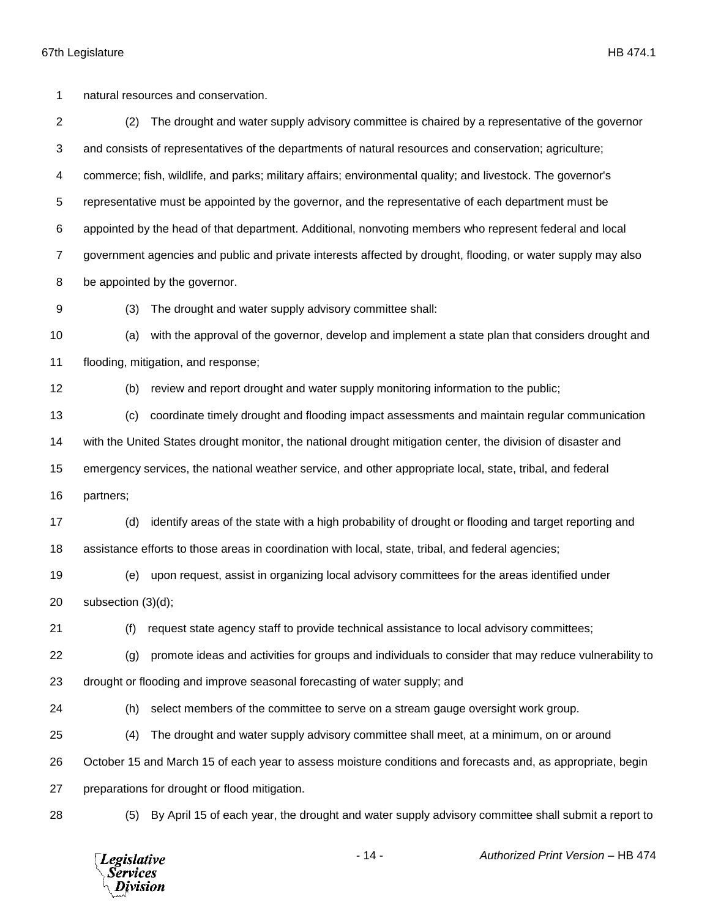natural resources and conservation.

 (2) The drought and water supply advisory committee is chaired by a representative of the governor and consists of representatives of the departments of natural resources and conservation; agriculture; commerce; fish, wildlife, and parks; military affairs; environmental quality; and livestock. The governor's representative must be appointed by the governor, and the representative of each department must be appointed by the head of that department. Additional, nonvoting members who represent federal and local government agencies and public and private interests affected by drought, flooding, or water supply may also be appointed by the governor.

(3) The drought and water supply advisory committee shall:

 (a) with the approval of the governor, develop and implement a state plan that considers drought and flooding, mitigation, and response;

(b) review and report drought and water supply monitoring information to the public;

 (c) coordinate timely drought and flooding impact assessments and maintain regular communication with the United States drought monitor, the national drought mitigation center, the division of disaster and emergency services, the national weather service, and other appropriate local, state, tribal, and federal

partners;

 (d) identify areas of the state with a high probability of drought or flooding and target reporting and assistance efforts to those areas in coordination with local, state, tribal, and federal agencies;

 (e) upon request, assist in organizing local advisory committees for the areas identified under subsection (3)(d);

(f) request state agency staff to provide technical assistance to local advisory committees;

(g) promote ideas and activities for groups and individuals to consider that may reduce vulnerability to

drought or flooding and improve seasonal forecasting of water supply; and

(h) select members of the committee to serve on a stream gauge oversight work group.

(4) The drought and water supply advisory committee shall meet, at a minimum, on or around

October 15 and March 15 of each year to assess moisture conditions and forecasts and, as appropriate, begin

preparations for drought or flood mitigation.

(5) By April 15 of each year, the drought and water supply advisory committee shall submit a report to

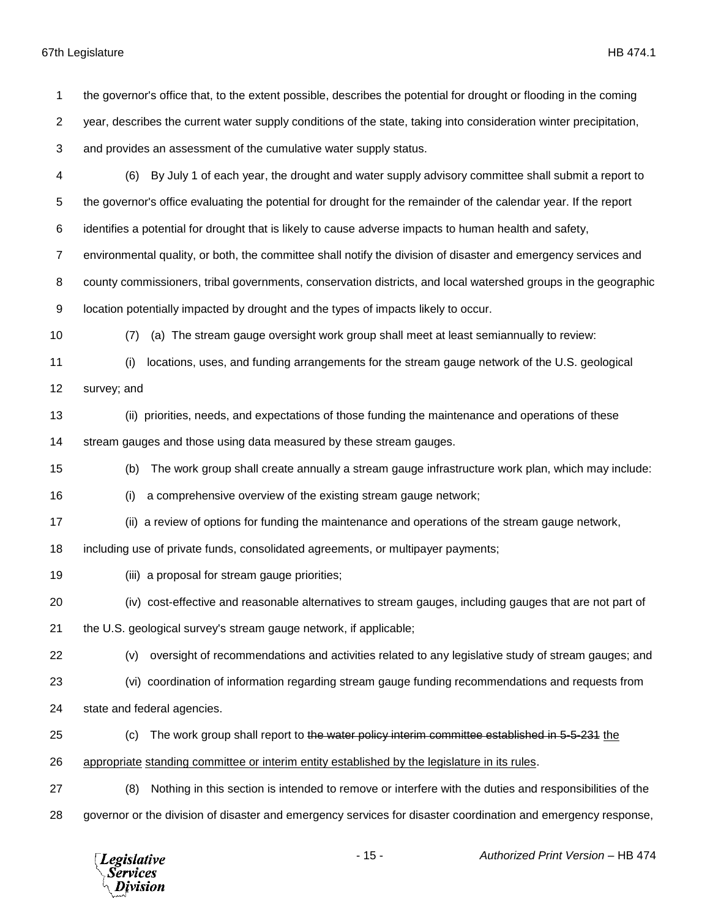the governor's office that, to the extent possible, describes the potential for drought or flooding in the coming year, describes the current water supply conditions of the state, taking into consideration winter precipitation, and provides an assessment of the cumulative water supply status. (6) By July 1 of each year, the drought and water supply advisory committee shall submit a report to the governor's office evaluating the potential for drought for the remainder of the calendar year. If the report identifies a potential for drought that is likely to cause adverse impacts to human health and safety, environmental quality, or both, the committee shall notify the division of disaster and emergency services and county commissioners, tribal governments, conservation districts, and local watershed groups in the geographic location potentially impacted by drought and the types of impacts likely to occur. (7) (a) The stream gauge oversight work group shall meet at least semiannually to review: (i) locations, uses, and funding arrangements for the stream gauge network of the U.S. geological survey; and (ii) priorities, needs, and expectations of those funding the maintenance and operations of these stream gauges and those using data measured by these stream gauges. (b) The work group shall create annually a stream gauge infrastructure work plan, which may include: (i) a comprehensive overview of the existing stream gauge network; (ii) a review of options for funding the maintenance and operations of the stream gauge network, including use of private funds, consolidated agreements, or multipayer payments; (iii) a proposal for stream gauge priorities; (iv) cost-effective and reasonable alternatives to stream gauges, including gauges that are not part of the U.S. geological survey's stream gauge network, if applicable; (v) oversight of recommendations and activities related to any legislative study of stream gauges; and (vi) coordination of information regarding stream gauge funding recommendations and requests from state and federal agencies. 25 (c) The work group shall report to the water policy interim committee established in 5-5-231 the appropriate standing committee or interim entity established by the legislature in its rules. (8) Nothing in this section is intended to remove or interfere with the duties and responsibilities of the governor or the division of disaster and emergency services for disaster coordination and emergency response,

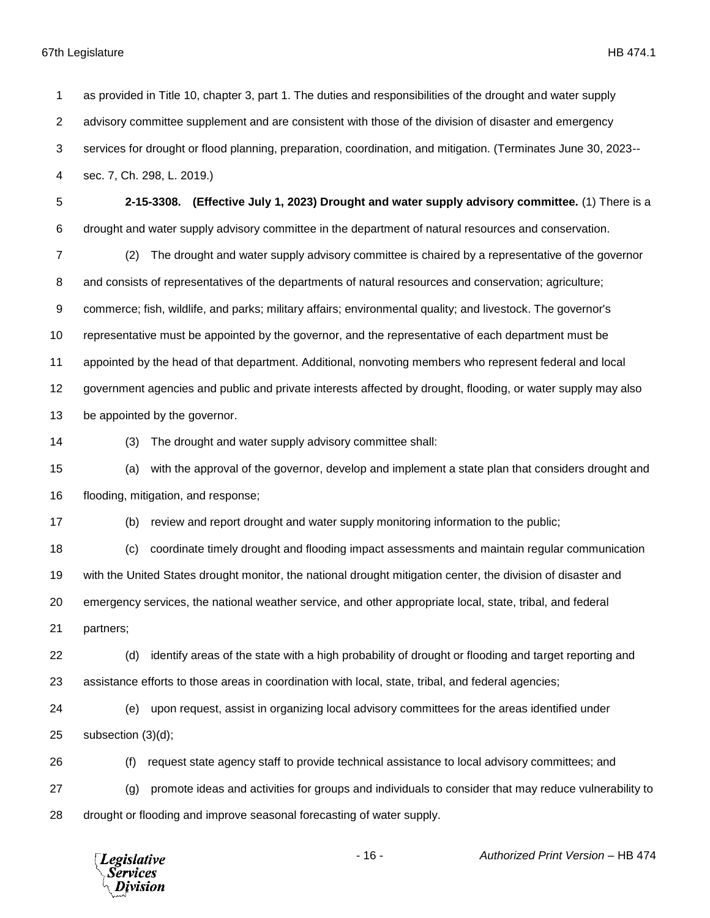as provided in Title 10, chapter 3, part 1. The duties and responsibilities of the drought and water supply advisory committee supplement and are consistent with those of the division of disaster and emergency services for drought or flood planning, preparation, coordination, and mitigation. (Terminates June 30, 2023-- sec. 7, Ch. 298, L. 2019.) **2-15-3308. (Effective July 1, 2023) Drought and water supply advisory committee.** (1) There is a drought and water supply advisory committee in the department of natural resources and conservation. (2) The drought and water supply advisory committee is chaired by a representative of the governor and consists of representatives of the departments of natural resources and conservation; agriculture; commerce; fish, wildlife, and parks; military affairs; environmental quality; and livestock. The governor's representative must be appointed by the governor, and the representative of each department must be appointed by the head of that department. Additional, nonvoting members who represent federal and local government agencies and public and private interests affected by drought, flooding, or water supply may also be appointed by the governor. (3) The drought and water supply advisory committee shall: (a) with the approval of the governor, develop and implement a state plan that considers drought and flooding, mitigation, and response; (b) review and report drought and water supply monitoring information to the public; (c) coordinate timely drought and flooding impact assessments and maintain regular communication with the United States drought monitor, the national drought mitigation center, the division of disaster and emergency services, the national weather service, and other appropriate local, state, tribal, and federal partners; (d) identify areas of the state with a high probability of drought or flooding and target reporting and assistance efforts to those areas in coordination with local, state, tribal, and federal agencies; (e) upon request, assist in organizing local advisory committees for the areas identified under subsection (3)(d); (f) request state agency staff to provide technical assistance to local advisory committees; and (g) promote ideas and activities for groups and individuals to consider that may reduce vulnerability to drought or flooding and improve seasonal forecasting of water supply.

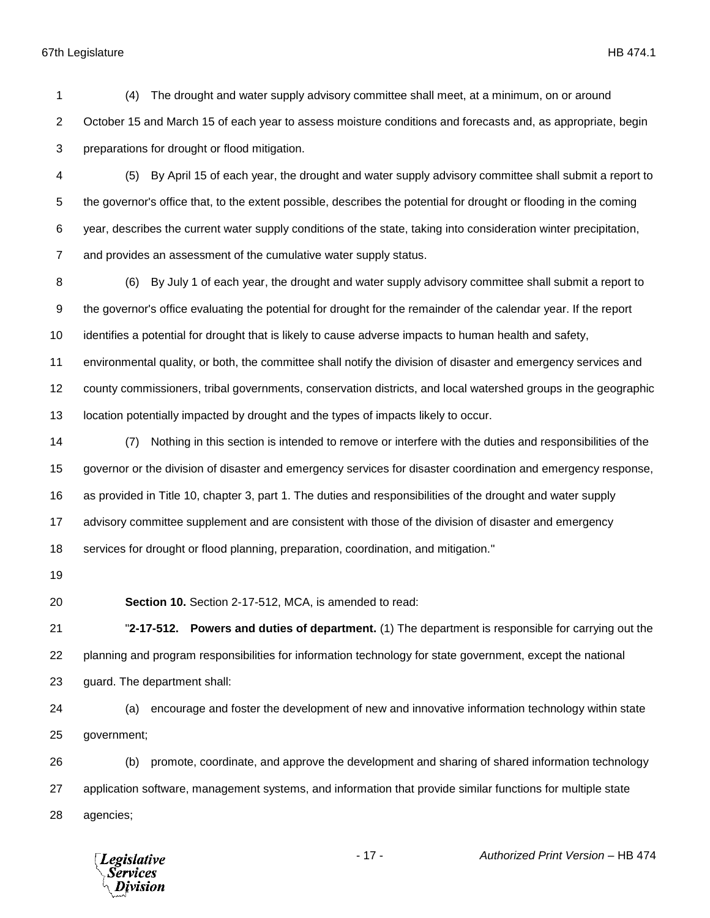(4) The drought and water supply advisory committee shall meet, at a minimum, on or around October 15 and March 15 of each year to assess moisture conditions and forecasts and, as appropriate, begin preparations for drought or flood mitigation.

 (5) By April 15 of each year, the drought and water supply advisory committee shall submit a report to the governor's office that, to the extent possible, describes the potential for drought or flooding in the coming year, describes the current water supply conditions of the state, taking into consideration winter precipitation, and provides an assessment of the cumulative water supply status.

 (6) By July 1 of each year, the drought and water supply advisory committee shall submit a report to the governor's office evaluating the potential for drought for the remainder of the calendar year. If the report identifies a potential for drought that is likely to cause adverse impacts to human health and safety,

 environmental quality, or both, the committee shall notify the division of disaster and emergency services and county commissioners, tribal governments, conservation districts, and local watershed groups in the geographic

location potentially impacted by drought and the types of impacts likely to occur.

 (7) Nothing in this section is intended to remove or interfere with the duties and responsibilities of the governor or the division of disaster and emergency services for disaster coordination and emergency response, as provided in Title 10, chapter 3, part 1. The duties and responsibilities of the drought and water supply advisory committee supplement and are consistent with those of the division of disaster and emergency services for drought or flood planning, preparation, coordination, and mitigation."

**Section 10.** Section 2-17-512, MCA, is amended to read:

 "**2-17-512. Powers and duties of department.** (1) The department is responsible for carrying out the planning and program responsibilities for information technology for state government, except the national guard. The department shall:

 (a) encourage and foster the development of new and innovative information technology within state government;

 (b) promote, coordinate, and approve the development and sharing of shared information technology application software, management systems, and information that provide similar functions for multiple state agencies;

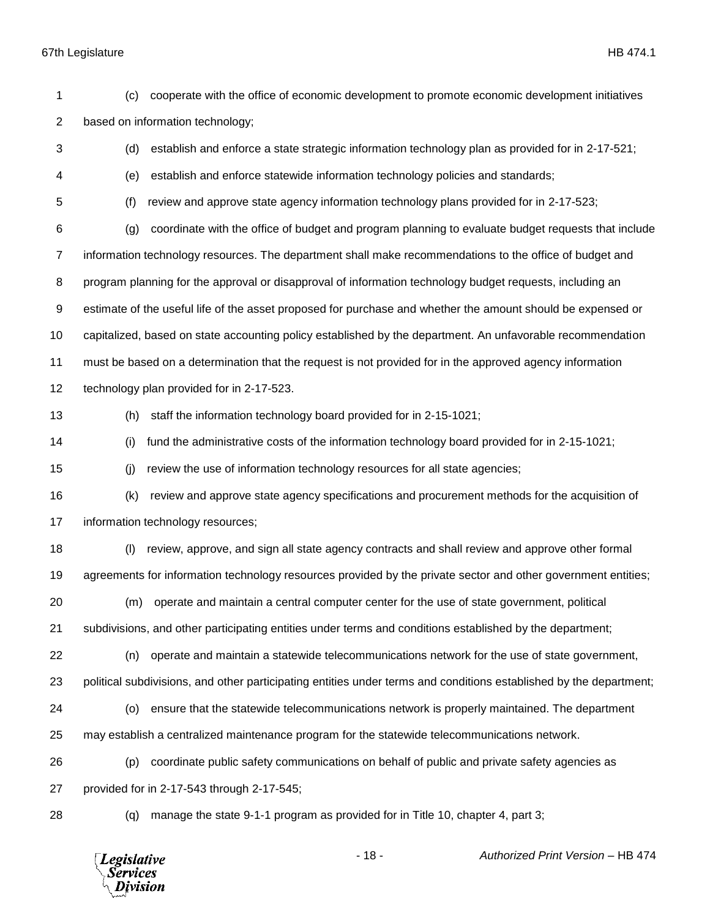| 1              | (c) | cooperate with the office of economic development to promote economic development initiatives                      |
|----------------|-----|--------------------------------------------------------------------------------------------------------------------|
| $\overline{2}$ |     | based on information technology;                                                                                   |
| 3              | (d) | establish and enforce a state strategic information technology plan as provided for in 2-17-521;                   |
| 4              | (e) | establish and enforce statewide information technology policies and standards;                                     |
| 5              | (f) | review and approve state agency information technology plans provided for in 2-17-523;                             |
| 6              | (g) | coordinate with the office of budget and program planning to evaluate budget requests that include                 |
| 7              |     | information technology resources. The department shall make recommendations to the office of budget and            |
| 8              |     | program planning for the approval or disapproval of information technology budget requests, including an           |
| 9              |     | estimate of the useful life of the asset proposed for purchase and whether the amount should be expensed or        |
| 10             |     | capitalized, based on state accounting policy established by the department. An unfavorable recommendation         |
| 11             |     | must be based on a determination that the request is not provided for in the approved agency information           |
| 12             |     | technology plan provided for in 2-17-523.                                                                          |
| 13             | (h) | staff the information technology board provided for in 2-15-1021;                                                  |
| 14             | (i) | fund the administrative costs of the information technology board provided for in 2-15-1021;                       |
| 15             | (i) | review the use of information technology resources for all state agencies;                                         |
| 16             | (k) | review and approve state agency specifications and procurement methods for the acquisition of                      |
| 17             |     | information technology resources;                                                                                  |
| 18             | (1) | review, approve, and sign all state agency contracts and shall review and approve other formal                     |
| 19             |     | agreements for information technology resources provided by the private sector and other government entities;      |
| 20             | (m) | operate and maintain a central computer center for the use of state government, political                          |
| 21             |     | subdivisions, and other participating entities under terms and conditions established by the department;           |
| 22             | (n) | operate and maintain a statewide telecommunications network for the use of state government,                       |
| 23             |     | political subdivisions, and other participating entities under terms and conditions established by the department; |
| 24             | (o) | ensure that the statewide telecommunications network is properly maintained. The department                        |
| 25             |     | may establish a centralized maintenance program for the statewide telecommunications network.                      |
| 26             | (p) | coordinate public safety communications on behalf of public and private safety agencies as                         |
| 27             |     | provided for in 2-17-543 through 2-17-545;                                                                         |
| 28             | (q) | manage the state 9-1-1 program as provided for in Title 10, chapter 4, part 3;                                     |

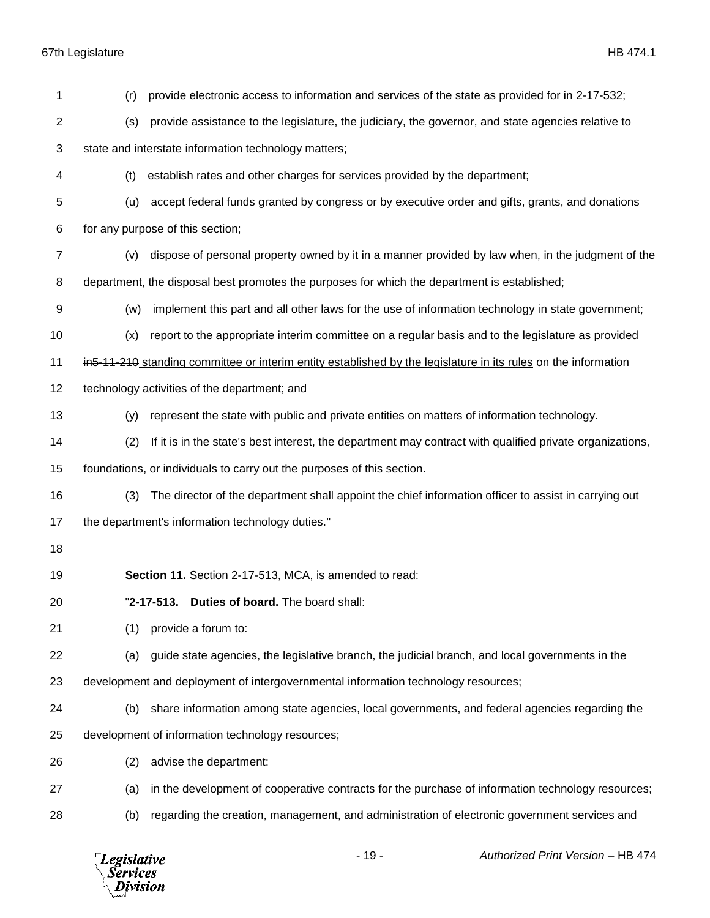| 1              | (r) | provide electronic access to information and services of the state as provided for in 2-17-532;                 |
|----------------|-----|-----------------------------------------------------------------------------------------------------------------|
| 2              | (s) | provide assistance to the legislature, the judiciary, the governor, and state agencies relative to              |
| 3              |     | state and interstate information technology matters;                                                            |
| 4              | (t) | establish rates and other charges for services provided by the department;                                      |
| 5              | (u) | accept federal funds granted by congress or by executive order and gifts, grants, and donations                 |
| 6              |     | for any purpose of this section;                                                                                |
| $\overline{7}$ | (v) | dispose of personal property owned by it in a manner provided by law when, in the judgment of the               |
| 8              |     | department, the disposal best promotes the purposes for which the department is established;                    |
| 9              | (w) | implement this part and all other laws for the use of information technology in state government;               |
| 10             | (x) | report to the appropriate interim committee on a regular basis and to the legislature as provided               |
| 11             |     | in 5-11-210 standing committee or interim entity established by the legislature in its rules on the information |
| 12             |     | technology activities of the department; and                                                                    |
| 13             | (y) | represent the state with public and private entities on matters of information technology.                      |
| 14             | (2) | If it is in the state's best interest, the department may contract with qualified private organizations,        |
| 15             |     | foundations, or individuals to carry out the purposes of this section.                                          |
| 16             | (3) | The director of the department shall appoint the chief information officer to assist in carrying out            |
| 17             |     | the department's information technology duties."                                                                |
| 18             |     |                                                                                                                 |
| 19             |     | Section 11. Section 2-17-513, MCA, is amended to read:                                                          |
| 20             |     | "2-17-513. Duties of board. The board shall:                                                                    |
| 21             | (1) | provide a forum to:                                                                                             |
| 22             | (a) | guide state agencies, the legislative branch, the judicial branch, and local governments in the                 |
| 23             |     | development and deployment of intergovernmental information technology resources;                               |
| 24             | (b) | share information among state agencies, local governments, and federal agencies regarding the                   |
| 25             |     | development of information technology resources;                                                                |
| 26             | (2) | advise the department:                                                                                          |
| 27             | (a) | in the development of cooperative contracts for the purchase of information technology resources;               |
| 28             | (b) | regarding the creation, management, and administration of electronic government services and                    |

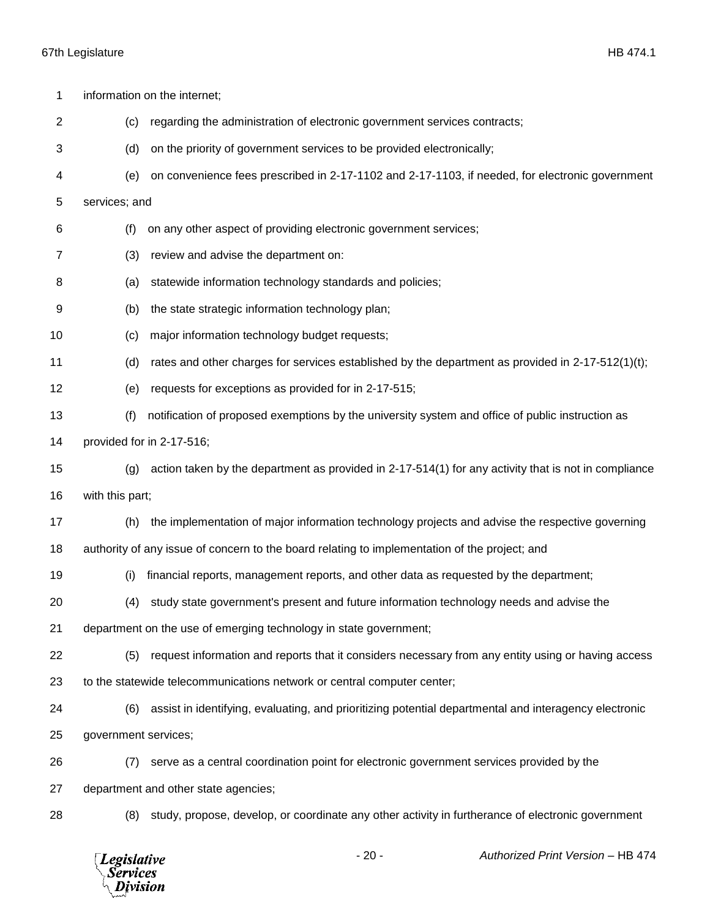| 1<br>$\overline{c}$ | (c)                                        | information on the internet;<br>regarding the administration of electronic government services contracts; |
|---------------------|--------------------------------------------|-----------------------------------------------------------------------------------------------------------|
| 3                   | (d)                                        | on the priority of government services to be provided electronically;                                     |
|                     |                                            |                                                                                                           |
| 4                   | (e)                                        | on convenience fees prescribed in 2-17-1102 and 2-17-1103, if needed, for electronic government           |
| 5                   | services; and                              |                                                                                                           |
| 6                   | (f)                                        | on any other aspect of providing electronic government services;                                          |
| 7                   | (3)                                        | review and advise the department on:                                                                      |
| 8                   | (a)                                        | statewide information technology standards and policies;                                                  |
| 9                   | (b)                                        | the state strategic information technology plan;                                                          |
| 10                  | (c)                                        | major information technology budget requests;                                                             |
| 11                  | (d)                                        | rates and other charges for services established by the department as provided in 2-17-512(1)(t);         |
| 12                  | (e)                                        | requests for exceptions as provided for in 2-17-515;                                                      |
| 13                  | (f)                                        | notification of proposed exemptions by the university system and office of public instruction as          |
| 14                  |                                            | provided for in 2-17-516;                                                                                 |
| 15                  | (g)                                        | action taken by the department as provided in 2-17-514(1) for any activity that is not in compliance      |
| 16                  | with this part;                            |                                                                                                           |
| 17                  | (h)                                        | the implementation of major information technology projects and advise the respective governing           |
| 18                  |                                            | authority of any issue of concern to the board relating to implementation of the project; and             |
| 19                  | (i)                                        | financial reports, management reports, and other data as requested by the department;                     |
| 20                  | (4)                                        | study state government's present and future information technology needs and advise the                   |
| 21                  |                                            | department on the use of emerging technology in state government;                                         |
| 22                  | (5)                                        | request information and reports that it considers necessary from any entity using or having access        |
| 23                  |                                            | to the statewide telecommunications network or central computer center;                                   |
| 24                  | (6)                                        | assist in identifying, evaluating, and prioritizing potential departmental and interagency electronic     |
| 25                  | government services;                       |                                                                                                           |
| 26                  | (7)                                        | serve as a central coordination point for electronic government services provided by the                  |
| 27                  |                                            | department and other state agencies;                                                                      |
| 28                  | (8)                                        | study, propose, develop, or coordinate any other activity in furtherance of electronic government         |
|                     | Legislative<br><b>Services</b><br>Division | $-20-$<br>Authorized Print Version - HB 474                                                               |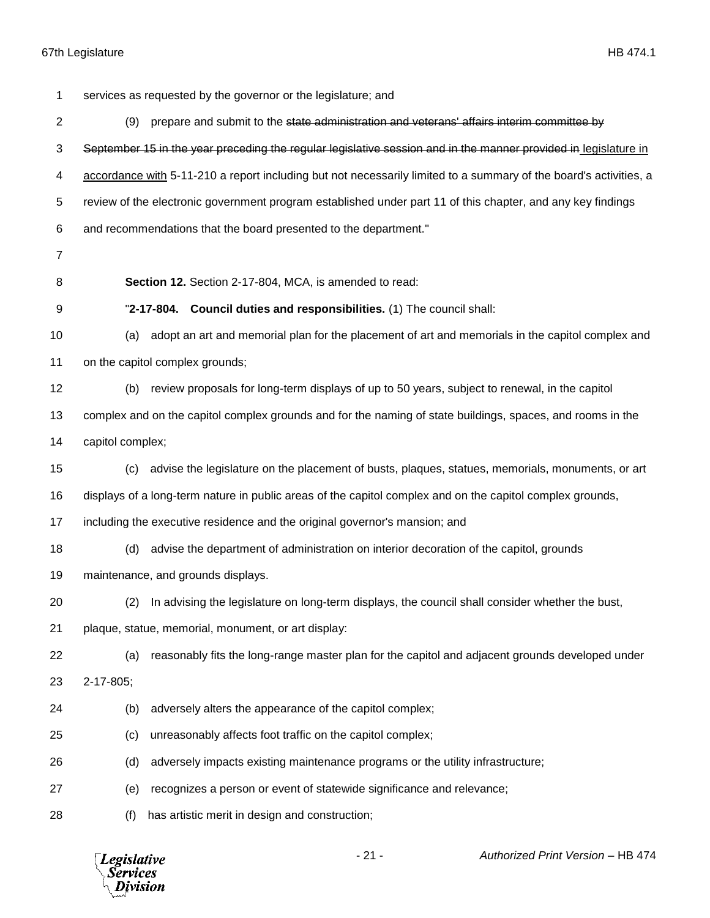services as requested by the governor or the legislature; and (9) prepare and submit to the state administration and veterans' affairs interim committee by September 15 in the year preceding the regular legislative session and in the manner provided in legislature in accordance with 5-11-210 a report including but not necessarily limited to a summary of the board's activities, a review of the electronic government program established under part 11 of this chapter, and any key findings and recommendations that the board presented to the department." **Section 12.** Section 2-17-804, MCA, is amended to read: "**2-17-804. Council duties and responsibilities.** (1) The council shall: (a) adopt an art and memorial plan for the placement of art and memorials in the capitol complex and on the capitol complex grounds; (b) review proposals for long-term displays of up to 50 years, subject to renewal, in the capitol complex and on the capitol complex grounds and for the naming of state buildings, spaces, and rooms in the capitol complex; (c) advise the legislature on the placement of busts, plaques, statues, memorials, monuments, or art displays of a long-term nature in public areas of the capitol complex and on the capitol complex grounds, including the executive residence and the original governor's mansion; and (d) advise the department of administration on interior decoration of the capitol, grounds maintenance, and grounds displays. (2) In advising the legislature on long-term displays, the council shall consider whether the bust, plaque, statue, memorial, monument, or art display: (a) reasonably fits the long-range master plan for the capitol and adjacent grounds developed under 2-17-805; (b) adversely alters the appearance of the capitol complex; (c) unreasonably affects foot traffic on the capitol complex; (d) adversely impacts existing maintenance programs or the utility infrastructure; (e) recognizes a person or event of statewide significance and relevance; (f) has artistic merit in design and construction;

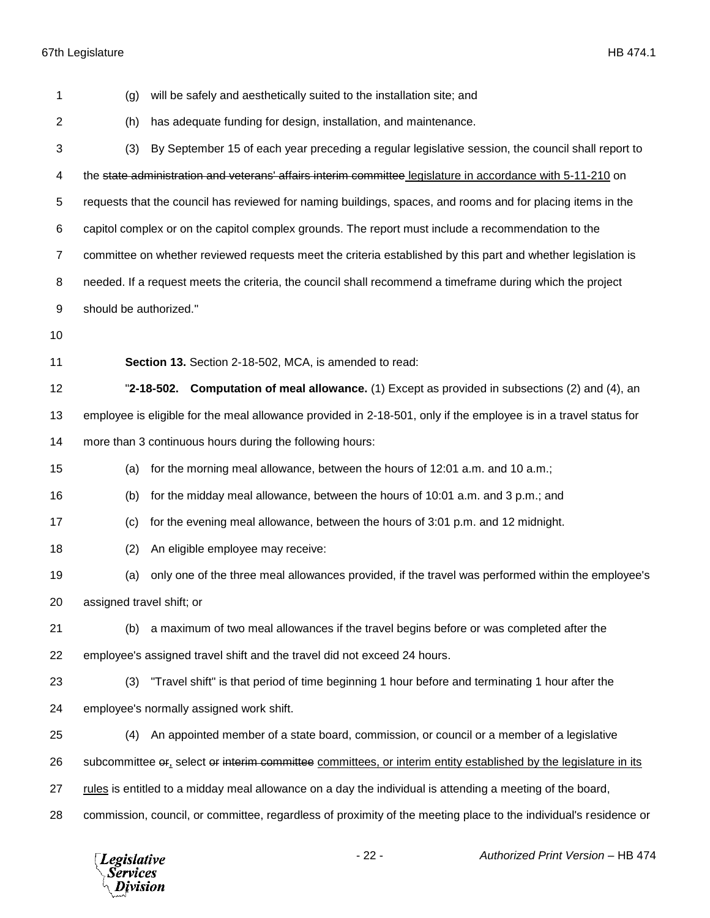*Legislative*<br>Services<br>*Division* 

| 1              | will be safely and aesthetically suited to the installation site; and<br>(g)                                     |  |  |  |
|----------------|------------------------------------------------------------------------------------------------------------------|--|--|--|
| $\overline{2}$ | has adequate funding for design, installation, and maintenance.<br>(h)                                           |  |  |  |
| 3              | By September 15 of each year preceding a regular legislative session, the council shall report to<br>(3)         |  |  |  |
| 4              | the state administration and veterans' affairs interim committee legislature in accordance with 5-11-210 on      |  |  |  |
| 5              | requests that the council has reviewed for naming buildings, spaces, and rooms and for placing items in the      |  |  |  |
| 6              | capitol complex or on the capitol complex grounds. The report must include a recommendation to the               |  |  |  |
| $\overline{7}$ | committee on whether reviewed requests meet the criteria established by this part and whether legislation is     |  |  |  |
| 8              | needed. If a request meets the criteria, the council shall recommend a timeframe during which the project        |  |  |  |
| 9              | should be authorized."                                                                                           |  |  |  |
| 10             |                                                                                                                  |  |  |  |
| 11             | Section 13. Section 2-18-502, MCA, is amended to read:                                                           |  |  |  |
| 12             | "2-18-502. Computation of meal allowance. (1) Except as provided in subsections (2) and (4), an                  |  |  |  |
| 13             | employee is eligible for the meal allowance provided in 2-18-501, only if the employee is in a travel status for |  |  |  |
| 14             | more than 3 continuous hours during the following hours:                                                         |  |  |  |
| 15             | for the morning meal allowance, between the hours of 12:01 a.m. and 10 a.m.;<br>(a)                              |  |  |  |
| 16             | for the midday meal allowance, between the hours of 10:01 a.m. and 3 p.m.; and<br>(b)                            |  |  |  |
| 17             | for the evening meal allowance, between the hours of 3:01 p.m. and 12 midnight.<br>(c)                           |  |  |  |
| 18             | An eligible employee may receive:<br>(2)                                                                         |  |  |  |
| 19             | only one of the three meal allowances provided, if the travel was performed within the employee's<br>(a)         |  |  |  |
| 20             | assigned travel shift; or                                                                                        |  |  |  |
| 21             | a maximum of two meal allowances if the travel begins before or was completed after the<br>(b)                   |  |  |  |
| 22             | employee's assigned travel shift and the travel did not exceed 24 hours.                                         |  |  |  |
| 23             | "Travel shift" is that period of time beginning 1 hour before and terminating 1 hour after the<br>(3)            |  |  |  |
| 24             | employee's normally assigned work shift.                                                                         |  |  |  |
| 25             | An appointed member of a state board, commission, or council or a member of a legislative<br>(4)                 |  |  |  |
| 26             | subcommittee or, select or interim committee committees, or interim entity established by the legislature in its |  |  |  |
| 27             | rules is entitled to a midday meal allowance on a day the individual is attending a meeting of the board,        |  |  |  |
| 28             | commission, council, or committee, regardless of proximity of the meeting place to the individual's residence or |  |  |  |
|                |                                                                                                                  |  |  |  |

- 22 - *Authorized Print Version* – HB 474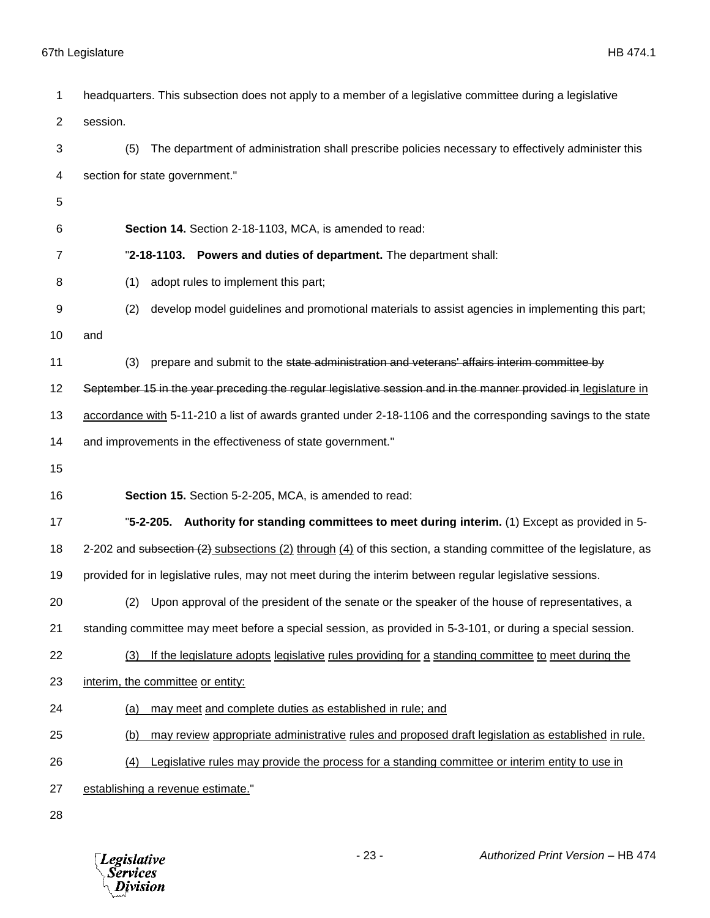| 1              | headquarters. This subsection does not apply to a member of a legislative committee during a legislative          |  |
|----------------|-------------------------------------------------------------------------------------------------------------------|--|
| $\overline{2}$ | session.                                                                                                          |  |
| 3              | The department of administration shall prescribe policies necessary to effectively administer this<br>(5)         |  |
| 4              | section for state government."                                                                                    |  |
| 5              |                                                                                                                   |  |
| 6              | Section 14. Section 2-18-1103, MCA, is amended to read:                                                           |  |
| 7              | "2-18-1103. Powers and duties of department. The department shall:                                                |  |
| 8              | adopt rules to implement this part;<br>(1)                                                                        |  |
| 9              | develop model guidelines and promotional materials to assist agencies in implementing this part;<br>(2)           |  |
| 10             | and                                                                                                               |  |
| 11             | prepare and submit to the state administration and veterans' affairs interim committee by<br>(3)                  |  |
| 12             | September 15 in the year preceding the regular legislative session and in the manner provided in legislature in   |  |
| 13             | accordance with 5-11-210 a list of awards granted under 2-18-1106 and the corresponding savings to the state      |  |
| 14             | and improvements in the effectiveness of state government."                                                       |  |
| 15             |                                                                                                                   |  |
| 16             | Section 15. Section 5-2-205, MCA, is amended to read:                                                             |  |
| 17             | "5-2-205. Authority for standing committees to meet during interim. (1) Except as provided in 5-                  |  |
| 18             | 2-202 and subsection (2) subsections (2) through (4) of this section, a standing committee of the legislature, as |  |
| 19             | provided for in legislative rules, may not meet during the interim between regular legislative sessions.          |  |
| 20             | (2) Upon approval of the president of the senate or the speaker of the house of representatives, a                |  |
| 21             | standing committee may meet before a special session, as provided in 5-3-101, or during a special session.        |  |
| 22             | If the legislature adopts legislative rules providing for a standing committee to meet during the<br>(3)          |  |
| 23             | interim, the committee or entity:                                                                                 |  |
| 24             | may meet and complete duties as established in rule; and<br><u>(a)</u>                                            |  |
| 25             | may review appropriate administrative rules and proposed draft legislation as established in rule.<br>(b)         |  |
| 26             | Legislative rules may provide the process for a standing committee or interim entity to use in<br>(4)             |  |
| 27             | establishing a revenue estimate."                                                                                 |  |
| 28             |                                                                                                                   |  |

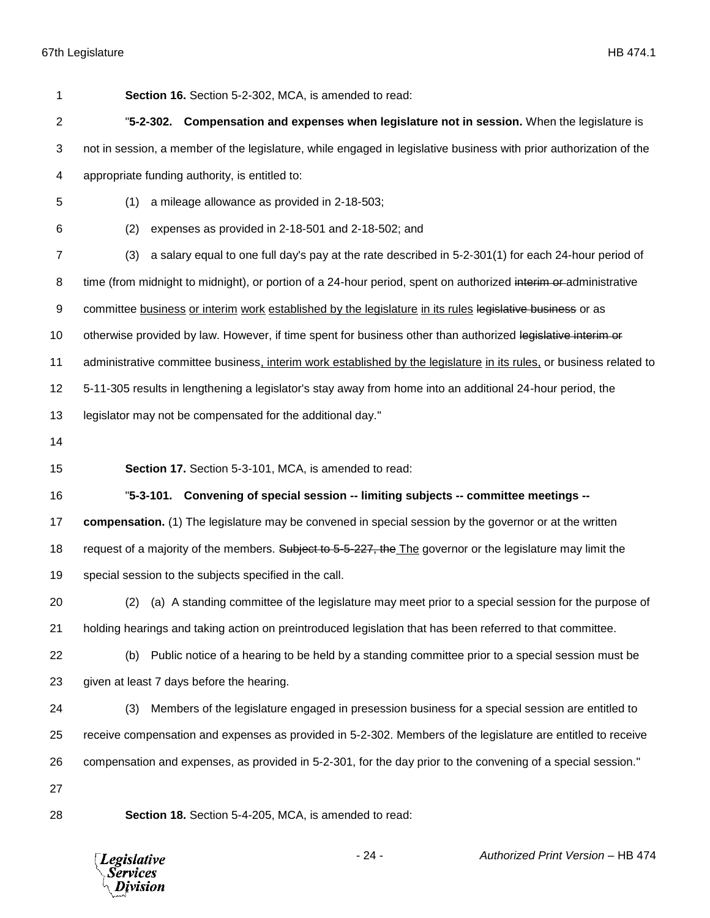| 1              | Section 16. Section 5-2-302, MCA, is amended to read:                                                               |  |  |
|----------------|---------------------------------------------------------------------------------------------------------------------|--|--|
| $\overline{c}$ | "5-2-302. Compensation and expenses when legislature not in session. When the legislature is                        |  |  |
| 3              | not in session, a member of the legislature, while engaged in legislative business with prior authorization of the  |  |  |
| 4              | appropriate funding authority, is entitled to:                                                                      |  |  |
| 5              | (1)<br>a mileage allowance as provided in 2-18-503;                                                                 |  |  |
| 6              | (2)<br>expenses as provided in 2-18-501 and 2-18-502; and                                                           |  |  |
| $\overline{7}$ | (3)<br>a salary equal to one full day's pay at the rate described in 5-2-301(1) for each 24-hour period of          |  |  |
| 8              | time (from midnight to midnight), or portion of a 24-hour period, spent on authorized interim or administrative     |  |  |
| 9              | committee business or interim work established by the legislature in its rules legislative business or as           |  |  |
| 10             | otherwise provided by law. However, if time spent for business other than authorized legislative interim or         |  |  |
| 11             | administrative committee business, interim work established by the legislature in its rules, or business related to |  |  |
| 12             | 5-11-305 results in lengthening a legislator's stay away from home into an additional 24-hour period, the           |  |  |
| 13             | legislator may not be compensated for the additional day."                                                          |  |  |
| 14             |                                                                                                                     |  |  |
| 15             | Section 17. Section 5-3-101, MCA, is amended to read:                                                               |  |  |
| 16             | "5-3-101. Convening of special session -- limiting subjects -- committee meetings --                                |  |  |
| 17             | compensation. (1) The legislature may be convened in special session by the governor or at the written              |  |  |
| 18             | request of a majority of the members. Subject to 5-5-227, the The governor or the legislature may limit the         |  |  |
| 19             | special session to the subjects specified in the call.                                                              |  |  |
| 20             | (2) (a) A standing committee of the legislature may meet prior to a special session for the purpose of              |  |  |
| 21             | holding hearings and taking action on preintroduced legislation that has been referred to that committee.           |  |  |
| 22             | Public notice of a hearing to be held by a standing committee prior to a special session must be<br>(b)             |  |  |
| 23             | given at least 7 days before the hearing.                                                                           |  |  |
| 24             | Members of the legislature engaged in presession business for a special session are entitled to<br>(3)              |  |  |
| 25             | receive compensation and expenses as provided in 5-2-302. Members of the legislature are entitled to receive        |  |  |
| 26             | compensation and expenses, as provided in 5-2-301, for the day prior to the convening of a special session."        |  |  |
| 27             |                                                                                                                     |  |  |
| 28             | Section 18. Section 5-4-205, MCA, is amended to read:                                                               |  |  |

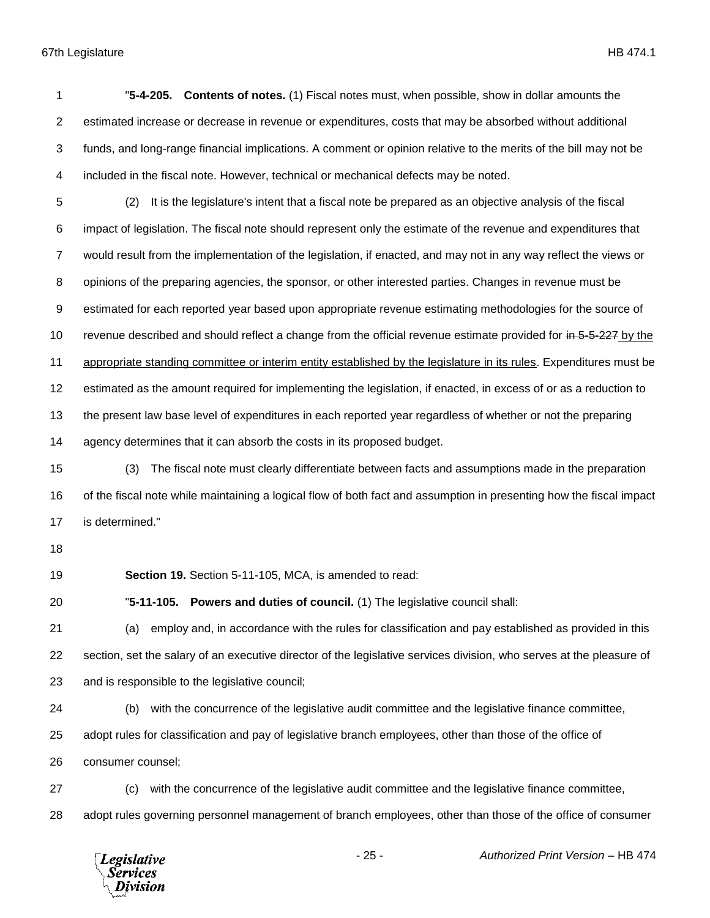|                | "5-4-205. Contents of notes. (1) Fiscal notes must, when possible, show in dollar amounts the                      |
|----------------|--------------------------------------------------------------------------------------------------------------------|
| 2              | estimated increase or decrease in revenue or expenditures, costs that may be absorbed without additional           |
| 3              | funds, and long-range financial implications. A comment or opinion relative to the merits of the bill may not be   |
| 4              | included in the fiscal note. However, technical or mechanical defects may be noted.                                |
| 5              | It is the legislature's intent that a fiscal note be prepared as an objective analysis of the fiscal<br>(2)        |
| 6              | impact of legislation. The fiscal note should represent only the estimate of the revenue and expenditures that     |
| $\overline{7}$ | would result from the implementation of the legislation, if enacted, and may not in any way reflect the views or   |
| 8              | opinions of the preparing agencies, the sponsor, or other interested parties. Changes in revenue must be           |
| 9              | estimated for each reported year based upon appropriate revenue estimating methodologies for the source of         |
| 10             | revenue described and should reflect a change from the official revenue estimate provided for in 5-5-227 by the    |
| 11             | appropriate standing committee or interim entity established by the legislature in its rules. Expenditures must be |
|                |                                                                                                                    |

the present law base level of expenditures in each reported year regardless of whether or not the preparing

estimated as the amount required for implementing the legislation, if enacted, in excess of or as a reduction to

14 agency determines that it can absorb the costs in its proposed budget.

 (3) The fiscal note must clearly differentiate between facts and assumptions made in the preparation of the fiscal note while maintaining a logical flow of both fact and assumption in presenting how the fiscal impact is determined."

**Section 19.** Section 5-11-105, MCA, is amended to read:

"**5-11-105. Powers and duties of council.** (1) The legislative council shall:

 (a) employ and, in accordance with the rules for classification and pay established as provided in this section, set the salary of an executive director of the legislative services division, who serves at the pleasure of and is responsible to the legislative council;

(b) with the concurrence of the legislative audit committee and the legislative finance committee,

adopt rules for classification and pay of legislative branch employees, other than those of the office of

consumer counsel;

 (c) with the concurrence of the legislative audit committee and the legislative finance committee, adopt rules governing personnel management of branch employees, other than those of the office of consumer

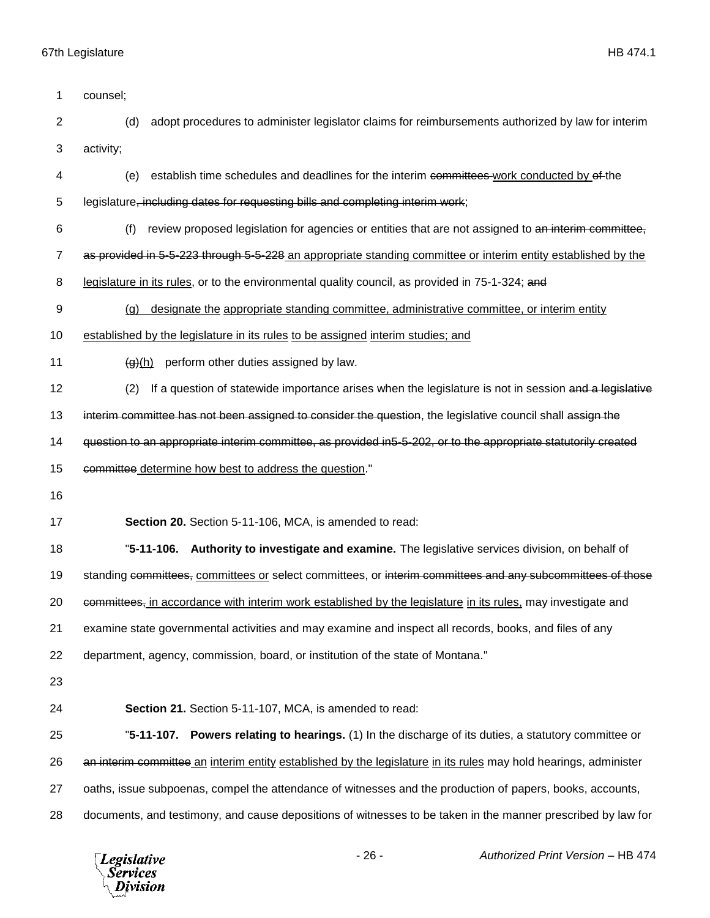| 1              | counsel;                                                                                                         |  |  |  |
|----------------|------------------------------------------------------------------------------------------------------------------|--|--|--|
| $\overline{2}$ | adopt procedures to administer legislator claims for reimbursements authorized by law for interim<br>(d)         |  |  |  |
| 3              | activity;                                                                                                        |  |  |  |
| 4              | establish time schedules and deadlines for the interim committees work conducted by of the<br>(e)                |  |  |  |
| 5              | legislature, including dates for requesting bills and completing interim work;                                   |  |  |  |
| 6              | review proposed legislation for agencies or entities that are not assigned to an interim committee,<br>(f)       |  |  |  |
| $\overline{7}$ | as provided in 5-5-223 through 5-5-228 an appropriate standing committee or interim entity established by the    |  |  |  |
| 8              | legislature in its rules, or to the environmental quality council, as provided in 75-1-324; and                  |  |  |  |
| 9              | designate the appropriate standing committee, administrative committee, or interim entity<br>(q)                 |  |  |  |
| 10             | established by the legislature in its rules to be assigned interim studies; and                                  |  |  |  |
| 11             | perform other duties assigned by law.<br>$\Theta(h)$                                                             |  |  |  |
| 12             | If a question of statewide importance arises when the legislature is not in session and a legislative<br>(2)     |  |  |  |
| 13             | interim committee has not been assigned to consider the question, the legislative council shall assign the       |  |  |  |
| 14             | question to an appropriate interim committee, as provided in5-5-202, or to the appropriate statutorily created   |  |  |  |
| 15             | committee determine how best to address the question."                                                           |  |  |  |
| 16             |                                                                                                                  |  |  |  |
| 17             | Section 20. Section 5-11-106, MCA, is amended to read:                                                           |  |  |  |
| 18             | "5-11-106. Authority to investigate and examine. The legislative services division, on behalf of                 |  |  |  |
| 19             | standing committees, committees or select committees, or interim committees and any subcommittees of those       |  |  |  |
| 20             | committees, in accordance with interim work established by the legislature in its rules, may investigate and     |  |  |  |
| 21             | examine state governmental activities and may examine and inspect all records, books, and files of any           |  |  |  |
| 22             | department, agency, commission, board, or institution of the state of Montana."                                  |  |  |  |
| 23             |                                                                                                                  |  |  |  |
|                |                                                                                                                  |  |  |  |
| 24             | Section 21. Section 5-11-107, MCA, is amended to read:                                                           |  |  |  |
| 25             | "5-11-107. Powers relating to hearings. (1) In the discharge of its duties, a statutory committee or             |  |  |  |
| 26             | an interim committee an interim entity established by the legislature in its rules may hold hearings, administer |  |  |  |
| 27             | oaths, issue subpoenas, compel the attendance of witnesses and the production of papers, books, accounts,        |  |  |  |

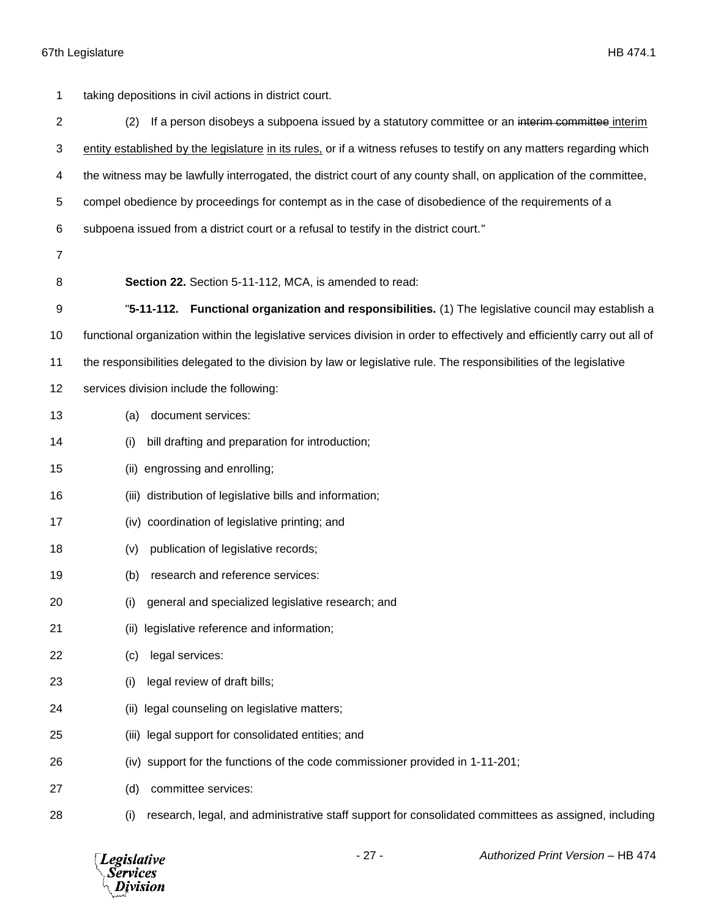| 1              | taking depositions in civil actions in district court.                                                                    |  |  |
|----------------|---------------------------------------------------------------------------------------------------------------------------|--|--|
| $\overline{c}$ | If a person disobeys a subpoena issued by a statutory committee or an interim committee interim<br>(2)                    |  |  |
| 3              | entity established by the legislature in its rules, or if a witness refuses to testify on any matters regarding which     |  |  |
| 4              | the witness may be lawfully interrogated, the district court of any county shall, on application of the committee,        |  |  |
| 5              | compel obedience by proceedings for contempt as in the case of disobedience of the requirements of a                      |  |  |
| 6              | subpoena issued from a district court or a refusal to testify in the district court."                                     |  |  |
| $\overline{7}$ |                                                                                                                           |  |  |
| 8              | Section 22. Section 5-11-112, MCA, is amended to read:                                                                    |  |  |
| 9              | "5-11-112. Functional organization and responsibilities. (1) The legislative council may establish a                      |  |  |
| 10             | functional organization within the legislative services division in order to effectively and efficiently carry out all of |  |  |
| 11             | the responsibilities delegated to the division by law or legislative rule. The responsibilities of the legislative        |  |  |
| 12             | services division include the following:                                                                                  |  |  |
| 13             | document services:<br>(a)                                                                                                 |  |  |
| 14             | bill drafting and preparation for introduction;<br>(i)                                                                    |  |  |
| 15             | engrossing and enrolling;<br>(ii)                                                                                         |  |  |
| 16             | distribution of legislative bills and information;<br>(iii)                                                               |  |  |
| 17             | coordination of legislative printing; and<br>(iv)                                                                         |  |  |
| 18             | publication of legislative records;<br>(v)                                                                                |  |  |
| 19             | research and reference services:<br>(b)                                                                                   |  |  |
| 20             | general and specialized legislative research; and<br>(i)                                                                  |  |  |
| 21             | legislative reference and information;<br>(ii)                                                                            |  |  |
| 22             | legal services:<br>(c)                                                                                                    |  |  |
| 23             | legal review of draft bills;<br>(i)                                                                                       |  |  |
| 24             | legal counseling on legislative matters;<br>(ii)                                                                          |  |  |
| 25             | legal support for consolidated entities; and<br>(iii)                                                                     |  |  |
| 26             | (iv) support for the functions of the code commissioner provided in 1-11-201;                                             |  |  |
| 27             | committee services:<br>(d)                                                                                                |  |  |
| 28             | research, legal, and administrative staff support for consolidated committees as assigned, including<br>(i)               |  |  |

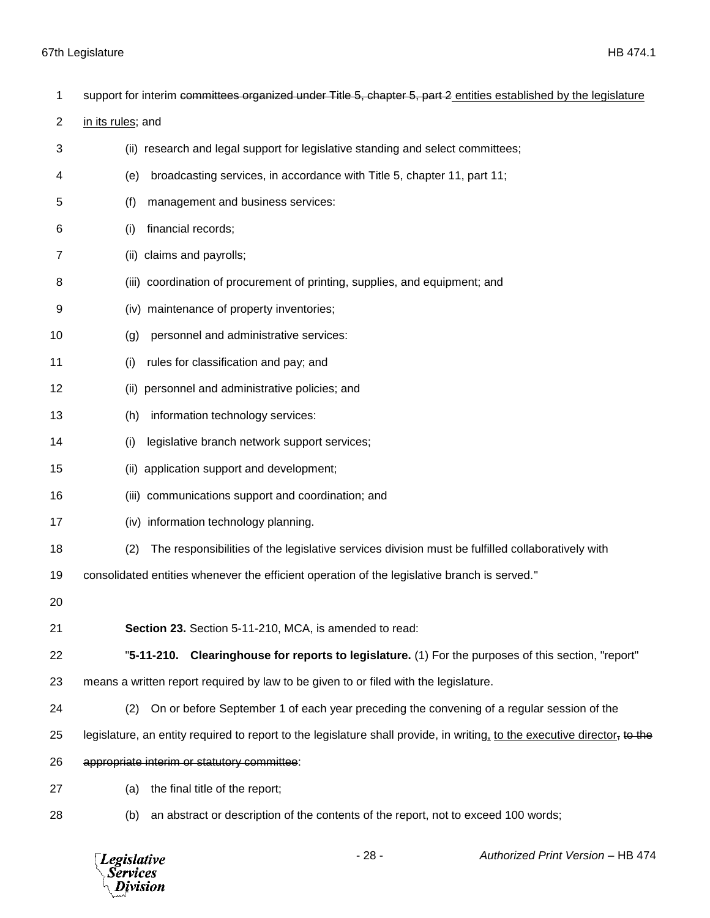*Legislative*<br>Services<br>*Division* 

| 1              | support for interim committees organized under Title 5, chapter 5, part 2 entities established by the legislature         |  |  |
|----------------|---------------------------------------------------------------------------------------------------------------------------|--|--|
| $\overline{2}$ | in its rules; and                                                                                                         |  |  |
| 3              | (ii) research and legal support for legislative standing and select committees;                                           |  |  |
| 4              | broadcasting services, in accordance with Title 5, chapter 11, part 11;<br>(e)                                            |  |  |
| 5              | management and business services:<br>(f)                                                                                  |  |  |
| 6              | financial records;<br>(i)                                                                                                 |  |  |
| 7              | claims and payrolls;<br>(ii)                                                                                              |  |  |
| 8              | (iii) coordination of procurement of printing, supplies, and equipment; and                                               |  |  |
| 9              | (iv) maintenance of property inventories;                                                                                 |  |  |
| 10             | personnel and administrative services:<br>(g)                                                                             |  |  |
| 11             | rules for classification and pay; and<br>(i)                                                                              |  |  |
| 12             | personnel and administrative policies; and<br>(ii)                                                                        |  |  |
| 13             | information technology services:<br>(h)                                                                                   |  |  |
| 14             | legislative branch network support services;<br>(i)                                                                       |  |  |
| 15             | application support and development;<br>(ii)                                                                              |  |  |
| 16             | (iii) communications support and coordination; and                                                                        |  |  |
| 17             | (iv) information technology planning.                                                                                     |  |  |
| 18             | (2)<br>The responsibilities of the legislative services division must be fulfilled collaboratively with                   |  |  |
| 19             | consolidated entities whenever the efficient operation of the legislative branch is served."                              |  |  |
| 20             |                                                                                                                           |  |  |
| 21             | Section 23. Section 5-11-210, MCA, is amended to read:                                                                    |  |  |
| 22             | "5-11-210. Clearinghouse for reports to legislature. (1) For the purposes of this section, "report"                       |  |  |
| 23             | means a written report required by law to be given to or filed with the legislature.                                      |  |  |
| 24             | On or before September 1 of each year preceding the convening of a regular session of the<br>(2)                          |  |  |
| 25             | legislature, an entity required to report to the legislature shall provide, in writing, to the executive director, to the |  |  |
| 26             | appropriate interim or statutory committee:                                                                               |  |  |
| 27             | the final title of the report;<br>(a)                                                                                     |  |  |
| 28             | an abstract or description of the contents of the report, not to exceed 100 words;<br>(b)                                 |  |  |
|                |                                                                                                                           |  |  |

- 28 - *Authorized Print Version* – HB 474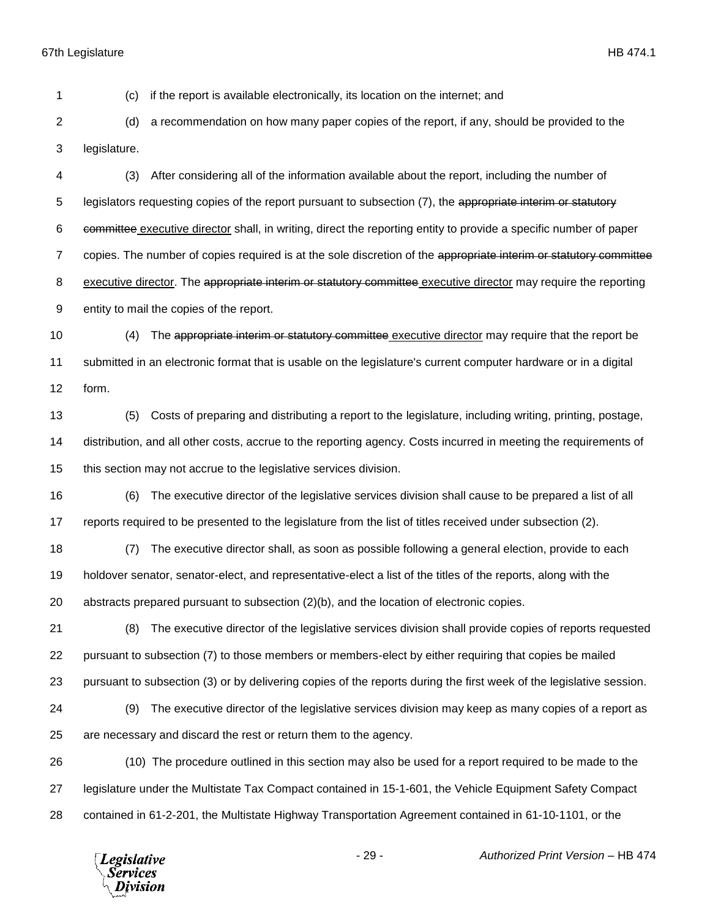(c) if the report is available electronically, its location on the internet; and

 (d) a recommendation on how many paper copies of the report, if any, should be provided to the legislature.

 (3) After considering all of the information available about the report, including the number of 5 legislators requesting copies of the report pursuant to subsection (7), the appropriate interim or statutory committee executive director shall, in writing, direct the reporting entity to provide a specific number of paper 7 copies. The number of copies required is at the sole discretion of the appropriate interim or statutory committee 8 executive director. The appropriate interim or statutory committee executive director may require the reporting entity to mail the copies of the report.

 (4) The appropriate interim or statutory committee executive director may require that the report be submitted in an electronic format that is usable on the legislature's current computer hardware or in a digital form.

 (5) Costs of preparing and distributing a report to the legislature, including writing, printing, postage, distribution, and all other costs, accrue to the reporting agency. Costs incurred in meeting the requirements of this section may not accrue to the legislative services division.

 (6) The executive director of the legislative services division shall cause to be prepared a list of all reports required to be presented to the legislature from the list of titles received under subsection (2).

 (7) The executive director shall, as soon as possible following a general election, provide to each holdover senator, senator-elect, and representative-elect a list of the titles of the reports, along with the abstracts prepared pursuant to subsection (2)(b), and the location of electronic copies.

 (8) The executive director of the legislative services division shall provide copies of reports requested pursuant to subsection (7) to those members or members-elect by either requiring that copies be mailed pursuant to subsection (3) or by delivering copies of the reports during the first week of the legislative session.

 (9) The executive director of the legislative services division may keep as many copies of a report as are necessary and discard the rest or return them to the agency.

 (10) The procedure outlined in this section may also be used for a report required to be made to the legislature under the Multistate Tax Compact contained in 15-1-601, the Vehicle Equipment Safety Compact contained in 61-2-201, the Multistate Highway Transportation Agreement contained in 61-10-1101, or the

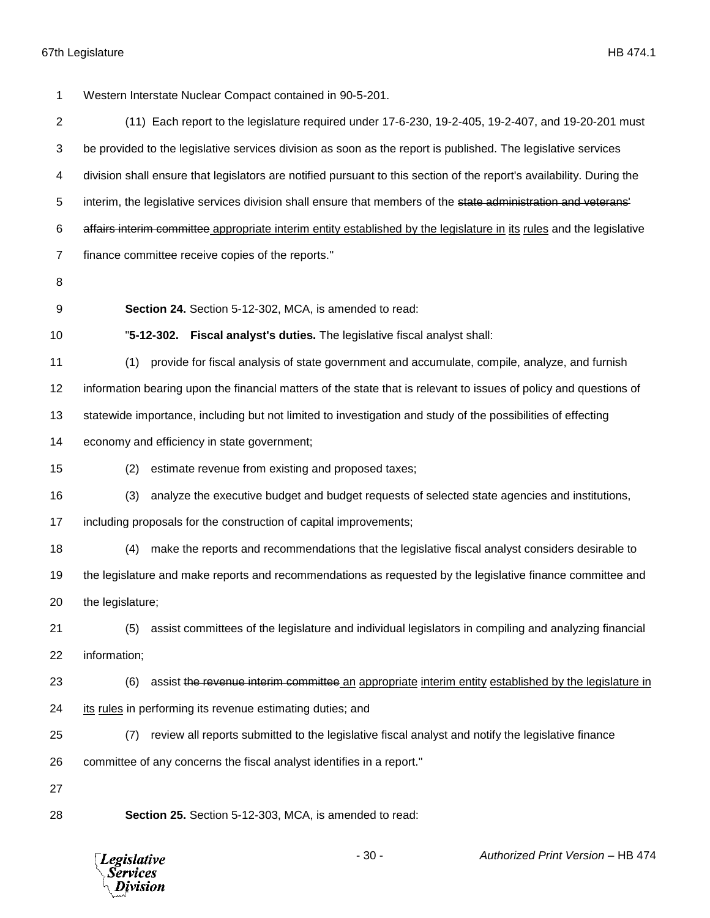Western Interstate Nuclear Compact contained in 90-5-201. (11) Each report to the legislature required under 17-6-230, 19-2-405, 19-2-407, and 19-20-201 must be provided to the legislative services division as soon as the report is published. The legislative services division shall ensure that legislators are notified pursuant to this section of the report's availability. During the 5 interim, the legislative services division shall ensure that members of the state administration and veterans 6 affairs interim committee appropriate interim entity established by the legislature in its rules and the legislative finance committee receive copies of the reports." **Section 24.** Section 5-12-302, MCA, is amended to read: "**5-12-302. Fiscal analyst's duties.** The legislative fiscal analyst shall: (1) provide for fiscal analysis of state government and accumulate, compile, analyze, and furnish information bearing upon the financial matters of the state that is relevant to issues of policy and questions of statewide importance, including but not limited to investigation and study of the possibilities of effecting economy and efficiency in state government; (2) estimate revenue from existing and proposed taxes; (3) analyze the executive budget and budget requests of selected state agencies and institutions, including proposals for the construction of capital improvements; (4) make the reports and recommendations that the legislative fiscal analyst considers desirable to the legislature and make reports and recommendations as requested by the legislative finance committee and the legislature; (5) assist committees of the legislature and individual legislators in compiling and analyzing financial information; 23 (6) assist the revenue interim committee an appropriate interim entity established by the legislature in its rules in performing its revenue estimating duties; and (7) review all reports submitted to the legislative fiscal analyst and notify the legislative finance committee of any concerns the fiscal analyst identifies in a report." **Section 25.** Section 5-12-303, MCA, is amended to read:

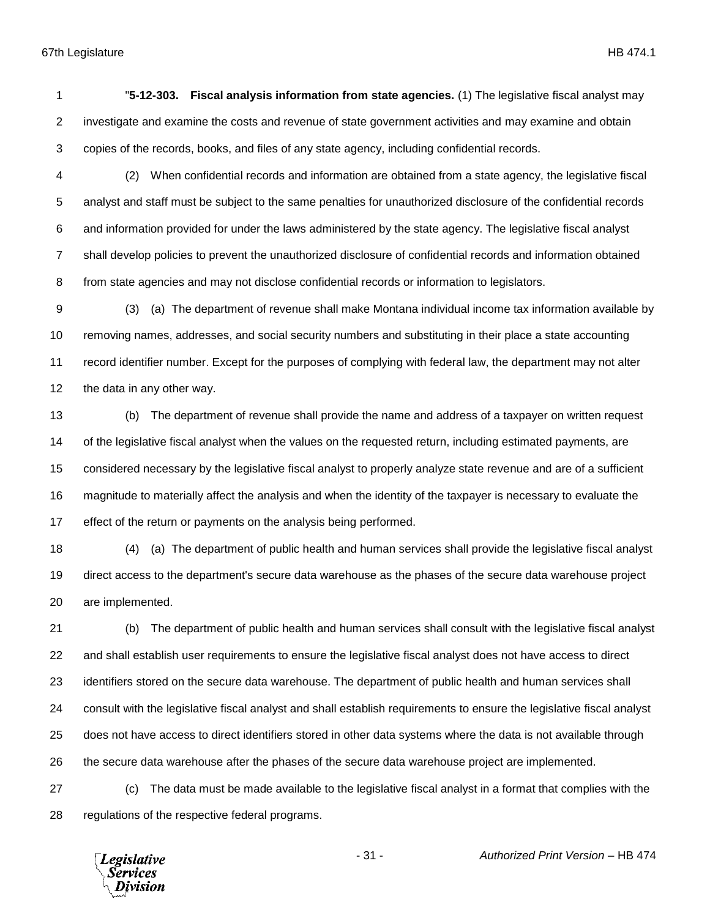"**5-12-303. Fiscal analysis information from state agencies.** (1) The legislative fiscal analyst may investigate and examine the costs and revenue of state government activities and may examine and obtain copies of the records, books, and files of any state agency, including confidential records.

 (2) When confidential records and information are obtained from a state agency, the legislative fiscal analyst and staff must be subject to the same penalties for unauthorized disclosure of the confidential records and information provided for under the laws administered by the state agency. The legislative fiscal analyst shall develop policies to prevent the unauthorized disclosure of confidential records and information obtained from state agencies and may not disclose confidential records or information to legislators.

 (3) (a) The department of revenue shall make Montana individual income tax information available by removing names, addresses, and social security numbers and substituting in their place a state accounting record identifier number. Except for the purposes of complying with federal law, the department may not alter the data in any other way.

 (b) The department of revenue shall provide the name and address of a taxpayer on written request of the legislative fiscal analyst when the values on the requested return, including estimated payments, are considered necessary by the legislative fiscal analyst to properly analyze state revenue and are of a sufficient magnitude to materially affect the analysis and when the identity of the taxpayer is necessary to evaluate the effect of the return or payments on the analysis being performed.

 (4) (a) The department of public health and human services shall provide the legislative fiscal analyst direct access to the department's secure data warehouse as the phases of the secure data warehouse project are implemented.

 (b) The department of public health and human services shall consult with the legislative fiscal analyst and shall establish user requirements to ensure the legislative fiscal analyst does not have access to direct identifiers stored on the secure data warehouse. The department of public health and human services shall consult with the legislative fiscal analyst and shall establish requirements to ensure the legislative fiscal analyst does not have access to direct identifiers stored in other data systems where the data is not available through the secure data warehouse after the phases of the secure data warehouse project are implemented.

 (c) The data must be made available to the legislative fiscal analyst in a format that complies with the regulations of the respective federal programs.

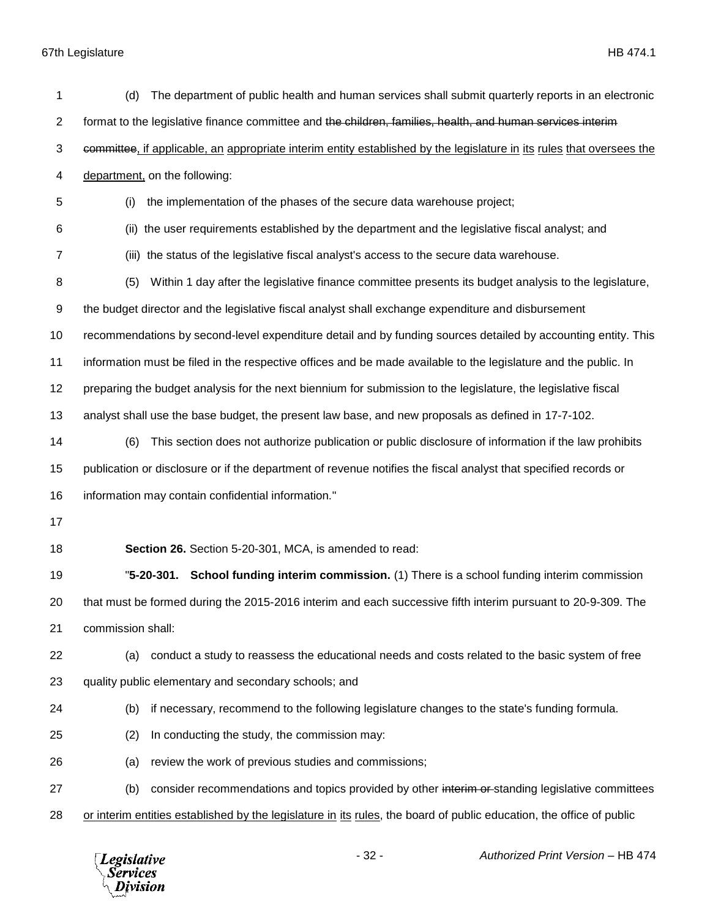| 1  | The department of public health and human services shall submit quarterly reports in an electronic<br>(d)             |  |  |
|----|-----------------------------------------------------------------------------------------------------------------------|--|--|
| 2  | format to the legislative finance committee and the children, families, health, and human services interim            |  |  |
| 3  | committee, if applicable, an appropriate interim entity established by the legislature in its rules that oversees the |  |  |
| 4  | department, on the following:                                                                                         |  |  |
| 5  | the implementation of the phases of the secure data warehouse project;<br>(i)                                         |  |  |
| 6  | the user requirements established by the department and the legislative fiscal analyst; and<br>(ii)                   |  |  |
| 7  | (iii) the status of the legislative fiscal analyst's access to the secure data warehouse.                             |  |  |
| 8  | Within 1 day after the legislative finance committee presents its budget analysis to the legislature,<br>(5)          |  |  |
| 9  | the budget director and the legislative fiscal analyst shall exchange expenditure and disbursement                    |  |  |
| 10 | recommendations by second-level expenditure detail and by funding sources detailed by accounting entity. This         |  |  |
| 11 | information must be filed in the respective offices and be made available to the legislature and the public. In       |  |  |
| 12 | preparing the budget analysis for the next biennium for submission to the legislature, the legislative fiscal         |  |  |
| 13 | analyst shall use the base budget, the present law base, and new proposals as defined in 17-7-102.                    |  |  |
| 14 | This section does not authorize publication or public disclosure of information if the law prohibits<br>(6)           |  |  |
| 15 | publication or disclosure or if the department of revenue notifies the fiscal analyst that specified records or       |  |  |
| 16 | information may contain confidential information."                                                                    |  |  |
| 17 |                                                                                                                       |  |  |
| 18 | Section 26. Section 5-20-301, MCA, is amended to read:                                                                |  |  |
| 19 | "5-20-301. School funding interim commission. (1) There is a school funding interim commission                        |  |  |
| 20 | that must be formed during the 2015-2016 interim and each successive fifth interim pursuant to 20-9-309. The          |  |  |
| 21 | commission shall:                                                                                                     |  |  |
| 22 | conduct a study to reassess the educational needs and costs related to the basic system of free<br>(a)                |  |  |
| 23 | quality public elementary and secondary schools; and                                                                  |  |  |
| 24 | if necessary, recommend to the following legislature changes to the state's funding formula.<br>(b)                   |  |  |
| 25 | In conducting the study, the commission may:<br>(2)                                                                   |  |  |
| 26 | review the work of previous studies and commissions;<br>(a)                                                           |  |  |
| 27 | consider recommendations and topics provided by other interim or standing legislative committees<br>(b)               |  |  |
| 28 | or interim entities established by the legislature in its rules, the board of public education, the office of public  |  |  |
|    |                                                                                                                       |  |  |

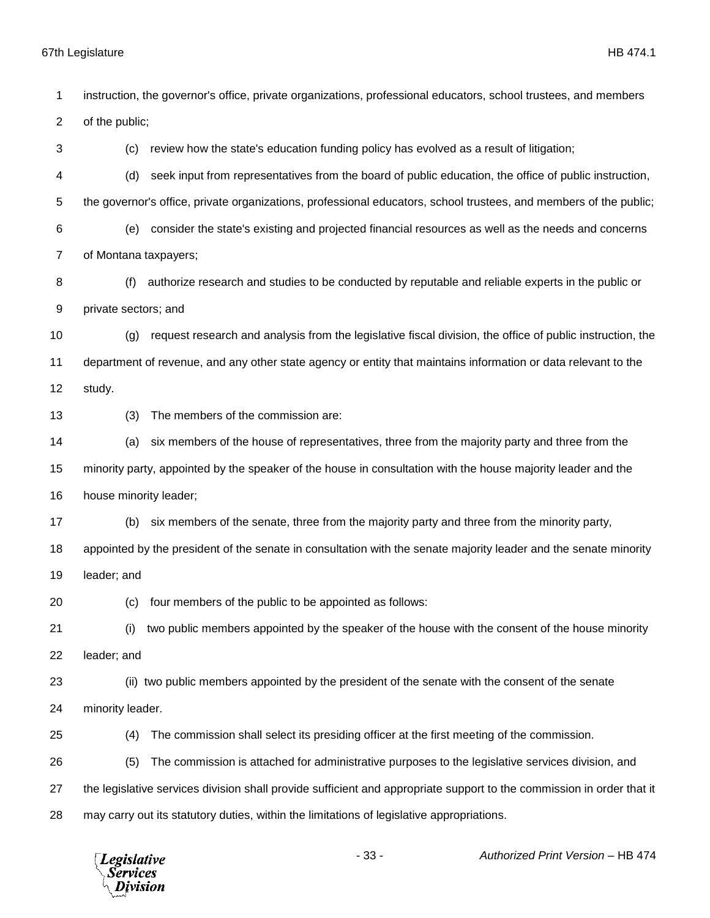instruction, the governor's office, private organizations, professional educators, school trustees, and members of the public; (c) review how the state's education funding policy has evolved as a result of litigation; (d) seek input from representatives from the board of public education, the office of public instruction, the governor's office, private organizations, professional educators, school trustees, and members of the public; (e) consider the state's existing and projected financial resources as well as the needs and concerns of Montana taxpayers; (f) authorize research and studies to be conducted by reputable and reliable experts in the public or private sectors; and (g) request research and analysis from the legislative fiscal division, the office of public instruction, the department of revenue, and any other state agency or entity that maintains information or data relevant to the study. (3) The members of the commission are: (a) six members of the house of representatives, three from the majority party and three from the minority party, appointed by the speaker of the house in consultation with the house majority leader and the house minority leader; (b) six members of the senate, three from the majority party and three from the minority party, appointed by the president of the senate in consultation with the senate majority leader and the senate minority leader; and (c) four members of the public to be appointed as follows: (i) two public members appointed by the speaker of the house with the consent of the house minority leader; and (ii) two public members appointed by the president of the senate with the consent of the senate minority leader. (4) The commission shall select its presiding officer at the first meeting of the commission. (5) The commission is attached for administrative purposes to the legislative services division, and the legislative services division shall provide sufficient and appropriate support to the commission in order that it may carry out its statutory duties, within the limitations of legislative appropriations.

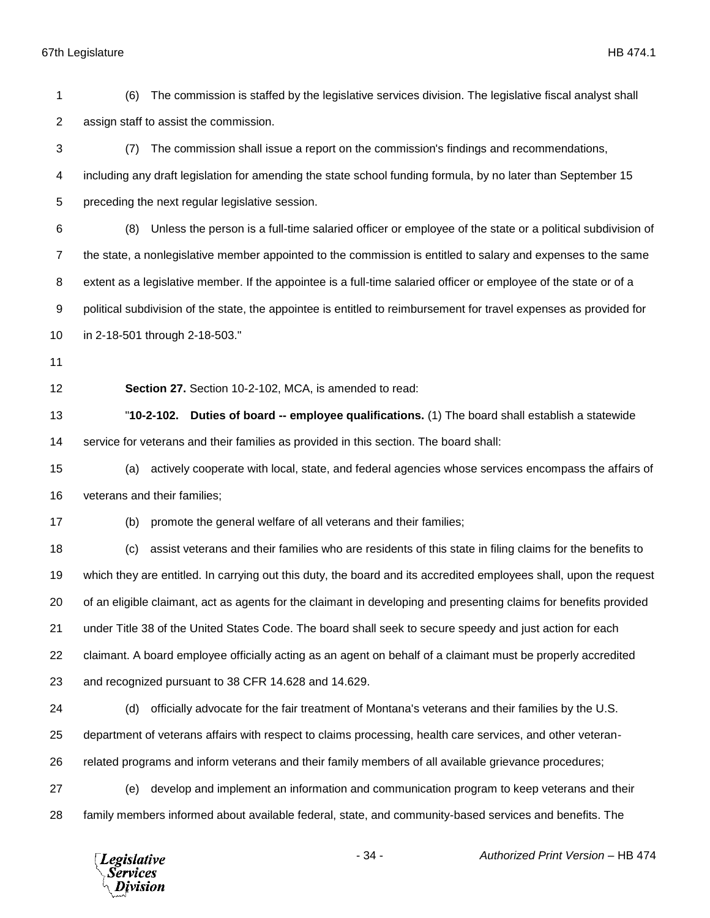assign staff to assist the commission. (7) The commission shall issue a report on the commission's findings and recommendations, including any draft legislation for amending the state school funding formula, by no later than September 15 preceding the next regular legislative session. (8) Unless the person is a full-time salaried officer or employee of the state or a political subdivision of the state, a nonlegislative member appointed to the commission is entitled to salary and expenses to the same extent as a legislative member. If the appointee is a full-time salaried officer or employee of the state or of a political subdivision of the state, the appointee is entitled to reimbursement for travel expenses as provided for in 2-18-501 through 2-18-503." **Section 27.** Section 10-2-102, MCA, is amended to read: "**10-2-102. Duties of board -- employee qualifications.** (1) The board shall establish a statewide service for veterans and their families as provided in this section. The board shall: (a) actively cooperate with local, state, and federal agencies whose services encompass the affairs of veterans and their families; (b) promote the general welfare of all veterans and their families; (c) assist veterans and their families who are residents of this state in filing claims for the benefits to which they are entitled. In carrying out this duty, the board and its accredited employees shall, upon the request of an eligible claimant, act as agents for the claimant in developing and presenting claims for benefits provided under Title 38 of the United States Code. The board shall seek to secure speedy and just action for each claimant. A board employee officially acting as an agent on behalf of a claimant must be properly accredited and recognized pursuant to 38 CFR 14.628 and 14.629. (d) officially advocate for the fair treatment of Montana's veterans and their families by the U.S. department of veterans affairs with respect to claims processing, health care services, and other veteran- related programs and inform veterans and their family members of all available grievance procedures; (e) develop and implement an information and communication program to keep veterans and their family members informed about available federal, state, and community-based services and benefits. The - 34 - *Authorized Print Version* – HB 474 **Legislative** Services Division

(6) The commission is staffed by the legislative services division. The legislative fiscal analyst shall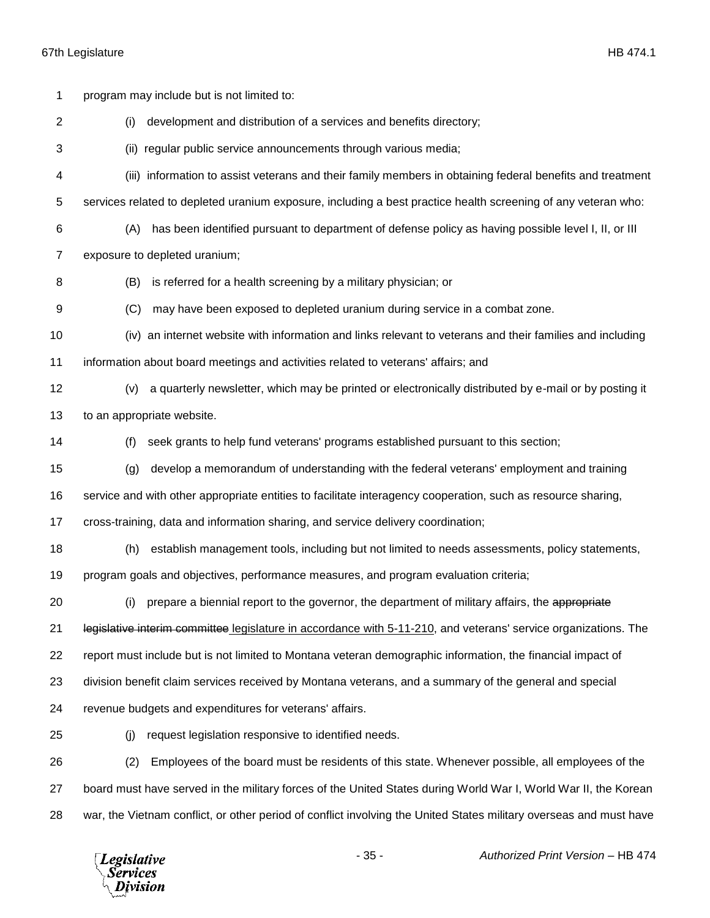| 1              |                                                                                  | program may include but is not limited to:                                                                         |
|----------------|----------------------------------------------------------------------------------|--------------------------------------------------------------------------------------------------------------------|
| $\overline{2}$ | (i)                                                                              | development and distribution of a services and benefits directory;                                                 |
| 3              |                                                                                  | (ii) regular public service announcements through various media;                                                   |
| 4              |                                                                                  | (iii) information to assist veterans and their family members in obtaining federal benefits and treatment          |
| 5              |                                                                                  | services related to depleted uranium exposure, including a best practice health screening of any veteran who:      |
| 6              | (A)                                                                              | has been identified pursuant to department of defense policy as having possible level I, II, or III                |
| 7              |                                                                                  | exposure to depleted uranium;                                                                                      |
| 8              | (B)                                                                              | is referred for a health screening by a military physician; or                                                     |
| 9              | (C)                                                                              | may have been exposed to depleted uranium during service in a combat zone.                                         |
| 10             |                                                                                  | (iv) an internet website with information and links relevant to veterans and their families and including          |
| 11             |                                                                                  | information about board meetings and activities related to veterans' affairs; and                                  |
| 12             | (v)                                                                              | a quarterly newsletter, which may be printed or electronically distributed by e-mail or by posting it              |
| 13             |                                                                                  | to an appropriate website.                                                                                         |
| 14             | (f)                                                                              | seek grants to help fund veterans' programs established pursuant to this section;                                  |
| 15             | (g)                                                                              | develop a memorandum of understanding with the federal veterans' employment and training                           |
| 16             |                                                                                  | service and with other appropriate entities to facilitate interagency cooperation, such as resource sharing,       |
| 17             | cross-training, data and information sharing, and service delivery coordination; |                                                                                                                    |
| 18             | (h)                                                                              | establish management tools, including but not limited to needs assessments, policy statements,                     |
| 19             |                                                                                  | program goals and objectives, performance measures, and program evaluation criteria;                               |
| 20             |                                                                                  | (i) prepare a biennial report to the governor, the department of military affairs, the appropriate                 |
| 21             |                                                                                  | legislative interim committee legislature in accordance with 5-11-210, and veterans' service organizations. The    |
| 22             |                                                                                  | report must include but is not limited to Montana veteran demographic information, the financial impact of         |
| 23             |                                                                                  | division benefit claim services received by Montana veterans, and a summary of the general and special             |
| 24             |                                                                                  | revenue budgets and expenditures for veterans' affairs.                                                            |
| 25             | (i)                                                                              | request legislation responsive to identified needs.                                                                |
| 26             | (2)                                                                              | Employees of the board must be residents of this state. Whenever possible, all employees of the                    |
| 27             |                                                                                  | board must have served in the military forces of the United States during World War I, World War II, the Korean    |
| 28             |                                                                                  | war, the Vietnam conflict, or other period of conflict involving the United States military overseas and must have |
|                |                                                                                  |                                                                                                                    |

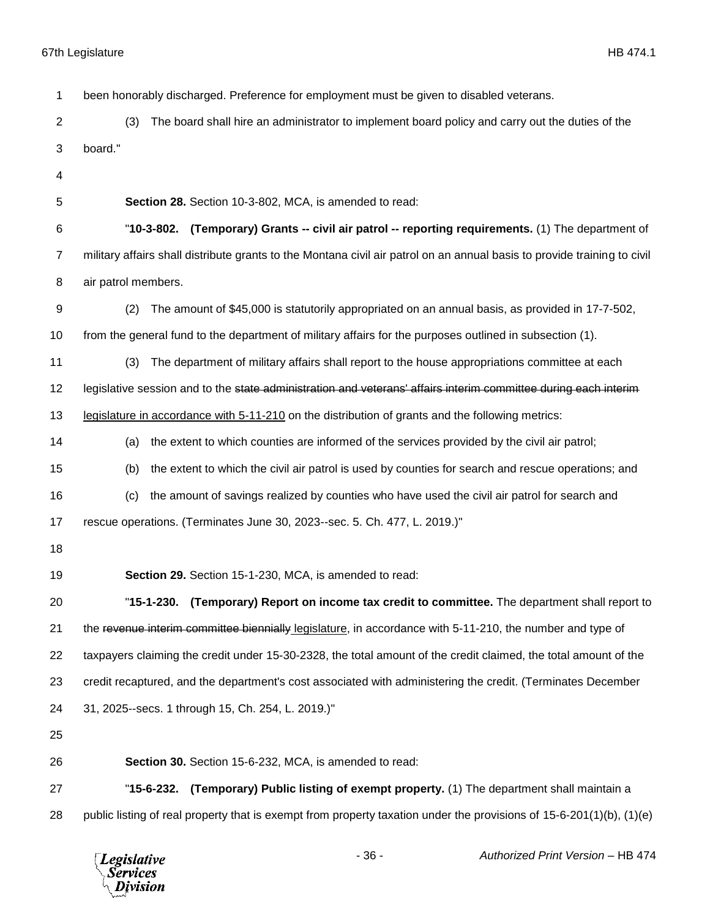been honorably discharged. Preference for employment must be given to disabled veterans. (3) The board shall hire an administrator to implement board policy and carry out the duties of the board." **Section 28.** Section 10-3-802, MCA, is amended to read: "**10-3-802. (Temporary) Grants -- civil air patrol -- reporting requirements.** (1) The department of military affairs shall distribute grants to the Montana civil air patrol on an annual basis to provide training to civil air patrol members. (2) The amount of \$45,000 is statutorily appropriated on an annual basis, as provided in 17-7-502, from the general fund to the department of military affairs for the purposes outlined in subsection (1). (3) The department of military affairs shall report to the house appropriations committee at each 12 legislative session and to the state administration and veterans' affairs interim committee during each interim legislature in accordance with 5-11-210 on the distribution of grants and the following metrics: (a) the extent to which counties are informed of the services provided by the civil air patrol; (b) the extent to which the civil air patrol is used by counties for search and rescue operations; and (c) the amount of savings realized by counties who have used the civil air patrol for search and rescue operations. (Terminates June 30, 2023--sec. 5. Ch. 477, L. 2019.)" **Section 29.** Section 15-1-230, MCA, is amended to read: "**15-1-230. (Temporary) Report on income tax credit to committee.** The department shall report to 21 the revenue interim committee biennially legislature, in accordance with 5-11-210, the number and type of taxpayers claiming the credit under 15-30-2328, the total amount of the credit claimed, the total amount of the credit recaptured, and the department's cost associated with administering the credit. (Terminates December 31, 2025--secs. 1 through 15, Ch. 254, L. 2019.)" **Section 30.** Section 15-6-232, MCA, is amended to read: "**15-6-232. (Temporary) Public listing of exempt property.** (1) The department shall maintain a public listing of real property that is exempt from property taxation under the provisions of 15-6-201(1)(b), (1)(e)

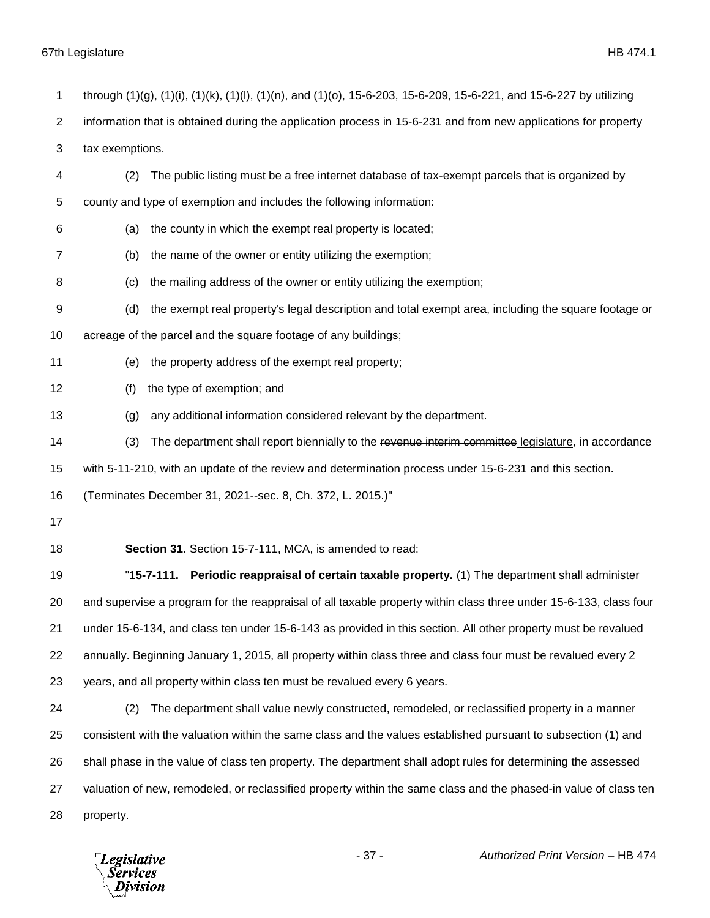| 1              | through (1)(g), (1)(i), (1)(k), (1)(l), (1)(n), and (1)(o), 15-6-203, 15-6-209, 15-6-221, and 15-6-227 by utilizing |
|----------------|---------------------------------------------------------------------------------------------------------------------|
| $\overline{2}$ | information that is obtained during the application process in 15-6-231 and from new applications for property      |
| 3              | tax exemptions.                                                                                                     |
| 4              | The public listing must be a free internet database of tax-exempt parcels that is organized by<br>(2)               |
| 5              | county and type of exemption and includes the following information:                                                |
| 6              | the county in which the exempt real property is located;<br>(a)                                                     |
| 7              | the name of the owner or entity utilizing the exemption;<br>(b)                                                     |
| 8              | the mailing address of the owner or entity utilizing the exemption;<br>(c)                                          |
| 9              | the exempt real property's legal description and total exempt area, including the square footage or<br>(d)          |
| 10             | acreage of the parcel and the square footage of any buildings;                                                      |
| 11             | the property address of the exempt real property;<br>(e)                                                            |
| 12             | the type of exemption; and<br>(f)                                                                                   |
| 13             | any additional information considered relevant by the department.<br>(g)                                            |
| 14             | The department shall report biennially to the revenue interim committee legislature, in accordance<br>(3)           |
| 15             | with 5-11-210, with an update of the review and determination process under 15-6-231 and this section.              |
| 16             | (Terminates December 31, 2021--sec. 8, Ch. 372, L. 2015.)"                                                          |
| 17             |                                                                                                                     |
| 18             | Section 31. Section 15-7-111, MCA, is amended to read:                                                              |
| 19             | Periodic reappraisal of certain taxable property. (1) The department shall administer<br>"15-7-111.                 |
| 20             | and supervise a program for the reappraisal of all taxable property within class three under 15-6-133, class four   |
| 21             | under 15-6-134, and class ten under 15-6-143 as provided in this section. All other property must be revalued       |
| 22             | annually. Beginning January 1, 2015, all property within class three and class four must be revalued every 2        |
| 23             | years, and all property within class ten must be revalued every 6 years.                                            |
| 24             | The department shall value newly constructed, remodeled, or reclassified property in a manner<br>(2)                |
| 25             | consistent with the valuation within the same class and the values established pursuant to subsection (1) and       |
| 26             | shall phase in the value of class ten property. The department shall adopt rules for determining the assessed       |
| 27             | valuation of new, remodeled, or reclassified property within the same class and the phased-in value of class ten    |
| 28             | property.                                                                                                           |

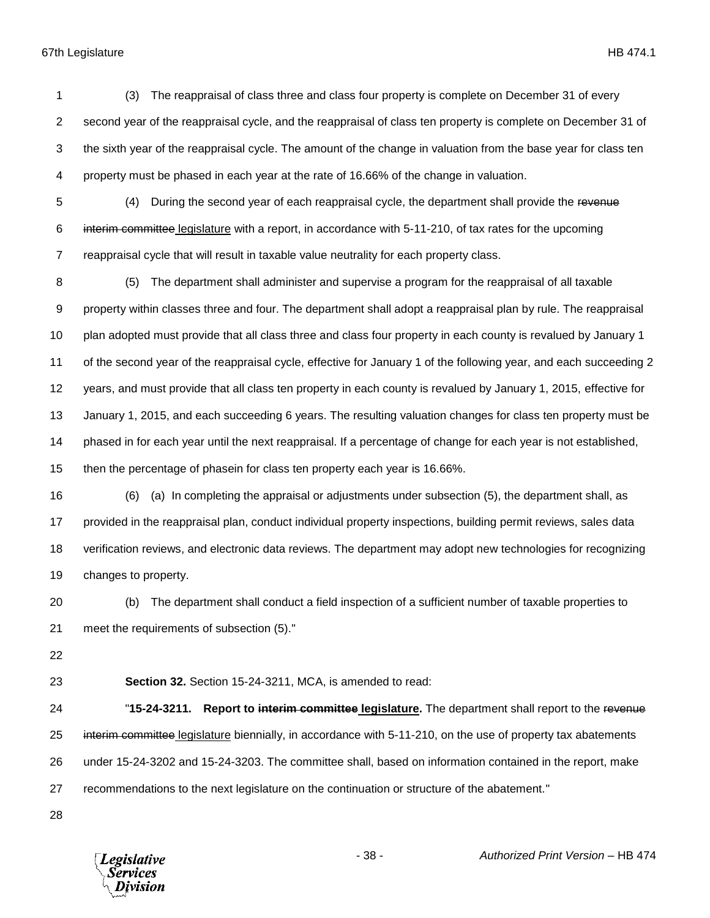(3) The reappraisal of class three and class four property is complete on December 31 of every second year of the reappraisal cycle, and the reappraisal of class ten property is complete on December 31 of the sixth year of the reappraisal cycle. The amount of the change in valuation from the base year for class ten property must be phased in each year at the rate of 16.66% of the change in valuation.

5 (4) During the second year of each reappraisal cycle, the department shall provide the revenue 6 interim committee legislature with a report, in accordance with 5-11-210, of tax rates for the upcoming reappraisal cycle that will result in taxable value neutrality for each property class.

 (5) The department shall administer and supervise a program for the reappraisal of all taxable property within classes three and four. The department shall adopt a reappraisal plan by rule. The reappraisal plan adopted must provide that all class three and class four property in each county is revalued by January 1 of the second year of the reappraisal cycle, effective for January 1 of the following year, and each succeeding 2 years, and must provide that all class ten property in each county is revalued by January 1, 2015, effective for January 1, 2015, and each succeeding 6 years. The resulting valuation changes for class ten property must be phased in for each year until the next reappraisal. If a percentage of change for each year is not established, then the percentage of phasein for class ten property each year is 16.66%.

 (6) (a) In completing the appraisal or adjustments under subsection (5), the department shall, as provided in the reappraisal plan, conduct individual property inspections, building permit reviews, sales data verification reviews, and electronic data reviews. The department may adopt new technologies for recognizing changes to property.

- (b) The department shall conduct a field inspection of a sufficient number of taxable properties to meet the requirements of subsection (5)."
- 

**Section 32.** Section 15-24-3211, MCA, is amended to read:

 "**15-24-3211. Report to interim committee legislature.** The department shall report to the revenue 25 interim committee legislature biennially, in accordance with 5-11-210, on the use of property tax abatements under 15-24-3202 and 15-24-3203. The committee shall, based on information contained in the report, make recommendations to the next legislature on the continuation or structure of the abatement."

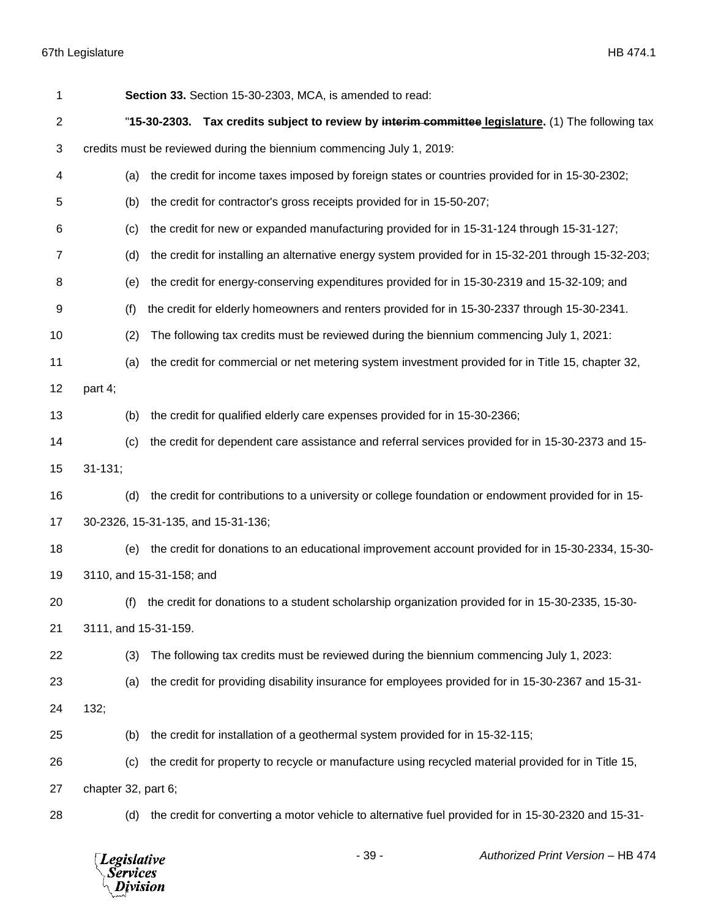| 1              | Section 33. Section 15-30-2303, MCA, is amended to read:                                                   |
|----------------|------------------------------------------------------------------------------------------------------------|
| $\overline{2}$ | "15-30-2303. Tax credits subject to review by interim committee legislature. (1) The following tax         |
| 3              | credits must be reviewed during the biennium commencing July 1, 2019:                                      |
| 4              | the credit for income taxes imposed by foreign states or countries provided for in 15-30-2302;<br>(a)      |
| 5              | (b)<br>the credit for contractor's gross receipts provided for in 15-50-207;                               |
| 6              | the credit for new or expanded manufacturing provided for in 15-31-124 through 15-31-127;<br>(c)           |
| 7              | the credit for installing an alternative energy system provided for in 15-32-201 through 15-32-203;<br>(d) |
| 8              | the credit for energy-conserving expenditures provided for in 15-30-2319 and 15-32-109; and<br>(e)         |
| 9              | (f)<br>the credit for elderly homeowners and renters provided for in 15-30-2337 through 15-30-2341.        |
| 10             | (2)<br>The following tax credits must be reviewed during the biennium commencing July 1, 2021:             |
| 11             | the credit for commercial or net metering system investment provided for in Title 15, chapter 32,<br>(a)   |
| 12             | part 4;                                                                                                    |
| 13             | the credit for qualified elderly care expenses provided for in 15-30-2366;<br>(b)                          |
| 14             | the credit for dependent care assistance and referral services provided for in 15-30-2373 and 15-<br>(c)   |
| 15             | $31 - 131;$                                                                                                |
| 16             | the credit for contributions to a university or college foundation or endowment provided for in 15-<br>(d) |
| 17             | 30-2326, 15-31-135, and 15-31-136;                                                                         |
| 18             | the credit for donations to an educational improvement account provided for in 15-30-2334, 15-30-<br>(e)   |
| 19             | 3110, and 15-31-158; and                                                                                   |
| 20             | (f) the credit for donations to a student scholarship organization provided for in 15-30-2335, 15-30-      |
| 21             | 3111, and 15-31-159.                                                                                       |
| 22             | The following tax credits must be reviewed during the biennium commencing July 1, 2023:<br>(3)             |
| 23             | the credit for providing disability insurance for employees provided for in 15-30-2367 and 15-31-<br>(a)   |
| 24             | 132;                                                                                                       |
| 25             | the credit for installation of a geothermal system provided for in 15-32-115;<br>(b)                       |
| 26             | the credit for property to recycle or manufacture using recycled material provided for in Title 15,<br>(c) |
| 27             | chapter 32, part 6;                                                                                        |
| 28             | the credit for converting a motor vehicle to alternative fuel provided for in 15-30-2320 and 15-31-<br>(d) |

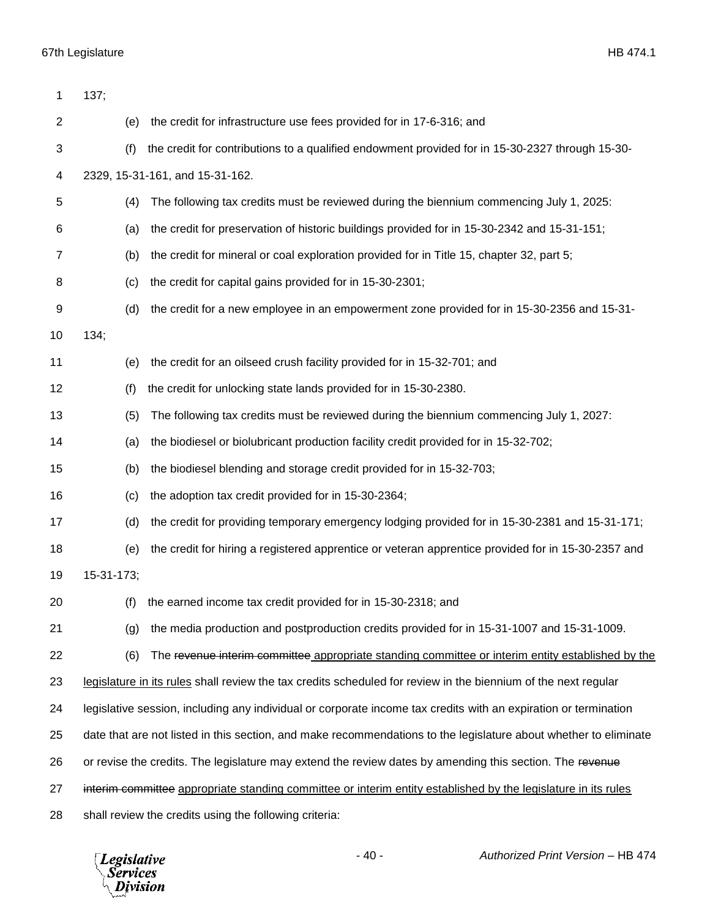| 1              | 137;       |                                                                                                                  |
|----------------|------------|------------------------------------------------------------------------------------------------------------------|
| $\overline{c}$ | (e)        | the credit for infrastructure use fees provided for in 17-6-316; and                                             |
| 3              | (f)        | the credit for contributions to a qualified endowment provided for in 15-30-2327 through 15-30-                  |
| 4              |            | 2329, 15-31-161, and 15-31-162.                                                                                  |
| 5              | (4)        | The following tax credits must be reviewed during the biennium commencing July 1, 2025:                          |
| 6              | (a)        | the credit for preservation of historic buildings provided for in 15-30-2342 and 15-31-151;                      |
| 7              | (b)        | the credit for mineral or coal exploration provided for in Title 15, chapter 32, part 5;                         |
| 8              | (c)        | the credit for capital gains provided for in 15-30-2301;                                                         |
| 9              | (d)        | the credit for a new employee in an empowerment zone provided for in 15-30-2356 and 15-31-                       |
| 10             | 134;       |                                                                                                                  |
| 11             | (e)        | the credit for an oilseed crush facility provided for in 15-32-701; and                                          |
| 12             | (f)        | the credit for unlocking state lands provided for in 15-30-2380.                                                 |
| 13             | (5)        | The following tax credits must be reviewed during the biennium commencing July 1, 2027:                          |
| 14             | (a)        | the biodiesel or biolubricant production facility credit provided for in 15-32-702;                              |
| 15             | (b)        | the biodiesel blending and storage credit provided for in 15-32-703;                                             |
| 16             | (c)        | the adoption tax credit provided for in 15-30-2364;                                                              |
| 17             | (d)        | the credit for providing temporary emergency lodging provided for in 15-30-2381 and 15-31-171;                   |
| 18             | (e)        | the credit for hiring a registered apprentice or veteran apprentice provided for in 15-30-2357 and               |
| 19             | 15-31-173; |                                                                                                                  |
| 20             | (f)        | the earned income tax credit provided for in 15-30-2318; and                                                     |
| 21             | (g)        | the media production and postproduction credits provided for in 15-31-1007 and 15-31-1009.                       |
| 22             | (6)        | The revenue interim committee appropriate standing committee or interim entity established by the                |
| 23             |            | legislature in its rules shall review the tax credits scheduled for review in the biennium of the next regular   |
| 24             |            | legislative session, including any individual or corporate income tax credits with an expiration or termination  |
| 25             |            | date that are not listed in this section, and make recommendations to the legislature about whether to eliminate |
| 26             |            | or revise the credits. The legislature may extend the review dates by amending this section. The revenue         |
| 27             |            | interim committee appropriate standing committee or interim entity established by the legislature in its rules   |
| 28             |            | shall review the credits using the following criteria:                                                           |

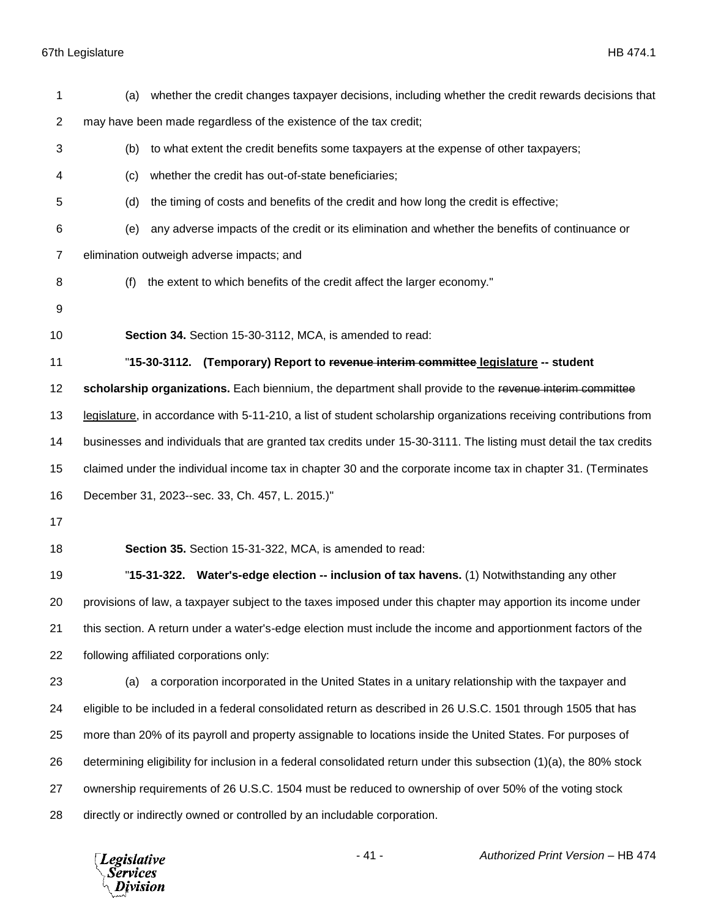| 1  | (a) | whether the credit changes taxpayer decisions, including whether the credit rewards decisions that                 |
|----|-----|--------------------------------------------------------------------------------------------------------------------|
| 2  |     | may have been made regardless of the existence of the tax credit;                                                  |
| 3  | (b) | to what extent the credit benefits some taxpayers at the expense of other taxpayers;                               |
| 4  | (c) | whether the credit has out-of-state beneficiaries;                                                                 |
| 5  | (d) | the timing of costs and benefits of the credit and how long the credit is effective;                               |
| 6  | (e) | any adverse impacts of the credit or its elimination and whether the benefits of continuance or                    |
| 7  |     | elimination outweigh adverse impacts; and                                                                          |
| 8  | (f) | the extent to which benefits of the credit affect the larger economy."                                             |
| 9  |     |                                                                                                                    |
| 10 |     | Section 34. Section 15-30-3112, MCA, is amended to read:                                                           |
| 11 |     | "15-30-3112. (Temporary) Report to revenue interim committee legislature -- student                                |
| 12 |     | scholarship organizations. Each biennium, the department shall provide to the revenue interim committee            |
| 13 |     | legislature, in accordance with 5-11-210, a list of student scholarship organizations receiving contributions from |
| 14 |     | businesses and individuals that are granted tax credits under 15-30-3111. The listing must detail the tax credits  |
| 15 |     | claimed under the individual income tax in chapter 30 and the corporate income tax in chapter 31. (Terminates      |
| 16 |     | December 31, 2023--sec. 33, Ch. 457, L. 2015.)"                                                                    |
| 17 |     |                                                                                                                    |
| 18 |     | Section 35. Section 15-31-322, MCA, is amended to read:                                                            |
| 19 |     | "15-31-322. Water's-edge election -- inclusion of tax havens. (1) Notwithstanding any other                        |
| 20 |     | provisions of law, a taxpayer subject to the taxes imposed under this chapter may apportion its income under       |
| 21 |     | this section. A return under a water's-edge election must include the income and apportionment factors of the      |
| 22 |     | following affiliated corporations only:                                                                            |
| 23 | (a) | a corporation incorporated in the United States in a unitary relationship with the taxpayer and                    |
| 24 |     | eligible to be included in a federal consolidated return as described in 26 U.S.C. 1501 through 1505 that has      |
| 25 |     | more than 20% of its payroll and property assignable to locations inside the United States. For purposes of        |
| 26 |     | determining eligibility for inclusion in a federal consolidated return under this subsection (1)(a), the 80% stock |
| 27 |     | ownership requirements of 26 U.S.C. 1504 must be reduced to ownership of over 50% of the voting stock              |
| 28 |     | directly or indirectly owned or controlled by an includable corporation.                                           |

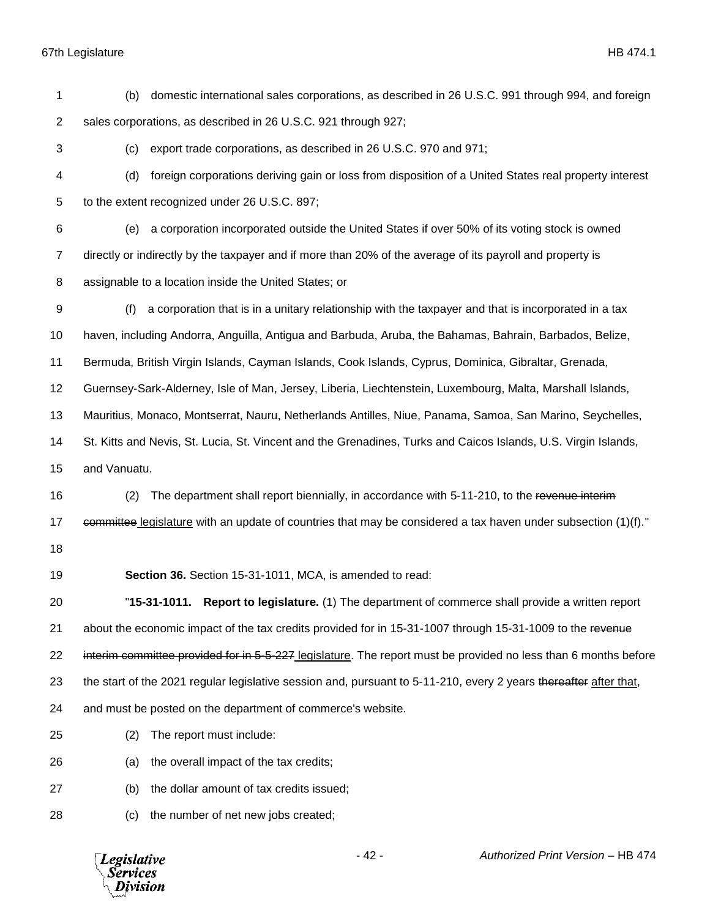| 1              | domestic international sales corporations, as described in 26 U.S.C. 991 through 994, and foreign<br>(b)          |
|----------------|-------------------------------------------------------------------------------------------------------------------|
| $\overline{2}$ | sales corporations, as described in 26 U.S.C. 921 through 927;                                                    |
| 3              | export trade corporations, as described in 26 U.S.C. 970 and 971;<br>(c)                                          |
| 4              | foreign corporations deriving gain or loss from disposition of a United States real property interest<br>(d)      |
| 5              | to the extent recognized under 26 U.S.C. 897;                                                                     |
| 6              | a corporation incorporated outside the United States if over 50% of its voting stock is owned<br>(e)              |
| 7              | directly or indirectly by the taxpayer and if more than 20% of the average of its payroll and property is         |
| 8              | assignable to a location inside the United States; or                                                             |
| 9              | a corporation that is in a unitary relationship with the taxpayer and that is incorporated in a tax<br>(f)        |
| 10             | haven, including Andorra, Anguilla, Antigua and Barbuda, Aruba, the Bahamas, Bahrain, Barbados, Belize,           |
| 11             | Bermuda, British Virgin Islands, Cayman Islands, Cook Islands, Cyprus, Dominica, Gibraltar, Grenada,              |
| 12             | Guernsey-Sark-Alderney, Isle of Man, Jersey, Liberia, Liechtenstein, Luxembourg, Malta, Marshall Islands,         |
| 13             | Mauritius, Monaco, Montserrat, Nauru, Netherlands Antilles, Niue, Panama, Samoa, San Marino, Seychelles,          |
| 14             | St. Kitts and Nevis, St. Lucia, St. Vincent and the Grenadines, Turks and Caicos Islands, U.S. Virgin Islands,    |
| 15             | and Vanuatu.                                                                                                      |
| 16             | The department shall report biennially, in accordance with 5-11-210, to the revenue interim<br>(2)                |
| 17             | eommittee legislature with an update of countries that may be considered a tax haven under subsection (1)(f)."    |
| 18             |                                                                                                                   |
| 19             | Section 36. Section 15-31-1011, MCA, is amended to read:                                                          |
| 20             | "15-31-1011. Report to legislature. (1) The department of commerce shall provide a written report                 |
| 21             | about the economic impact of the tax credits provided for in 15-31-1007 through 15-31-1009 to the revenue         |
| 22             | interim committee provided for in 5-5-227 legislature. The report must be provided no less than 6 months before   |
| 23             | the start of the 2021 regular legislative session and, pursuant to 5-11-210, every 2 years thereafter after that, |
| 24             | and must be posted on the department of commerce's website.                                                       |
| 25             | The report must include:<br>(2)                                                                                   |
| 26             | the overall impact of the tax credits;<br>(a)                                                                     |
| 27             | the dollar amount of tax credits issued;<br>(b)                                                                   |
| 28             | the number of net new jobs created;<br>(c)                                                                        |
|                |                                                                                                                   |

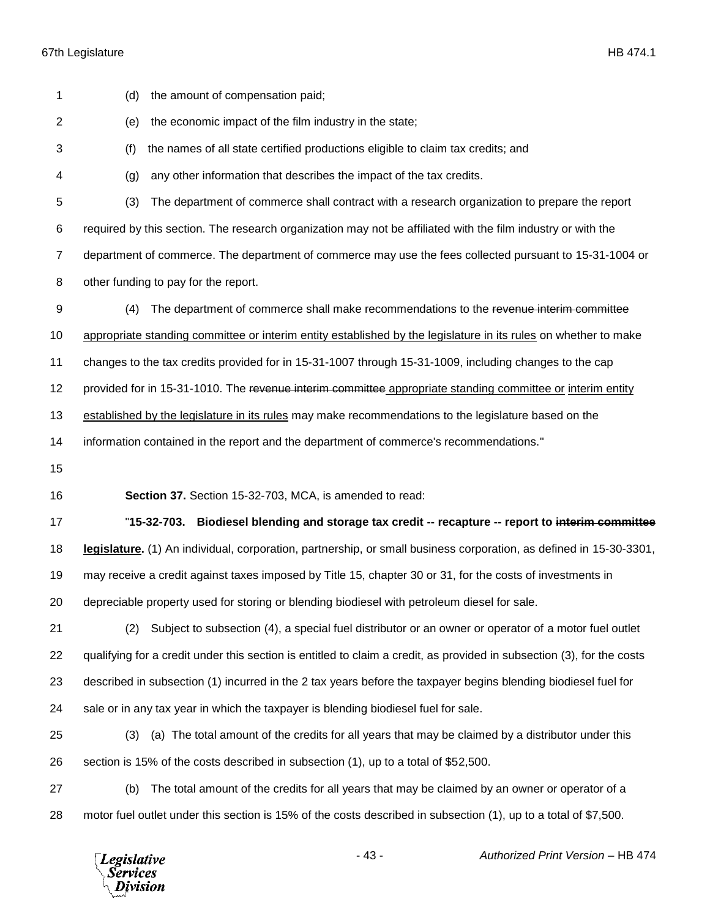| 1  | the amount of compensation paid;<br>(d)                                                                                |
|----|------------------------------------------------------------------------------------------------------------------------|
| 2  | the economic impact of the film industry in the state;<br>(e)                                                          |
| 3  | the names of all state certified productions eligible to claim tax credits; and<br>(f)                                 |
| 4  | any other information that describes the impact of the tax credits.<br>(g)                                             |
| 5  | (3)<br>The department of commerce shall contract with a research organization to prepare the report                    |
| 6  | required by this section. The research organization may not be affiliated with the film industry or with the           |
| 7  | department of commerce. The department of commerce may use the fees collected pursuant to 15-31-1004 or                |
| 8  | other funding to pay for the report.                                                                                   |
| 9  | The department of commerce shall make recommendations to the revenue interim committee<br>(4)                          |
| 10 | appropriate standing committee or interim entity established by the legislature in its rules on whether to make        |
| 11 | changes to the tax credits provided for in 15-31-1007 through 15-31-1009, including changes to the cap                 |
| 12 | provided for in 15-31-1010. The revenue interim committee appropriate standing committee or interim entity             |
| 13 | established by the legislature in its rules may make recommendations to the legislature based on the                   |
| 14 | information contained in the report and the department of commerce's recommendations."                                 |
| 15 |                                                                                                                        |
| 16 | Section 37. Section 15-32-703, MCA, is amended to read:                                                                |
| 17 | "15-32-703. Biodiesel blending and storage tax credit -- recapture -- report to interim committee                      |
| 18 |                                                                                                                        |
|    | legislature. (1) An individual, corporation, partnership, or small business corporation, as defined in 15-30-3301,     |
| 19 | may receive a credit against taxes imposed by Title 15, chapter 30 or 31, for the costs of investments in              |
| 20 | depreciable property used for storing or blending biodiesel with petroleum diesel for sale.                            |
| 21 | Subject to subsection (4), a special fuel distributor or an owner or operator of a motor fuel outlet<br>(2)            |
| 22 | qualifying for a credit under this section is entitled to claim a credit, as provided in subsection (3), for the costs |
| 23 | described in subsection (1) incurred in the 2 tax years before the taxpayer begins blending biodiesel fuel for         |
| 24 | sale or in any tax year in which the taxpayer is blending biodiesel fuel for sale.                                     |
| 25 | (a) The total amount of the credits for all years that may be claimed by a distributor under this<br>(3)               |
| 26 | section is 15% of the costs described in subsection (1), up to a total of \$52,500.                                    |
| 27 | The total amount of the credits for all years that may be claimed by an owner or operator of a<br>(b)                  |

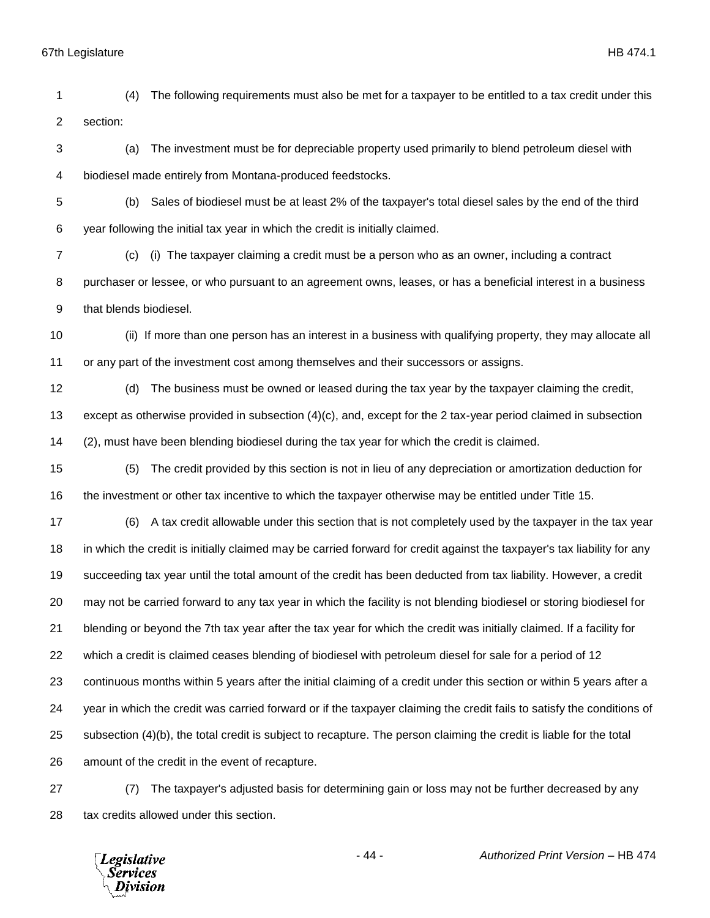(4) The following requirements must also be met for a taxpayer to be entitled to a tax credit under this section: (a) The investment must be for depreciable property used primarily to blend petroleum diesel with biodiesel made entirely from Montana-produced feedstocks. (b) Sales of biodiesel must be at least 2% of the taxpayer's total diesel sales by the end of the third

year following the initial tax year in which the credit is initially claimed.

 (c) (i) The taxpayer claiming a credit must be a person who as an owner, including a contract purchaser or lessee, or who pursuant to an agreement owns, leases, or has a beneficial interest in a business that blends biodiesel.

 (ii) If more than one person has an interest in a business with qualifying property, they may allocate all or any part of the investment cost among themselves and their successors or assigns.

 (d) The business must be owned or leased during the tax year by the taxpayer claiming the credit, except as otherwise provided in subsection (4)(c), and, except for the 2 tax-year period claimed in subsection (2), must have been blending biodiesel during the tax year for which the credit is claimed.

 (5) The credit provided by this section is not in lieu of any depreciation or amortization deduction for the investment or other tax incentive to which the taxpayer otherwise may be entitled under Title 15.

 (6) A tax credit allowable under this section that is not completely used by the taxpayer in the tax year in which the credit is initially claimed may be carried forward for credit against the taxpayer's tax liability for any succeeding tax year until the total amount of the credit has been deducted from tax liability. However, a credit may not be carried forward to any tax year in which the facility is not blending biodiesel or storing biodiesel for blending or beyond the 7th tax year after the tax year for which the credit was initially claimed. If a facility for which a credit is claimed ceases blending of biodiesel with petroleum diesel for sale for a period of 12 continuous months within 5 years after the initial claiming of a credit under this section or within 5 years after a year in which the credit was carried forward or if the taxpayer claiming the credit fails to satisfy the conditions of subsection (4)(b), the total credit is subject to recapture. The person claiming the credit is liable for the total amount of the credit in the event of recapture.

 (7) The taxpayer's adjusted basis for determining gain or loss may not be further decreased by any tax credits allowed under this section.

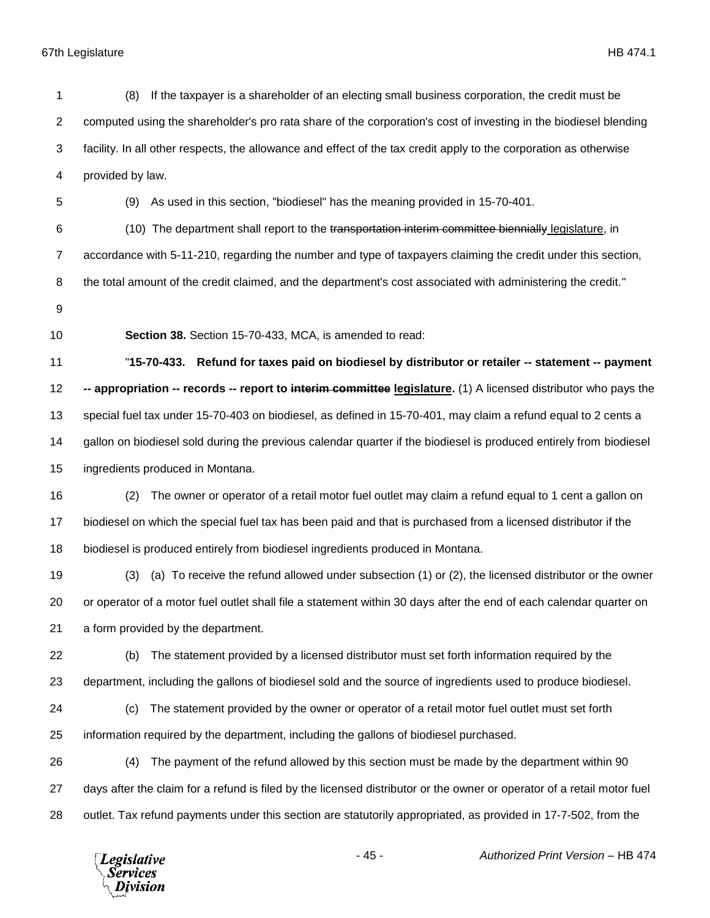| 1              | If the taxpayer is a shareholder of an electing small business corporation, the credit must be<br>(8)                  |
|----------------|------------------------------------------------------------------------------------------------------------------------|
| $\overline{2}$ | computed using the shareholder's pro rata share of the corporation's cost of investing in the biodiesel blending       |
| 3              | facility. In all other respects, the allowance and effect of the tax credit apply to the corporation as otherwise      |
| 4              | provided by law.                                                                                                       |
| 5              | (9) As used in this section, "biodiesel" has the meaning provided in 15-70-401.                                        |
| 6              | (10) The department shall report to the transportation interim committee biennially legislature, in                    |
| $\overline{7}$ | accordance with 5-11-210, regarding the number and type of taxpayers claiming the credit under this section,           |
| 8              | the total amount of the credit claimed, and the department's cost associated with administering the credit."           |
| 9              |                                                                                                                        |
| 10             | Section 38. Section 15-70-433, MCA, is amended to read:                                                                |
| 11             | "15-70-433. Refund for taxes paid on biodiesel by distributor or retailer -- statement -- payment                      |
| 12             | -- appropriation -- records -- report to interim committee legislature. (1) A licensed distributor who pays the        |
| 13             | special fuel tax under 15-70-403 on biodiesel, as defined in 15-70-401, may claim a refund equal to 2 cents a          |
| 14             | gallon on biodiesel sold during the previous calendar quarter if the biodiesel is produced entirely from biodiesel     |
| 15             | ingredients produced in Montana.                                                                                       |
| 16             | The owner or operator of a retail motor fuel outlet may claim a refund equal to 1 cent a gallon on<br>(2)              |
| 17             | biodiesel on which the special fuel tax has been paid and that is purchased from a licensed distributor if the         |
| 18             | biodiesel is produced entirely from biodiesel ingredients produced in Montana.                                         |
| 19             | (a) To receive the refund allowed under subsection (1) or (2), the licensed distributor or the owner<br>(3)            |
| 20             | or operator of a motor fuel outlet shall file a statement within 30 days after the end of each calendar quarter on     |
| 21             | a form provided by the department.                                                                                     |
| 22             | The statement provided by a licensed distributor must set forth information required by the<br>(b)                     |
| 23             | department, including the gallons of biodiesel sold and the source of ingredients used to produce biodiesel.           |
| 24             | The statement provided by the owner or operator of a retail motor fuel outlet must set forth<br>(c)                    |
| 25             | information required by the department, including the gallons of biodiesel purchased.                                  |
| 26             | The payment of the refund allowed by this section must be made by the department within 90<br>(4)                      |
| 27             | days after the claim for a refund is filed by the licensed distributor or the owner or operator of a retail motor fuel |
| 28             | outlet. Tax refund payments under this section are statutorily appropriated, as provided in 17-7-502, from the         |
|                | $-45-$<br>Authorized Print Version - HB 474<br><b>Legislative</b><br><b>Services</b><br>ivision                        |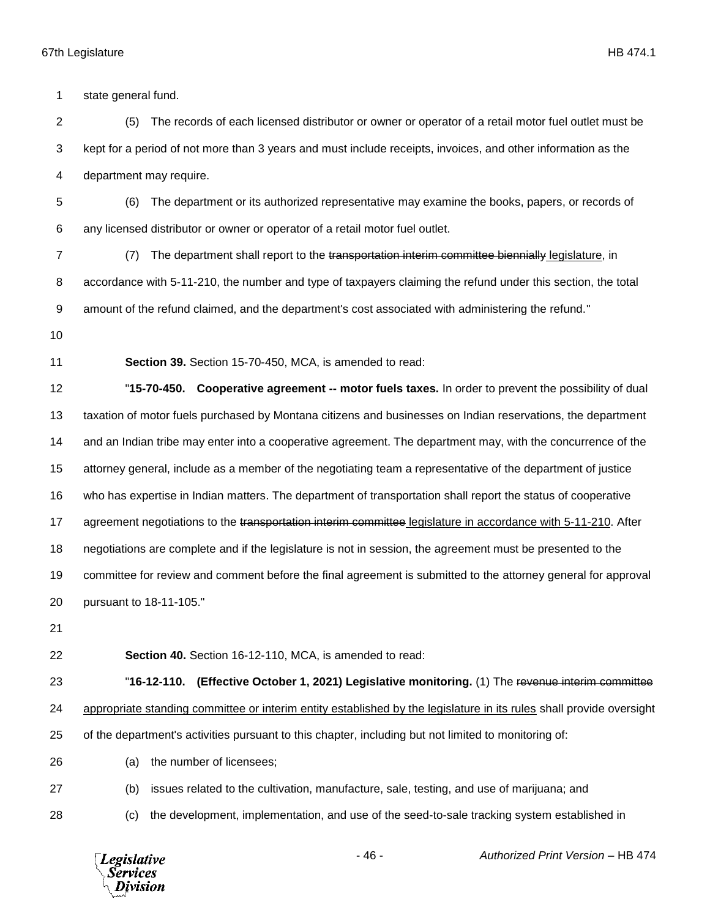**Legislative** *Services* ivision

- 46 - *Authorized Print Version* – HB 474 state general fund. (5) The records of each licensed distributor or owner or operator of a retail motor fuel outlet must be kept for a period of not more than 3 years and must include receipts, invoices, and other information as the department may require. (6) The department or its authorized representative may examine the books, papers, or records of any licensed distributor or owner or operator of a retail motor fuel outlet. 7 (7) The department shall report to the transportation interim committee biennially legislature, in accordance with 5-11-210, the number and type of taxpayers claiming the refund under this section, the total 9 amount of the refund claimed, and the department's cost associated with administering the refund." **Section 39.** Section 15-70-450, MCA, is amended to read: "**15-70-450. Cooperative agreement -- motor fuels taxes.** In order to prevent the possibility of dual taxation of motor fuels purchased by Montana citizens and businesses on Indian reservations, the department and an Indian tribe may enter into a cooperative agreement. The department may, with the concurrence of the attorney general, include as a member of the negotiating team a representative of the department of justice who has expertise in Indian matters. The department of transportation shall report the status of cooperative 17 agreement negotiations to the transportation interim committee legislature in accordance with 5-11-210. After negotiations are complete and if the legislature is not in session, the agreement must be presented to the committee for review and comment before the final agreement is submitted to the attorney general for approval pursuant to 18-11-105." **Section 40.** Section 16-12-110, MCA, is amended to read: "**16-12-110. (Effective October 1, 2021) Legislative monitoring.** (1) The revenue interim committee appropriate standing committee or interim entity established by the legislature in its rules shall provide oversight of the department's activities pursuant to this chapter, including but not limited to monitoring of: (a) the number of licensees; (b) issues related to the cultivation, manufacture, sale, testing, and use of marijuana; and (c) the development, implementation, and use of the seed-to-sale tracking system established in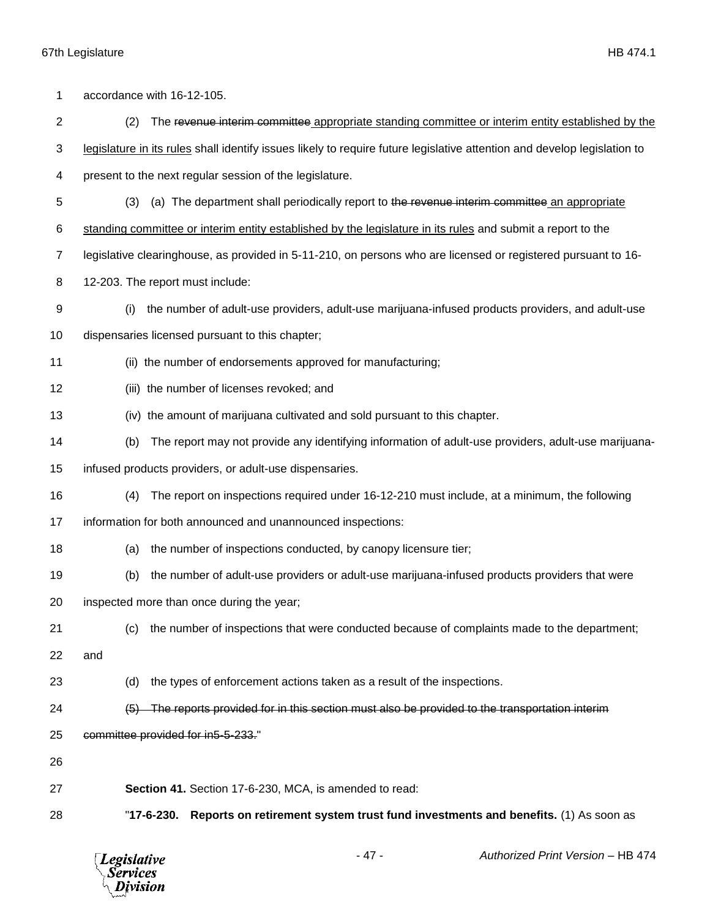| 1              | accordance with 16-12-105.                                                                                               |
|----------------|--------------------------------------------------------------------------------------------------------------------------|
| $\overline{c}$ | (2)<br>The revenue interim committee appropriate standing committee or interim entity established by the                 |
| 3              | legislature in its rules shall identify issues likely to require future legislative attention and develop legislation to |
| 4              | present to the next regular session of the legislature.                                                                  |
| 5              | (a) The department shall periodically report to the revenue interim committee an appropriate<br>(3)                      |
| 6              | standing committee or interim entity established by the legislature in its rules and submit a report to the              |
| 7              | legislative clearinghouse, as provided in 5-11-210, on persons who are licensed or registered pursuant to 16-            |
| 8              | 12-203. The report must include:                                                                                         |
| 9              | the number of adult-use providers, adult-use marijuana-infused products providers, and adult-use<br>(i)                  |
| 10             | dispensaries licensed pursuant to this chapter;                                                                          |
| 11             | (ii) the number of endorsements approved for manufacturing;                                                              |
| 12             | (iii) the number of licenses revoked; and                                                                                |
| 13             | (iv) the amount of marijuana cultivated and sold pursuant to this chapter.                                               |
| 14             | The report may not provide any identifying information of adult-use providers, adult-use marijuana-<br>(b)               |
| 15             | infused products providers, or adult-use dispensaries.                                                                   |
| 16             | The report on inspections required under 16-12-210 must include, at a minimum, the following<br>(4)                      |
| 17             | information for both announced and unannounced inspections:                                                              |
| 18             | the number of inspections conducted, by canopy licensure tier;<br>(a)                                                    |
| 19             | the number of adult-use providers or adult-use marijuana-infused products providers that were<br>(b)                     |
| 20             | inspected more than once during the year;                                                                                |
| 21             | the number of inspections that were conducted because of complaints made to the department;<br>(c)                       |
| 22             | and                                                                                                                      |
| 23             | (d)<br>the types of enforcement actions taken as a result of the inspections.                                            |
| 24             | (5) The reports provided for in this section must also be provided to the transportation interim-                        |
| 25             | committee provided for in5-5-233."                                                                                       |
| 26             |                                                                                                                          |
| 27             | Section 41. Section 17-6-230, MCA, is amended to read:                                                                   |
| 28             | Reports on retirement system trust fund investments and benefits. (1) As soon as<br>"17-6-230.                           |
|                |                                                                                                                          |

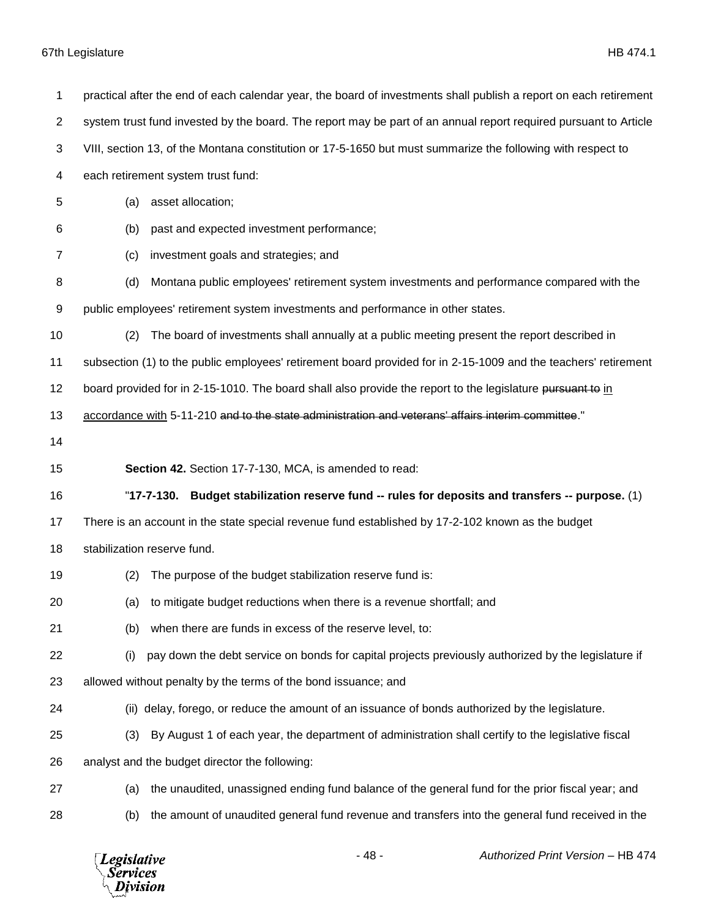| 1              | practical after the end of each calendar year, the board of investments shall publish a report on each retirement |
|----------------|-------------------------------------------------------------------------------------------------------------------|
| $\overline{2}$ | system trust fund invested by the board. The report may be part of an annual report required pursuant to Article  |
| 3              | VIII, section 13, of the Montana constitution or 17-5-1650 but must summarize the following with respect to       |
| 4              | each retirement system trust fund:                                                                                |
| 5              | asset allocation;<br>(a)                                                                                          |
| 6              | past and expected investment performance;<br>(b)                                                                  |
| $\overline{7}$ | investment goals and strategies; and<br>(c)                                                                       |
| 8              | Montana public employees' retirement system investments and performance compared with the<br>(d)                  |
| 9              | public employees' retirement system investments and performance in other states.                                  |
| 10             | The board of investments shall annually at a public meeting present the report described in<br>(2)                |
| 11             | subsection (1) to the public employees' retirement board provided for in 2-15-1009 and the teachers' retirement   |
| 12             | board provided for in 2-15-1010. The board shall also provide the report to the legislature pursuant to in        |
| 13             | accordance with 5-11-210 and to the state administration and veterans' affairs interim committee."                |
| 14             |                                                                                                                   |
|                |                                                                                                                   |
| 15             | Section 42. Section 17-7-130, MCA, is amended to read:                                                            |
| 16             | "17-7-130.<br>Budget stabilization reserve fund -- rules for deposits and transfers -- purpose. (1)               |
| 17             | There is an account in the state special revenue fund established by 17-2-102 known as the budget                 |
| 18             | stabilization reserve fund.                                                                                       |
| 19             | The purpose of the budget stabilization reserve fund is:<br>(2)                                                   |
| 20             | (a) to mitigate budget reductions when there is a revenue shortfall; and                                          |
| 21             | when there are funds in excess of the reserve level, to:<br>(b)                                                   |
| 22             | pay down the debt service on bonds for capital projects previously authorized by the legislature if<br>(i)        |
| 23             | allowed without penalty by the terms of the bond issuance; and                                                    |
| 24             | (ii) delay, forego, or reduce the amount of an issuance of bonds authorized by the legislature.                   |
| 25             | By August 1 of each year, the department of administration shall certify to the legislative fiscal<br>(3)         |
| 26             | analyst and the budget director the following:                                                                    |
| 27             | the unaudited, unassigned ending fund balance of the general fund for the prior fiscal year; and<br>(a)           |

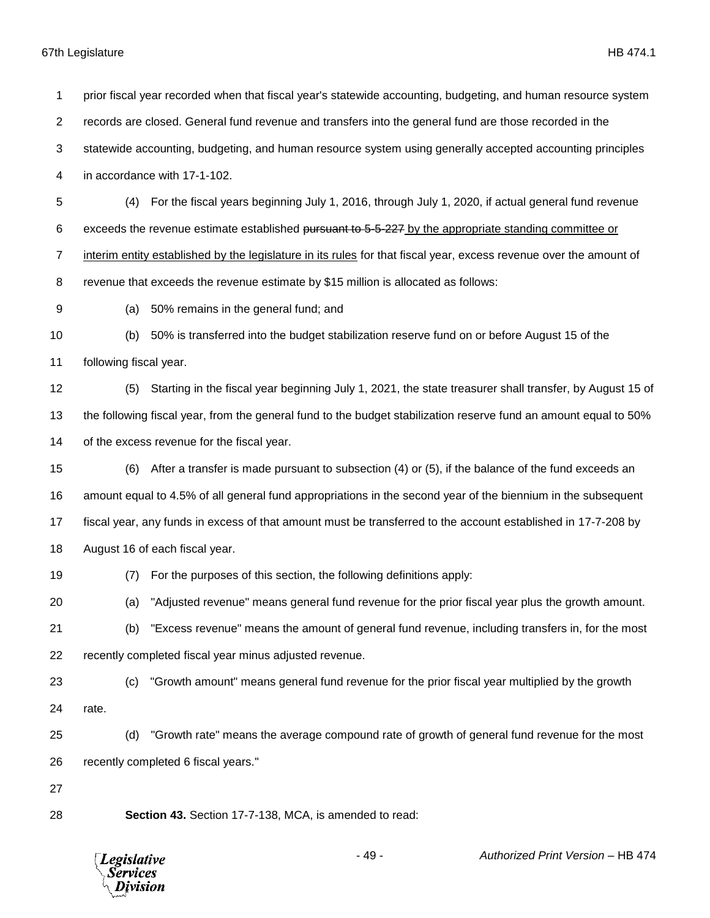prior fiscal year recorded when that fiscal year's statewide accounting, budgeting, and human resource system records are closed. General fund revenue and transfers into the general fund are those recorded in the statewide accounting, budgeting, and human resource system using generally accepted accounting principles in accordance with 17-1-102. (4) For the fiscal years beginning July 1, 2016, through July 1, 2020, if actual general fund revenue 6 exceeds the revenue estimate established pursuant to 5-5-227 by the appropriate standing committee or interim entity established by the legislature in its rules for that fiscal year, excess revenue over the amount of revenue that exceeds the revenue estimate by \$15 million is allocated as follows: (a) 50% remains in the general fund; and (b) 50% is transferred into the budget stabilization reserve fund on or before August 15 of the following fiscal year. (5) Starting in the fiscal year beginning July 1, 2021, the state treasurer shall transfer, by August 15 of the following fiscal year, from the general fund to the budget stabilization reserve fund an amount equal to 50% of the excess revenue for the fiscal year. (6) After a transfer is made pursuant to subsection (4) or (5), if the balance of the fund exceeds an amount equal to 4.5% of all general fund appropriations in the second year of the biennium in the subsequent fiscal year, any funds in excess of that amount must be transferred to the account established in 17-7-208 by August 16 of each fiscal year. (7) For the purposes of this section, the following definitions apply: (a) "Adjusted revenue" means general fund revenue for the prior fiscal year plus the growth amount. (b) "Excess revenue" means the amount of general fund revenue, including transfers in, for the most recently completed fiscal year minus adjusted revenue. (c) "Growth amount" means general fund revenue for the prior fiscal year multiplied by the growth rate. (d) "Growth rate" means the average compound rate of growth of general fund revenue for the most recently completed 6 fiscal years." **Section 43.** Section 17-7-138, MCA, is amended to read:

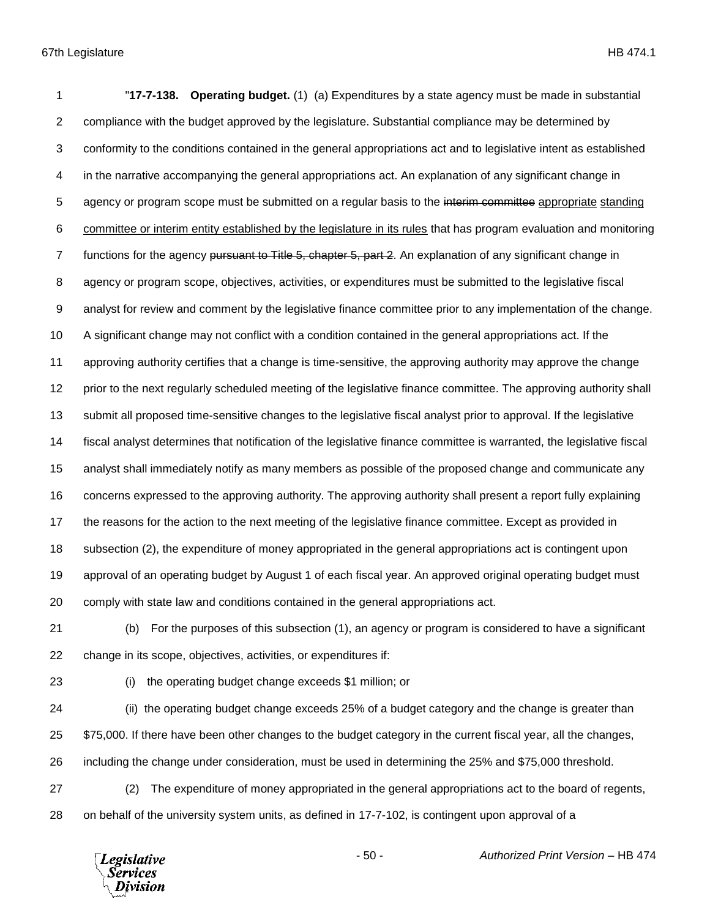"**17-7-138. Operating budget.** (1) (a) Expenditures by a state agency must be made in substantial compliance with the budget approved by the legislature. Substantial compliance may be determined by conformity to the conditions contained in the general appropriations act and to legislative intent as established in the narrative accompanying the general appropriations act. An explanation of any significant change in 5 agency or program scope must be submitted on a regular basis to the interim committee appropriate standing committee or interim entity established by the legislature in its rules that has program evaluation and monitoring 7 functions for the agency pursuant to Title 5, chapter 5, part 2. An explanation of any significant change in agency or program scope, objectives, activities, or expenditures must be submitted to the legislative fiscal analyst for review and comment by the legislative finance committee prior to any implementation of the change. A significant change may not conflict with a condition contained in the general appropriations act. If the approving authority certifies that a change is time-sensitive, the approving authority may approve the change prior to the next regularly scheduled meeting of the legislative finance committee. The approving authority shall submit all proposed time-sensitive changes to the legislative fiscal analyst prior to approval. If the legislative fiscal analyst determines that notification of the legislative finance committee is warranted, the legislative fiscal analyst shall immediately notify as many members as possible of the proposed change and communicate any concerns expressed to the approving authority. The approving authority shall present a report fully explaining the reasons for the action to the next meeting of the legislative finance committee. Except as provided in subsection (2), the expenditure of money appropriated in the general appropriations act is contingent upon approval of an operating budget by August 1 of each fiscal year. An approved original operating budget must comply with state law and conditions contained in the general appropriations act.

 (b) For the purposes of this subsection (1), an agency or program is considered to have a significant change in its scope, objectives, activities, or expenditures if:

(i) the operating budget change exceeds \$1 million; or

 (ii) the operating budget change exceeds 25% of a budget category and the change is greater than 25 \$75,000. If there have been other changes to the budget category in the current fiscal year, all the changes, including the change under consideration, must be used in determining the 25% and \$75,000 threshold.

 (2) The expenditure of money appropriated in the general appropriations act to the board of regents, on behalf of the university system units, as defined in 17-7-102, is contingent upon approval of a

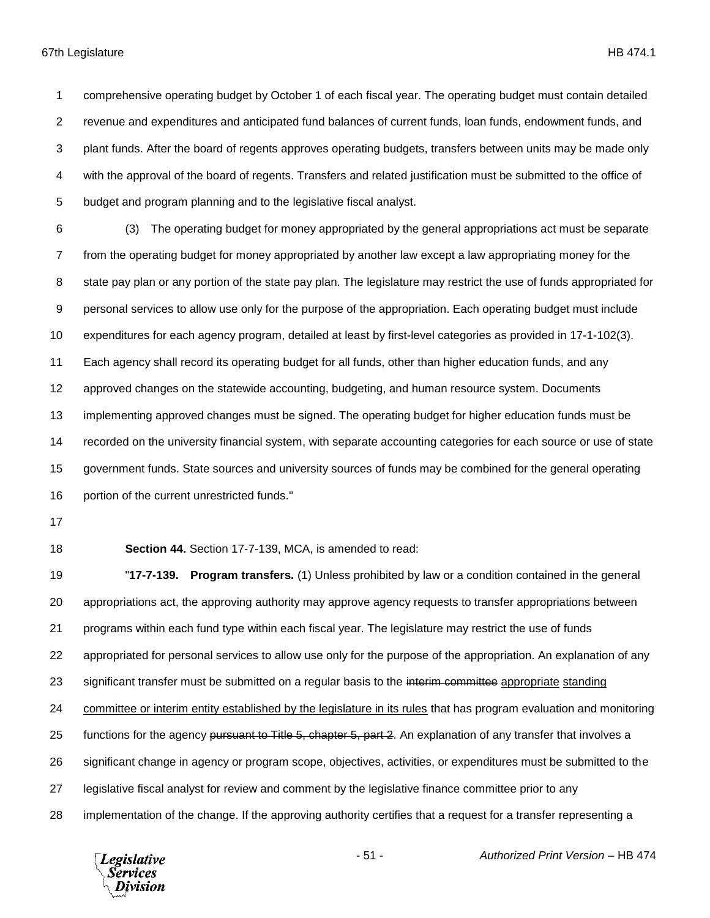comprehensive operating budget by October 1 of each fiscal year. The operating budget must contain detailed revenue and expenditures and anticipated fund balances of current funds, loan funds, endowment funds, and plant funds. After the board of regents approves operating budgets, transfers between units may be made only with the approval of the board of regents. Transfers and related justification must be submitted to the office of budget and program planning and to the legislative fiscal analyst.

 (3) The operating budget for money appropriated by the general appropriations act must be separate from the operating budget for money appropriated by another law except a law appropriating money for the 8 state pay plan or any portion of the state pay plan. The legislature may restrict the use of funds appropriated for personal services to allow use only for the purpose of the appropriation. Each operating budget must include expenditures for each agency program, detailed at least by first-level categories as provided in 17-1-102(3). Each agency shall record its operating budget for all funds, other than higher education funds, and any approved changes on the statewide accounting, budgeting, and human resource system. Documents implementing approved changes must be signed. The operating budget for higher education funds must be recorded on the university financial system, with separate accounting categories for each source or use of state government funds. State sources and university sources of funds may be combined for the general operating portion of the current unrestricted funds."

**Section 44.** Section 17-7-139, MCA, is amended to read:

 "**17-7-139. Program transfers.** (1) Unless prohibited by law or a condition contained in the general appropriations act, the approving authority may approve agency requests to transfer appropriations between programs within each fund type within each fiscal year. The legislature may restrict the use of funds appropriated for personal services to allow use only for the purpose of the appropriation. An explanation of any 23 significant transfer must be submitted on a regular basis to the interim committee appropriate standing committee or interim entity established by the legislature in its rules that has program evaluation and monitoring 25 functions for the agency pursuant to Title 5, chapter 5, part 2. An explanation of any transfer that involves a significant change in agency or program scope, objectives, activities, or expenditures must be submitted to the legislative fiscal analyst for review and comment by the legislative finance committee prior to any implementation of the change. If the approving authority certifies that a request for a transfer representing a

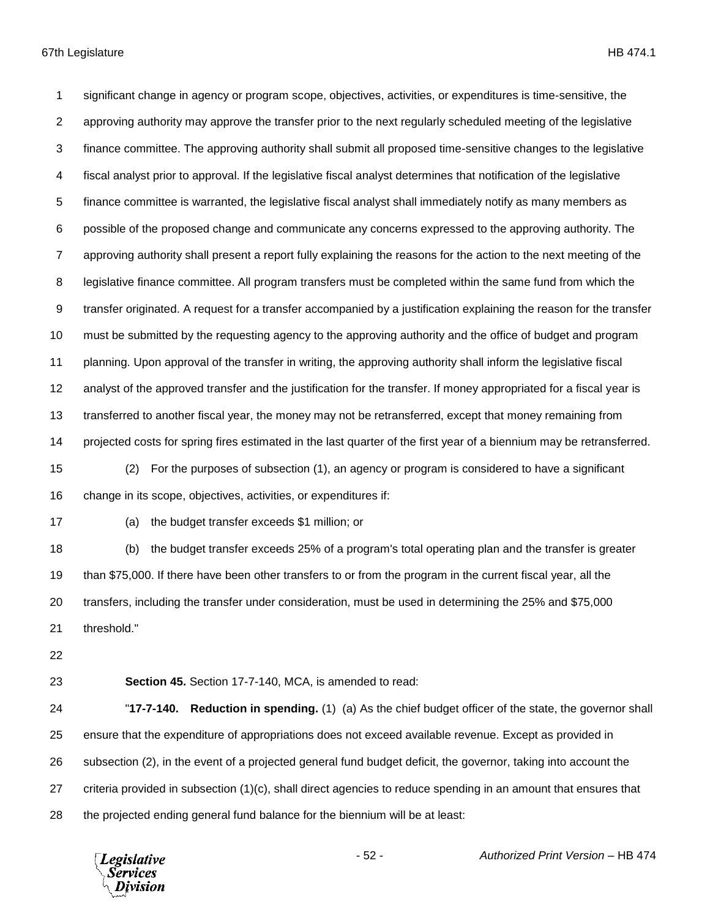significant change in agency or program scope, objectives, activities, or expenditures is time-sensitive, the approving authority may approve the transfer prior to the next regularly scheduled meeting of the legislative finance committee. The approving authority shall submit all proposed time-sensitive changes to the legislative fiscal analyst prior to approval. If the legislative fiscal analyst determines that notification of the legislative finance committee is warranted, the legislative fiscal analyst shall immediately notify as many members as possible of the proposed change and communicate any concerns expressed to the approving authority. The approving authority shall present a report fully explaining the reasons for the action to the next meeting of the legislative finance committee. All program transfers must be completed within the same fund from which the transfer originated. A request for a transfer accompanied by a justification explaining the reason for the transfer must be submitted by the requesting agency to the approving authority and the office of budget and program planning. Upon approval of the transfer in writing, the approving authority shall inform the legislative fiscal analyst of the approved transfer and the justification for the transfer. If money appropriated for a fiscal year is transferred to another fiscal year, the money may not be retransferred, except that money remaining from projected costs for spring fires estimated in the last quarter of the first year of a biennium may be retransferred. (2) For the purposes of subsection (1), an agency or program is considered to have a significant

change in its scope, objectives, activities, or expenditures if:

(a) the budget transfer exceeds \$1 million; or

 (b) the budget transfer exceeds 25% of a program's total operating plan and the transfer is greater than \$75,000. If there have been other transfers to or from the program in the current fiscal year, all the transfers, including the transfer under consideration, must be used in determining the 25% and \$75,000 threshold."

**Section 45.** Section 17-7-140, MCA, is amended to read:

 "**17-7-140. Reduction in spending.** (1) (a) As the chief budget officer of the state, the governor shall ensure that the expenditure of appropriations does not exceed available revenue. Except as provided in subsection (2), in the event of a projected general fund budget deficit, the governor, taking into account the criteria provided in subsection (1)(c), shall direct agencies to reduce spending in an amount that ensures that the projected ending general fund balance for the biennium will be at least:

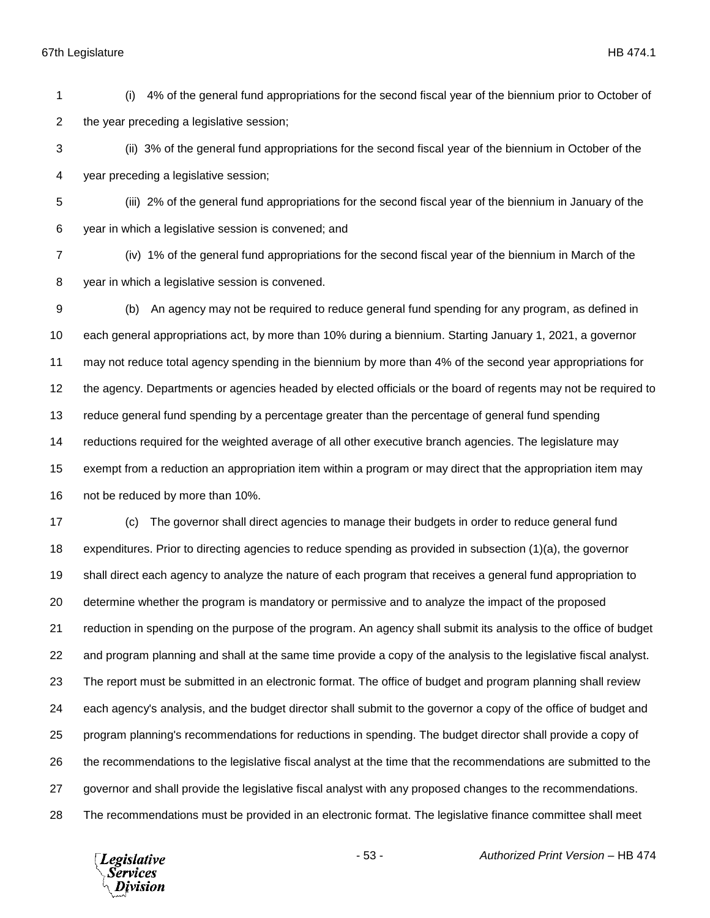(i) 4% of the general fund appropriations for the second fiscal year of the biennium prior to October of the year preceding a legislative session;

 (ii) 3% of the general fund appropriations for the second fiscal year of the biennium in October of the year preceding a legislative session;

 (iii) 2% of the general fund appropriations for the second fiscal year of the biennium in January of the year in which a legislative session is convened; and

 (iv) 1% of the general fund appropriations for the second fiscal year of the biennium in March of the year in which a legislative session is convened.

 (b) An agency may not be required to reduce general fund spending for any program, as defined in each general appropriations act, by more than 10% during a biennium. Starting January 1, 2021, a governor may not reduce total agency spending in the biennium by more than 4% of the second year appropriations for the agency. Departments or agencies headed by elected officials or the board of regents may not be required to reduce general fund spending by a percentage greater than the percentage of general fund spending reductions required for the weighted average of all other executive branch agencies. The legislature may exempt from a reduction an appropriation item within a program or may direct that the appropriation item may not be reduced by more than 10%.

 (c) The governor shall direct agencies to manage their budgets in order to reduce general fund expenditures. Prior to directing agencies to reduce spending as provided in subsection (1)(a), the governor shall direct each agency to analyze the nature of each program that receives a general fund appropriation to determine whether the program is mandatory or permissive and to analyze the impact of the proposed reduction in spending on the purpose of the program. An agency shall submit its analysis to the office of budget and program planning and shall at the same time provide a copy of the analysis to the legislative fiscal analyst. The report must be submitted in an electronic format. The office of budget and program planning shall review each agency's analysis, and the budget director shall submit to the governor a copy of the office of budget and program planning's recommendations for reductions in spending. The budget director shall provide a copy of the recommendations to the legislative fiscal analyst at the time that the recommendations are submitted to the governor and shall provide the legislative fiscal analyst with any proposed changes to the recommendations. The recommendations must be provided in an electronic format. The legislative finance committee shall meet

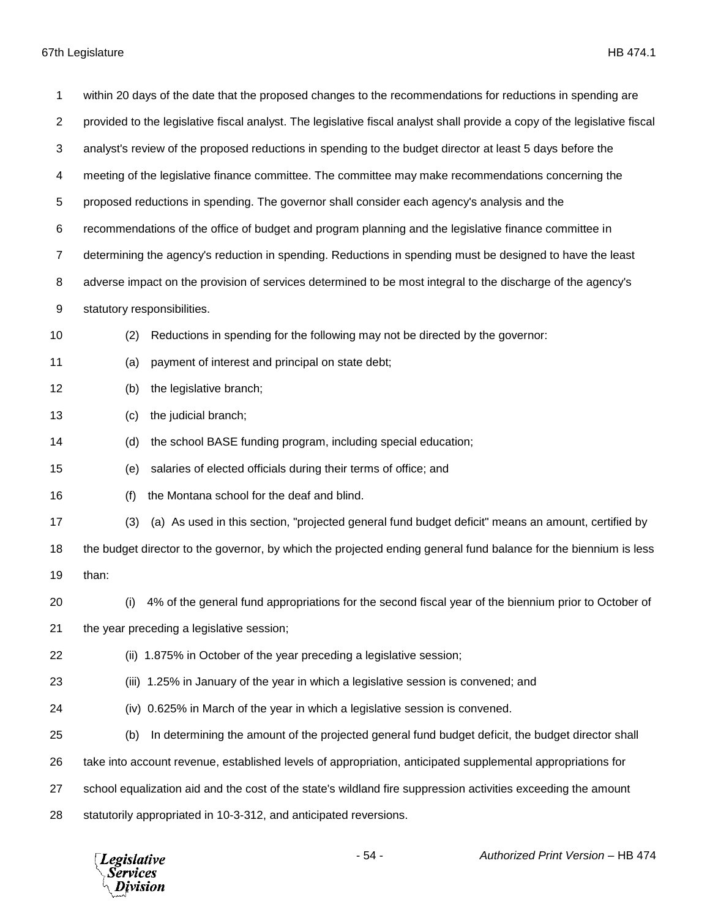| 1              | within 20 days of the date that the proposed changes to the recommendations for reductions in spending are                |
|----------------|---------------------------------------------------------------------------------------------------------------------------|
| $\overline{2}$ | provided to the legislative fiscal analyst. The legislative fiscal analyst shall provide a copy of the legislative fiscal |
| 3              | analyst's review of the proposed reductions in spending to the budget director at least 5 days before the                 |
| 4              | meeting of the legislative finance committee. The committee may make recommendations concerning the                       |
| 5              | proposed reductions in spending. The governor shall consider each agency's analysis and the                               |
| 6              | recommendations of the office of budget and program planning and the legislative finance committee in                     |
| $\overline{7}$ | determining the agency's reduction in spending. Reductions in spending must be designed to have the least                 |
| 8              | adverse impact on the provision of services determined to be most integral to the discharge of the agency's               |
| 9              | statutory responsibilities.                                                                                               |
| 10             | Reductions in spending for the following may not be directed by the governor:<br>(2)                                      |
| 11             | (a)<br>payment of interest and principal on state debt;                                                                   |
| 12             | the legislative branch;<br>(b)                                                                                            |
| 13             | the judicial branch;<br>(c)                                                                                               |
| 14             | the school BASE funding program, including special education;<br>(d)                                                      |
| 15             | salaries of elected officials during their terms of office; and<br>(e)                                                    |
| 16             | the Montana school for the deaf and blind.<br>(f)                                                                         |
| 17             | (a) As used in this section, "projected general fund budget deficit" means an amount, certified by<br>(3)                 |
| 18             | the budget director to the governor, by which the projected ending general fund balance for the biennium is less          |
| 19             | than:                                                                                                                     |
| 20             | (i) 4% of the general fund appropriations for the second fiscal year of the biennium prior to October of                  |
| 21             | the year preceding a legislative session;                                                                                 |
| 22             | (ii) 1.875% in October of the year preceding a legislative session;                                                       |
| 23             | (iii) 1.25% in January of the year in which a legislative session is convened; and                                        |
| 24             | (iv) 0.625% in March of the year in which a legislative session is convened.                                              |
| 25             | In determining the amount of the projected general fund budget deficit, the budget director shall<br>(b)                  |
| 26             | take into account revenue, established levels of appropriation, anticipated supplemental appropriations for               |
| 27             | school equalization aid and the cost of the state's wildland fire suppression activities exceeding the amount             |
| 28             | statutorily appropriated in 10-3-312, and anticipated reversions.                                                         |

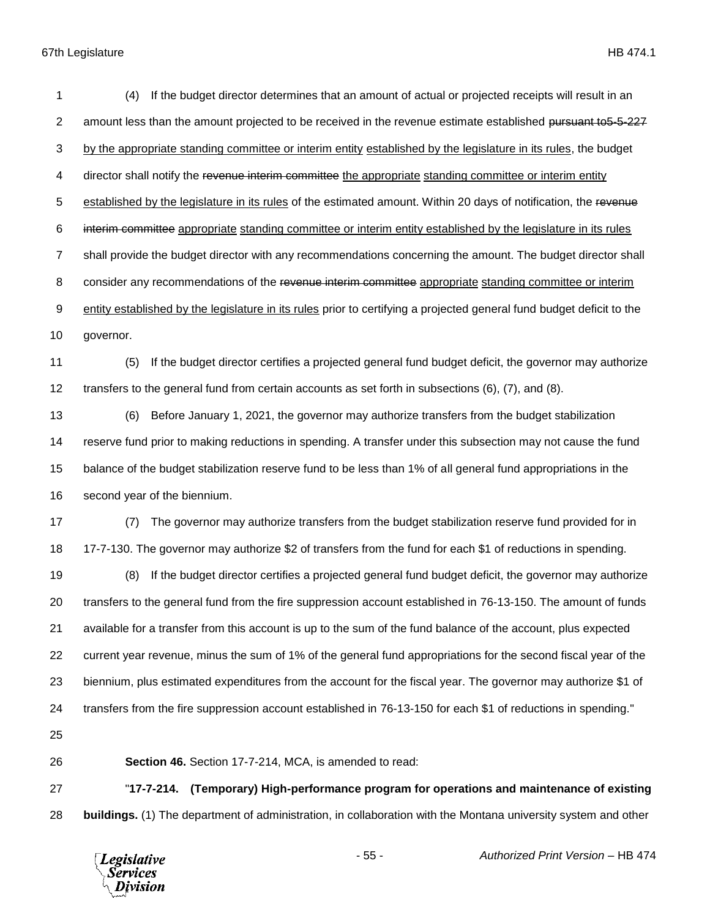| 1              | If the budget director determines that an amount of actual or projected receipts will result in an<br>(4)             |
|----------------|-----------------------------------------------------------------------------------------------------------------------|
| $\overline{2}$ | amount less than the amount projected to be received in the revenue estimate established pursuant to 5-5-227          |
| 3              | by the appropriate standing committee or interim entity established by the legislature in its rules, the budget       |
| 4              | director shall notify the revenue interim committee the appropriate standing committee or interim entity              |
| 5              | established by the legislature in its rules of the estimated amount. Within 20 days of notification, the revenue      |
| 6              | interim committee appropriate standing committee or interim entity established by the legislature in its rules        |
| $\overline{7}$ | shall provide the budget director with any recommendations concerning the amount. The budget director shall           |
| 8              | consider any recommendations of the revenue interim committee appropriate standing committee or interim               |
| 9              | entity established by the legislature in its rules prior to certifying a projected general fund budget deficit to the |
| 10             | governor.                                                                                                             |
| 11             | If the budget director certifies a projected general fund budget deficit, the governor may authorize<br>(5)           |
| 12             | transfers to the general fund from certain accounts as set forth in subsections (6), (7), and (8).                    |
| 13             | Before January 1, 2021, the governor may authorize transfers from the budget stabilization<br>(6)                     |
| 14             | reserve fund prior to making reductions in spending. A transfer under this subsection may not cause the fund          |
| 15             | balance of the budget stabilization reserve fund to be less than 1% of all general fund appropriations in the         |
| 16             | second year of the biennium.                                                                                          |
| 17             | The governor may authorize transfers from the budget stabilization reserve fund provided for in<br>(7)                |
| 18             | 17-7-130. The governor may authorize \$2 of transfers from the fund for each \$1 of reductions in spending.           |
| 19             | If the budget director certifies a projected general fund budget deficit, the governor may authorize<br>(8)           |
| 20             | transfers to the general fund from the fire suppression account established in 76-13-150. The amount of funds         |
| 21             | available for a transfer from this account is up to the sum of the fund balance of the account, plus expected         |
| 22             | current year revenue, minus the sum of 1% of the general fund appropriations for the second fiscal year of the        |
| 23             | biennium, plus estimated expenditures from the account for the fiscal year. The governor may authorize \$1 of         |
| 24             | transfers from the fire suppression account established in 76-13-150 for each \$1 of reductions in spending."         |
| 25             |                                                                                                                       |
| 26             | Section 46. Section 17-7-214, MCA, is amended to read:                                                                |
| 27             | (Temporary) High-performance program for operations and maintenance of existing<br>"17-7-214.                         |
| 28             | buildings. (1) The department of administration, in collaboration with the Montana university system and other        |

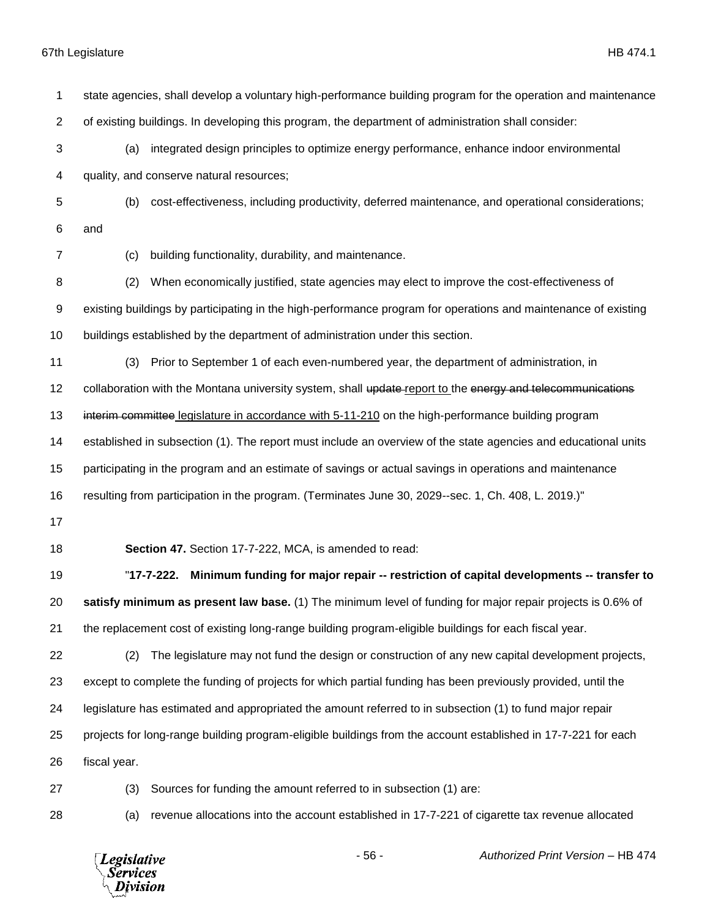| 1  | state agencies, shall develop a voluntary high-performance building program for the operation and maintenance  |
|----|----------------------------------------------------------------------------------------------------------------|
| 2  | of existing buildings. In developing this program, the department of administration shall consider:            |
| 3  | integrated design principles to optimize energy performance, enhance indoor environmental<br>(a)               |
| 4  | quality, and conserve natural resources;                                                                       |
| 5  | cost-effectiveness, including productivity, deferred maintenance, and operational considerations;<br>(b)       |
| 6  | and                                                                                                            |
| 7  | building functionality, durability, and maintenance.<br>(c)                                                    |
| 8  | When economically justified, state agencies may elect to improve the cost-effectiveness of<br>(2)              |
| 9  | existing buildings by participating in the high-performance program for operations and maintenance of existing |
| 10 | buildings established by the department of administration under this section.                                  |
| 11 | Prior to September 1 of each even-numbered year, the department of administration, in<br>(3)                   |
| 12 | collaboration with the Montana university system, shall update-report to the energy and telecommunications     |
| 13 | interim committee legislature in accordance with 5-11-210 on the high-performance building program             |
| 14 | established in subsection (1). The report must include an overview of the state agencies and educational units |
| 15 | participating in the program and an estimate of savings or actual savings in operations and maintenance        |
| 16 | resulting from participation in the program. (Terminates June 30, 2029--sec. 1, Ch. 408, L. 2019.)"            |
| 17 |                                                                                                                |
| 18 | Section 47. Section 17-7-222, MCA, is amended to read:                                                         |
| 19 | Minimum funding for major repair -- restriction of capital developments -- transfer to<br>"17-7-222.           |
| 20 | satisfy minimum as present law base. (1) The minimum level of funding for major repair projects is 0.6% of     |
| 21 | the replacement cost of existing long-range building program-eligible buildings for each fiscal year.          |
| 22 | The legislature may not fund the design or construction of any new capital development projects,<br>(2)        |
| 23 | except to complete the funding of projects for which partial funding has been previously provided, until the   |
| 24 | legislature has estimated and appropriated the amount referred to in subsection (1) to fund major repair       |
| 25 | projects for long-range building program-eligible buildings from the account established in 17-7-221 for each  |
| 26 | fiscal year.                                                                                                   |
| 27 | Sources for funding the amount referred to in subsection (1) are:<br>(3)                                       |
| 28 | revenue allocations into the account established in 17-7-221 of cigarette tax revenue allocated<br>(a)         |
|    |                                                                                                                |

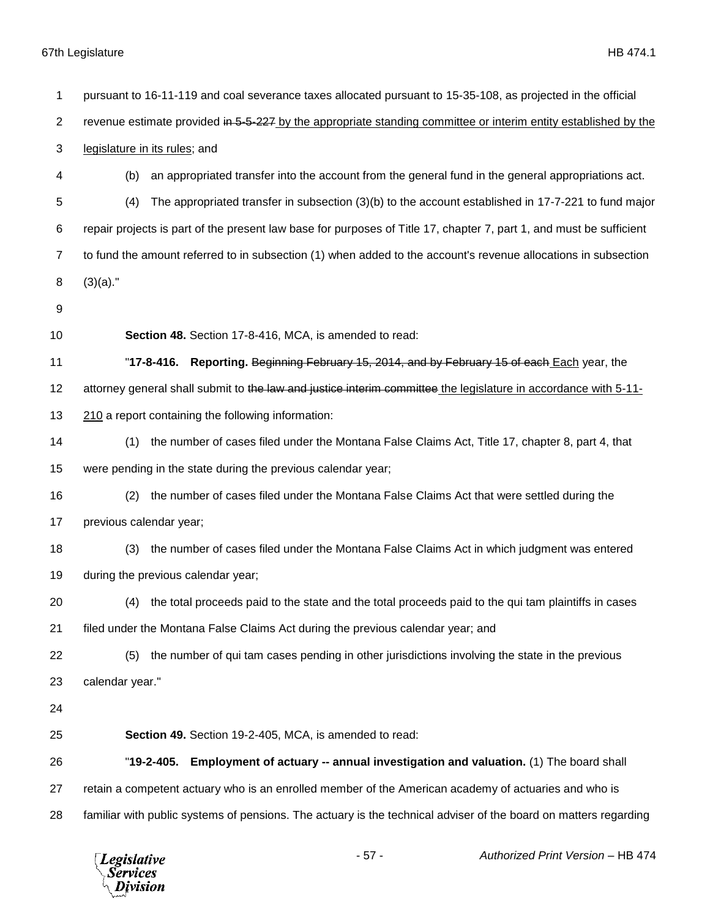| 1              | pursuant to 16-11-119 and coal severance taxes allocated pursuant to 15-35-108, as projected in the official        |
|----------------|---------------------------------------------------------------------------------------------------------------------|
| $\overline{2}$ | revenue estimate provided in 5-5-227 by the appropriate standing committee or interim entity established by the     |
| 3              | legislature in its rules; and                                                                                       |
| 4              | an appropriated transfer into the account from the general fund in the general appropriations act.<br>(b)           |
| 5              | The appropriated transfer in subsection (3)(b) to the account established in 17-7-221 to fund major<br>(4)          |
| 6              | repair projects is part of the present law base for purposes of Title 17, chapter 7, part 1, and must be sufficient |
| $\overline{7}$ | to fund the amount referred to in subsection (1) when added to the account's revenue allocations in subsection      |
| 8              | $(3)(a)$ ."                                                                                                         |
| 9              |                                                                                                                     |
| 10             | Section 48. Section 17-8-416, MCA, is amended to read:                                                              |
| 11             | Reporting. Beginning February 15, 2014, and by February 15 of each Each year, the<br>"17-8-416.                     |
| 12             | attorney general shall submit to the law and justice interim committee the legislature in accordance with 5-11-     |
| 13             | 210 a report containing the following information:                                                                  |
| 14             | the number of cases filed under the Montana False Claims Act, Title 17, chapter 8, part 4, that<br>(1)              |
| 15             | were pending in the state during the previous calendar year;                                                        |
| 16             | the number of cases filed under the Montana False Claims Act that were settled during the<br>(2)                    |
| 17             | previous calendar year;                                                                                             |
| 18             | the number of cases filed under the Montana False Claims Act in which judgment was entered<br>(3)                   |
| 19             | during the previous calendar year;                                                                                  |
| 20             | (4) the total proceeds paid to the state and the total proceeds paid to the qui tam plaintiffs in cases             |
| 21             | filed under the Montana False Claims Act during the previous calendar year; and                                     |
| 22             | the number of qui tam cases pending in other jurisdictions involving the state in the previous<br>(5)               |
| 23             | calendar year."                                                                                                     |
| 24             |                                                                                                                     |
| 25             | Section 49. Section 19-2-405, MCA, is amended to read:                                                              |
| 26             | Employment of actuary -- annual investigation and valuation. (1) The board shall<br>"19-2-405.                      |
| 27             | retain a competent actuary who is an enrolled member of the American academy of actuaries and who is                |
| 28             | familiar with public systems of pensions. The actuary is the technical adviser of the board on matters regarding    |
|                |                                                                                                                     |

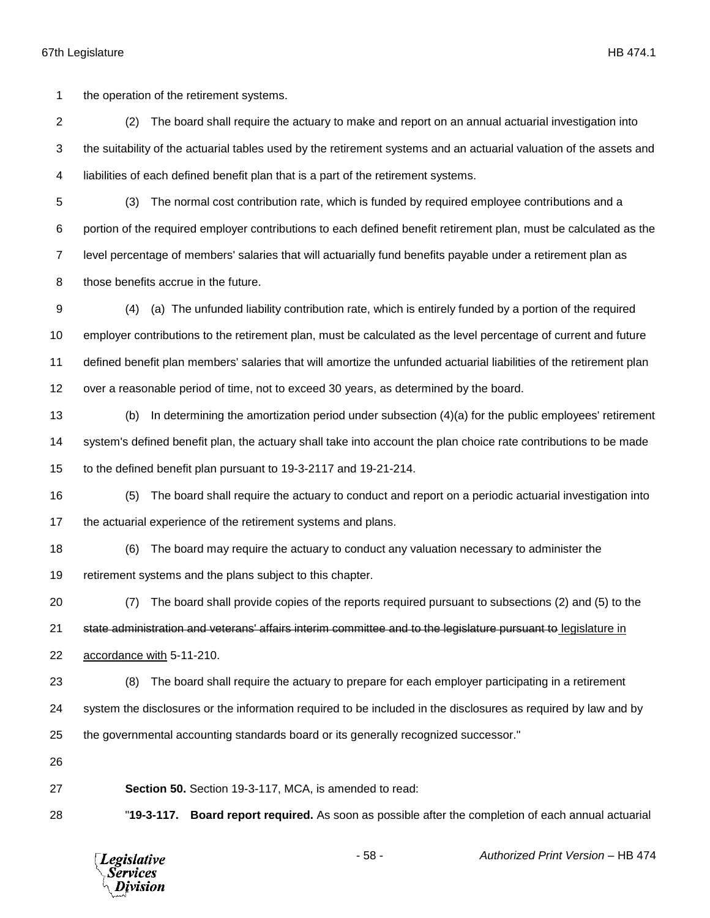the operation of the retirement systems.

 (2) The board shall require the actuary to make and report on an annual actuarial investigation into the suitability of the actuarial tables used by the retirement systems and an actuarial valuation of the assets and liabilities of each defined benefit plan that is a part of the retirement systems.

- (3) The normal cost contribution rate, which is funded by required employee contributions and a portion of the required employer contributions to each defined benefit retirement plan, must be calculated as the level percentage of members' salaries that will actuarially fund benefits payable under a retirement plan as those benefits accrue in the future.
- (4) (a) The unfunded liability contribution rate, which is entirely funded by a portion of the required employer contributions to the retirement plan, must be calculated as the level percentage of current and future defined benefit plan members' salaries that will amortize the unfunded actuarial liabilities of the retirement plan over a reasonable period of time, not to exceed 30 years, as determined by the board.
- (b) In determining the amortization period under subsection (4)(a) for the public employees' retirement system's defined benefit plan, the actuary shall take into account the plan choice rate contributions to be made to the defined benefit plan pursuant to 19-3-2117 and 19-21-214.
- (5) The board shall require the actuary to conduct and report on a periodic actuarial investigation into the actuarial experience of the retirement systems and plans.
- (6) The board may require the actuary to conduct any valuation necessary to administer the retirement systems and the plans subject to this chapter.
- (7) The board shall provide copies of the reports required pursuant to subsections (2) and (5) to the

21 state administration and veterans' affairs interim committee and to the legislature pursuant to legislature in accordance with 5-11-210.

- (8) The board shall require the actuary to prepare for each employer participating in a retirement
- system the disclosures or the information required to be included in the disclosures as required by law and by
- the governmental accounting standards board or its generally recognized successor."
- 

**Section 50.** Section 19-3-117, MCA, is amended to read:

"**19-3-117. Board report required.** As soon as possible after the completion of each annual actuarial

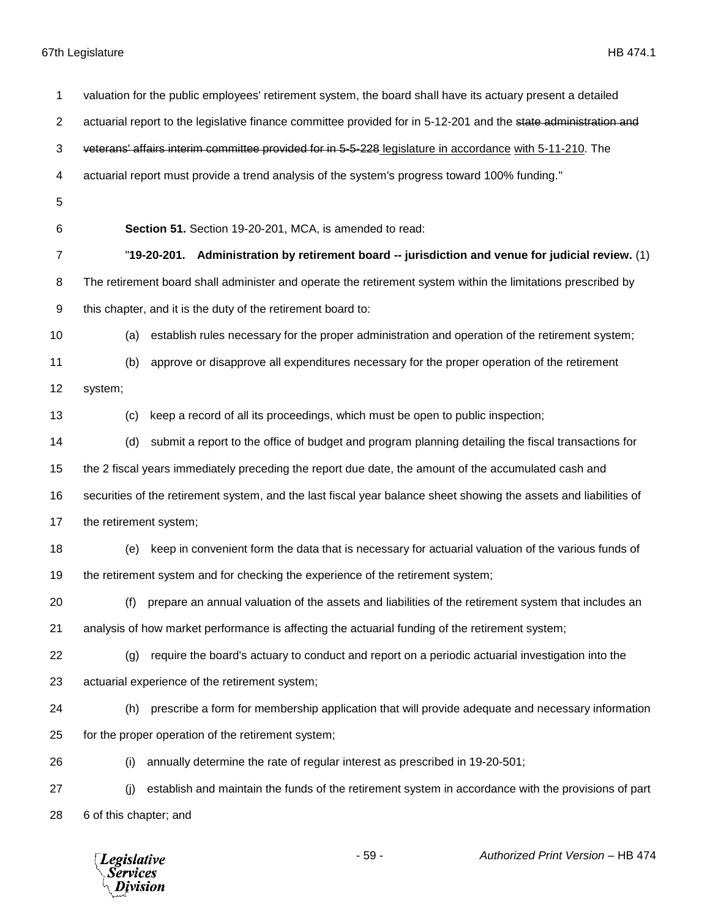| 1              | valuation for the public employees' retirement system, the board shall have its actuary present a detailed        |
|----------------|-------------------------------------------------------------------------------------------------------------------|
| $\overline{c}$ | actuarial report to the legislative finance committee provided for in 5-12-201 and the state administration and   |
| 3              | veterans' affairs interim committee provided for in 5-5-228 legislature in accordance with 5-11-210. The          |
| 4              | actuarial report must provide a trend analysis of the system's progress toward 100% funding."                     |
| 5              |                                                                                                                   |
| 6              | Section 51. Section 19-20-201, MCA, is amended to read:                                                           |
| $\overline{7}$ | "19-20-201. Administration by retirement board -- jurisdiction and venue for judicial review. $(1)$               |
| 8              | The retirement board shall administer and operate the retirement system within the limitations prescribed by      |
| 9              | this chapter, and it is the duty of the retirement board to:                                                      |
| 10             | establish rules necessary for the proper administration and operation of the retirement system;<br>(a)            |
| 11             | approve or disapprove all expenditures necessary for the proper operation of the retirement<br>(b)                |
| 12             | system;                                                                                                           |
| 13             | keep a record of all its proceedings, which must be open to public inspection;<br>(c)                             |
| 14             | submit a report to the office of budget and program planning detailing the fiscal transactions for<br>(d)         |
| 15             | the 2 fiscal years immediately preceding the report due date, the amount of the accumulated cash and              |
| 16             | securities of the retirement system, and the last fiscal year balance sheet showing the assets and liabilities of |
| 17             | the retirement system;                                                                                            |
| 18             | keep in convenient form the data that is necessary for actuarial valuation of the various funds of<br>(e)         |
| 19             | the retirement system and for checking the experience of the retirement system;                                   |
| 20             | (f) prepare an annual valuation of the assets and liabilities of the retirement system that includes an           |
| 21             | analysis of how market performance is affecting the actuarial funding of the retirement system;                   |
| 22             | require the board's actuary to conduct and report on a periodic actuarial investigation into the<br>(g)           |
| 23             | actuarial experience of the retirement system;                                                                    |
| 24             | prescribe a form for membership application that will provide adequate and necessary information<br>(h)           |
| 25             | for the proper operation of the retirement system;                                                                |
| 26             | annually determine the rate of regular interest as prescribed in 19-20-501;<br>(i)                                |
| 27             | establish and maintain the funds of the retirement system in accordance with the provisions of part<br>(i)        |
| 28             | 6 of this chapter; and                                                                                            |
|                |                                                                                                                   |

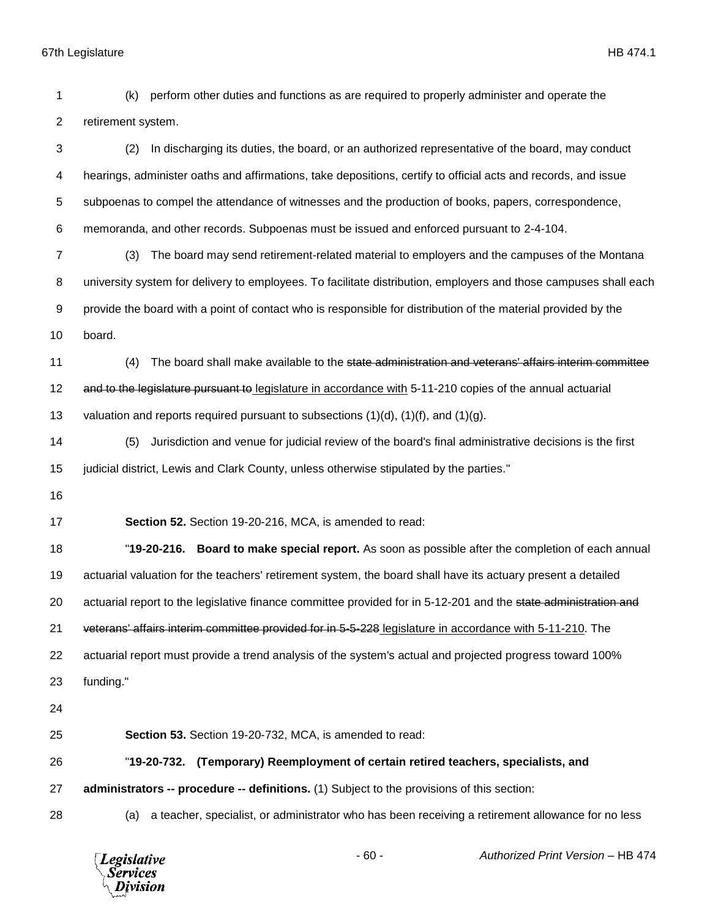| 1              | perform other duties and functions as are required to properly administer and operate the<br>(k)                 |
|----------------|------------------------------------------------------------------------------------------------------------------|
| $\overline{2}$ | retirement system.                                                                                               |
| 3              | In discharging its duties, the board, or an authorized representative of the board, may conduct<br>(2)           |
| 4              | hearings, administer oaths and affirmations, take depositions, certify to official acts and records, and issue   |
| 5              | subpoenas to compel the attendance of witnesses and the production of books, papers, correspondence,             |
| 6              | memoranda, and other records. Subpoenas must be issued and enforced pursuant to 2-4-104.                         |
| $\overline{7}$ | The board may send retirement-related material to employers and the campuses of the Montana<br>(3)               |
| 8              | university system for delivery to employees. To facilitate distribution, employers and those campuses shall each |
| 9              | provide the board with a point of contact who is responsible for distribution of the material provided by the    |
| 10             | board.                                                                                                           |
| 11             | The board shall make available to the state administration and veterans' affairs interim committee<br>(4)        |
| 12             | and to the legislature pursuant to legislature in accordance with 5-11-210 copies of the annual actuarial        |
| 13             | valuation and reports required pursuant to subsections $(1)(d)$ , $(1)(f)$ , and $(1)(g)$ .                      |
| 14             | Jurisdiction and venue for judicial review of the board's final administrative decisions is the first<br>(5)     |
| 15             | judicial district, Lewis and Clark County, unless otherwise stipulated by the parties."                          |
| 16             |                                                                                                                  |
| 17             | Section 52. Section 19-20-216, MCA, is amended to read:                                                          |
| 18             | "19-20-216. Board to make special report. As soon as possible after the completion of each annual                |
| 19             | actuarial valuation for the teachers' retirement system, the board shall have its actuary present a detailed     |
| 20             | actuarial report to the legislative finance committee provided for in 5-12-201 and the state administration and  |
| 21             | veterans' affairs interim committee provided for in 5-5-228 legislature in accordance with 5-11-210. The         |
| 22             | actuarial report must provide a trend analysis of the system's actual and projected progress toward 100%         |
| 23             | funding."                                                                                                        |
| 24             |                                                                                                                  |
| 25             | Section 53. Section 19-20-732, MCA, is amended to read:                                                          |
| 26             | (Temporary) Reemployment of certain retired teachers, specialists, and<br>"19-20-732.                            |
| 27             | administrators -- procedure -- definitions. (1) Subject to the provisions of this section:                       |
| 28             | a teacher, specialist, or administrator who has been receiving a retirement allowance for no less<br>(a)         |
|                | Authorized Print Version - HB 474<br>$-60-$<br><b>Legislative</b><br><b>Services</b><br>Division                 |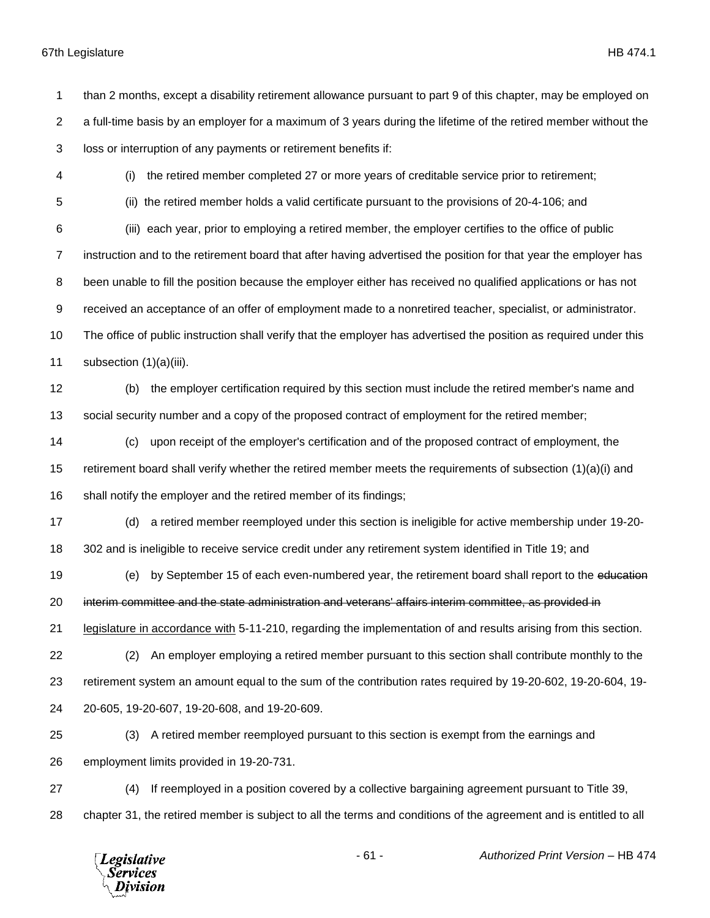than 2 months, except a disability retirement allowance pursuant to part 9 of this chapter, may be employed on a full-time basis by an employer for a maximum of 3 years during the lifetime of the retired member without the loss or interruption of any payments or retirement benefits if:

(i) the retired member completed 27 or more years of creditable service prior to retirement;

(ii) the retired member holds a valid certificate pursuant to the provisions of 20-4-106; and

 (iii) each year, prior to employing a retired member, the employer certifies to the office of public instruction and to the retirement board that after having advertised the position for that year the employer has been unable to fill the position because the employer either has received no qualified applications or has not received an acceptance of an offer of employment made to a nonretired teacher, specialist, or administrator. The office of public instruction shall verify that the employer has advertised the position as required under this subsection (1)(a)(iii).

 (b) the employer certification required by this section must include the retired member's name and social security number and a copy of the proposed contract of employment for the retired member;

 (c) upon receipt of the employer's certification and of the proposed contract of employment, the retirement board shall verify whether the retired member meets the requirements of subsection (1)(a)(i) and shall notify the employer and the retired member of its findings;

(d) a retired member reemployed under this section is ineligible for active membership under 19-20-

302 and is ineligible to receive service credit under any retirement system identified in Title 19; and

(e) by September 15 of each even-numbered year, the retirement board shall report to the education

interim committee and the state administration and veterans' affairs interim committee, as provided in

legislature in accordance with 5-11-210, regarding the implementation of and results arising from this section.

 (2) An employer employing a retired member pursuant to this section shall contribute monthly to the retirement system an amount equal to the sum of the contribution rates required by 19-20-602, 19-20-604, 19- 20-605, 19-20-607, 19-20-608, and 19-20-609.

 (3) A retired member reemployed pursuant to this section is exempt from the earnings and employment limits provided in 19-20-731.

 (4) If reemployed in a position covered by a collective bargaining agreement pursuant to Title 39, chapter 31, the retired member is subject to all the terms and conditions of the agreement and is entitled to all

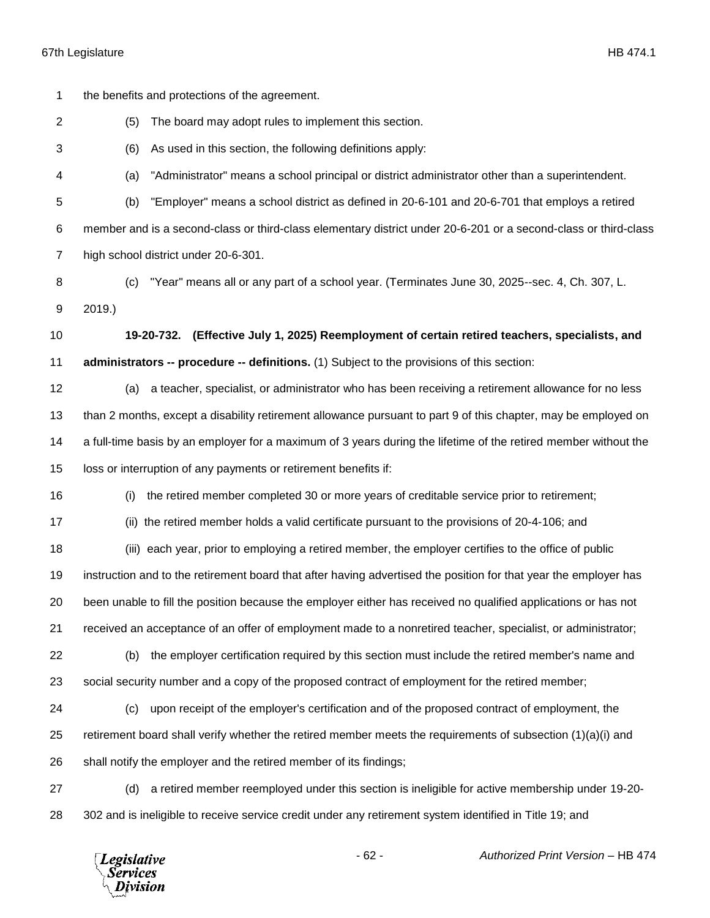| 1              | the benefits and protections of the agreement.                                                                   |
|----------------|------------------------------------------------------------------------------------------------------------------|
| $\overline{2}$ | The board may adopt rules to implement this section.<br>(5)                                                      |
| 3              | As used in this section, the following definitions apply:<br>(6)                                                 |
| 4              | "Administrator" means a school principal or district administrator other than a superintendent.<br>(a)           |
| 5              | "Employer" means a school district as defined in 20-6-101 and 20-6-701 that employs a retired<br>(b)             |
| 6              | member and is a second-class or third-class elementary district under 20-6-201 or a second-class or third-class  |
| 7              | high school district under 20-6-301.                                                                             |
| 8              | "Year" means all or any part of a school year. (Terminates June 30, 2025--sec. 4, Ch. 307, L.<br>(c)             |
| 9              | 2019.                                                                                                            |
| 10             | 19-20-732.<br>(Effective July 1, 2025) Reemployment of certain retired teachers, specialists, and                |
| 11             | administrators -- procedure -- definitions. (1) Subject to the provisions of this section:                       |
| 12             | a teacher, specialist, or administrator who has been receiving a retirement allowance for no less<br>(a)         |
| 13             | than 2 months, except a disability retirement allowance pursuant to part 9 of this chapter, may be employed on   |
| 14             | a full-time basis by an employer for a maximum of 3 years during the lifetime of the retired member without the  |
| 15             | loss or interruption of any payments or retirement benefits if:                                                  |
| 16             | the retired member completed 30 or more years of creditable service prior to retirement;<br>(i)                  |
| 17             | (ii) the retired member holds a valid certificate pursuant to the provisions of 20-4-106; and                    |
| 18             | (iii) each year, prior to employing a retired member, the employer certifies to the office of public             |
| 19             | instruction and to the retirement board that after having advertised the position for that year the employer has |
| 20             | been unable to fill the position because the employer either has received no qualified applications or has not   |
| 21             | received an acceptance of an offer of employment made to a nonretired teacher, specialist, or administrator;     |
| 22             | the employer certification required by this section must include the retired member's name and<br>(b)            |
| 23             | social security number and a copy of the proposed contract of employment for the retired member;                 |
| 24             | upon receipt of the employer's certification and of the proposed contract of employment, the<br>(c)              |
| 25             | retirement board shall verify whether the retired member meets the requirements of subsection (1)(a)(i) and      |
| 26             | shall notify the employer and the retired member of its findings;                                                |
| 27             | a retired member reemployed under this section is ineligible for active membership under 19-20-<br>(d)           |
| 28             | 302 and is ineligible to receive service credit under any retirement system identified in Title 19; and          |
|                |                                                                                                                  |

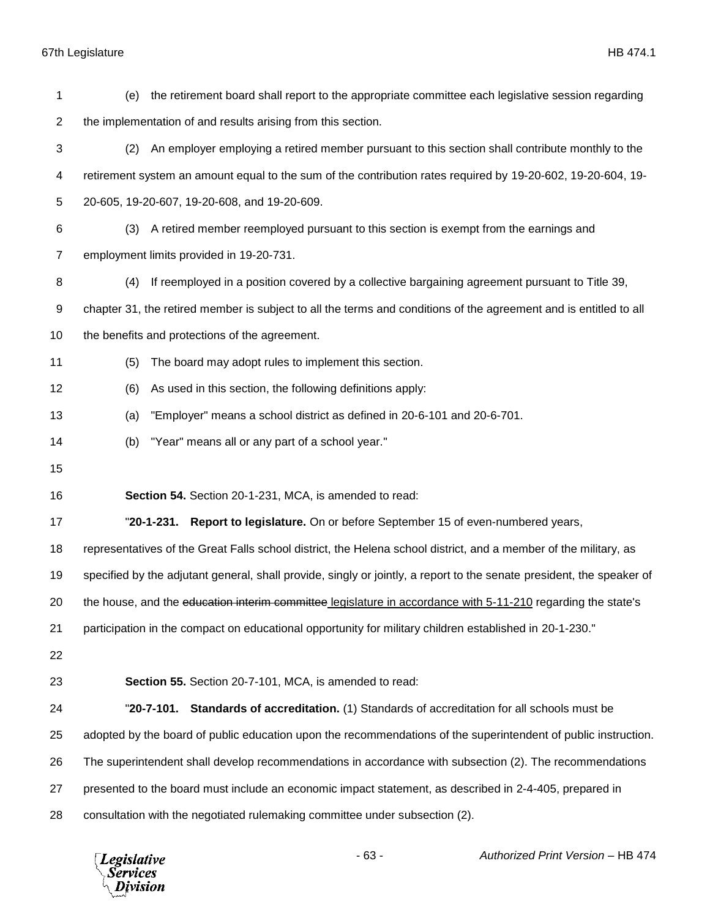| 1  | the retirement board shall report to the appropriate committee each legislative session regarding<br>(e)              |
|----|-----------------------------------------------------------------------------------------------------------------------|
| 2  | the implementation of and results arising from this section.                                                          |
| 3  | An employer employing a retired member pursuant to this section shall contribute monthly to the<br>(2)                |
| 4  | retirement system an amount equal to the sum of the contribution rates required by 19-20-602, 19-20-604, 19-          |
| 5  | 20-605, 19-20-607, 19-20-608, and 19-20-609.                                                                          |
| 6  | A retired member reemployed pursuant to this section is exempt from the earnings and<br>(3)                           |
| 7  | employment limits provided in 19-20-731.                                                                              |
| 8  | If reemployed in a position covered by a collective bargaining agreement pursuant to Title 39,<br>(4)                 |
| 9  | chapter 31, the retired member is subject to all the terms and conditions of the agreement and is entitled to all     |
| 10 | the benefits and protections of the agreement.                                                                        |
| 11 | The board may adopt rules to implement this section.<br>(5)                                                           |
| 12 | As used in this section, the following definitions apply:<br>(6)                                                      |
| 13 | "Employer" means a school district as defined in 20-6-101 and 20-6-701.<br>(a)                                        |
| 14 | "Year" means all or any part of a school year."<br>(b)                                                                |
| 15 |                                                                                                                       |
| 16 | Section 54. Section 20-1-231, MCA, is amended to read:                                                                |
| 17 | "20-1-231. Report to legislature. On or before September 15 of even-numbered years,                                   |
| 18 | representatives of the Great Falls school district, the Helena school district, and a member of the military, as      |
| 19 | specified by the adjutant general, shall provide, singly or jointly, a report to the senate president, the speaker of |
| 20 | the house, and the education interim committee legislature in accordance with 5-11-210 regarding the state's          |
| 21 | participation in the compact on educational opportunity for military children established in 20-1-230."               |
| 22 |                                                                                                                       |
| 23 | Section 55. Section 20-7-101, MCA, is amended to read:                                                                |
| 24 | <b>Standards of accreditation.</b> (1) Standards of accreditation for all schools must be<br>"20-7-101.               |
| 25 | adopted by the board of public education upon the recommendations of the superintendent of public instruction.        |
| 26 | The superintendent shall develop recommendations in accordance with subsection (2). The recommendations               |
| 27 | presented to the board must include an economic impact statement, as described in 2-4-405, prepared in                |
| 28 | consultation with the negotiated rulemaking committee under subsection (2).                                           |

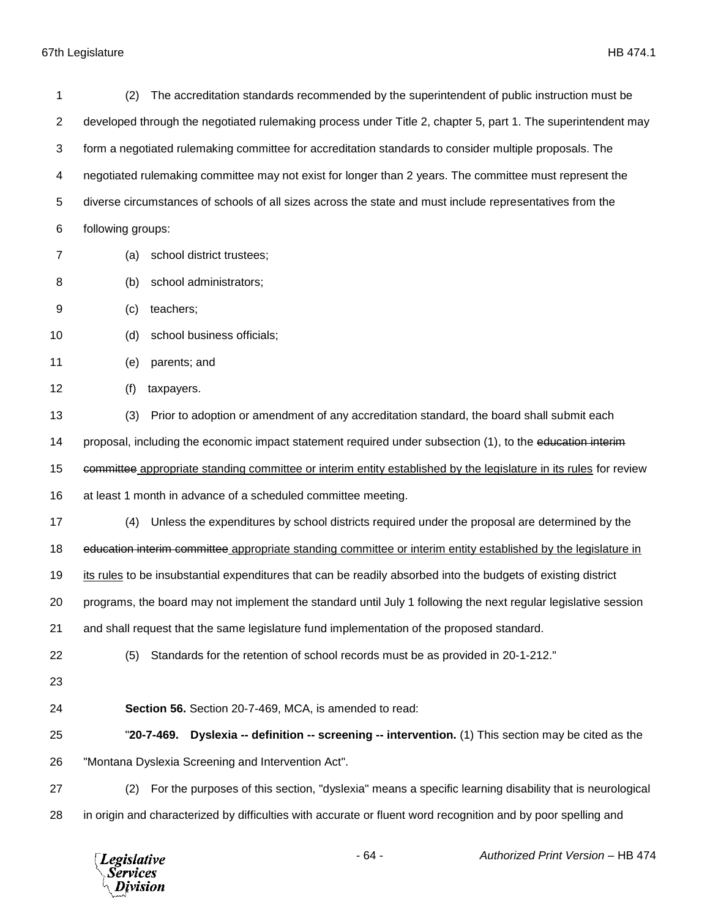| 1              | The accreditation standards recommended by the superintendent of public instruction must be<br>(2)                |
|----------------|-------------------------------------------------------------------------------------------------------------------|
| $\overline{2}$ | developed through the negotiated rulemaking process under Title 2, chapter 5, part 1. The superintendent may      |
| 3              | form a negotiated rulemaking committee for accreditation standards to consider multiple proposals. The            |
| 4              | negotiated rulemaking committee may not exist for longer than 2 years. The committee must represent the           |
| 5              | diverse circumstances of schools of all sizes across the state and must include representatives from the          |
| 6              | following groups:                                                                                                 |
| $\overline{7}$ | school district trustees;<br>(a)                                                                                  |
|                |                                                                                                                   |
| 8              | school administrators;<br>(b)                                                                                     |
| 9              | teachers;<br>(c)                                                                                                  |
| 10             | school business officials;<br>(d)                                                                                 |
| 11             | parents; and<br>(e)                                                                                               |
| 12             | (f)<br>taxpayers.                                                                                                 |
| 13             | Prior to adoption or amendment of any accreditation standard, the board shall submit each<br>(3)                  |
| 14             | proposal, including the economic impact statement required under subsection (1), to the education interim-        |
| 15             | committee appropriate standing committee or interim entity established by the legislature in its rules for review |
| 16             | at least 1 month in advance of a scheduled committee meeting.                                                     |
| 17             | Unless the expenditures by school districts required under the proposal are determined by the<br>(4)              |
| 18             | education interim committee appropriate standing committee or interim entity established by the legislature in    |
| 19             | its rules to be insubstantial expenditures that can be readily absorbed into the budgets of existing district     |
| 20             | programs, the board may not implement the standard until July 1 following the next regular legislative session    |
| 21             | and shall request that the same legislature fund implementation of the proposed standard.                         |
| 22             | Standards for the retention of school records must be as provided in 20-1-212."<br>(5)                            |
| 23             |                                                                                                                   |
| 24             | Section 56. Section 20-7-469, MCA, is amended to read:                                                            |
| 25             | Dyslexia -- definition -- screening -- intervention. (1) This section may be cited as the<br>"20-7-469.           |
| 26             | "Montana Dyslexia Screening and Intervention Act".                                                                |
| 27             | For the purposes of this section, "dyslexia" means a specific learning disability that is neurological<br>(2)     |
| 28             | in origin and characterized by difficulties with accurate or fluent word recognition and by poor spelling and     |

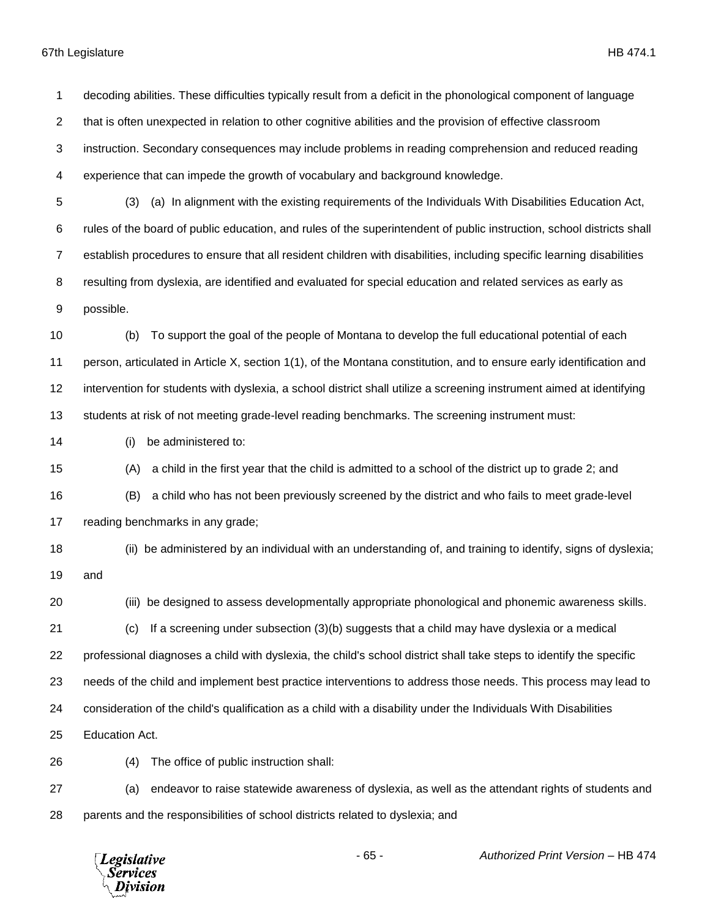decoding abilities. These difficulties typically result from a deficit in the phonological component of language that is often unexpected in relation to other cognitive abilities and the provision of effective classroom instruction. Secondary consequences may include problems in reading comprehension and reduced reading experience that can impede the growth of vocabulary and background knowledge. (3) (a) In alignment with the existing requirements of the Individuals With Disabilities Education Act, rules of the board of public education, and rules of the superintendent of public instruction, school districts shall establish procedures to ensure that all resident children with disabilities, including specific learning disabilities resulting from dyslexia, are identified and evaluated for special education and related services as early as possible. (b) To support the goal of the people of Montana to develop the full educational potential of each person, articulated in Article X, section 1(1), of the Montana constitution, and to ensure early identification and intervention for students with dyslexia, a school district shall utilize a screening instrument aimed at identifying students at risk of not meeting grade-level reading benchmarks. The screening instrument must: (i) be administered to: (A) a child in the first year that the child is admitted to a school of the district up to grade 2; and (B) a child who has not been previously screened by the district and who fails to meet grade-level reading benchmarks in any grade; (ii) be administered by an individual with an understanding of, and training to identify, signs of dyslexia; and (iii) be designed to assess developmentally appropriate phonological and phonemic awareness skills. (c) If a screening under subsection (3)(b) suggests that a child may have dyslexia or a medical professional diagnoses a child with dyslexia, the child's school district shall take steps to identify the specific needs of the child and implement best practice interventions to address those needs. This process may lead to consideration of the child's qualification as a child with a disability under the Individuals With Disabilities Education Act. (4) The office of public instruction shall: (a) endeavor to raise statewide awareness of dyslexia, as well as the attendant rights of students and parents and the responsibilities of school districts related to dyslexia; and- 65 - *Authorized Print Version* – HB 474 **Legislative** Services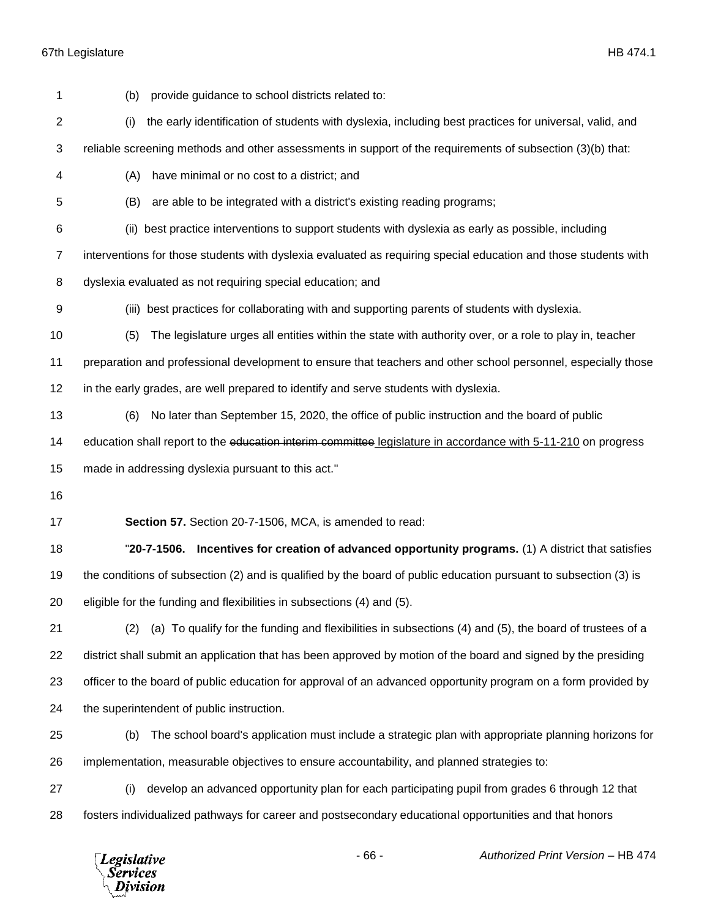| 1  | provide guidance to school districts related to:<br>(b)                                                          |
|----|------------------------------------------------------------------------------------------------------------------|
| 2  | the early identification of students with dyslexia, including best practices for universal, valid, and<br>(i)    |
| 3  | reliable screening methods and other assessments in support of the requirements of subsection (3)(b) that:       |
| 4  | (A)<br>have minimal or no cost to a district; and                                                                |
| 5  | (B)<br>are able to be integrated with a district's existing reading programs;                                    |
| 6  | (ii) best practice interventions to support students with dyslexia as early as possible, including               |
| 7  | interventions for those students with dyslexia evaluated as requiring special education and those students with  |
| 8  | dyslexia evaluated as not requiring special education; and                                                       |
| 9  | (iii) best practices for collaborating with and supporting parents of students with dyslexia.                    |
| 10 | The legislature urges all entities within the state with authority over, or a role to play in, teacher<br>(5)    |
| 11 | preparation and professional development to ensure that teachers and other school personnel, especially those    |
| 12 | in the early grades, are well prepared to identify and serve students with dyslexia.                             |
| 13 | No later than September 15, 2020, the office of public instruction and the board of public<br>(6)                |
| 14 | education shall report to the education interim committee legislature in accordance with 5-11-210 on progress    |
| 15 | made in addressing dyslexia pursuant to this act."                                                               |
| 16 |                                                                                                                  |
| 17 | Section 57. Section 20-7-1506, MCA, is amended to read:                                                          |
| 18 | "20-7-1506. Incentives for creation of advanced opportunity programs. (1) A district that satisfies              |
| 19 | the conditions of subsection (2) and is qualified by the board of public education pursuant to subsection (3) is |
| 20 | eligible for the funding and flexibilities in subsections (4) and (5).                                           |
| 21 | (a) To qualify for the funding and flexibilities in subsections (4) and (5), the board of trustees of a<br>(2)   |
| 22 | district shall submit an application that has been approved by motion of the board and signed by the presiding   |
| 23 | officer to the board of public education for approval of an advanced opportunity program on a form provided by   |
| 24 | the superintendent of public instruction.                                                                        |
| 25 | The school board's application must include a strategic plan with appropriate planning horizons for<br>(b)       |
| 26 | implementation, measurable objectives to ensure accountability, and planned strategies to:                       |
|    |                                                                                                                  |
| 27 | develop an advanced opportunity plan for each participating pupil from grades 6 through 12 that<br>(i)           |

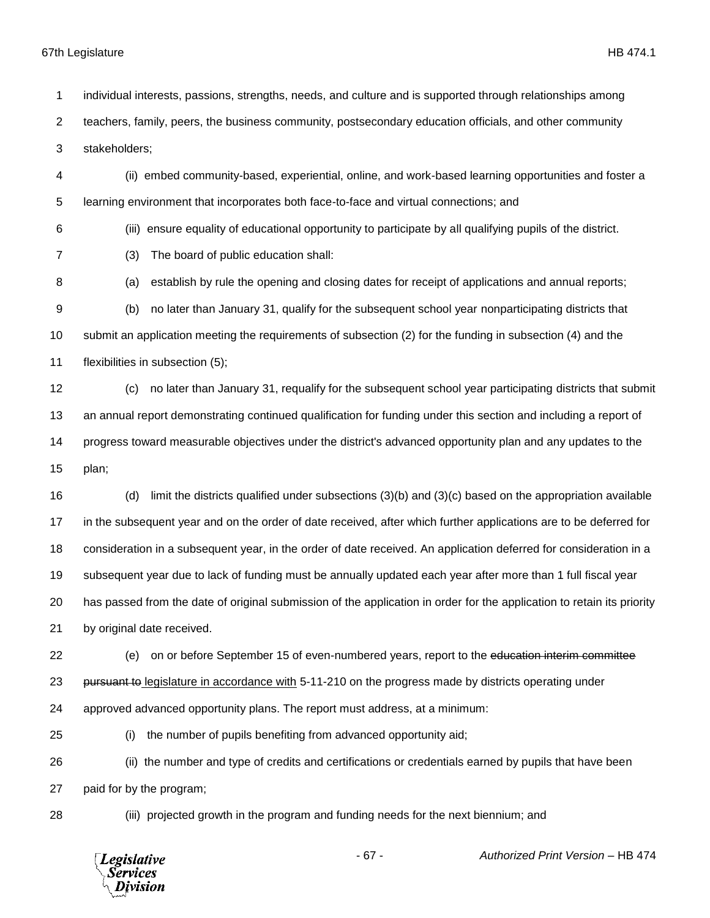individual interests, passions, strengths, needs, and culture and is supported through relationships among teachers, family, peers, the business community, postsecondary education officials, and other community stakeholders;

 (ii) embed community-based, experiential, online, and work-based learning opportunities and foster a learning environment that incorporates both face-to-face and virtual connections; and

(iii) ensure equality of educational opportunity to participate by all qualifying pupils of the district.

- (3) The board of public education shall:
- 8 (a) establish by rule the opening and closing dates for receipt of applications and annual reports;

 (b) no later than January 31, qualify for the subsequent school year nonparticipating districts that submit an application meeting the requirements of subsection (2) for the funding in subsection (4) and the flexibilities in subsection (5);

 (c) no later than January 31, requalify for the subsequent school year participating districts that submit an annual report demonstrating continued qualification for funding under this section and including a report of progress toward measurable objectives under the district's advanced opportunity plan and any updates to the plan;

 (d) limit the districts qualified under subsections (3)(b) and (3)(c) based on the appropriation available in the subsequent year and on the order of date received, after which further applications are to be deferred for consideration in a subsequent year, in the order of date received. An application deferred for consideration in a subsequent year due to lack of funding must be annually updated each year after more than 1 full fiscal year has passed from the date of original submission of the application in order for the application to retain its priority by original date received.

22 (e) on or before September 15 of even-numbered years, report to the education interim committee 23 pursuant to legislature in accordance with 5-11-210 on the progress made by districts operating under approved advanced opportunity plans. The report must address, at a minimum:

(i) the number of pupils benefiting from advanced opportunity aid;

 (ii) the number and type of credits and certifications or credentials earned by pupils that have been paid for by the program;

(iii) projected growth in the program and funding needs for the next biennium; and

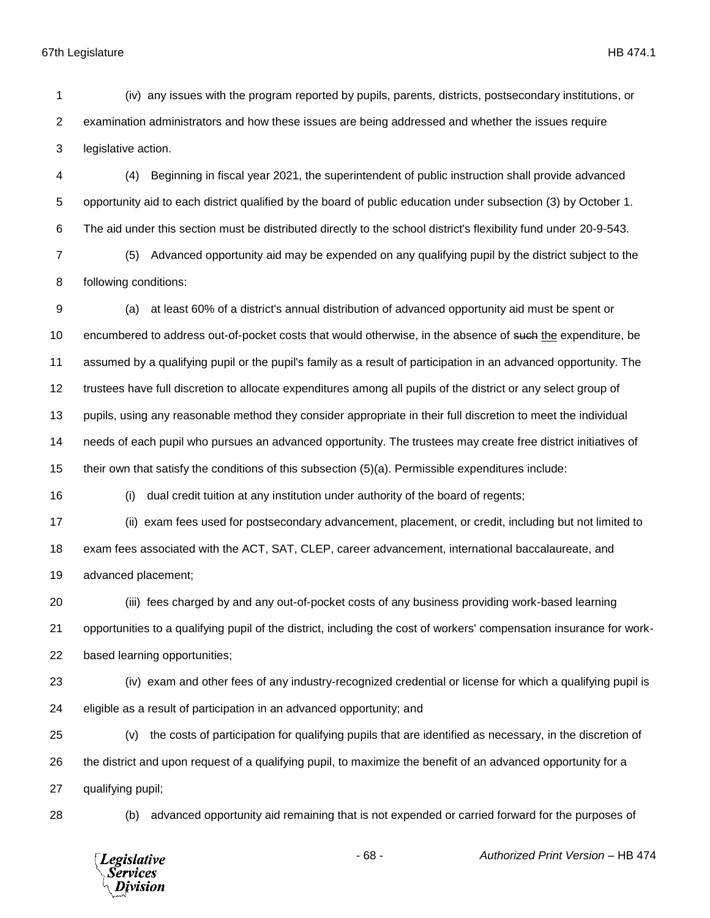(iv) any issues with the program reported by pupils, parents, districts, postsecondary institutions, or examination administrators and how these issues are being addressed and whether the issues require legislative action.

 (4) Beginning in fiscal year 2021, the superintendent of public instruction shall provide advanced opportunity aid to each district qualified by the board of public education under subsection (3) by October 1. The aid under this section must be distributed directly to the school district's flexibility fund under 20-9-543.

 (5) Advanced opportunity aid may be expended on any qualifying pupil by the district subject to the following conditions:

 (a) at least 60% of a district's annual distribution of advanced opportunity aid must be spent or 10 encumbered to address out-of-pocket costs that would otherwise, in the absence of such the expenditure, be assumed by a qualifying pupil or the pupil's family as a result of participation in an advanced opportunity. The trustees have full discretion to allocate expenditures among all pupils of the district or any select group of pupils, using any reasonable method they consider appropriate in their full discretion to meet the individual needs of each pupil who pursues an advanced opportunity. The trustees may create free district initiatives of their own that satisfy the conditions of this subsection (5)(a). Permissible expenditures include:

(i) dual credit tuition at any institution under authority of the board of regents;

 (ii) exam fees used for postsecondary advancement, placement, or credit, including but not limited to exam fees associated with the ACT, SAT, CLEP, career advancement, international baccalaureate, and advanced placement;

 (iii) fees charged by and any out-of-pocket costs of any business providing work-based learning opportunities to a qualifying pupil of the district, including the cost of workers' compensation insurance for work-based learning opportunities;

 (iv) exam and other fees of any industry-recognized credential or license for which a qualifying pupil is eligible as a result of participation in an advanced opportunity; and

 (v) the costs of participation for qualifying pupils that are identified as necessary, in the discretion of the district and upon request of a qualifying pupil, to maximize the benefit of an advanced opportunity for a qualifying pupil;

(b) advanced opportunity aid remaining that is not expended or carried forward for the purposes of

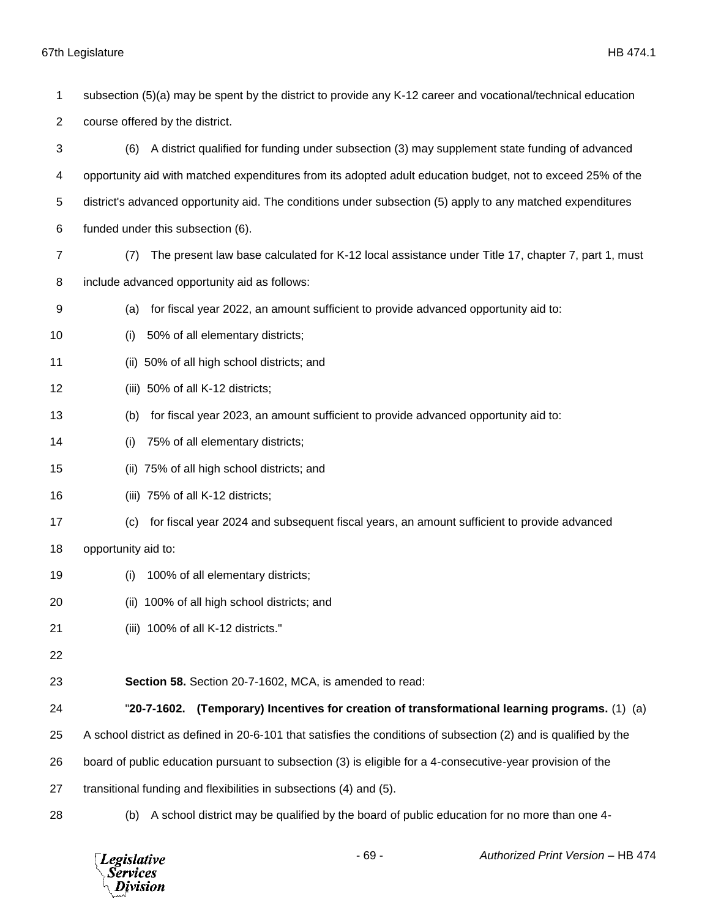subsection (5)(a) may be spent by the district to provide any K-12 career and vocational/technical education course offered by the district. (6) A district qualified for funding under subsection (3) may supplement state funding of advanced opportunity aid with matched expenditures from its adopted adult education budget, not to exceed 25% of the district's advanced opportunity aid. The conditions under subsection (5) apply to any matched expenditures funded under this subsection (6). (7) The present law base calculated for K-12 local assistance under Title 17, chapter 7, part 1, must include advanced opportunity aid as follows: (a) for fiscal year 2022, an amount sufficient to provide advanced opportunity aid to: (i) 50% of all elementary districts; (ii) 50% of all high school districts; and (iii) 50% of all K-12 districts; (b) for fiscal year 2023, an amount sufficient to provide advanced opportunity aid to: (i) 75% of all elementary districts; (ii) 75% of all high school districts; and (iii) 75% of all K-12 districts; (c) for fiscal year 2024 and subsequent fiscal years, an amount sufficient to provide advanced opportunity aid to: (i) 100% of all elementary districts; (ii) 100% of all high school districts; and (iii) 100% of all K-12 districts." **Section 58.** Section 20-7-1602, MCA, is amended to read: "**20-7-1602. (Temporary) Incentives for creation of transformational learning programs.** (1) (a) A school district as defined in 20-6-101 that satisfies the conditions of subsection (2) and is qualified by the board of public education pursuant to subsection (3) is eligible for a 4-consecutive-year provision of the transitional funding and flexibilities in subsections (4) and (5). (b) A school district may be qualified by the board of public education for no more than one 4-

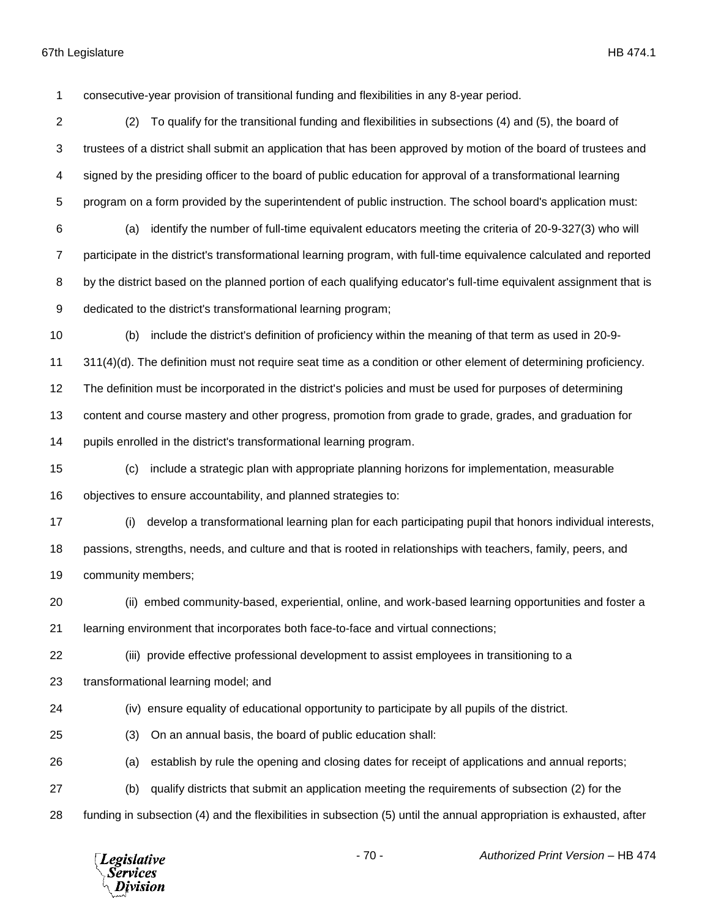consecutive-year provision of transitional funding and flexibilities in any 8-year period.

 (2) To qualify for the transitional funding and flexibilities in subsections (4) and (5), the board of trustees of a district shall submit an application that has been approved by motion of the board of trustees and signed by the presiding officer to the board of public education for approval of a transformational learning program on a form provided by the superintendent of public instruction. The school board's application must: (a) identify the number of full-time equivalent educators meeting the criteria of 20-9-327(3) who will participate in the district's transformational learning program, with full-time equivalence calculated and reported by the district based on the planned portion of each qualifying educator's full-time equivalent assignment that is dedicated to the district's transformational learning program;

(b) include the district's definition of proficiency within the meaning of that term as used in 20-9-

311(4)(d). The definition must not require seat time as a condition or other element of determining proficiency.

The definition must be incorporated in the district's policies and must be used for purposes of determining

content and course mastery and other progress, promotion from grade to grade, grades, and graduation for

pupils enrolled in the district's transformational learning program.

 (c) include a strategic plan with appropriate planning horizons for implementation, measurable objectives to ensure accountability, and planned strategies to:

 (i) develop a transformational learning plan for each participating pupil that honors individual interests, passions, strengths, needs, and culture and that is rooted in relationships with teachers, family, peers, and community members;

(ii) embed community-based, experiential, online, and work-based learning opportunities and foster a

learning environment that incorporates both face-to-face and virtual connections;

(iii) provide effective professional development to assist employees in transitioning to a

transformational learning model; and

(iv) ensure equality of educational opportunity to participate by all pupils of the district.

(3) On an annual basis, the board of public education shall:

(a) establish by rule the opening and closing dates for receipt of applications and annual reports;

- (b) qualify districts that submit an application meeting the requirements of subsection (2) for the
- funding in subsection (4) and the flexibilities in subsection (5) until the annual appropriation is exhausted, after

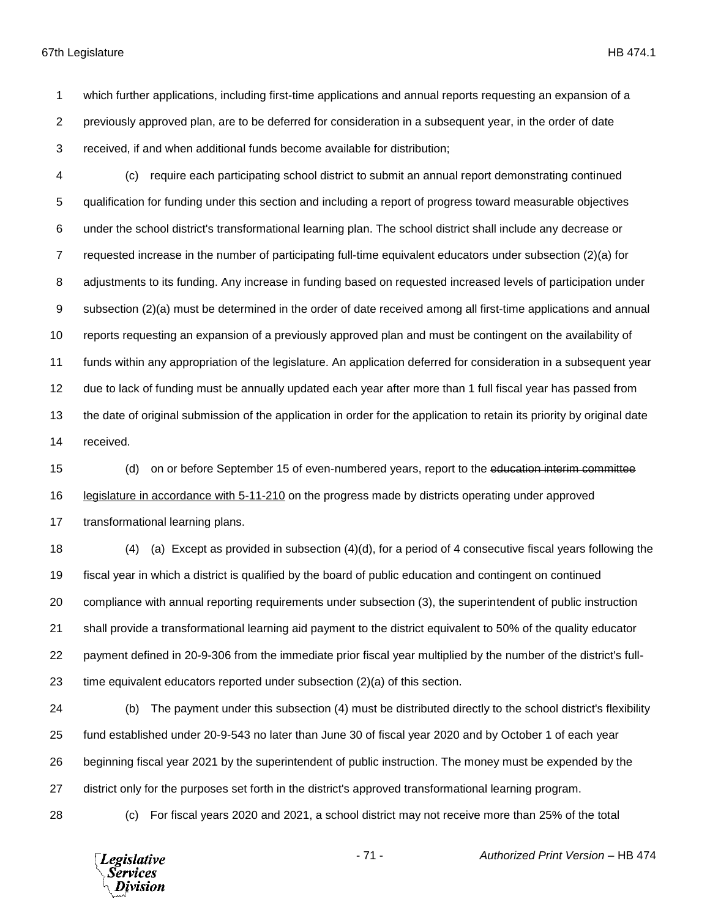which further applications, including first-time applications and annual reports requesting an expansion of a previously approved plan, are to be deferred for consideration in a subsequent year, in the order of date received, if and when additional funds become available for distribution;

 (c) require each participating school district to submit an annual report demonstrating continued qualification for funding under this section and including a report of progress toward measurable objectives under the school district's transformational learning plan. The school district shall include any decrease or requested increase in the number of participating full-time equivalent educators under subsection (2)(a) for adjustments to its funding. Any increase in funding based on requested increased levels of participation under subsection (2)(a) must be determined in the order of date received among all first-time applications and annual reports requesting an expansion of a previously approved plan and must be contingent on the availability of funds within any appropriation of the legislature. An application deferred for consideration in a subsequent year due to lack of funding must be annually updated each year after more than 1 full fiscal year has passed from the date of original submission of the application in order for the application to retain its priority by original date received.

 (d) on or before September 15 of even-numbered years, report to the education interim committee legislature in accordance with 5-11-210 on the progress made by districts operating under approved transformational learning plans.

 (4) (a) Except as provided in subsection (4)(d), for a period of 4 consecutive fiscal years following the fiscal year in which a district is qualified by the board of public education and contingent on continued compliance with annual reporting requirements under subsection (3), the superintendent of public instruction shall provide a transformational learning aid payment to the district equivalent to 50% of the quality educator payment defined in 20-9-306 from the immediate prior fiscal year multiplied by the number of the district's full-time equivalent educators reported under subsection (2)(a) of this section.

 (b) The payment under this subsection (4) must be distributed directly to the school district's flexibility fund established under 20-9-543 no later than June 30 of fiscal year 2020 and by October 1 of each year beginning fiscal year 2021 by the superintendent of public instruction. The money must be expended by the district only for the purposes set forth in the district's approved transformational learning program.

(c) For fiscal years 2020 and 2021, a school district may not receive more than 25% of the total

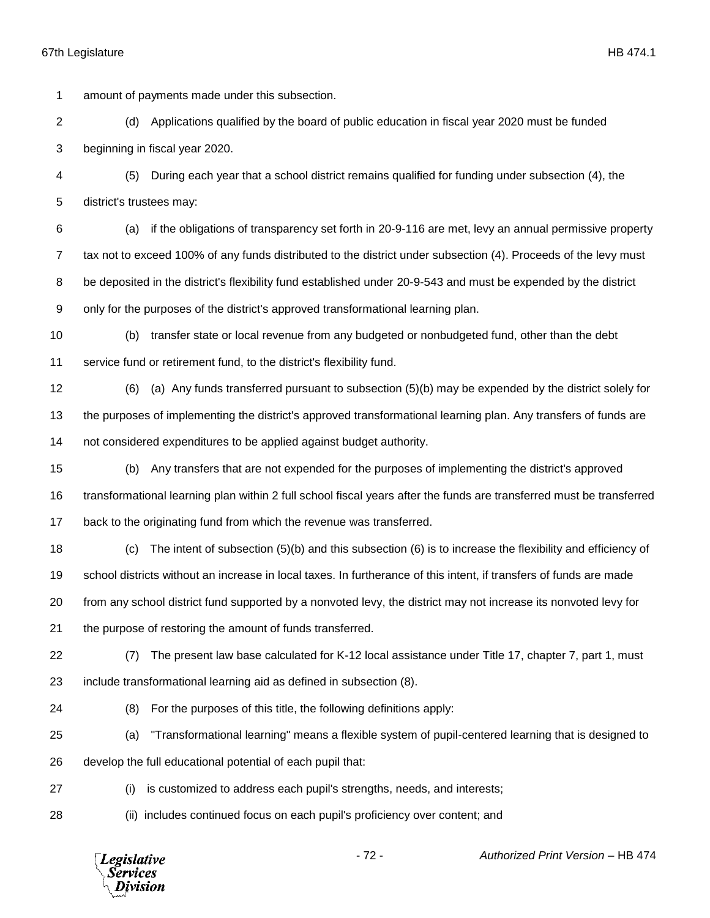amount of payments made under this subsection.

- (d) Applications qualified by the board of public education in fiscal year 2020 must be funded beginning in fiscal year 2020.
- (5) During each year that a school district remains qualified for funding under subsection (4), the district's trustees may:
- (a) if the obligations of transparency set forth in 20-9-116 are met, levy an annual permissive property tax not to exceed 100% of any funds distributed to the district under subsection (4). Proceeds of the levy must 8 be deposited in the district's flexibility fund established under 20-9-543 and must be expended by the district only for the purposes of the district's approved transformational learning plan.
- (b) transfer state or local revenue from any budgeted or nonbudgeted fund, other than the debt service fund or retirement fund, to the district's flexibility fund.
- (6) (a) Any funds transferred pursuant to subsection (5)(b) may be expended by the district solely for the purposes of implementing the district's approved transformational learning plan. Any transfers of funds are not considered expenditures to be applied against budget authority.
- (b) Any transfers that are not expended for the purposes of implementing the district's approved transformational learning plan within 2 full school fiscal years after the funds are transferred must be transferred back to the originating fund from which the revenue was transferred.
- (c) The intent of subsection (5)(b) and this subsection (6) is to increase the flexibility and efficiency of school districts without an increase in local taxes. In furtherance of this intent, if transfers of funds are made from any school district fund supported by a nonvoted levy, the district may not increase its nonvoted levy for
- the purpose of restoring the amount of funds transferred.
- (7) The present law base calculated for K-12 local assistance under Title 17, chapter 7, part 1, must include transformational learning aid as defined in subsection (8).
- 
- (8) For the purposes of this title, the following definitions apply:
- (a) "Transformational learning" means a flexible system of pupil-centered learning that is designed to develop the full educational potential of each pupil that:
- 
- (i) is customized to address each pupil's strengths, needs, and interests;
- 
- (ii) includes continued focus on each pupil's proficiency over content; and

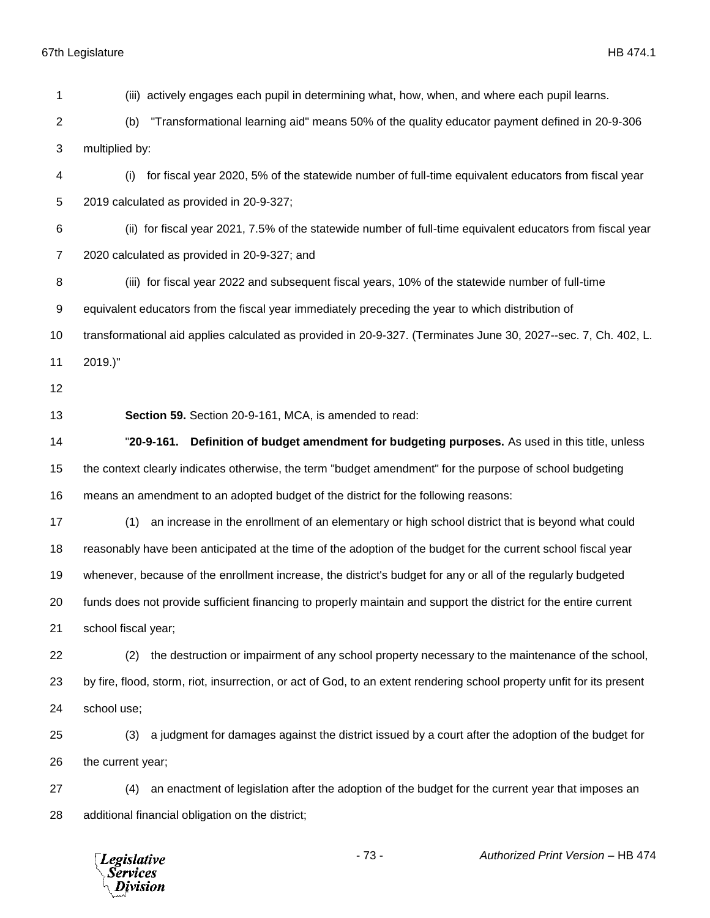(iii) actively engages each pupil in determining what, how, when, and where each pupil learns. (b) "Transformational learning aid" means 50% of the quality educator payment defined in 20-9-306 multiplied by: (i) for fiscal year 2020, 5% of the statewide number of full-time equivalent educators from fiscal year 2019 calculated as provided in 20-9-327; (ii) for fiscal year 2021, 7.5% of the statewide number of full-time equivalent educators from fiscal year 2020 calculated as provided in 20-9-327; and (iii) for fiscal year 2022 and subsequent fiscal years, 10% of the statewide number of full-time equivalent educators from the fiscal year immediately preceding the year to which distribution of transformational aid applies calculated as provided in 20-9-327. (Terminates June 30, 2027--sec. 7, Ch. 402, L. 2019.)" **Section 59.** Section 20-9-161, MCA, is amended to read: "**20-9-161. Definition of budget amendment for budgeting purposes.** As used in this title, unless the context clearly indicates otherwise, the term "budget amendment" for the purpose of school budgeting means an amendment to an adopted budget of the district for the following reasons: (1) an increase in the enrollment of an elementary or high school district that is beyond what could reasonably have been anticipated at the time of the adoption of the budget for the current school fiscal year whenever, because of the enrollment increase, the district's budget for any or all of the regularly budgeted funds does not provide sufficient financing to properly maintain and support the district for the entire current school fiscal year; (2) the destruction or impairment of any school property necessary to the maintenance of the school, by fire, flood, storm, riot, insurrection, or act of God, to an extent rendering school property unfit for its present school use; (3) a judgment for damages against the district issued by a court after the adoption of the budget for the current year; (4) an enactment of legislation after the adoption of the budget for the current year that imposes an additional financial obligation on the district;

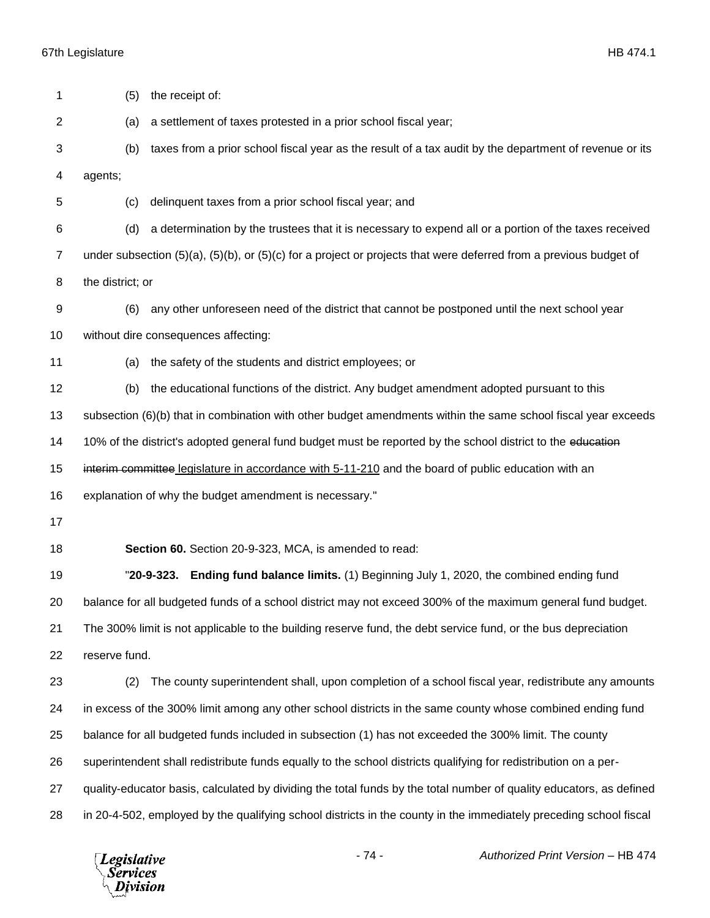| 1              | the receipt of:<br>(5)                                                                                              |
|----------------|---------------------------------------------------------------------------------------------------------------------|
| $\overline{2}$ | a settlement of taxes protested in a prior school fiscal year;<br>(a)                                               |
| 3              | taxes from a prior school fiscal year as the result of a tax audit by the department of revenue or its<br>(b)       |
| 4              | agents;                                                                                                             |
| 5              | delinquent taxes from a prior school fiscal year; and<br>(c)                                                        |
| 6              | a determination by the trustees that it is necessary to expend all or a portion of the taxes received<br>(d)        |
| $\overline{7}$ | under subsection (5)(a), (5)(b), or (5)(c) for a project or projects that were deferred from a previous budget of   |
| 8              | the district; or                                                                                                    |
| 9              | any other unforeseen need of the district that cannot be postponed until the next school year<br>(6)                |
| 10             | without dire consequences affecting:                                                                                |
| 11             | the safety of the students and district employees; or<br>(a)                                                        |
| 12             | the educational functions of the district. Any budget amendment adopted pursuant to this<br>(b)                     |
| 13             | subsection (6)(b) that in combination with other budget amendments within the same school fiscal year exceeds       |
| 14             | 10% of the district's adopted general fund budget must be reported by the school district to the education          |
| 15             | interim committee legislature in accordance with 5-11-210 and the board of public education with an                 |
| 16             | explanation of why the budget amendment is necessary."                                                              |
| 17             |                                                                                                                     |
| 18             | Section 60. Section 20-9-323, MCA, is amended to read:                                                              |
| 19             | Ending fund balance limits. (1) Beginning July 1, 2020, the combined ending fund<br>"20-9-323.                      |
| 20             | balance for all budgeted funds of a school district may not exceed 300% of the maximum general fund budget.         |
| 21             | The 300% limit is not applicable to the building reserve fund, the debt service fund, or the bus depreciation       |
| 22             | reserve fund.                                                                                                       |
| 23             |                                                                                                                     |
|                | The county superintendent shall, upon completion of a school fiscal year, redistribute any amounts<br>(2)           |
| 24             | in excess of the 300% limit among any other school districts in the same county whose combined ending fund          |
| 25             | balance for all budgeted funds included in subsection (1) has not exceeded the 300% limit. The county               |
| 26             | superintendent shall redistribute funds equally to the school districts qualifying for redistribution on a per-     |
| 27             | quality-educator basis, calculated by dividing the total funds by the total number of quality educators, as defined |
| 28             | in 20-4-502, employed by the qualifying school districts in the county in the immediately preceding school fiscal   |

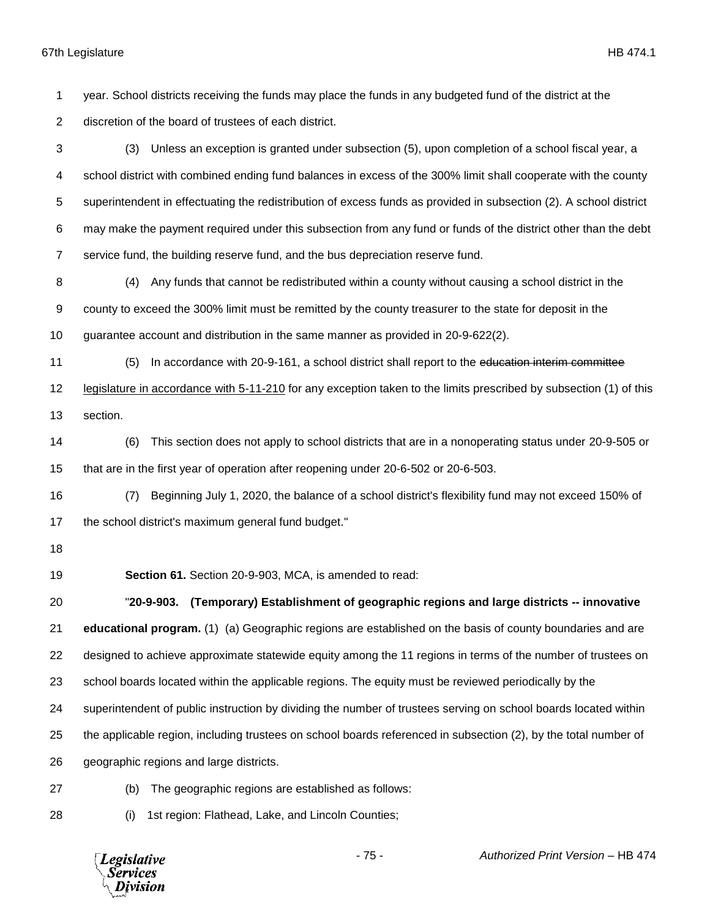year. School districts receiving the funds may place the funds in any budgeted fund of the district at the discretion of the board of trustees of each district.

 (3) Unless an exception is granted under subsection (5), upon completion of a school fiscal year, a school district with combined ending fund balances in excess of the 300% limit shall cooperate with the county superintendent in effectuating the redistribution of excess funds as provided in subsection (2). A school district may make the payment required under this subsection from any fund or funds of the district other than the debt service fund, the building reserve fund, and the bus depreciation reserve fund.

 (4) Any funds that cannot be redistributed within a county without causing a school district in the county to exceed the 300% limit must be remitted by the county treasurer to the state for deposit in the guarantee account and distribution in the same manner as provided in 20-9-622(2).

(5) In accordance with 20-9-161, a school district shall report to the education interim committee

 legislature in accordance with 5-11-210 for any exception taken to the limits prescribed by subsection (1) of this section.

 (6) This section does not apply to school districts that are in a nonoperating status under 20-9-505 or that are in the first year of operation after reopening under 20-6-502 or 20-6-503.

 (7) Beginning July 1, 2020, the balance of a school district's flexibility fund may not exceed 150% of the school district's maximum general fund budget."

**Section 61.** Section 20-9-903, MCA, is amended to read:

 "**20-9-903. (Temporary) Establishment of geographic regions and large districts -- innovative educational program.** (1) (a) Geographic regions are established on the basis of county boundaries and are designed to achieve approximate statewide equity among the 11 regions in terms of the number of trustees on school boards located within the applicable regions. The equity must be reviewed periodically by the superintendent of public instruction by dividing the number of trustees serving on school boards located within the applicable region, including trustees on school boards referenced in subsection (2), by the total number of geographic regions and large districts.

(b) The geographic regions are established as follows:

(i) 1st region: Flathead, Lake, and Lincoln Counties;

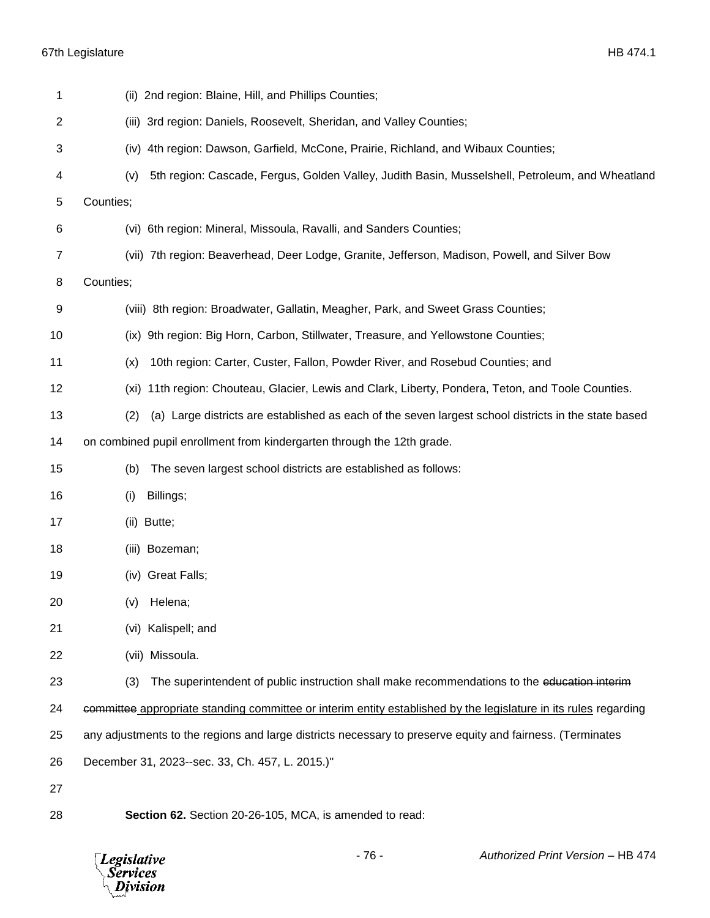| 1  | (ii) 2nd region: Blaine, Hill, and Phillips Counties;                                                            |
|----|------------------------------------------------------------------------------------------------------------------|
| 2  | (iii) 3rd region: Daniels, Roosevelt, Sheridan, and Valley Counties;                                             |
| 3  | 4th region: Dawson, Garfield, McCone, Prairie, Richland, and Wibaux Counties;<br>(iv)                            |
| 4  | 5th region: Cascade, Fergus, Golden Valley, Judith Basin, Musselshell, Petroleum, and Wheatland<br>(v)           |
| 5  | Counties;                                                                                                        |
| 6  | (vi) 6th region: Mineral, Missoula, Ravalli, and Sanders Counties;                                               |
| 7  | (vii) 7th region: Beaverhead, Deer Lodge, Granite, Jefferson, Madison, Powell, and Silver Bow                    |
| 8  | Counties;                                                                                                        |
| 9  | (viii) 8th region: Broadwater, Gallatin, Meagher, Park, and Sweet Grass Counties;                                |
| 10 | (ix) 9th region: Big Horn, Carbon, Stillwater, Treasure, and Yellowstone Counties;                               |
| 11 | 10th region: Carter, Custer, Fallon, Powder River, and Rosebud Counties; and<br>(x)                              |
| 12 | 11th region: Chouteau, Glacier, Lewis and Clark, Liberty, Pondera, Teton, and Toole Counties.<br>(xi)            |
| 13 | (a) Large districts are established as each of the seven largest school districts in the state based<br>(2)      |
| 14 | on combined pupil enrollment from kindergarten through the 12th grade.                                           |
| 15 | The seven largest school districts are established as follows:<br>(b)                                            |
| 16 | Billings;<br>(i)                                                                                                 |
| 17 | (ii) Butte;                                                                                                      |
| 18 | (iii) Bozeman;                                                                                                   |
| 19 | (iv) Great Falls;                                                                                                |
| 20 | Helena;<br>(V)                                                                                                   |
| 21 | (vi) Kalispell; and                                                                                              |
| 22 | (vii) Missoula.                                                                                                  |
| 23 | The superintendent of public instruction shall make recommendations to the education interim<br>(3)              |
| 24 | committee appropriate standing committee or interim entity established by the legislature in its rules regarding |
| 25 | any adjustments to the regions and large districts necessary to preserve equity and fairness. (Terminates        |
| 26 | December 31, 2023--sec. 33, Ch. 457, L. 2015.)"                                                                  |
| 27 |                                                                                                                  |
| 28 | Section 62. Section 20-26-105, MCA, is amended to read:                                                          |

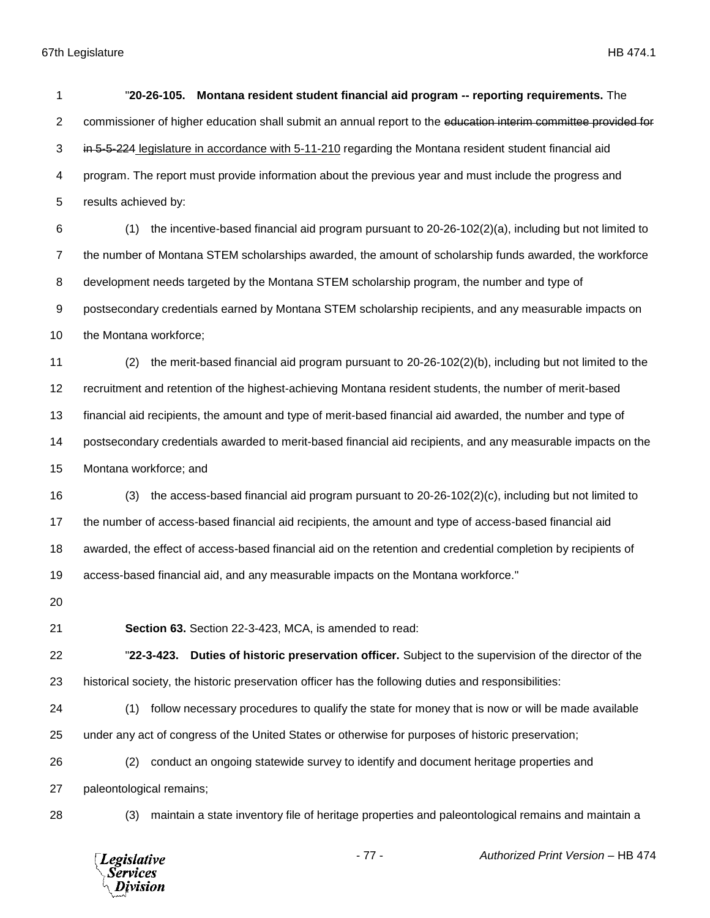| 1              | "20-26-105. Montana resident student financial aid program -- reporting requirements. The                      |
|----------------|----------------------------------------------------------------------------------------------------------------|
| $\overline{2}$ | commissioner of higher education shall submit an annual report to the education interim committee provided for |
| 3              | in 5-5-224 legislature in accordance with 5-11-210 regarding the Montana resident student financial aid        |
| 4              | program. The report must provide information about the previous year and must include the progress and         |
| 5              | results achieved by:                                                                                           |
| 6              | (1)<br>the incentive-based financial aid program pursuant to 20-26-102(2)(a), including but not limited to     |
| $\overline{7}$ | the number of Montana STEM scholarships awarded, the amount of scholarship funds awarded, the workforce        |
| 8              | development needs targeted by the Montana STEM scholarship program, the number and type of                     |
| 9              | postsecondary credentials earned by Montana STEM scholarship recipients, and any measurable impacts on         |
| 10             | the Montana workforce;                                                                                         |
| 11             | the merit-based financial aid program pursuant to 20-26-102(2)(b), including but not limited to the<br>(2)     |
| 12             | recruitment and retention of the highest-achieving Montana resident students, the number of merit-based        |
| 13             | financial aid recipients, the amount and type of merit-based financial aid awarded, the number and type of     |
| 14             | postsecondary credentials awarded to merit-based financial aid recipients, and any measurable impacts on the   |
| 15             | Montana workforce; and                                                                                         |
| 16             | the access-based financial aid program pursuant to 20-26-102(2)(c), including but not limited to<br>(3)        |
| 17             | the number of access-based financial aid recipients, the amount and type of access-based financial aid         |
| 18             | awarded, the effect of access-based financial aid on the retention and credential completion by recipients of  |
| 19             | access-based financial aid, and any measurable impacts on the Montana workforce."                              |
| 20             |                                                                                                                |
| 21             | Section 63. Section 22-3-423, MCA, is amended to read:                                                         |
| 22             | Duties of historic preservation officer. Subject to the supervision of the director of the<br>"22-3-423.       |
| 23             | historical society, the historic preservation officer has the following duties and responsibilities:           |
| 24             | follow necessary procedures to qualify the state for money that is now or will be made available<br>(1)        |
| 25             | under any act of congress of the United States or otherwise for purposes of historic preservation;             |
| 26             | conduct an ongoing statewide survey to identify and document heritage properties and<br>(2)                    |
| 27             | paleontological remains;                                                                                       |
| 28             | maintain a state inventory file of heritage properties and paleontological remains and maintain a<br>(3)       |
|                |                                                                                                                |

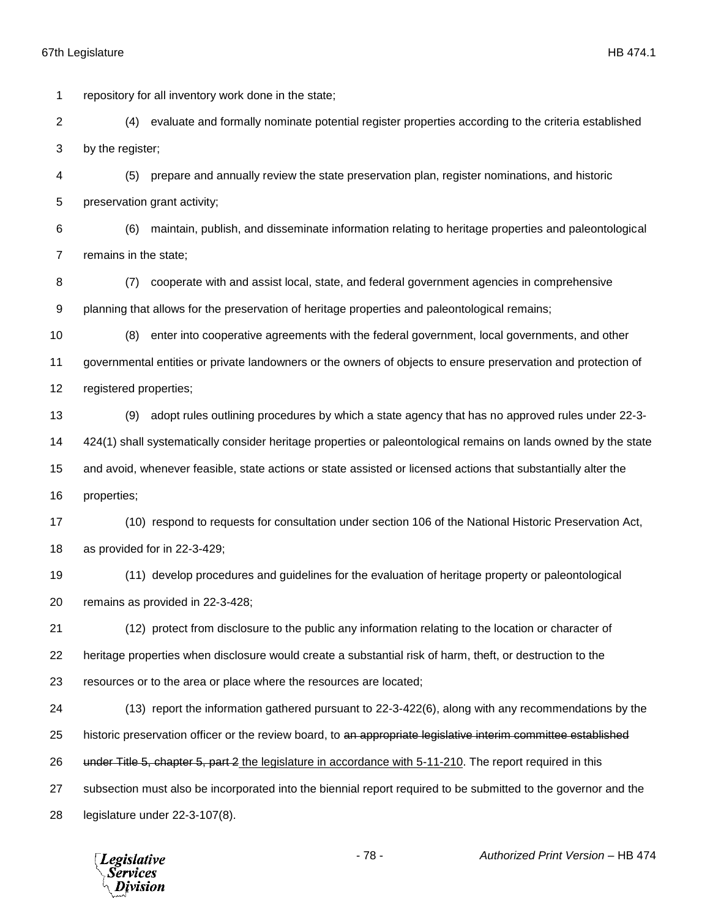repository for all inventory work done in the state; (4) evaluate and formally nominate potential register properties according to the criteria established by the register; (5) prepare and annually review the state preservation plan, register nominations, and historic preservation grant activity; (6) maintain, publish, and disseminate information relating to heritage properties and paleontological remains in the state; (7) cooperate with and assist local, state, and federal government agencies in comprehensive planning that allows for the preservation of heritage properties and paleontological remains; (8) enter into cooperative agreements with the federal government, local governments, and other governmental entities or private landowners or the owners of objects to ensure preservation and protection of registered properties; (9) adopt rules outlining procedures by which a state agency that has no approved rules under 22-3- 424(1) shall systematically consider heritage properties or paleontological remains on lands owned by the state and avoid, whenever feasible, state actions or state assisted or licensed actions that substantially alter the properties; (10) respond to requests for consultation under section 106 of the National Historic Preservation Act, as provided for in 22-3-429; (11) develop procedures and guidelines for the evaluation of heritage property or paleontological remains as provided in 22-3-428; (12) protect from disclosure to the public any information relating to the location or character of heritage properties when disclosure would create a substantial risk of harm, theft, or destruction to the resources or to the area or place where the resources are located; (13) report the information gathered pursuant to 22-3-422(6), along with any recommendations by the 25 historic preservation officer or the review board, to an appropriate legislative interim committee established 26 under Title 5, chapter 5, part 2 the legislature in accordance with 5-11-210. The report required in this subsection must also be incorporated into the biennial report required to be submitted to the governor and the legislature under 22-3-107(8).

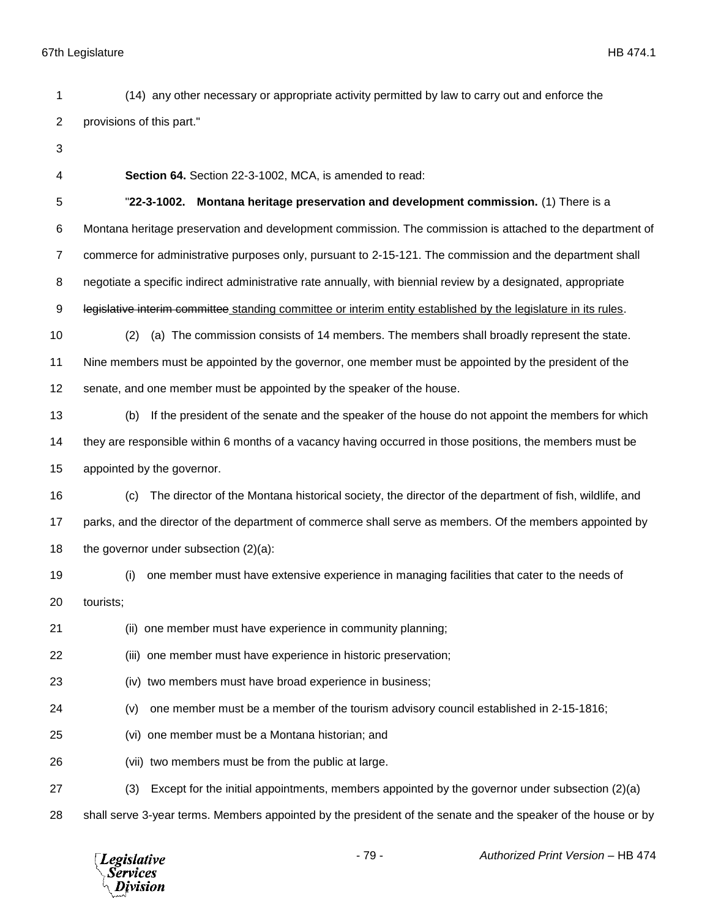(14) any other necessary or appropriate activity permitted by law to carry out and enforce the provisions of this part."

- 
- 

**Section 64.** Section 22-3-1002, MCA, is amended to read:

"**22-3-1002. Montana heritage preservation and development commission.** (1) There is a

Montana heritage preservation and development commission. The commission is attached to the department of

commerce for administrative purposes only, pursuant to 2-15-121. The commission and the department shall

negotiate a specific indirect administrative rate annually, with biennial review by a designated, appropriate

9 legislative interim committee standing committee or interim entity established by the legislature in its rules.

 (2) (a) The commission consists of 14 members. The members shall broadly represent the state. Nine members must be appointed by the governor, one member must be appointed by the president of the

senate, and one member must be appointed by the speaker of the house.

 (b) If the president of the senate and the speaker of the house do not appoint the members for which they are responsible within 6 months of a vacancy having occurred in those positions, the members must be appointed by the governor.

 (c) The director of the Montana historical society, the director of the department of fish, wildlife, and parks, and the director of the department of commerce shall serve as members. Of the members appointed by 18 the governor under subsection  $(2)(a)$ :

 (i) one member must have extensive experience in managing facilities that cater to the needs of tourists;

(ii) one member must have experience in community planning;

(iii) one member must have experience in historic preservation;

- (iv) two members must have broad experience in business;
- (v) one member must be a member of the tourism advisory council established in 2-15-1816;
- (vi) one member must be a Montana historian; and
- (vii) two members must be from the public at large.
- (3) Except for the initial appointments, members appointed by the governor under subsection (2)(a)
- shall serve 3-year terms. Members appointed by the president of the senate and the speaker of the house or by

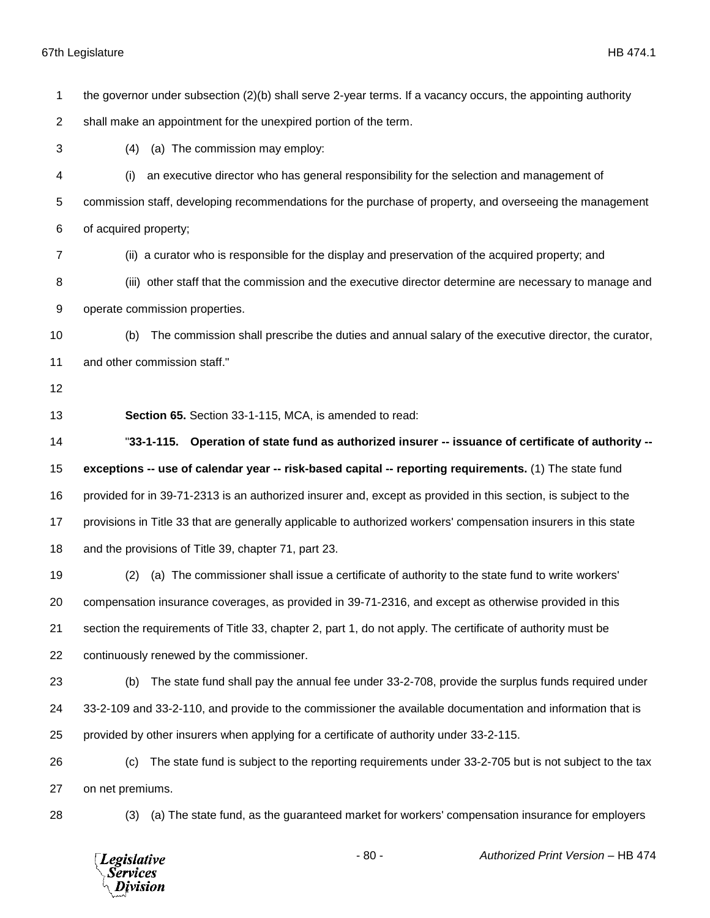the governor under subsection (2)(b) shall serve 2-year terms. If a vacancy occurs, the appointing authority

shall make an appointment for the unexpired portion of the term.

(4) (a) The commission may employ:

 (i) an executive director who has general responsibility for the selection and management of commission staff, developing recommendations for the purchase of property, and overseeing the management of acquired property;

(ii) a curator who is responsible for the display and preservation of the acquired property; and

 (iii) other staff that the commission and the executive director determine are necessary to manage and operate commission properties.

 (b) The commission shall prescribe the duties and annual salary of the executive director, the curator, and other commission staff."

**Section 65.** Section 33-1-115, MCA, is amended to read:

 "**33-1-115. Operation of state fund as authorized insurer -- issuance of certificate of authority -- exceptions -- use of calendar year -- risk-based capital -- reporting requirements.** (1) The state fund provided for in 39-71-2313 is an authorized insurer and, except as provided in this section, is subject to the provisions in Title 33 that are generally applicable to authorized workers' compensation insurers in this state and the provisions of Title 39, chapter 71, part 23.

 (2) (a) The commissioner shall issue a certificate of authority to the state fund to write workers' compensation insurance coverages, as provided in 39-71-2316, and except as otherwise provided in this section the requirements of Title 33, chapter 2, part 1, do not apply. The certificate of authority must be continuously renewed by the commissioner.

 (b) The state fund shall pay the annual fee under 33-2-708, provide the surplus funds required under 33-2-109 and 33-2-110, and provide to the commissioner the available documentation and information that is provided by other insurers when applying for a certificate of authority under 33-2-115.

 (c) The state fund is subject to the reporting requirements under 33-2-705 but is not subject to the tax on net premiums.

(3) (a) The state fund, as the guaranteed market for workers' compensation insurance for employers

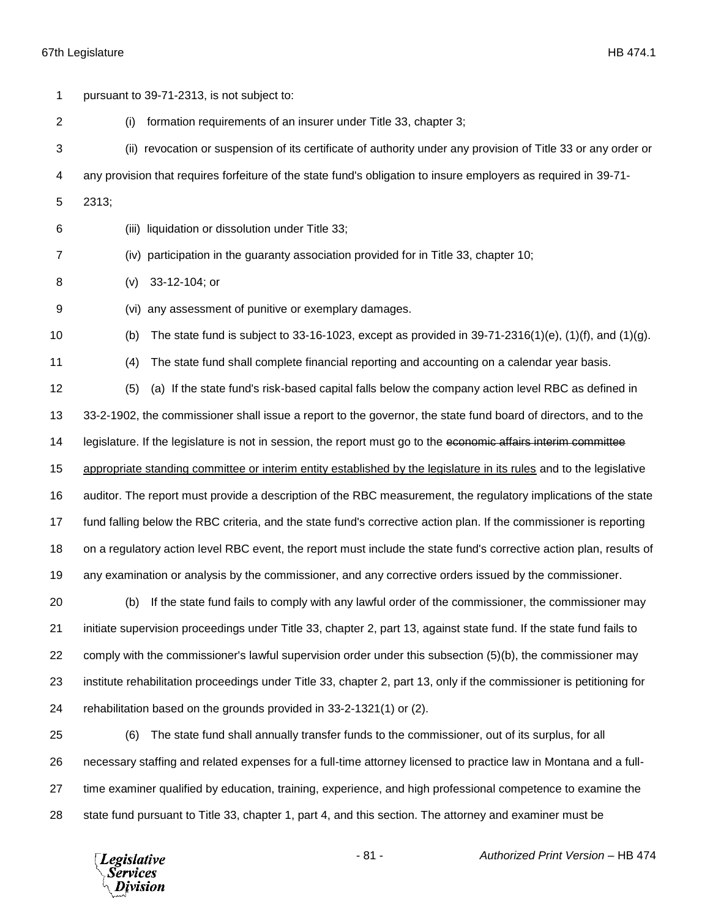| 1  | pursuant to 39-71-2313, is not subject to:                                                                           |
|----|----------------------------------------------------------------------------------------------------------------------|
| 2  | formation requirements of an insurer under Title 33, chapter 3;<br>(i)                                               |
| 3  | (ii) revocation or suspension of its certificate of authority under any provision of Title 33 or any order or        |
| 4  | any provision that requires forfeiture of the state fund's obligation to insure employers as required in 39-71-      |
| 5  | 2313;                                                                                                                |
| 6  | (iii) liquidation or dissolution under Title 33;                                                                     |
| 7  | (iv) participation in the guaranty association provided for in Title 33, chapter 10;                                 |
| 8  | 33-12-104; or<br>(v)                                                                                                 |
| 9  | any assessment of punitive or exemplary damages.<br>(Vi)                                                             |
| 10 | The state fund is subject to 33-16-1023, except as provided in $39-71-2316(1)(e)$ , (1)(f), and (1)(g).<br>(b)       |
| 11 | The state fund shall complete financial reporting and accounting on a calendar year basis.<br>(4)                    |
| 12 | (a) If the state fund's risk-based capital falls below the company action level RBC as defined in<br>(5)             |
| 13 | 33-2-1902, the commissioner shall issue a report to the governor, the state fund board of directors, and to the      |
| 14 | legislature. If the legislature is not in session, the report must go to the economic affairs interim committee      |
| 15 | appropriate standing committee or interim entity established by the legislature in its rules and to the legislative  |
| 16 | auditor. The report must provide a description of the RBC measurement, the regulatory implications of the state      |
| 17 | fund falling below the RBC criteria, and the state fund's corrective action plan. If the commissioner is reporting   |
| 18 | on a regulatory action level RBC event, the report must include the state fund's corrective action plan, results of  |
| 19 | any examination or analysis by the commissioner, and any corrective orders issued by the commissioner.               |
| 20 | (b) If the state fund fails to comply with any lawful order of the commissioner, the commissioner may                |
| 21 | initiate supervision proceedings under Title 33, chapter 2, part 13, against state fund. If the state fund fails to  |
| 22 | comply with the commissioner's lawful supervision order under this subsection (5)(b), the commissioner may           |
| 23 | institute rehabilitation proceedings under Title 33, chapter 2, part 13, only if the commissioner is petitioning for |
| 24 | rehabilitation based on the grounds provided in 33-2-1321(1) or (2).                                                 |
| 25 | The state fund shall annually transfer funds to the commissioner, out of its surplus, for all<br>(6)                 |
| 26 | necessary staffing and related expenses for a full-time attorney licensed to practice law in Montana and a full-     |
| 27 | time examiner qualified by education, training, experience, and high professional competence to examine the          |
| 28 | state fund pursuant to Title 33, chapter 1, part 4, and this section. The attorney and examiner must be              |

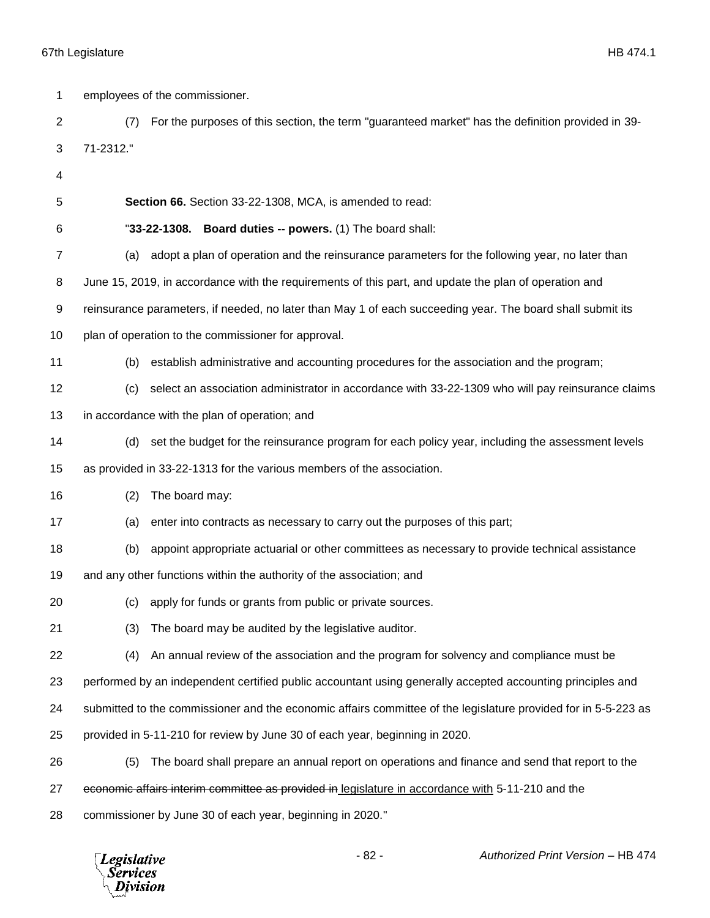| 1  |           | employees of the commissioner.                                                                                 |
|----|-----------|----------------------------------------------------------------------------------------------------------------|
| 2  | (7)       | For the purposes of this section, the term "guaranteed market" has the definition provided in 39-              |
| 3  | 71-2312." |                                                                                                                |
| 4  |           |                                                                                                                |
| 5  |           | Section 66. Section 33-22-1308, MCA, is amended to read:                                                       |
| 6  |           | "33-22-1308. Board duties -- powers. (1) The board shall:                                                      |
| 7  | (a)       | adopt a plan of operation and the reinsurance parameters for the following year, no later than                 |
| 8  |           | June 15, 2019, in accordance with the requirements of this part, and update the plan of operation and          |
| 9  |           | reinsurance parameters, if needed, no later than May 1 of each succeeding year. The board shall submit its     |
| 10 |           | plan of operation to the commissioner for approval.                                                            |
| 11 | (b)       | establish administrative and accounting procedures for the association and the program;                        |
| 12 | (c)       | select an association administrator in accordance with 33-22-1309 who will pay reinsurance claims              |
| 13 |           | in accordance with the plan of operation; and                                                                  |
| 14 | (d)       | set the budget for the reinsurance program for each policy year, including the assessment levels               |
| 15 |           | as provided in 33-22-1313 for the various members of the association.                                          |
| 16 | (2)       | The board may:                                                                                                 |
| 17 | (a)       | enter into contracts as necessary to carry out the purposes of this part;                                      |
| 18 | (b)       | appoint appropriate actuarial or other committees as necessary to provide technical assistance                 |
| 19 |           | and any other functions within the authority of the association; and                                           |
| 20 |           | (c) apply for funds or grants from public or private sources.                                                  |
| 21 | (3)       | The board may be audited by the legislative auditor.                                                           |
| 22 | (4)       | An annual review of the association and the program for solvency and compliance must be                        |
| 23 |           | performed by an independent certified public accountant using generally accepted accounting principles and     |
| 24 |           | submitted to the commissioner and the economic affairs committee of the legislature provided for in 5-5-223 as |
| 25 |           | provided in 5-11-210 for review by June 30 of each year, beginning in 2020.                                    |
| 26 | (5)       | The board shall prepare an annual report on operations and finance and send that report to the                 |
| 27 |           | economic affairs interim committee as provided in legislature in accordance with 5-11-210 and the              |
| 28 |           | commissioner by June 30 of each year, beginning in 2020."                                                      |

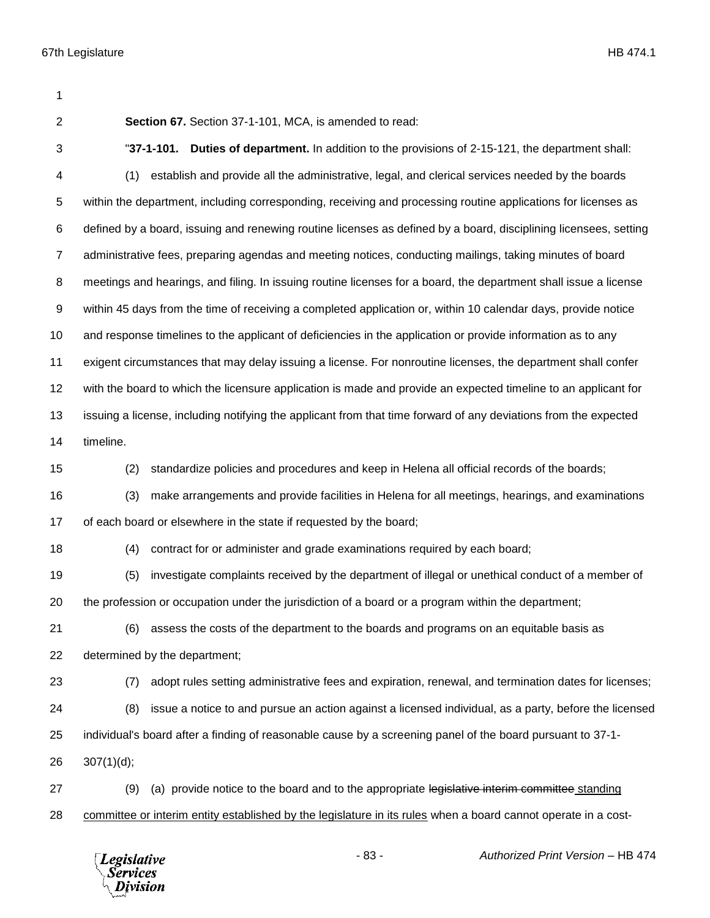| 1              |                                                                                                                  |
|----------------|------------------------------------------------------------------------------------------------------------------|
| $\overline{2}$ | Section 67. Section 37-1-101, MCA, is amended to read:                                                           |
| 3              | "37-1-101. Duties of department. In addition to the provisions of 2-15-121, the department shall:                |
| 4              | establish and provide all the administrative, legal, and clerical services needed by the boards<br>(1)           |
| 5              | within the department, including corresponding, receiving and processing routine applications for licenses as    |
| 6              | defined by a board, issuing and renewing routine licenses as defined by a board, disciplining licensees, setting |
| $\overline{7}$ | administrative fees, preparing agendas and meeting notices, conducting mailings, taking minutes of board         |
| 8              | meetings and hearings, and filing. In issuing routine licenses for a board, the department shall issue a license |
| 9              | within 45 days from the time of receiving a completed application or, within 10 calendar days, provide notice    |
| 10             | and response timelines to the applicant of deficiencies in the application or provide information as to any      |
| 11             | exigent circumstances that may delay issuing a license. For nonroutine licenses, the department shall confer     |
| 12             | with the board to which the licensure application is made and provide an expected timeline to an applicant for   |
| 13             | issuing a license, including notifying the applicant from that time forward of any deviations from the expected  |
| 14             | timeline.                                                                                                        |
| 15             | (2)<br>standardize policies and procedures and keep in Helena all official records of the boards;                |
| 16             | (3)<br>make arrangements and provide facilities in Helena for all meetings, hearings, and examinations           |
| 17             | of each board or elsewhere in the state if requested by the board;                                               |
| 18             | (4)<br>contract for or administer and grade examinations required by each board;                                 |
| 19             | investigate complaints received by the department of illegal or unethical conduct of a member of<br>(5)          |
| 20             | the profession or occupation under the jurisdiction of a board or a program within the department;               |
| 21             | assess the costs of the department to the boards and programs on an equitable basis as<br>(6)                    |
| 22             | determined by the department;                                                                                    |
| 23             | adopt rules setting administrative fees and expiration, renewal, and termination dates for licenses;<br>(7)      |
| 24             | issue a notice to and pursue an action against a licensed individual, as a party, before the licensed<br>(8)     |
| 25             | individual's board after a finding of reasonable cause by a screening panel of the board pursuant to 37-1-       |
| 26             | 307(1)(d);                                                                                                       |
| 27             | (a) provide notice to the board and to the appropriate legislative interim committee standing<br>(9)             |
| 28             | committee or interim entity established by the legislature in its rules when a board cannot operate in a cost-   |
|                |                                                                                                                  |

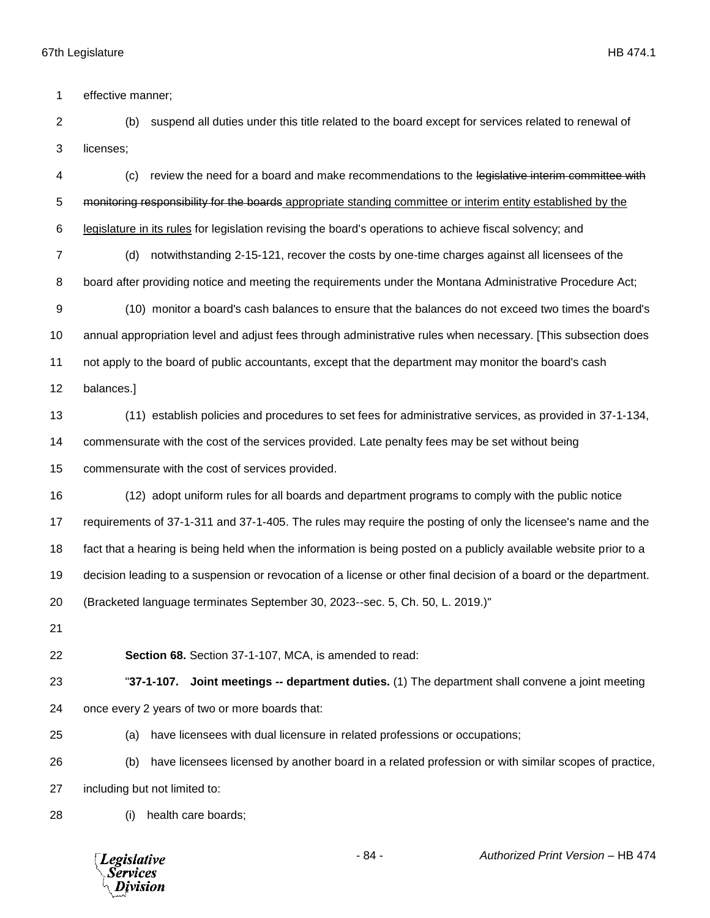effective manner;

 (b) suspend all duties under this title related to the board except for services related to renewal of licenses;

 (c) review the need for a board and make recommendations to the legislative interim committee with 5 monitoring responsibility for the boards appropriate standing committee or interim entity established by the legislature in its rules for legislation revising the board's operations to achieve fiscal solvency; and

 (d) notwithstanding 2-15-121, recover the costs by one-time charges against all licensees of the 8 board after providing notice and meeting the requirements under the Montana Administrative Procedure Act;

 (10) monitor a board's cash balances to ensure that the balances do not exceed two times the board's annual appropriation level and adjust fees through administrative rules when necessary. [This subsection does not apply to the board of public accountants, except that the department may monitor the board's cash

balances.]

(11) establish policies and procedures to set fees for administrative services, as provided in 37-1-134,

commensurate with the cost of the services provided. Late penalty fees may be set without being

commensurate with the cost of services provided.

 (12) adopt uniform rules for all boards and department programs to comply with the public notice requirements of 37-1-311 and 37-1-405. The rules may require the posting of only the licensee's name and the fact that a hearing is being held when the information is being posted on a publicly available website prior to a decision leading to a suspension or revocation of a license or other final decision of a board or the department. (Bracketed language terminates September 30, 2023--sec. 5, Ch. 50, L. 2019.)"

**Section 68.** Section 37-1-107, MCA, is amended to read:

 "**37-1-107. Joint meetings -- department duties.** (1) The department shall convene a joint meeting once every 2 years of two or more boards that:

(a) have licensees with dual licensure in related professions or occupations;

 (b) have licensees licensed by another board in a related profession or with similar scopes of practice, including but not limited to:

(i) health care boards;

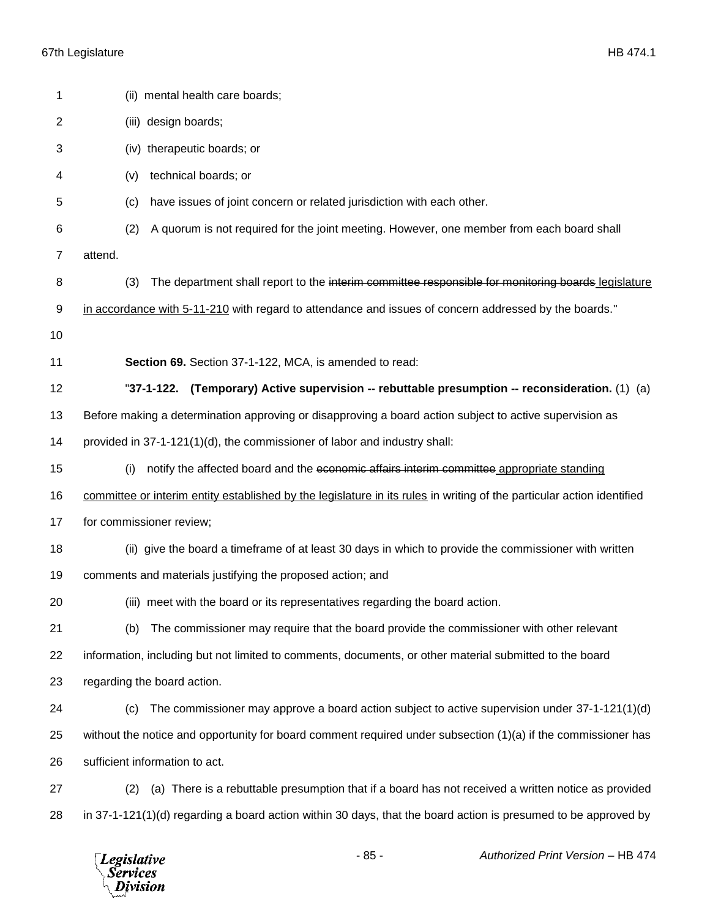*Legislative*<br>Services<br>*Division* 

| 1              | (ii) mental health care boards;                                                                                        |
|----------------|------------------------------------------------------------------------------------------------------------------------|
| $\overline{2}$ | (iii) design boards;                                                                                                   |
| 3              | (iv) therapeutic boards; or                                                                                            |
| 4              | technical boards; or<br>(v)                                                                                            |
| 5              | have issues of joint concern or related jurisdiction with each other.<br>(c)                                           |
| 6              | A quorum is not required for the joint meeting. However, one member from each board shall<br>(2)                       |
| 7              | attend.                                                                                                                |
| 8              | The department shall report to the interim committee responsible for monitoring boards legislature<br>(3)              |
| 9              | in accordance with 5-11-210 with regard to attendance and issues of concern addressed by the boards."                  |
| 10             |                                                                                                                        |
| 11             | Section 69. Section 37-1-122, MCA, is amended to read:                                                                 |
| 12             | "37-1-122. (Temporary) Active supervision -- rebuttable presumption -- reconsideration. (1) (a)                        |
| 13             | Before making a determination approving or disapproving a board action subject to active supervision as                |
| 14             | provided in 37-1-121(1)(d), the commissioner of labor and industry shall:                                              |
| 15             | notify the affected board and the economic affairs interim committee appropriate standing<br>(i)                       |
| 16             | committee or interim entity established by the legislature in its rules in writing of the particular action identified |
| 17             | for commissioner review;                                                                                               |
| 18             | (ii) give the board a timeframe of at least 30 days in which to provide the commissioner with written                  |
| 19             | comments and materials justifying the proposed action; and                                                             |
| 20             | (iii) meet with the board or its representatives regarding the board action.                                           |
| 21             | The commissioner may require that the board provide the commissioner with other relevant<br>(b)                        |
| 22             | information, including but not limited to comments, documents, or other material submitted to the board                |
| 23             | regarding the board action.                                                                                            |
| 24             | The commissioner may approve a board action subject to active supervision under 37-1-121(1)(d)<br>(c)                  |
| 25             | without the notice and opportunity for board comment required under subsection (1)(a) if the commissioner has          |
| 26             | sufficient information to act.                                                                                         |
| 27             | (a) There is a rebuttable presumption that if a board has not received a written notice as provided<br>(2)             |
| 28             | in 37-1-121(1)(d) regarding a board action within 30 days, that the board action is presumed to be approved by         |
|                |                                                                                                                        |

- 85 - *Authorized Print Version* – HB 474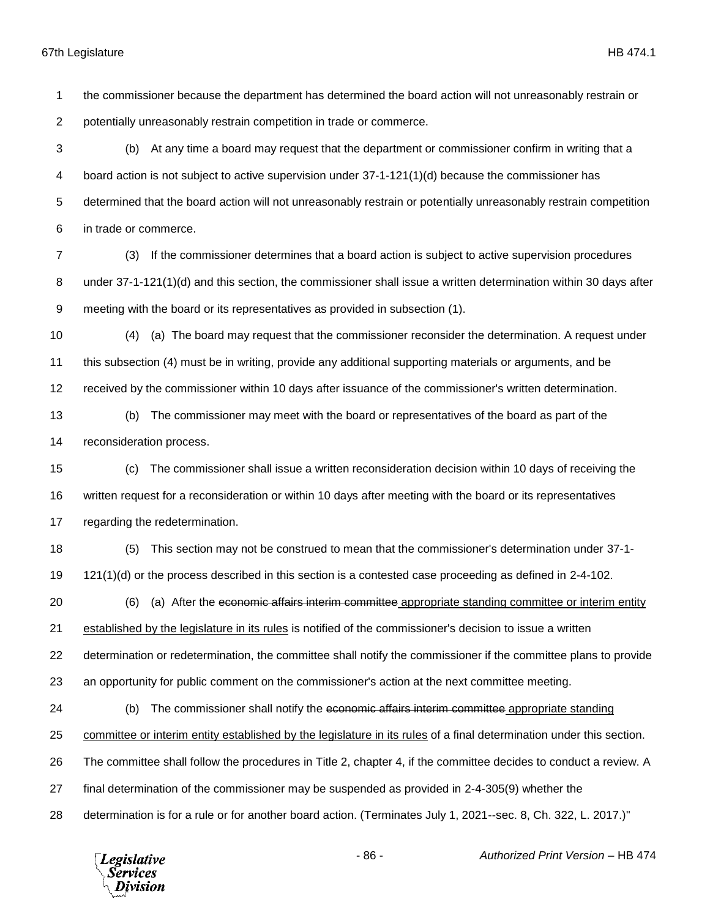the commissioner because the department has determined the board action will not unreasonably restrain or potentially unreasonably restrain competition in trade or commerce. (b) At any time a board may request that the department or commissioner confirm in writing that a board action is not subject to active supervision under 37-1-121(1)(d) because the commissioner has determined that the board action will not unreasonably restrain or potentially unreasonably restrain competition in trade or commerce. (3) If the commissioner determines that a board action is subject to active supervision procedures under 37-1-121(1)(d) and this section, the commissioner shall issue a written determination within 30 days after meeting with the board or its representatives as provided in subsection (1). (4) (a) The board may request that the commissioner reconsider the determination. A request under this subsection (4) must be in writing, provide any additional supporting materials or arguments, and be received by the commissioner within 10 days after issuance of the commissioner's written determination. (b) The commissioner may meet with the board or representatives of the board as part of the reconsideration process. (c) The commissioner shall issue a written reconsideration decision within 10 days of receiving the written request for a reconsideration or within 10 days after meeting with the board or its representatives regarding the redetermination. (5) This section may not be construed to mean that the commissioner's determination under 37-1- 121(1)(d) or the process described in this section is a contested case proceeding as defined in 2-4-102. (6) (a) After the economic affairs interim committee appropriate standing committee or interim entity established by the legislature in its rules is notified of the commissioner's decision to issue a written determination or redetermination, the committee shall notify the commissioner if the committee plans to provide an opportunity for public comment on the commissioner's action at the next committee meeting. (b) The commissioner shall notify the economic affairs interim committee appropriate standing committee or interim entity established by the legislature in its rules of a final determination under this section. The committee shall follow the procedures in Title 2, chapter 4, if the committee decides to conduct a review. A final determination of the commissioner may be suspended as provided in 2-4-305(9) whether the determination is for a rule or for another board action. (Terminates July 1, 2021--sec. 8, Ch. 322, L. 2017.)"



- 86 - *Authorized Print Version* – HB 474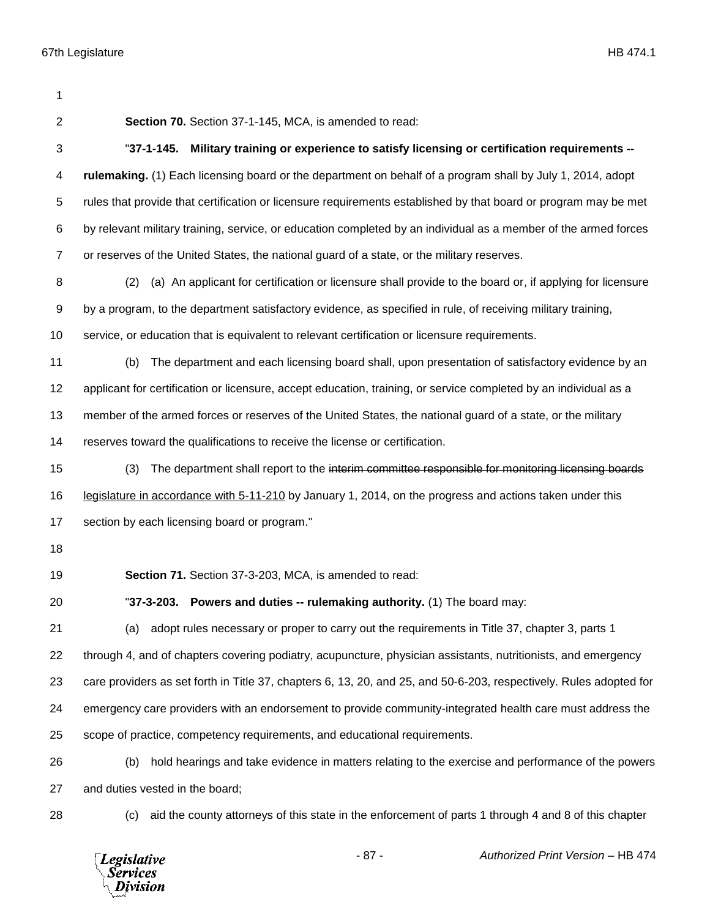| 1              |                                                                                                                    |
|----------------|--------------------------------------------------------------------------------------------------------------------|
| $\overline{2}$ | Section 70. Section 37-1-145, MCA, is amended to read:                                                             |
| 3              | "37-1-145. Military training or experience to satisfy licensing or certification requirements --                   |
| 4              | rulemaking. (1) Each licensing board or the department on behalf of a program shall by July 1, 2014, adopt         |
| 5              | rules that provide that certification or licensure requirements established by that board or program may be met    |
| 6              | by relevant military training, service, or education completed by an individual as a member of the armed forces    |
| $\overline{7}$ | or reserves of the United States, the national guard of a state, or the military reserves.                         |
| 8              | (a) An applicant for certification or licensure shall provide to the board or, if applying for licensure<br>(2)    |
| 9              | by a program, to the department satisfactory evidence, as specified in rule, of receiving military training,       |
| 10             | service, or education that is equivalent to relevant certification or licensure requirements.                      |
| 11             | The department and each licensing board shall, upon presentation of satisfactory evidence by an<br>(b)             |
| 12             | applicant for certification or licensure, accept education, training, or service completed by an individual as a   |
| 13             | member of the armed forces or reserves of the United States, the national guard of a state, or the military        |
| 14             | reserves toward the qualifications to receive the license or certification.                                        |
| 15             | The department shall report to the interim committee responsible for monitoring licensing boards<br>(3)            |
| 16             | legislature in accordance with 5-11-210 by January 1, 2014, on the progress and actions taken under this           |
| 17             | section by each licensing board or program."                                                                       |
| 18             |                                                                                                                    |
| 19             | Section 71. Section 37-3-203, MCA, is amended to read:                                                             |
| 20             | "37-3-203. Powers and duties -- rulemaking authority. (1) The board may:                                           |
| 21             | adopt rules necessary or proper to carry out the requirements in Title 37, chapter 3, parts 1<br>(a)               |
| 22             | through 4, and of chapters covering podiatry, acupuncture, physician assistants, nutritionists, and emergency      |
| 23             | care providers as set forth in Title 37, chapters 6, 13, 20, and 25, and 50-6-203, respectively. Rules adopted for |
| 24             | emergency care providers with an endorsement to provide community-integrated health care must address the          |
| 25             | scope of practice, competency requirements, and educational requirements.                                          |
| 26             | hold hearings and take evidence in matters relating to the exercise and performance of the powers<br>(b)           |
| 27             | and duties vested in the board;                                                                                    |
| 28             | aid the county attorneys of this state in the enforcement of parts 1 through 4 and 8 of this chapter<br>(c)        |

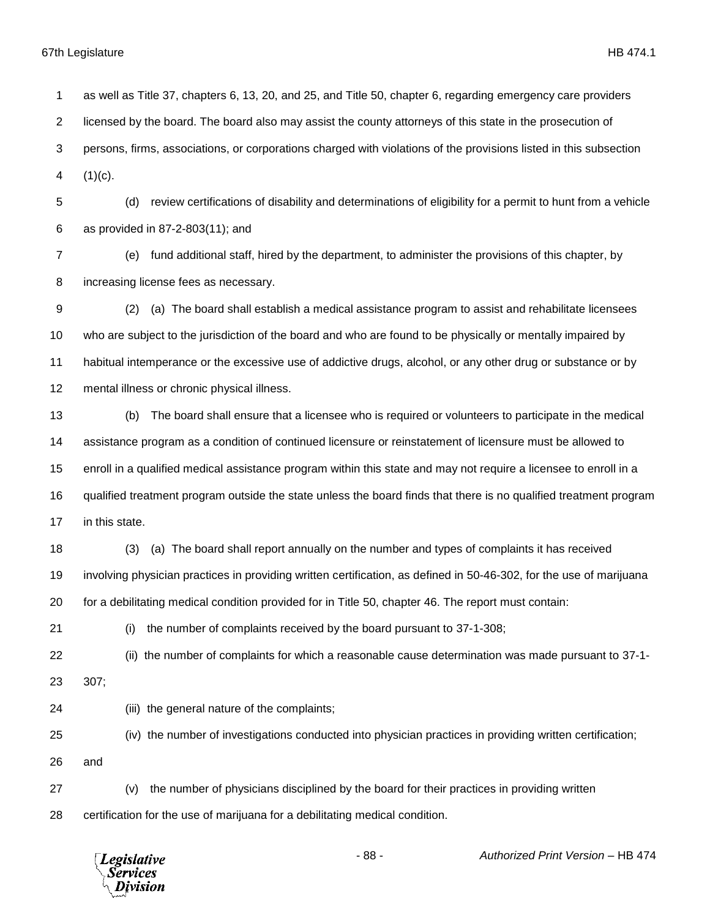| 1              | as well as Title 37, chapters 6, 13, 20, and 25, and Title 50, chapter 6, regarding emergency care providers        |
|----------------|---------------------------------------------------------------------------------------------------------------------|
| $\overline{2}$ | licensed by the board. The board also may assist the county attorneys of this state in the prosecution of           |
| 3              | persons, firms, associations, or corporations charged with violations of the provisions listed in this subsection   |
| 4              | $(1)(c)$ .                                                                                                          |
| 5              | review certifications of disability and determinations of eligibility for a permit to hunt from a vehicle<br>(d)    |
| 6              | as provided in 87-2-803(11); and                                                                                    |
| 7              | fund additional staff, hired by the department, to administer the provisions of this chapter, by<br>(e)             |
| 8              | increasing license fees as necessary.                                                                               |
| 9              | (a) The board shall establish a medical assistance program to assist and rehabilitate licensees<br>(2)              |
| 10             | who are subject to the jurisdiction of the board and who are found to be physically or mentally impaired by         |
| 11             | habitual intemperance or the excessive use of addictive drugs, alcohol, or any other drug or substance or by        |
| 12             | mental illness or chronic physical illness.                                                                         |
| 13             | The board shall ensure that a licensee who is required or volunteers to participate in the medical<br>(b)           |
| 14             | assistance program as a condition of continued licensure or reinstatement of licensure must be allowed to           |
| 15             | enroll in a qualified medical assistance program within this state and may not require a licensee to enroll in a    |
| 16             | qualified treatment program outside the state unless the board finds that there is no qualified treatment program   |
| 17             | in this state.                                                                                                      |
| 18             | (a) The board shall report annually on the number and types of complaints it has received<br>(3)                    |
| 19             | involving physician practices in providing written certification, as defined in 50-46-302, for the use of marijuana |
| 20             | for a debilitating medical condition provided for in Title 50, chapter 46. The report must contain:                 |
| 21             | the number of complaints received by the board pursuant to 37-1-308;<br>(i)                                         |
| 22             | (ii) the number of complaints for which a reasonable cause determination was made pursuant to 37-1-                 |
| 23             | 307;                                                                                                                |
| 24             | (iii) the general nature of the complaints;                                                                         |
| 25             | (iv) the number of investigations conducted into physician practices in providing written certification;            |
| 26             | and                                                                                                                 |
| 27             | the number of physicians disciplined by the board for their practices in providing written<br>(v)                   |
| 28             | certification for the use of marijuana for a debilitating medical condition.                                        |
|                |                                                                                                                     |

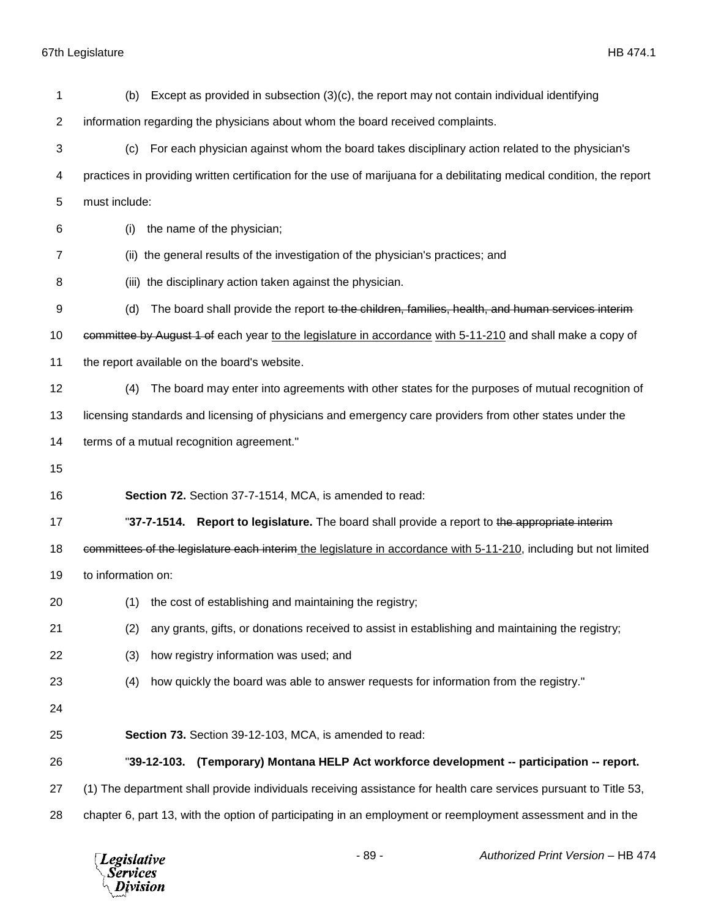| 1              | Except as provided in subsection $(3)(c)$ , the report may not contain individual identifying<br>(b)                   |
|----------------|------------------------------------------------------------------------------------------------------------------------|
| $\overline{c}$ | information regarding the physicians about whom the board received complaints.                                         |
| 3              | For each physician against whom the board takes disciplinary action related to the physician's<br>(c)                  |
| 4              | practices in providing written certification for the use of marijuana for a debilitating medical condition, the report |
| 5              | must include:                                                                                                          |
| 6              | the name of the physician;<br>(i)                                                                                      |
| 7              | (ii) the general results of the investigation of the physician's practices; and                                        |
| 8              | (iii) the disciplinary action taken against the physician.                                                             |
| 9              | The board shall provide the report to the children, families, health, and human services interim<br>(d)                |
| 10             | committee by August 1 of each year to the legislature in accordance with 5-11-210 and shall make a copy of             |
| 11             | the report available on the board's website.                                                                           |
| 12             | The board may enter into agreements with other states for the purposes of mutual recognition of<br>(4)                 |
| 13             | licensing standards and licensing of physicians and emergency care providers from other states under the               |
| 14             | terms of a mutual recognition agreement."                                                                              |
|                |                                                                                                                        |
| 15             |                                                                                                                        |
| 16             | Section 72. Section 37-7-1514, MCA, is amended to read:                                                                |
| 17             | "37-7-1514. Report to legislature. The board shall provide a report to the appropriate interim-                        |
| 18             | committees of the legislature each interim the legislature in accordance with 5-11-210, including but not limited      |
| 19             | to information on:                                                                                                     |
| 20             | (1) the cost of establishing and maintaining the registry;                                                             |
| 21             | any grants, gifts, or donations received to assist in establishing and maintaining the registry;<br>(2)                |
| 22             | (3)<br>how registry information was used; and                                                                          |
| 23             | how quickly the board was able to answer requests for information from the registry."<br>(4)                           |
| 24             |                                                                                                                        |
| 25             | Section 73. Section 39-12-103, MCA, is amended to read:                                                                |
| 26             | (Temporary) Montana HELP Act workforce development -- participation -- report.<br>"39-12-103.                          |
| 27             | (1) The department shall provide individuals receiving assistance for health care services pursuant to Title 53,       |

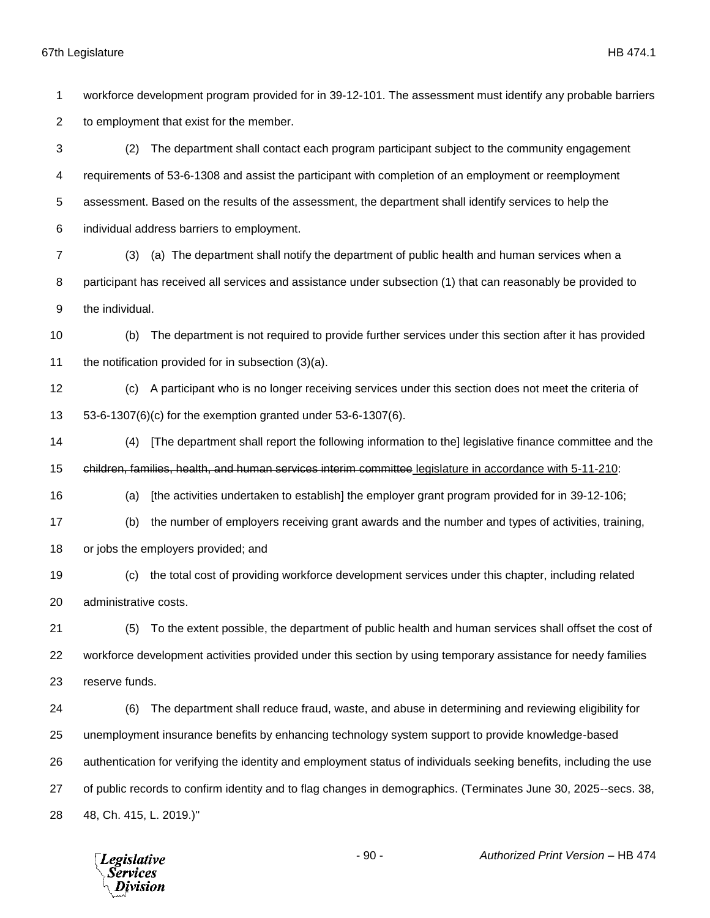workforce development program provided for in 39-12-101. The assessment must identify any probable barriers to employment that exist for the member.

 (2) The department shall contact each program participant subject to the community engagement requirements of 53-6-1308 and assist the participant with completion of an employment or reemployment assessment. Based on the results of the assessment, the department shall identify services to help the individual address barriers to employment.

 (3) (a) The department shall notify the department of public health and human services when a participant has received all services and assistance under subsection (1) that can reasonably be provided to the individual.

 (b) The department is not required to provide further services under this section after it has provided the notification provided for in subsection (3)(a).

 (c) A participant who is no longer receiving services under this section does not meet the criteria of 53-6-1307(6)(c) for the exemption granted under 53-6-1307(6).

 (4) [The department shall report the following information to the] legislative finance committee and the children, families, health, and human services interim committee legislature in accordance with 5-11-210:

(a) [the activities undertaken to establish] the employer grant program provided for in 39-12-106;

(b) the number of employers receiving grant awards and the number and types of activities, training,

or jobs the employers provided; and

 (c) the total cost of providing workforce development services under this chapter, including related administrative costs.

 (5) To the extent possible, the department of public health and human services shall offset the cost of workforce development activities provided under this section by using temporary assistance for needy families reserve funds.

 (6) The department shall reduce fraud, waste, and abuse in determining and reviewing eligibility for unemployment insurance benefits by enhancing technology system support to provide knowledge-based authentication for verifying the identity and employment status of individuals seeking benefits, including the use of public records to confirm identity and to flag changes in demographics. (Terminates June 30, 2025--secs. 38, 48, Ch. 415, L. 2019.)"

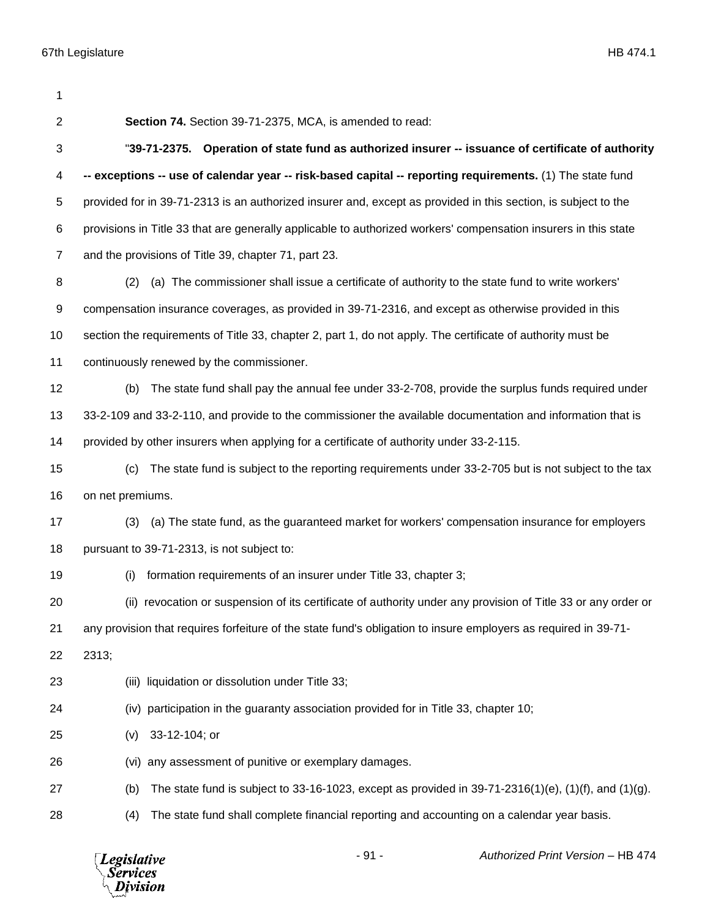| 1              |                                                                                                                 |
|----------------|-----------------------------------------------------------------------------------------------------------------|
| $\overline{c}$ | Section 74. Section 39-71-2375, MCA, is amended to read:                                                        |
| 3              | "39-71-2375. Operation of state fund as authorized insurer -- issuance of certificate of authority              |
| 4              | -- exceptions -- use of calendar year -- risk-based capital -- reporting requirements. (1) The state fund       |
| 5              | provided for in 39-71-2313 is an authorized insurer and, except as provided in this section, is subject to the  |
| 6              | provisions in Title 33 that are generally applicable to authorized workers' compensation insurers in this state |
| $\overline{7}$ | and the provisions of Title 39, chapter 71, part 23.                                                            |
| 8              | (a) The commissioner shall issue a certificate of authority to the state fund to write workers'<br>(2)          |
| 9              | compensation insurance coverages, as provided in 39-71-2316, and except as otherwise provided in this           |
| 10             | section the requirements of Title 33, chapter 2, part 1, do not apply. The certificate of authority must be     |
| 11             | continuously renewed by the commissioner.                                                                       |
| 12             | The state fund shall pay the annual fee under 33-2-708, provide the surplus funds required under<br>(b)         |
| 13             | 33-2-109 and 33-2-110, and provide to the commissioner the available documentation and information that is      |
| 14             | provided by other insurers when applying for a certificate of authority under 33-2-115.                         |
| 15             | The state fund is subject to the reporting requirements under 33-2-705 but is not subject to the tax<br>(c)     |
| 16             | on net premiums.                                                                                                |
| 17             | (a) The state fund, as the guaranteed market for workers' compensation insurance for employers<br>(3)           |
| 18             | pursuant to 39-71-2313, is not subject to:                                                                      |
| 19             | formation requirements of an insurer under Title 33, chapter 3;<br>(i)                                          |
| 20             | (ii) revocation or suspension of its certificate of authority under any provision of Title 33 or any order or   |
| 21             | any provision that requires forfeiture of the state fund's obligation to insure employers as required in 39-71- |
| 22             | 2313;                                                                                                           |
| 23             | (iii) liquidation or dissolution under Title 33;                                                                |
| 24             | (iv) participation in the guaranty association provided for in Title 33, chapter 10;                            |
| 25             | 33-12-104; or<br>(v)                                                                                            |
| 26             | any assessment of punitive or exemplary damages.<br>(vi)                                                        |
| 27             | The state fund is subject to 33-16-1023, except as provided in $39-71-2316(1)(e)$ , (1)(f), and (1)(g).<br>(b)  |
| 28             | The state fund shall complete financial reporting and accounting on a calendar year basis.<br>(4)               |

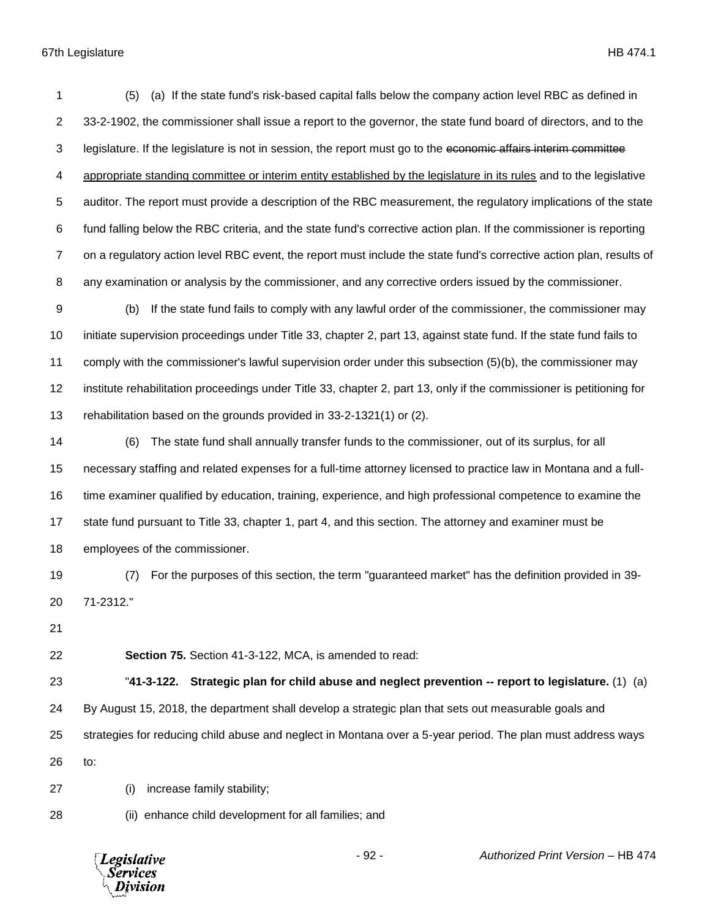(5) (a) If the state fund's risk-based capital falls below the company action level RBC as defined in 33-2-1902, the commissioner shall issue a report to the governor, the state fund board of directors, and to the 3 legislature. If the legislature is not in session, the report must go to the economic affairs interim committee 4 appropriate standing committee or interim entity established by the legislature in its rules and to the legislative auditor. The report must provide a description of the RBC measurement, the regulatory implications of the state fund falling below the RBC criteria, and the state fund's corrective action plan. If the commissioner is reporting on a regulatory action level RBC event, the report must include the state fund's corrective action plan, results of any examination or analysis by the commissioner, and any corrective orders issued by the commissioner.

 (b) If the state fund fails to comply with any lawful order of the commissioner, the commissioner may initiate supervision proceedings under Title 33, chapter 2, part 13, against state fund. If the state fund fails to comply with the commissioner's lawful supervision order under this subsection (5)(b), the commissioner may institute rehabilitation proceedings under Title 33, chapter 2, part 13, only if the commissioner is petitioning for rehabilitation based on the grounds provided in 33-2-1321(1) or (2).

 (6) The state fund shall annually transfer funds to the commissioner, out of its surplus, for all necessary staffing and related expenses for a full-time attorney licensed to practice law in Montana and a full- time examiner qualified by education, training, experience, and high professional competence to examine the state fund pursuant to Title 33, chapter 1, part 4, and this section. The attorney and examiner must be employees of the commissioner.

 (7) For the purposes of this section, the term "guaranteed market" has the definition provided in 39- 71-2312."

**Section 75.** Section 41-3-122, MCA, is amended to read:

 "**41-3-122. Strategic plan for child abuse and neglect prevention -- report to legislature.** (1) (a) By August 15, 2018, the department shall develop a strategic plan that sets out measurable goals and strategies for reducing child abuse and neglect in Montana over a 5-year period. The plan must address ways

to:

(i) increase family stability;

(ii) enhance child development for all families; and

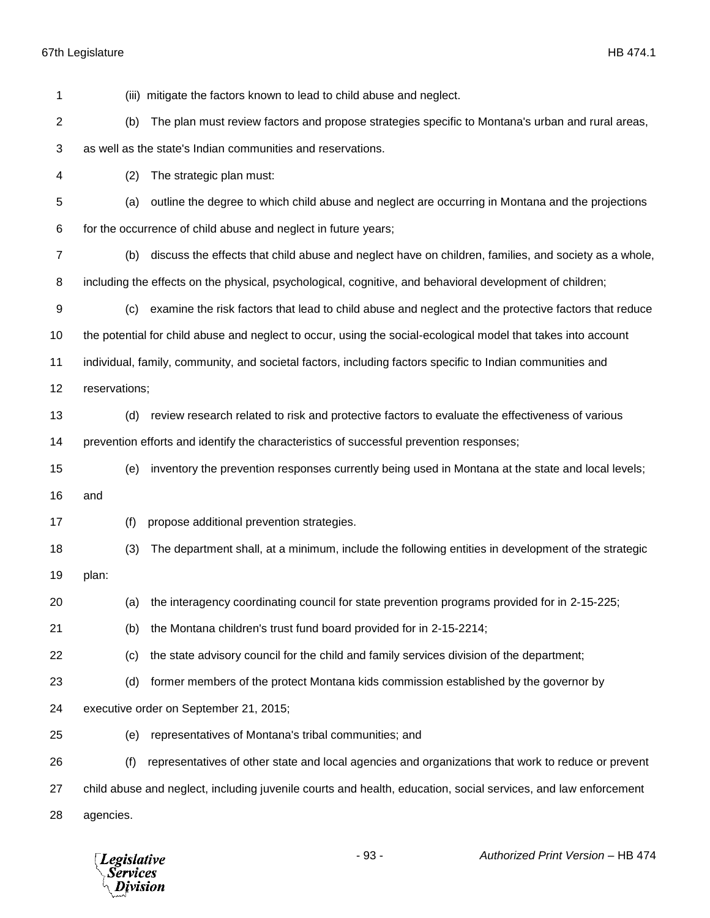| 1            | (iii) mitigate the factors known to lead to child abuse and neglect.                                           |
|--------------|----------------------------------------------------------------------------------------------------------------|
| $\mathbf{2}$ | The plan must review factors and propose strategies specific to Montana's urban and rural areas,<br>(b)        |
| 3            | as well as the state's Indian communities and reservations.                                                    |
| 4            | (2)<br>The strategic plan must:                                                                                |
| 5            | outline the degree to which child abuse and neglect are occurring in Montana and the projections<br>(a)        |
| 6            | for the occurrence of child abuse and neglect in future years;                                                 |
| 7            | discuss the effects that child abuse and neglect have on children, families, and society as a whole,<br>(b)    |
| 8            | including the effects on the physical, psychological, cognitive, and behavioral development of children;       |
| 9            | examine the risk factors that lead to child abuse and neglect and the protective factors that reduce<br>(c)    |
| 10           | the potential for child abuse and neglect to occur, using the social-ecological model that takes into account  |
| 11           | individual, family, community, and societal factors, including factors specific to Indian communities and      |
| 12           | reservations;                                                                                                  |
| 13           | review research related to risk and protective factors to evaluate the effectiveness of various<br>(d)         |
| 14           | prevention efforts and identify the characteristics of successful prevention responses;                        |
| 15           | inventory the prevention responses currently being used in Montana at the state and local levels;<br>(e)       |
| 16           | and                                                                                                            |
| 17           | propose additional prevention strategies.<br>(f)                                                               |
| 18           | The department shall, at a minimum, include the following entities in development of the strategic<br>(3)      |
| 19           | plan:                                                                                                          |
| 20           | (a) the interagency coordinating council for state prevention programs provided for in 2-15-225;               |
| 21           | the Montana children's trust fund board provided for in 2-15-2214;<br>(b)                                      |
| 22           | the state advisory council for the child and family services division of the department;<br>(c)                |
| 23           | former members of the protect Montana kids commission established by the governor by<br>(d)                    |
| 24           | executive order on September 21, 2015;                                                                         |
| 25           | representatives of Montana's tribal communities; and<br>(e)                                                    |
| 26           | representatives of other state and local agencies and organizations that work to reduce or prevent<br>(f)      |
| 27           | child abuse and neglect, including juvenile courts and health, education, social services, and law enforcement |
| 28           | agencies.                                                                                                      |
|              |                                                                                                                |

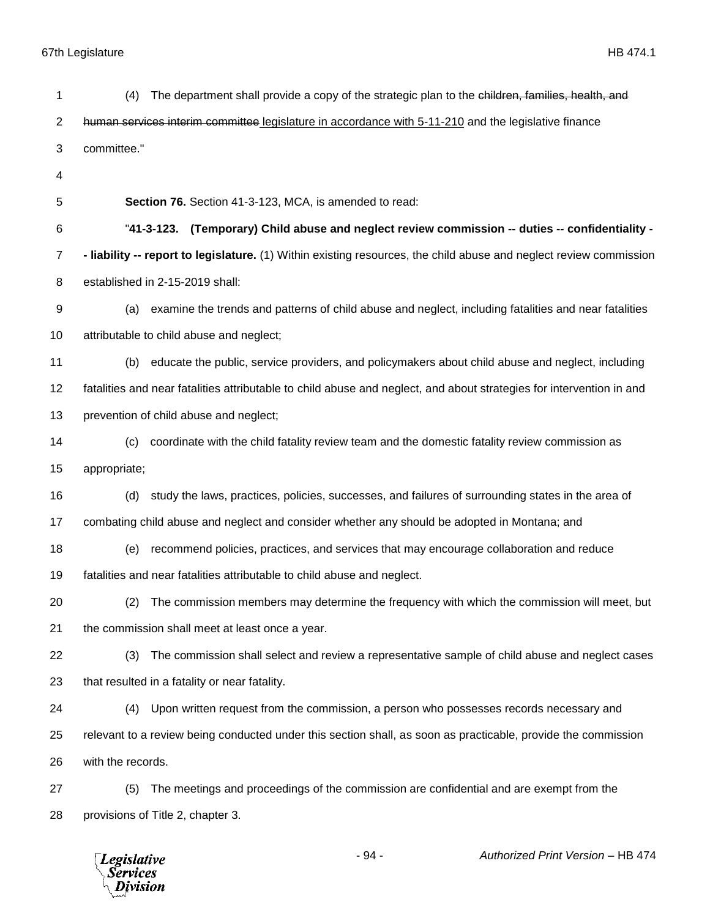| 1              | The department shall provide a copy of the strategic plan to the children, families, health, and<br>(4)              |
|----------------|----------------------------------------------------------------------------------------------------------------------|
| 2              | human services interim committee legislature in accordance with 5-11-210 and the legislative finance                 |
| 3              | committee."                                                                                                          |
| 4              |                                                                                                                      |
| 5              | Section 76. Section 41-3-123, MCA, is amended to read:                                                               |
| 6              | "41-3-123. (Temporary) Child abuse and neglect review commission -- duties -- confidentiality -                      |
| $\overline{7}$ | - liability -- report to legislature. (1) Within existing resources, the child abuse and neglect review commission   |
| 8              | established in 2-15-2019 shall:                                                                                      |
| 9              | examine the trends and patterns of child abuse and neglect, including fatalities and near fatalities<br>(a)          |
| 10             | attributable to child abuse and neglect;                                                                             |
| 11             | educate the public, service providers, and policymakers about child abuse and neglect, including<br>(b)              |
| 12             | fatalities and near fatalities attributable to child abuse and neglect, and about strategies for intervention in and |
| 13             | prevention of child abuse and neglect;                                                                               |
| 14             | coordinate with the child fatality review team and the domestic fatality review commission as<br>(c)                 |
| 15             | appropriate;                                                                                                         |
| 16             | study the laws, practices, policies, successes, and failures of surrounding states in the area of<br>(d)             |
| 17             | combating child abuse and neglect and consider whether any should be adopted in Montana; and                         |
| 18             | recommend policies, practices, and services that may encourage collaboration and reduce<br>(e)                       |
| 19             | fatalities and near fatalities attributable to child abuse and neglect.                                              |
| 20             | The commission members may determine the frequency with which the commission will meet, but<br>(2)                   |
| 21             | the commission shall meet at least once a year.                                                                      |
| 22             | The commission shall select and review a representative sample of child abuse and neglect cases<br>(3)               |
| 23             | that resulted in a fatality or near fatality.                                                                        |
| 24             | (4) Upon written request from the commission, a person who possesses records necessary and                           |
| 25             | relevant to a review being conducted under this section shall, as soon as practicable, provide the commission        |
| 26             | with the records.                                                                                                    |
| 27             | The meetings and proceedings of the commission are confidential and are exempt from the<br>(5)                       |
| 28             | provisions of Title 2, chapter 3.                                                                                    |
|                |                                                                                                                      |

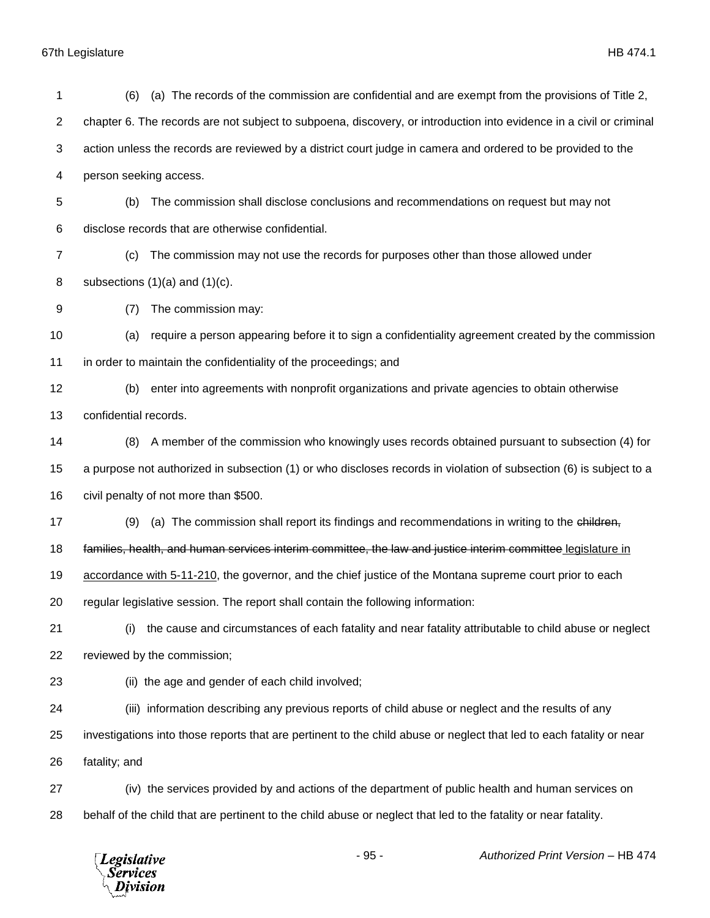| 1  | (a) The records of the commission are confidential and are exempt from the provisions of Title 2,<br>(6)             |
|----|----------------------------------------------------------------------------------------------------------------------|
| 2  | chapter 6. The records are not subject to subpoena, discovery, or introduction into evidence in a civil or criminal  |
| 3  | action unless the records are reviewed by a district court judge in camera and ordered to be provided to the         |
| 4  | person seeking access.                                                                                               |
| 5  | The commission shall disclose conclusions and recommendations on request but may not<br>(b)                          |
| 6  | disclose records that are otherwise confidential.                                                                    |
| 7  | The commission may not use the records for purposes other than those allowed under<br>(c)                            |
| 8  | subsections $(1)(a)$ and $(1)(c)$ .                                                                                  |
| 9  | The commission may:<br>(7)                                                                                           |
| 10 | require a person appearing before it to sign a confidentiality agreement created by the commission<br>(a)            |
| 11 | in order to maintain the confidentiality of the proceedings; and                                                     |
| 12 | enter into agreements with nonprofit organizations and private agencies to obtain otherwise<br>(b)                   |
| 13 | confidential records.                                                                                                |
| 14 | A member of the commission who knowingly uses records obtained pursuant to subsection (4) for<br>(8)                 |
| 15 | a purpose not authorized in subsection (1) or who discloses records in violation of subsection (6) is subject to a   |
| 16 | civil penalty of not more than \$500.                                                                                |
| 17 | (a) The commission shall report its findings and recommendations in writing to the children,<br>(9)                  |
| 18 | families, health, and human services interim committee, the law and justice interim committee legislature in         |
| 19 | accordance with 5-11-210, the governor, and the chief justice of the Montana supreme court prior to each             |
| 20 | regular legislative session. The report shall contain the following information:                                     |
| 21 | the cause and circumstances of each fatality and near fatality attributable to child abuse or neglect<br>(i)         |
| 22 | reviewed by the commission;                                                                                          |
| 23 | (ii) the age and gender of each child involved;                                                                      |
| 24 | (iii) information describing any previous reports of child abuse or neglect and the results of any                   |
| 25 | investigations into those reports that are pertinent to the child abuse or neglect that led to each fatality or near |
| 26 | fatality; and                                                                                                        |
| 27 | (iv) the services provided by and actions of the department of public health and human services on                   |
| 28 | behalf of the child that are pertinent to the child abuse or neglect that led to the fatality or near fatality.      |
|    |                                                                                                                      |

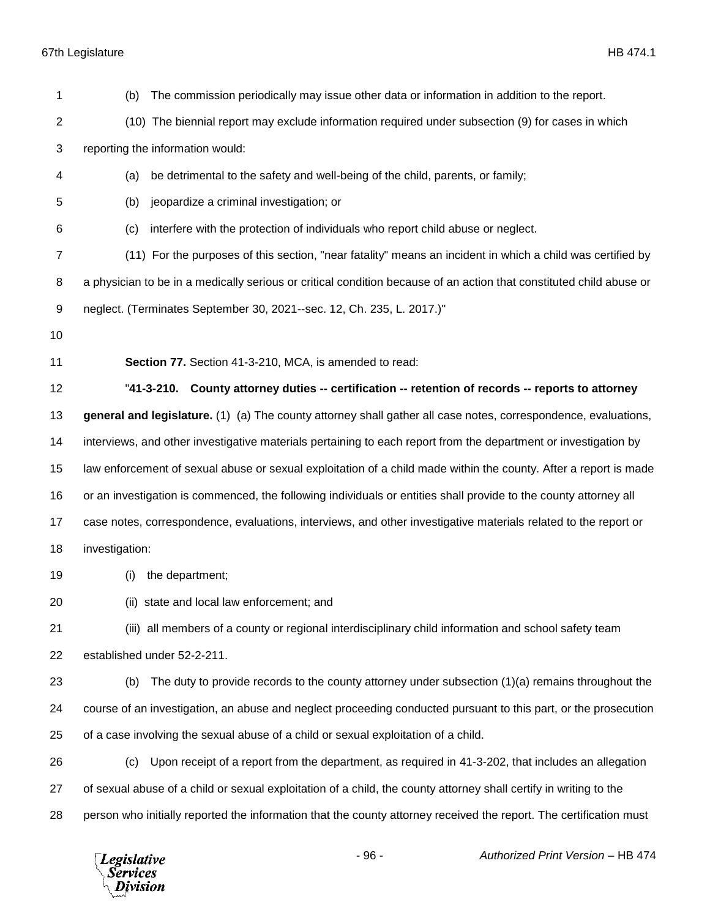| 1              | The commission periodically may issue other data or information in addition to the report.<br>(b)                   |
|----------------|---------------------------------------------------------------------------------------------------------------------|
| $\overline{2}$ | (10) The biennial report may exclude information required under subsection (9) for cases in which                   |
| 3              | reporting the information would:                                                                                    |
| 4              | be detrimental to the safety and well-being of the child, parents, or family;<br>(a)                                |
| 5              | jeopardize a criminal investigation; or<br>(b)                                                                      |
| 6              | interfere with the protection of individuals who report child abuse or neglect.<br>(c)                              |
| 7              | (11) For the purposes of this section, "near fatality" means an incident in which a child was certified by          |
| 8              | a physician to be in a medically serious or critical condition because of an action that constituted child abuse or |
| 9              | neglect. (Terminates September 30, 2021--sec. 12, Ch. 235, L. 2017.)"                                               |
| 10             |                                                                                                                     |
| 11             | Section 77. Section 41-3-210, MCA, is amended to read:                                                              |
| 12             | "41-3-210. County attorney duties -- certification -- retention of records -- reports to attorney                   |
| 13             | general and legislature. (1) (a) The county attorney shall gather all case notes, correspondence, evaluations,      |
| 14             | interviews, and other investigative materials pertaining to each report from the department or investigation by     |
| 15             | law enforcement of sexual abuse or sexual exploitation of a child made within the county. After a report is made    |
| 16             | or an investigation is commenced, the following individuals or entities shall provide to the county attorney all    |
| 17             | case notes, correspondence, evaluations, interviews, and other investigative materials related to the report or     |
| 18             | investigation:                                                                                                      |
| 19             | the department;<br>(i)                                                                                              |
| 20             | (ii) state and local law enforcement; and                                                                           |
| 21             | (iii) all members of a county or regional interdisciplinary child information and school safety team                |
| 22             | established under 52-2-211.                                                                                         |
| 23             | The duty to provide records to the county attorney under subsection $(1)(a)$ remains throughout the<br>(b)          |
| 24             | course of an investigation, an abuse and neglect proceeding conducted pursuant to this part, or the prosecution     |
| 25             | of a case involving the sexual abuse of a child or sexual exploitation of a child.                                  |
| 26             | Upon receipt of a report from the department, as required in 41-3-202, that includes an allegation<br>(c)           |
| 27             | of sexual abuse of a child or sexual exploitation of a child, the county attorney shall certify in writing to the   |
| 28             | person who initially reported the information that the county attorney received the report. The certification must  |
|                |                                                                                                                     |

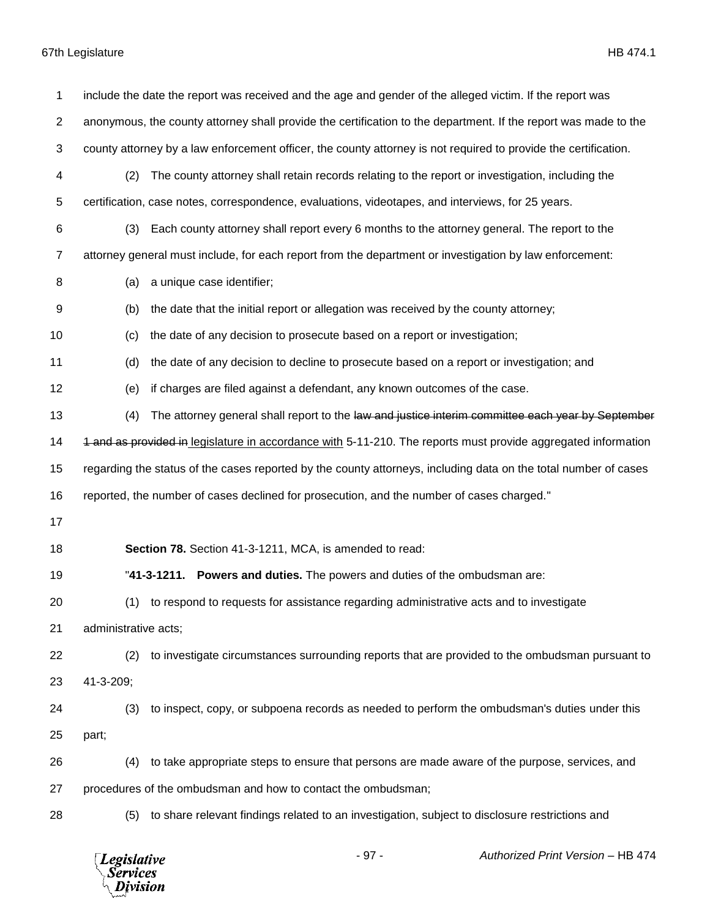*Legislative*<br>Services<br>*Division* 

| 1  |                      | include the date the report was received and the age and gender of the alleged victim. If the report was        |
|----|----------------------|-----------------------------------------------------------------------------------------------------------------|
| 2  |                      | anonymous, the county attorney shall provide the certification to the department. If the report was made to the |
| 3  |                      | county attorney by a law enforcement officer, the county attorney is not required to provide the certification. |
| 4  | (2)                  | The county attorney shall retain records relating to the report or investigation, including the                 |
| 5  |                      | certification, case notes, correspondence, evaluations, videotapes, and interviews, for 25 years.               |
| 6  | (3)                  | Each county attorney shall report every 6 months to the attorney general. The report to the                     |
| 7  |                      | attorney general must include, for each report from the department or investigation by law enforcement:         |
| 8  | (a)                  | a unique case identifier;                                                                                       |
| 9  | (b)                  | the date that the initial report or allegation was received by the county attorney;                             |
| 10 | (c)                  | the date of any decision to prosecute based on a report or investigation;                                       |
| 11 | (d)                  | the date of any decision to decline to prosecute based on a report or investigation; and                        |
| 12 | (e)                  | if charges are filed against a defendant, any known outcomes of the case.                                       |
| 13 | (4)                  | The attorney general shall report to the law and justice interim committee each year by September               |
| 14 |                      | 1 and as provided in legislature in accordance with 5-11-210. The reports must provide aggregated information   |
| 15 |                      | regarding the status of the cases reported by the county attorneys, including data on the total number of cases |
| 16 |                      | reported, the number of cases declined for prosecution, and the number of cases charged."                       |
| 17 |                      |                                                                                                                 |
| 18 |                      | Section 78. Section 41-3-1211, MCA, is amended to read:                                                         |
| 19 |                      | "41-3-1211. Powers and duties. The powers and duties of the ombudsman are:                                      |
| 20 | (1)                  | to respond to requests for assistance regarding administrative acts and to investigate                          |
| 21 | administrative acts; |                                                                                                                 |
| 22 | (2)                  | to investigate circumstances surrounding reports that are provided to the ombudsman pursuant to                 |
| 23 | 41-3-209;            |                                                                                                                 |
| 24 | (3)                  | to inspect, copy, or subpoena records as needed to perform the ombudsman's duties under this                    |
| 25 | part;                |                                                                                                                 |
| 26 | (4)                  | to take appropriate steps to ensure that persons are made aware of the purpose, services, and                   |
| 27 |                      | procedures of the ombudsman and how to contact the ombudsman;                                                   |
| 28 | (5)                  | to share relevant findings related to an investigation, subject to disclosure restrictions and                  |
|    |                      |                                                                                                                 |

- 97 - *Authorized Print Version* – HB 474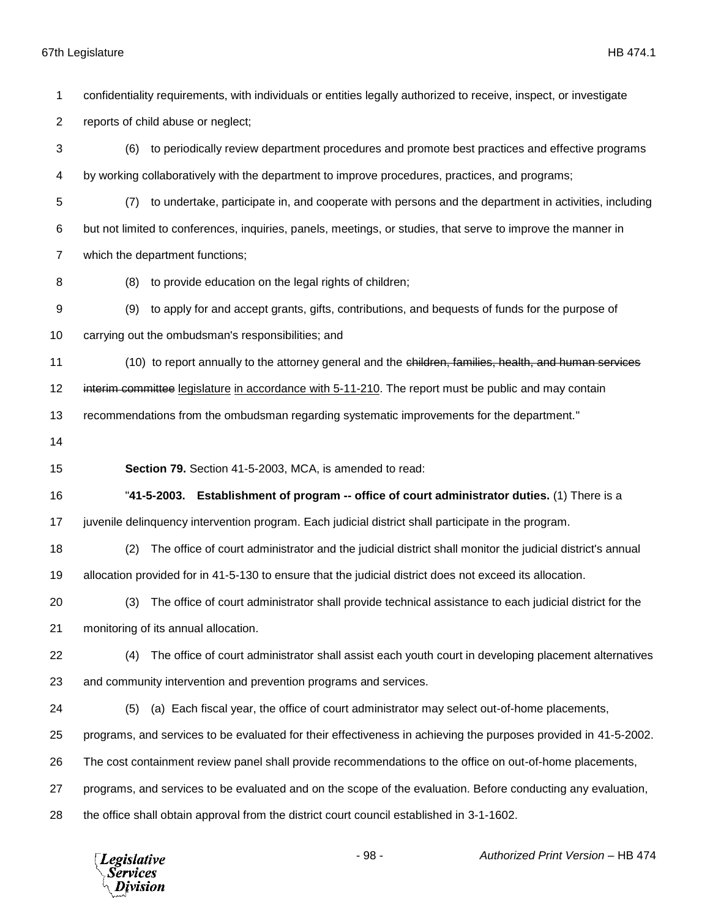confidentiality requirements, with individuals or entities legally authorized to receive, inspect, or investigate reports of child abuse or neglect; (6) to periodically review department procedures and promote best practices and effective programs by working collaboratively with the department to improve procedures, practices, and programs; (7) to undertake, participate in, and cooperate with persons and the department in activities, including but not limited to conferences, inquiries, panels, meetings, or studies, that serve to improve the manner in which the department functions; (8) to provide education on the legal rights of children; (9) to apply for and accept grants, gifts, contributions, and bequests of funds for the purpose of carrying out the ombudsman's responsibilities; and (10) to report annually to the attorney general and the children, families, health, and human services 12 interim committee legislature in accordance with 5-11-210. The report must be public and may contain recommendations from the ombudsman regarding systematic improvements for the department." **Section 79.** Section 41-5-2003, MCA, is amended to read: "**41-5-2003. Establishment of program -- office of court administrator duties.** (1) There is a juvenile delinquency intervention program. Each judicial district shall participate in the program. (2) The office of court administrator and the judicial district shall monitor the judicial district's annual allocation provided for in 41-5-130 to ensure that the judicial district does not exceed its allocation. (3) The office of court administrator shall provide technical assistance to each judicial district for the monitoring of its annual allocation. (4) The office of court administrator shall assist each youth court in developing placement alternatives and community intervention and prevention programs and services. (5) (a) Each fiscal year, the office of court administrator may select out-of-home placements, programs, and services to be evaluated for their effectiveness in achieving the purposes provided in 41-5-2002. The cost containment review panel shall provide recommendations to the office on out-of-home placements, programs, and services to be evaluated and on the scope of the evaluation. Before conducting any evaluation, the office shall obtain approval from the district court council established in 3-1-1602.

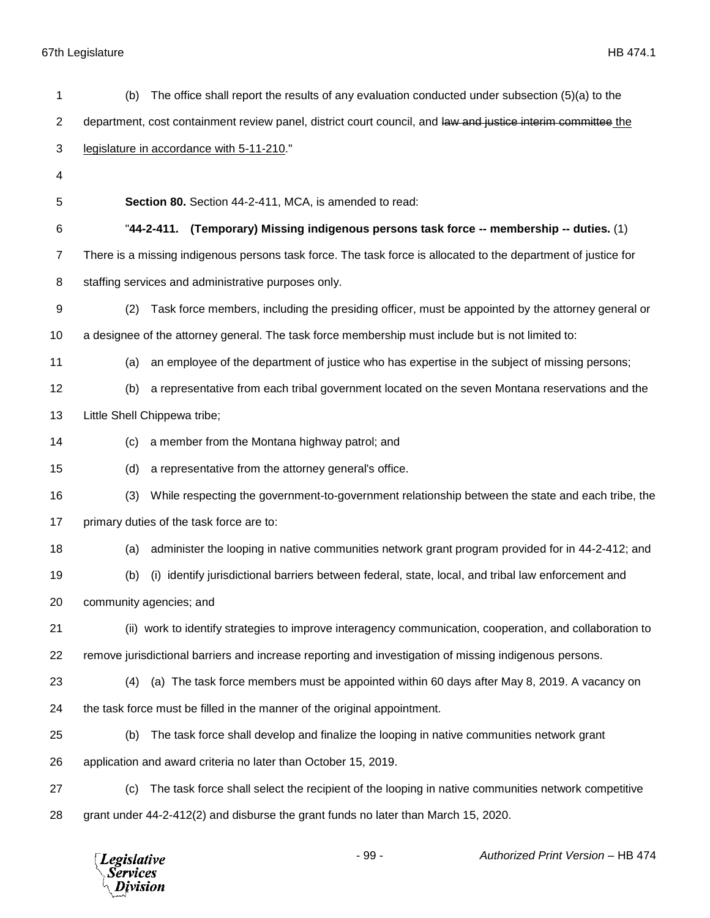| The office shall report the results of any evaluation conducted under subsection $(5)(a)$ to the<br>(b)        |
|----------------------------------------------------------------------------------------------------------------|
| department, cost containment review panel, district court council, and law and justice interim committee the   |
| legislature in accordance with 5-11-210."                                                                      |
|                                                                                                                |
| Section 80. Section 44-2-411, MCA, is amended to read:                                                         |
| "44-2-411. (Temporary) Missing indigenous persons task force -- membership -- duties. (1)                      |
| There is a missing indigenous persons task force. The task force is allocated to the department of justice for |
| staffing services and administrative purposes only.                                                            |
| Task force members, including the presiding officer, must be appointed by the attorney general or<br>(2)       |
| a designee of the attorney general. The task force membership must include but is not limited to:              |
| an employee of the department of justice who has expertise in the subject of missing persons;<br>(a)           |
| a representative from each tribal government located on the seven Montana reservations and the<br>(b)          |
| Little Shell Chippewa tribe;                                                                                   |
| a member from the Montana highway patrol; and<br>(c)                                                           |
| a representative from the attorney general's office.<br>(d)                                                    |
| While respecting the government-to-government relationship between the state and each tribe, the<br>(3)        |
| primary duties of the task force are to:                                                                       |
| administer the looping in native communities network grant program provided for in 44-2-412; and<br>(a)        |
| identify jurisdictional barriers between federal, state, local, and tribal law enforcement and<br>(b)<br>(i)   |
| community agencies; and                                                                                        |
| (ii) work to identify strategies to improve interagency communication, cooperation, and collaboration to       |
| remove jurisdictional barriers and increase reporting and investigation of missing indigenous persons.         |
| (a) The task force members must be appointed within 60 days after May 8, 2019. A vacancy on<br>(4)             |
| the task force must be filled in the manner of the original appointment.                                       |
| The task force shall develop and finalize the looping in native communities network grant<br>(b)               |
| application and award criteria no later than October 15, 2019.                                                 |
| The task force shall select the recipient of the looping in native communities network competitive<br>(c)      |
| grant under 44-2-412(2) and disburse the grant funds no later than March 15, 2020.                             |
|                                                                                                                |

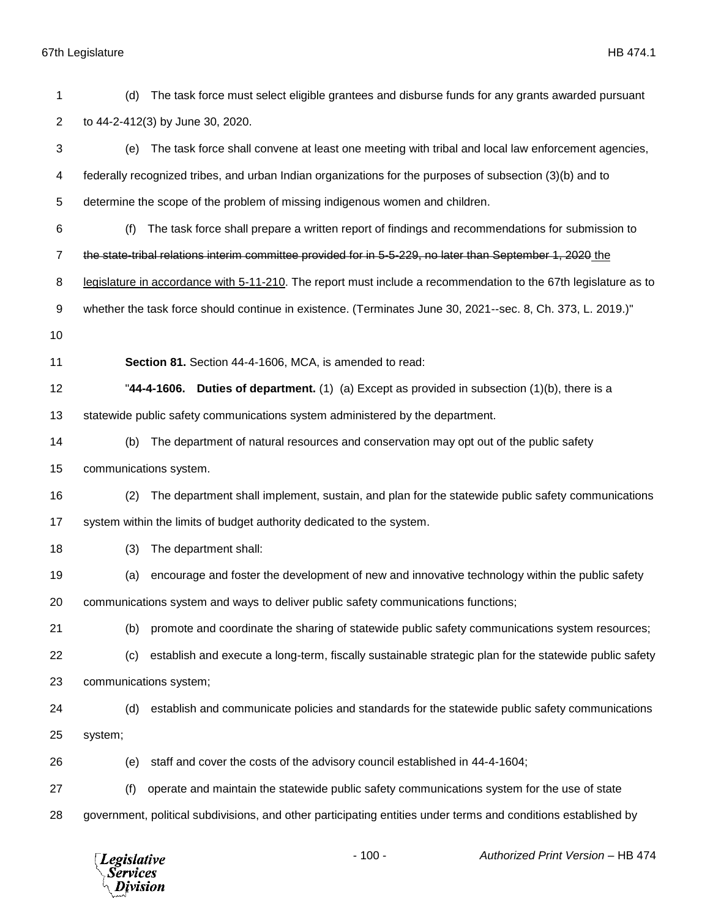| 1              | (d)                    | The task force must select eligible grantees and disburse funds for any grants awarded pursuant                 |
|----------------|------------------------|-----------------------------------------------------------------------------------------------------------------|
| $\overline{2}$ |                        | to 44-2-412(3) by June 30, 2020.                                                                                |
| 3              | (e)                    | The task force shall convene at least one meeting with tribal and local law enforcement agencies,               |
| 4              |                        | federally recognized tribes, and urban Indian organizations for the purposes of subsection (3)(b) and to        |
| 5              |                        | determine the scope of the problem of missing indigenous women and children.                                    |
| 6              | (f)                    | The task force shall prepare a written report of findings and recommendations for submission to                 |
| 7              |                        | the state-tribal relations interim committee provided for in 5-5-229, no later than September 1, 2020 the       |
| 8              |                        | legislature in accordance with 5-11-210. The report must include a recommendation to the 67th legislature as to |
| 9              |                        | whether the task force should continue in existence. (Terminates June 30, 2021--sec. 8, Ch. 373, L. 2019.)"     |
| 10             |                        |                                                                                                                 |
| 11             |                        | Section 81. Section 44-4-1606, MCA, is amended to read:                                                         |
| 12             |                        | "44-4-1606. Duties of department. (1) (a) Except as provided in subsection $(1)(b)$ , there is a                |
| 13             |                        | statewide public safety communications system administered by the department.                                   |
| 14             | (b)                    | The department of natural resources and conservation may opt out of the public safety                           |
| 15             | communications system. |                                                                                                                 |
| 16             | (2)                    | The department shall implement, sustain, and plan for the statewide public safety communications                |
| 17             |                        | system within the limits of budget authority dedicated to the system.                                           |
| 18             | (3)                    | The department shall:                                                                                           |
| 19             | (a)                    | encourage and foster the development of new and innovative technology within the public safety                  |
| 20             |                        | communications system and ways to deliver public safety communications functions;                               |
| 21             | (b)                    | promote and coordinate the sharing of statewide public safety communications system resources;                  |
| 22             | (c)                    | establish and execute a long-term, fiscally sustainable strategic plan for the statewide public safety          |
| 23             | communications system; |                                                                                                                 |
| 24             | (d)                    | establish and communicate policies and standards for the statewide public safety communications                 |
| 25             | system;                |                                                                                                                 |
| 26             | (e)                    | staff and cover the costs of the advisory council established in 44-4-1604;                                     |
| 27             | (f)                    | operate and maintain the statewide public safety communications system for the use of state                     |
| 28             |                        | government, political subdivisions, and other participating entities under terms and conditions established by  |
|                |                        |                                                                                                                 |

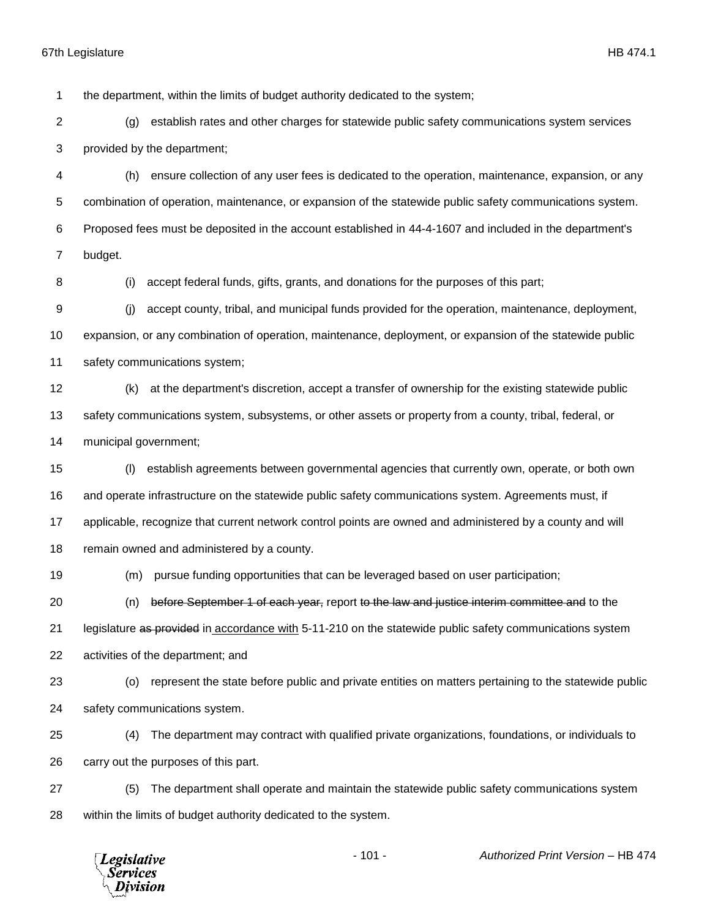the department, within the limits of budget authority dedicated to the system;

 (g) establish rates and other charges for statewide public safety communications system services provided by the department;

 (h) ensure collection of any user fees is dedicated to the operation, maintenance, expansion, or any combination of operation, maintenance, or expansion of the statewide public safety communications system. Proposed fees must be deposited in the account established in 44-4-1607 and included in the department's budget.

8 (i) accept federal funds, gifts, grants, and donations for the purposes of this part;

 (j) accept county, tribal, and municipal funds provided for the operation, maintenance, deployment, expansion, or any combination of operation, maintenance, deployment, or expansion of the statewide public safety communications system;

 (k) at the department's discretion, accept a transfer of ownership for the existing statewide public safety communications system, subsystems, or other assets or property from a county, tribal, federal, or municipal government;

 (l) establish agreements between governmental agencies that currently own, operate, or both own and operate infrastructure on the statewide public safety communications system. Agreements must, if applicable, recognize that current network control points are owned and administered by a county and will remain owned and administered by a county.

(m) pursue funding opportunities that can be leveraged based on user participation;

 (n) before September 1 of each year, report to the law and justice interim committee and to the 21 legislature as provided in accordance with 5-11-210 on the statewide public safety communications system activities of the department; and

 (o) represent the state before public and private entities on matters pertaining to the statewide public safety communications system.

 (4) The department may contract with qualified private organizations, foundations, or individuals to carry out the purposes of this part.

 (5) The department shall operate and maintain the statewide public safety communications system within the limits of budget authority dedicated to the system.

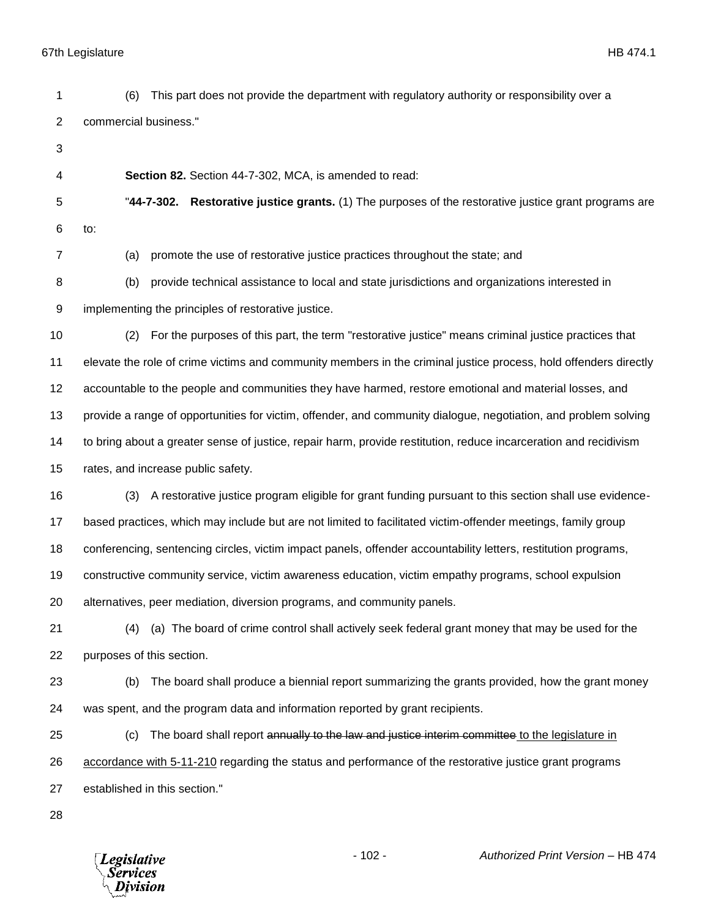- (6) This part does not provide the department with regulatory authority or responsibility over a commercial business." **Section 82.** Section 44-7-302, MCA, is amended to read: "**44-7-302. Restorative justice grants.** (1) The purposes of the restorative justice grant programs are to: (a) promote the use of restorative justice practices throughout the state; and (b) provide technical assistance to local and state jurisdictions and organizations interested in implementing the principles of restorative justice. (2) For the purposes of this part, the term "restorative justice" means criminal justice practices that elevate the role of crime victims and community members in the criminal justice process, hold offenders directly accountable to the people and communities they have harmed, restore emotional and material losses, and provide a range of opportunities for victim, offender, and community dialogue, negotiation, and problem solving to bring about a greater sense of justice, repair harm, provide restitution, reduce incarceration and recidivism rates, and increase public safety. (3) A restorative justice program eligible for grant funding pursuant to this section shall use evidence- based practices, which may include but are not limited to facilitated victim-offender meetings, family group conferencing, sentencing circles, victim impact panels, offender accountability letters, restitution programs,
- constructive community service, victim awareness education, victim empathy programs, school expulsion

alternatives, peer mediation, diversion programs, and community panels.

- (4) (a) The board of crime control shall actively seek federal grant money that may be used for the purposes of this section.
- (b) The board shall produce a biennial report summarizing the grants provided, how the grant money was spent, and the program data and information reported by grant recipients.
- 25 (c) The board shall report annually to the law and justice interim committee to the legislature in accordance with 5-11-210 regarding the status and performance of the restorative justice grant programs established in this section."
- 

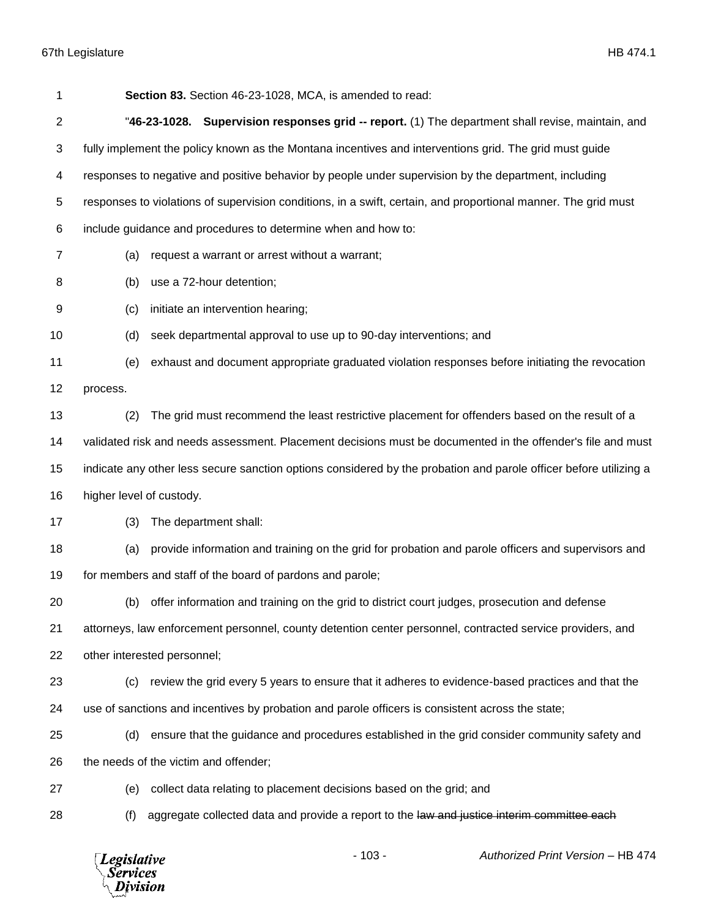|          | Section 83. Section 46-23-1028, MCA, is amended to read:                                                          |
|----------|-------------------------------------------------------------------------------------------------------------------|
|          | "46-23-1028. Supervision responses grid -- report. (1) The department shall revise, maintain, and                 |
|          | fully implement the policy known as the Montana incentives and interventions grid. The grid must guide            |
|          | responses to negative and positive behavior by people under supervision by the department, including              |
|          | responses to violations of supervision conditions, in a swift, certain, and proportional manner. The grid must    |
|          | include guidance and procedures to determine when and how to:                                                     |
| (a)      | request a warrant or arrest without a warrant;                                                                    |
| (b)      | use a 72-hour detention;                                                                                          |
| (c)      | initiate an intervention hearing;                                                                                 |
| (d)      | seek departmental approval to use up to 90-day interventions; and                                                 |
| (e)      | exhaust and document appropriate graduated violation responses before initiating the revocation                   |
| process. |                                                                                                                   |
| (2)      | The grid must recommend the least restrictive placement for offenders based on the result of a                    |
|          | validated risk and needs assessment. Placement decisions must be documented in the offender's file and must       |
|          | indicate any other less secure sanction options considered by the probation and parole officer before utilizing a |
|          |                                                                                                                   |
| (3)      | The department shall:                                                                                             |
| (a)      | provide information and training on the grid for probation and parole officers and supervisors and                |
|          | for members and staff of the board of pardons and parole;                                                         |
|          | (b) offer information and training on the grid to district court judges, prosecution and defense                  |
|          | attorneys, law enforcement personnel, county detention center personnel, contracted service providers, and        |
|          | other interested personnel;                                                                                       |
| (c)      | review the grid every 5 years to ensure that it adheres to evidence-based practices and that the                  |
|          | use of sanctions and incentives by probation and parole officers is consistent across the state;                  |
| (d)      | ensure that the guidance and procedures established in the grid consider community safety and                     |
|          | the needs of the victim and offender;                                                                             |
| (e)      | collect data relating to placement decisions based on the grid; and                                               |
| (f)      | aggregate collected data and provide a report to the law and justice interim committee each                       |
|          | higher level of custody.                                                                                          |

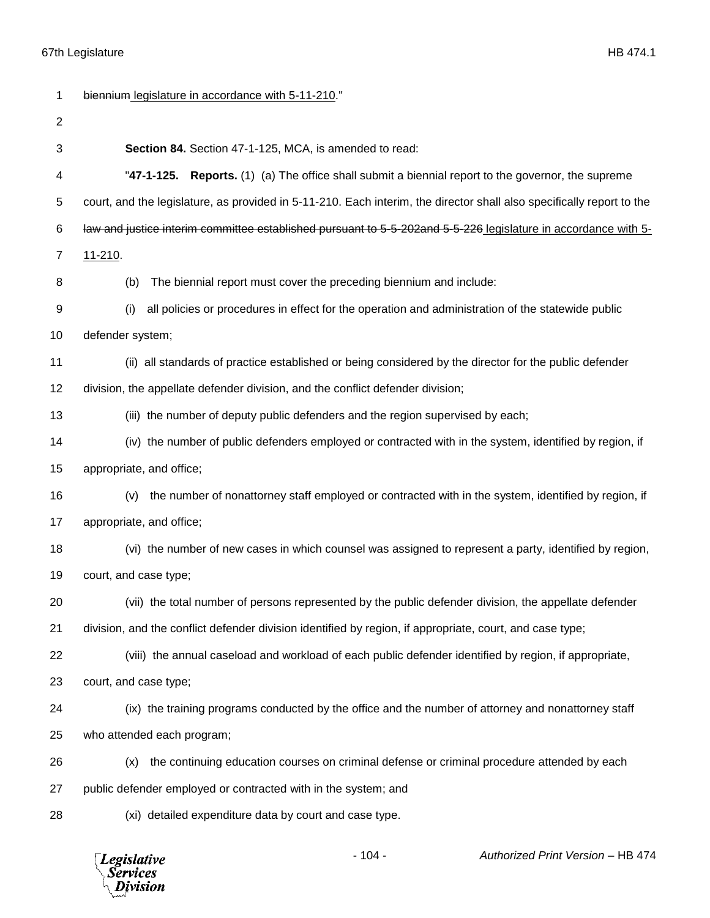*Legislative*<br>Services<br>*Division* 

| 1            | biennium legislature in accordance with 5-11-210."                                                                    |
|--------------|-----------------------------------------------------------------------------------------------------------------------|
| $\mathbf{2}$ |                                                                                                                       |
| 3            | Section 84. Section 47-1-125, MCA, is amended to read:                                                                |
| 4            | "47-1-125. Reports. (1) (a) The office shall submit a biennial report to the governor, the supreme                    |
| 5            | court, and the legislature, as provided in 5-11-210. Each interim, the director shall also specifically report to the |
| 6            | law and justice interim committee established pursuant to 5-5-202and 5-5-226 legislature in accordance with 5-        |
| 7            | 11-210.                                                                                                               |
| 8            | The biennial report must cover the preceding biennium and include:<br>(b)                                             |
| 9            | all policies or procedures in effect for the operation and administration of the statewide public<br>(i)              |
| 10           | defender system;                                                                                                      |
| 11           | (ii) all standards of practice established or being considered by the director for the public defender                |
| 12           | division, the appellate defender division, and the conflict defender division;                                        |
| 13           | (iii) the number of deputy public defenders and the region supervised by each;                                        |
| 14           | (iv) the number of public defenders employed or contracted with in the system, identified by region, if               |
| 15           | appropriate, and office;                                                                                              |
| 16           | the number of nonattorney staff employed or contracted with in the system, identified by region, if<br>(v)            |
| 17           | appropriate, and office;                                                                                              |
| 18           | (vi) the number of new cases in which counsel was assigned to represent a party, identified by region,                |
| 19           | court, and case type;                                                                                                 |
| 20           | (vii) the total number of persons represented by the public defender division, the appellate defender                 |
| 21           | division, and the conflict defender division identified by region, if appropriate, court, and case type;              |
| 22           | (viii) the annual caseload and workload of each public defender identified by region, if appropriate,                 |
| 23           | court, and case type;                                                                                                 |
| 24           | (ix) the training programs conducted by the office and the number of attorney and nonattorney staff                   |
| 25           | who attended each program;                                                                                            |
| 26           | the continuing education courses on criminal defense or criminal procedure attended by each<br>(x)                    |
| 27           | public defender employed or contracted with in the system; and                                                        |
| 28           | (xi) detailed expenditure data by court and case type.                                                                |
|              |                                                                                                                       |

- 104 - *Authorized Print Version* – HB 474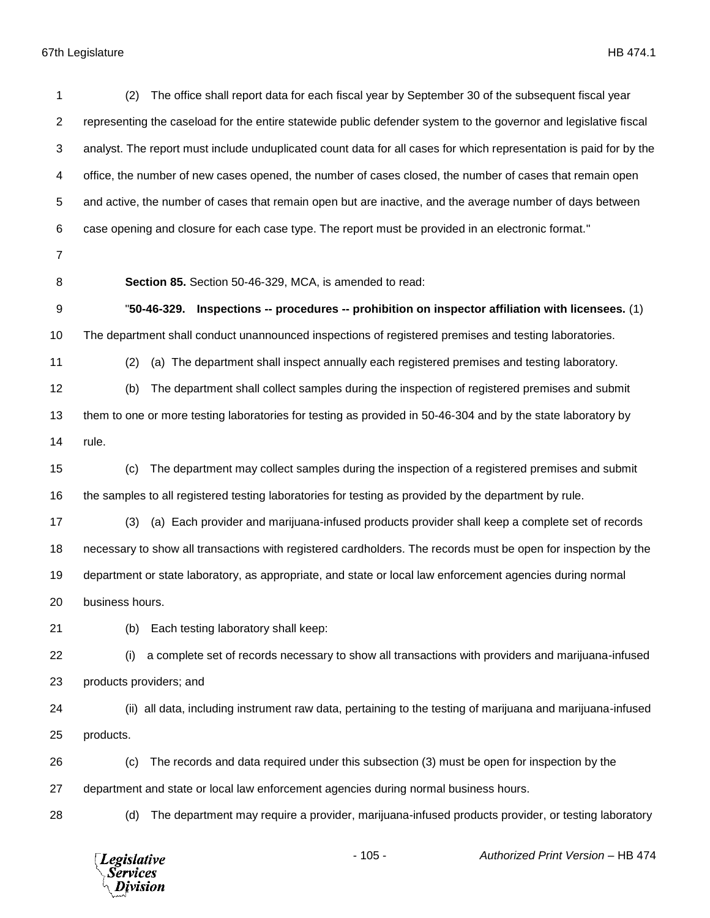| 1              | The office shall report data for each fiscal year by September 30 of the subsequent fiscal year<br>(2)             |
|----------------|--------------------------------------------------------------------------------------------------------------------|
| $\overline{2}$ | representing the caseload for the entire statewide public defender system to the governor and legislative fiscal   |
| 3              | analyst. The report must include unduplicated count data for all cases for which representation is paid for by the |
| 4              | office, the number of new cases opened, the number of cases closed, the number of cases that remain open           |
| 5              | and active, the number of cases that remain open but are inactive, and the average number of days between          |
| 6              | case opening and closure for each case type. The report must be provided in an electronic format."                 |
| 7              |                                                                                                                    |
| 8              | Section 85. Section 50-46-329, MCA, is amended to read:                                                            |
| 9              | "50-46-329. Inspections -- procedures -- prohibition on inspector affiliation with licensees. (1)                  |
| 10             | The department shall conduct unannounced inspections of registered premises and testing laboratories.              |
| 11             | (a) The department shall inspect annually each registered premises and testing laboratory.<br>(2)                  |
| 12             | The department shall collect samples during the inspection of registered premises and submit<br>(b)                |
| 13             | them to one or more testing laboratories for testing as provided in 50-46-304 and by the state laboratory by       |
| 14             | rule.                                                                                                              |
| 15             | The department may collect samples during the inspection of a registered premises and submit<br>(c)                |
| 16             | the samples to all registered testing laboratories for testing as provided by the department by rule.              |
| 17             | (a) Each provider and marijuana-infused products provider shall keep a complete set of records<br>(3)              |
| 18             | necessary to show all transactions with registered cardholders. The records must be open for inspection by the     |
| 19             | department or state laboratory, as appropriate, and state or local law enforcement agencies during normal          |
| 20             | business hours.                                                                                                    |
| 21             | Each testing laboratory shall keep:<br>(b)                                                                         |
| 22             | a complete set of records necessary to show all transactions with providers and marijuana-infused<br>(i)           |
| 23             | products providers; and                                                                                            |
| 24             | (ii) all data, including instrument raw data, pertaining to the testing of marijuana and marijuana-infused         |
| 25             | products.                                                                                                          |
| 26             | The records and data required under this subsection (3) must be open for inspection by the<br>(c)                  |
| 27             | department and state or local law enforcement agencies during normal business hours.                               |
| 28             | The department may require a provider, marijuana-infused products provider, or testing laboratory<br>(d)           |
|                | $-105 -$<br>Authorized Print Version - HB 474<br><b>Legislative</b><br><b>Services</b><br>Division                 |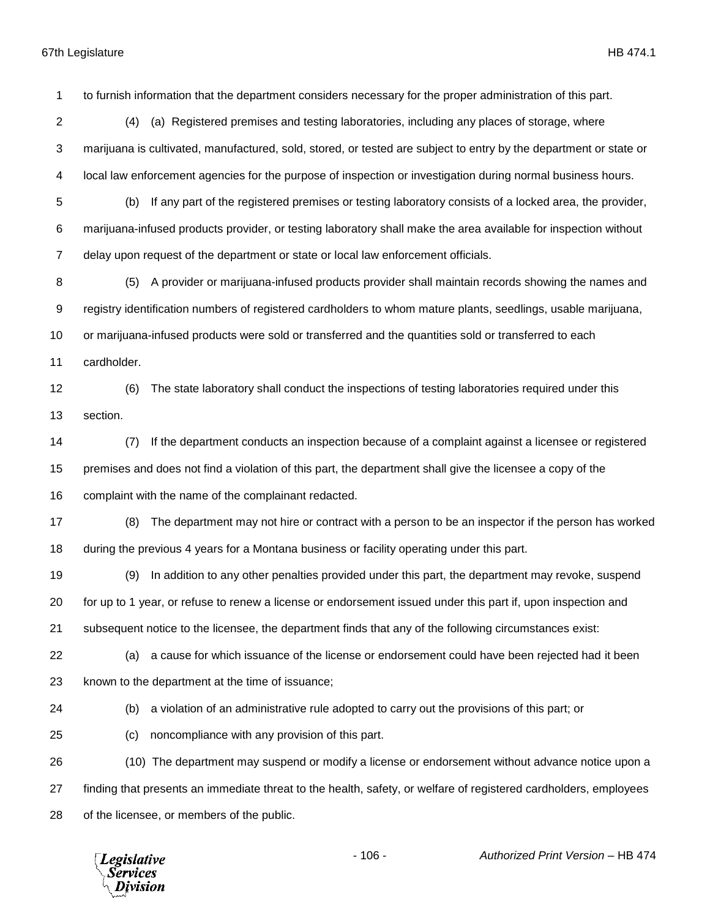to furnish information that the department considers necessary for the proper administration of this part. (4) (a) Registered premises and testing laboratories, including any places of storage, where marijuana is cultivated, manufactured, sold, stored, or tested are subject to entry by the department or state or local law enforcement agencies for the purpose of inspection or investigation during normal business hours. (b) If any part of the registered premises or testing laboratory consists of a locked area, the provider, marijuana-infused products provider, or testing laboratory shall make the area available for inspection without delay upon request of the department or state or local law enforcement officials. (5) A provider or marijuana-infused products provider shall maintain records showing the names and registry identification numbers of registered cardholders to whom mature plants, seedlings, usable marijuana, or marijuana-infused products were sold or transferred and the quantities sold or transferred to each cardholder. (6) The state laboratory shall conduct the inspections of testing laboratories required under this section. (7) If the department conducts an inspection because of a complaint against a licensee or registered premises and does not find a violation of this part, the department shall give the licensee a copy of the complaint with the name of the complainant redacted. (8) The department may not hire or contract with a person to be an inspector if the person has worked during the previous 4 years for a Montana business or facility operating under this part. (9) In addition to any other penalties provided under this part, the department may revoke, suspend for up to 1 year, or refuse to renew a license or endorsement issued under this part if, upon inspection and subsequent notice to the licensee, the department finds that any of the following circumstances exist: (a) a cause for which issuance of the license or endorsement could have been rejected had it been known to the department at the time of issuance; (b) a violation of an administrative rule adopted to carry out the provisions of this part; or (c) noncompliance with any provision of this part. (10) The department may suspend or modify a license or endorsement without advance notice upon a finding that presents an immediate threat to the health, safety, or welfare of registered cardholders, employees of the licensee, or members of the public.- 106 - *Authorized Print Version* – HB 474 **Legislative** Services ivision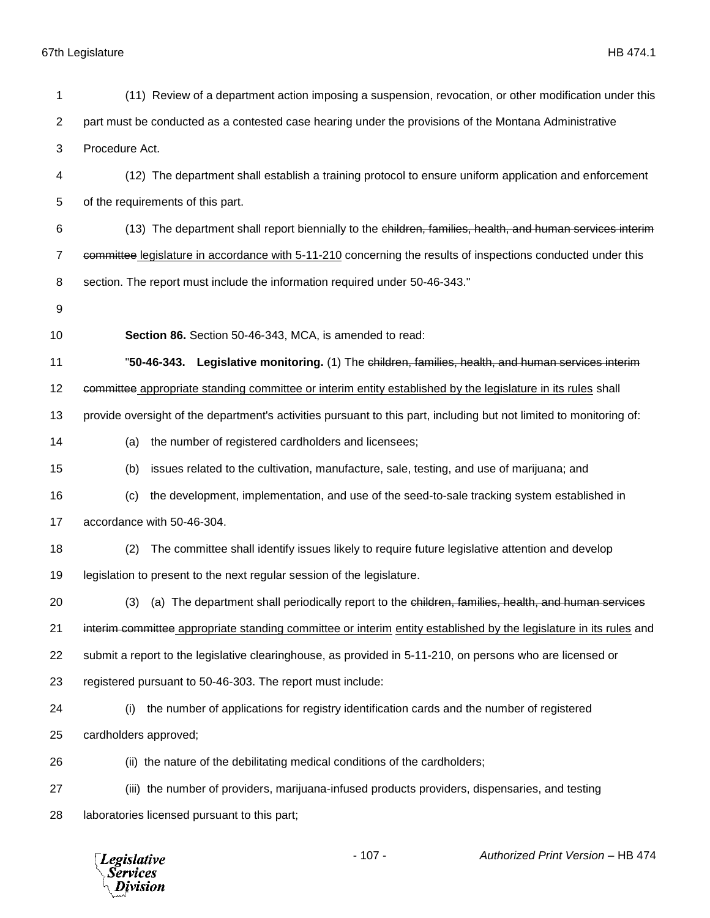| 1  | (11) Review of a department action imposing a suspension, revocation, or other modification under this              |
|----|---------------------------------------------------------------------------------------------------------------------|
| 2  | part must be conducted as a contested case hearing under the provisions of the Montana Administrative               |
| 3  | Procedure Act.                                                                                                      |
| 4  | (12) The department shall establish a training protocol to ensure uniform application and enforcement               |
| 5  | of the requirements of this part.                                                                                   |
| 6  | (13) The department shall report biennially to the children, families, health, and human services interim           |
| 7  | committee legislature in accordance with 5-11-210 concerning the results of inspections conducted under this        |
| 8  | section. The report must include the information required under 50-46-343."                                         |
| 9  |                                                                                                                     |
| 10 | Section 86. Section 50-46-343, MCA, is amended to read:                                                             |
| 11 | "50-46-343. Legislative monitoring. (1) The children, families, health, and human services interim                  |
| 12 | committee appropriate standing committee or interim entity established by the legislature in its rules shall        |
| 13 | provide oversight of the department's activities pursuant to this part, including but not limited to monitoring of: |
| 14 | the number of registered cardholders and licensees;<br>(a)                                                          |
| 15 | issues related to the cultivation, manufacture, sale, testing, and use of marijuana; and<br>(b)                     |
| 16 | the development, implementation, and use of the seed-to-sale tracking system established in<br>(c)                  |
| 17 | accordance with 50-46-304.                                                                                          |
| 18 | The committee shall identify issues likely to require future legislative attention and develop<br>(2)               |
| 19 | legislation to present to the next regular session of the legislature.                                              |
| 20 | (3) (a) The department shall periodically report to the children, families, health, and human services              |
| 21 | interim committee appropriate standing committee or interim entity established by the legislature in its rules and  |
| 22 | submit a report to the legislative clearinghouse, as provided in 5-11-210, on persons who are licensed or           |
| 23 | registered pursuant to 50-46-303. The report must include:                                                          |
| 24 | the number of applications for registry identification cards and the number of registered<br>(i)                    |
| 25 | cardholders approved;                                                                                               |
| 26 | (ii) the nature of the debilitating medical conditions of the cardholders;                                          |
| 27 | (iii) the number of providers, marijuana-infused products providers, dispensaries, and testing                      |
| 28 | laboratories licensed pursuant to this part;                                                                        |
|    |                                                                                                                     |

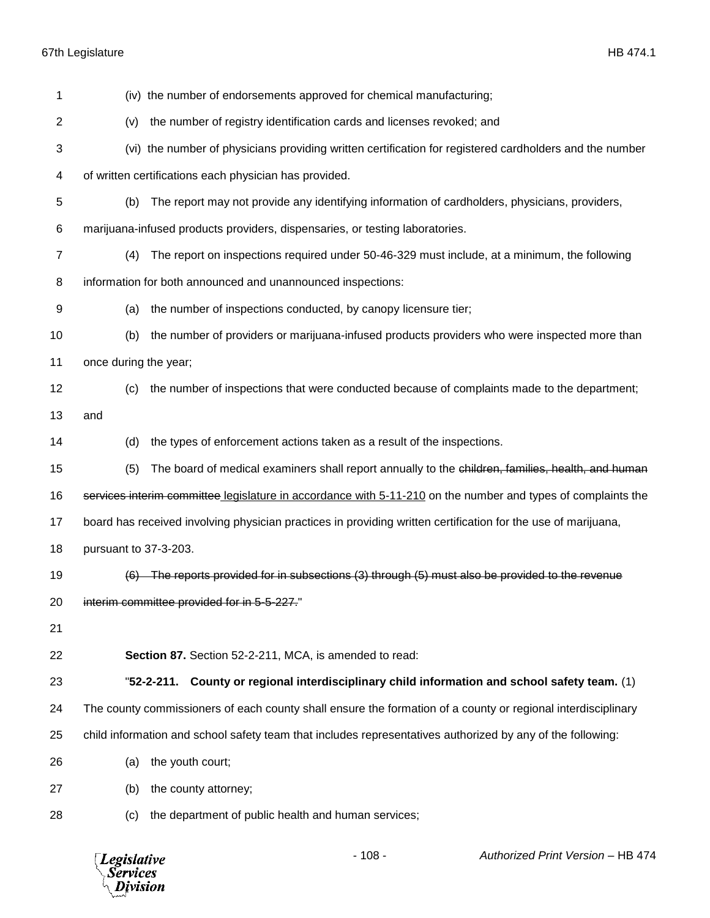| 1            | (iv) the number of endorsements approved for chemical manufacturing;                                          |
|--------------|---------------------------------------------------------------------------------------------------------------|
| $\mathbf{2}$ | the number of registry identification cards and licenses revoked; and<br>(v)                                  |
| 3            | (vi) the number of physicians providing written certification for registered cardholders and the number       |
| 4            | of written certifications each physician has provided.                                                        |
| 5            | (b)<br>The report may not provide any identifying information of cardholders, physicians, providers,          |
| 6            | marijuana-infused products providers, dispensaries, or testing laboratories.                                  |
| 7            | The report on inspections required under 50-46-329 must include, at a minimum, the following<br>(4)           |
| 8            | information for both announced and unannounced inspections:                                                   |
| 9            | the number of inspections conducted, by canopy licensure tier;<br>(a)                                         |
| 10           | the number of providers or marijuana-infused products providers who were inspected more than<br>(b)           |
| 11           | once during the year;                                                                                         |
| 12           | the number of inspections that were conducted because of complaints made to the department;<br>(c)            |
| 13           | and                                                                                                           |
| 14           | the types of enforcement actions taken as a result of the inspections.<br>(d)                                 |
| 15           | The board of medical examiners shall report annually to the children, families, health, and human<br>(5)      |
| 16           | services interim committee legislature in accordance with 5-11-210 on the number and types of complaints the  |
| 17           | board has received involving physician practices in providing written certification for the use of marijuana, |
| 18           | pursuant to 37-3-203.                                                                                         |
| 19           | The reports provided for in subsections (3) through (5) must also be provided to the revenue                  |
| 20           | interim committee provided for in 5-5-227."                                                                   |
| 21           |                                                                                                               |
| 22           | Section 87. Section 52-2-211, MCA, is amended to read:                                                        |
| 23           | "52-2-211. County or regional interdisciplinary child information and school safety team. (1)                 |
| 24           | The county commissioners of each county shall ensure the formation of a county or regional interdisciplinary  |
| 25           | child information and school safety team that includes representatives authorized by any of the following:    |
| 26           | the youth court;<br>(a)                                                                                       |
| 27           | the county attorney;<br>(b)                                                                                   |
| 28           | the department of public health and human services;<br>(c)                                                    |

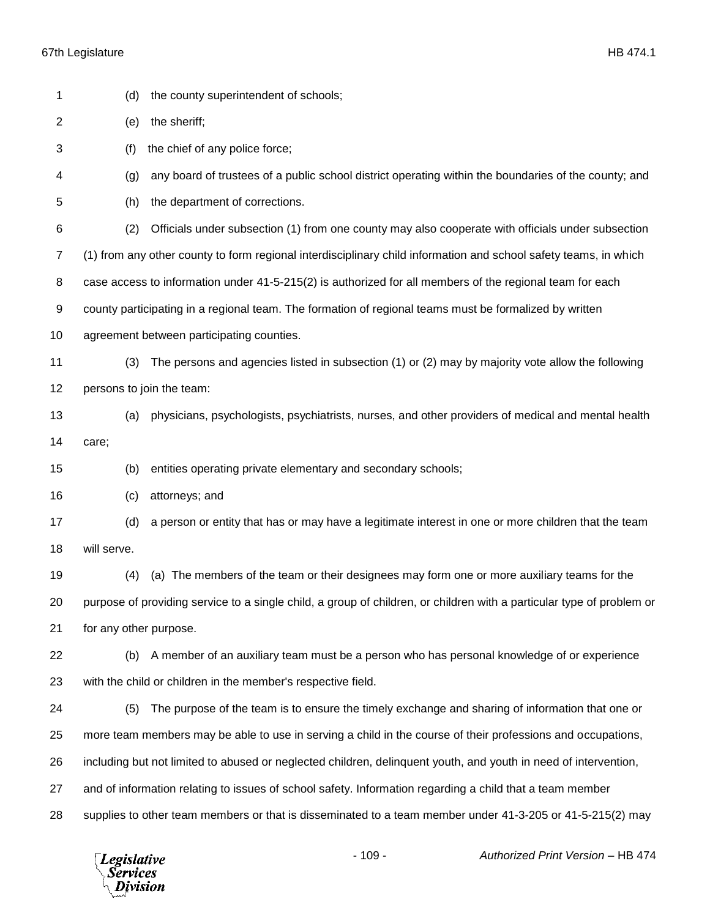| 1              | (d)                                                                                                      | the county superintendent of schools;                                                                                 |  |
|----------------|----------------------------------------------------------------------------------------------------------|-----------------------------------------------------------------------------------------------------------------------|--|
| $\overline{2}$ | the sheriff;<br>(e)                                                                                      |                                                                                                                       |  |
| 3              | (f)<br>the chief of any police force;                                                                    |                                                                                                                       |  |
| 4              | (g)                                                                                                      | any board of trustees of a public school district operating within the boundaries of the county; and                  |  |
| 5              | (h)                                                                                                      | the department of corrections.                                                                                        |  |
| 6              | (2)                                                                                                      | Officials under subsection (1) from one county may also cooperate with officials under subsection                     |  |
| $\overline{7}$ |                                                                                                          | (1) from any other county to form regional interdisciplinary child information and school safety teams, in which      |  |
| 8              | case access to information under 41-5-215(2) is authorized for all members of the regional team for each |                                                                                                                       |  |
| 9              |                                                                                                          | county participating in a regional team. The formation of regional teams must be formalized by written                |  |
| 10             |                                                                                                          | agreement between participating counties.                                                                             |  |
| 11             | (3)                                                                                                      | The persons and agencies listed in subsection (1) or (2) may by majority vote allow the following                     |  |
| 12             |                                                                                                          | persons to join the team:                                                                                             |  |
| 13             | (a)                                                                                                      | physicians, psychologists, psychiatrists, nurses, and other providers of medical and mental health                    |  |
| 14             | care;                                                                                                    |                                                                                                                       |  |
| 15             | (b)                                                                                                      | entities operating private elementary and secondary schools;                                                          |  |
| 16             | (c)                                                                                                      | attorneys; and                                                                                                        |  |
| 17             | (d)                                                                                                      | a person or entity that has or may have a legitimate interest in one or more children that the team                   |  |
| 18             | will serve.                                                                                              |                                                                                                                       |  |
| 19             | (4)                                                                                                      | (a) The members of the team or their designees may form one or more auxiliary teams for the                           |  |
| 20             |                                                                                                          | purpose of providing service to a single child, a group of children, or children with a particular type of problem or |  |
| 21             | for any other purpose.                                                                                   |                                                                                                                       |  |
| 22             | (b)                                                                                                      | A member of an auxiliary team must be a person who has personal knowledge of or experience                            |  |
| 23             |                                                                                                          | with the child or children in the member's respective field.                                                          |  |
| 24             | (5)                                                                                                      | The purpose of the team is to ensure the timely exchange and sharing of information that one or                       |  |
| 25             |                                                                                                          | more team members may be able to use in serving a child in the course of their professions and occupations,           |  |
| 26             |                                                                                                          | including but not limited to abused or neglected children, delinquent youth, and youth in need of intervention,       |  |
| 27             |                                                                                                          | and of information relating to issues of school safety. Information regarding a child that a team member              |  |
| 28             |                                                                                                          | supplies to other team members or that is disseminated to a team member under 41-3-205 or 41-5-215(2) may             |  |
|                |                                                                                                          |                                                                                                                       |  |

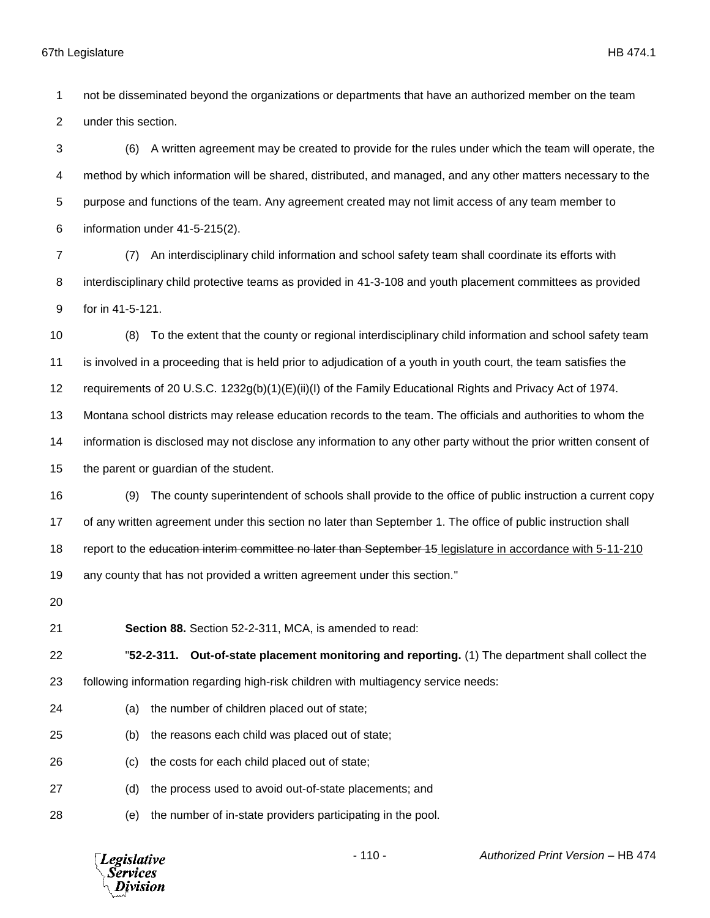not be disseminated beyond the organizations or departments that have an authorized member on the team under this section.

 (6) A written agreement may be created to provide for the rules under which the team will operate, the method by which information will be shared, distributed, and managed, and any other matters necessary to the purpose and functions of the team. Any agreement created may not limit access of any team member to information under 41-5-215(2).

 (7) An interdisciplinary child information and school safety team shall coordinate its efforts with interdisciplinary child protective teams as provided in 41-3-108 and youth placement committees as provided for in 41-5-121.

 (8) To the extent that the county or regional interdisciplinary child information and school safety team is involved in a proceeding that is held prior to adjudication of a youth in youth court, the team satisfies the

requirements of 20 U.S.C. 1232g(b)(1)(E)(ii)(I) of the Family Educational Rights and Privacy Act of 1974.

Montana school districts may release education records to the team. The officials and authorities to whom the

information is disclosed may not disclose any information to any other party without the prior written consent of

the parent or guardian of the student.

 (9) The county superintendent of schools shall provide to the office of public instruction a current copy of any written agreement under this section no later than September 1. The office of public instruction shall 18 report to the education interim committee no later than September 15 legislature in accordance with 5-11-210 any county that has not provided a written agreement under this section."

**Section 88.** Section 52-2-311, MCA, is amended to read:

 "**52-2-311. Out-of-state placement monitoring and reporting.** (1) The department shall collect the following information regarding high-risk children with multiagency service needs:

- (a) the number of children placed out of state;
- (b) the reasons each child was placed out of state;
- (c) the costs for each child placed out of state;
- (d) the process used to avoid out-of-state placements; and
- (e) the number of in-state providers participating in the pool.

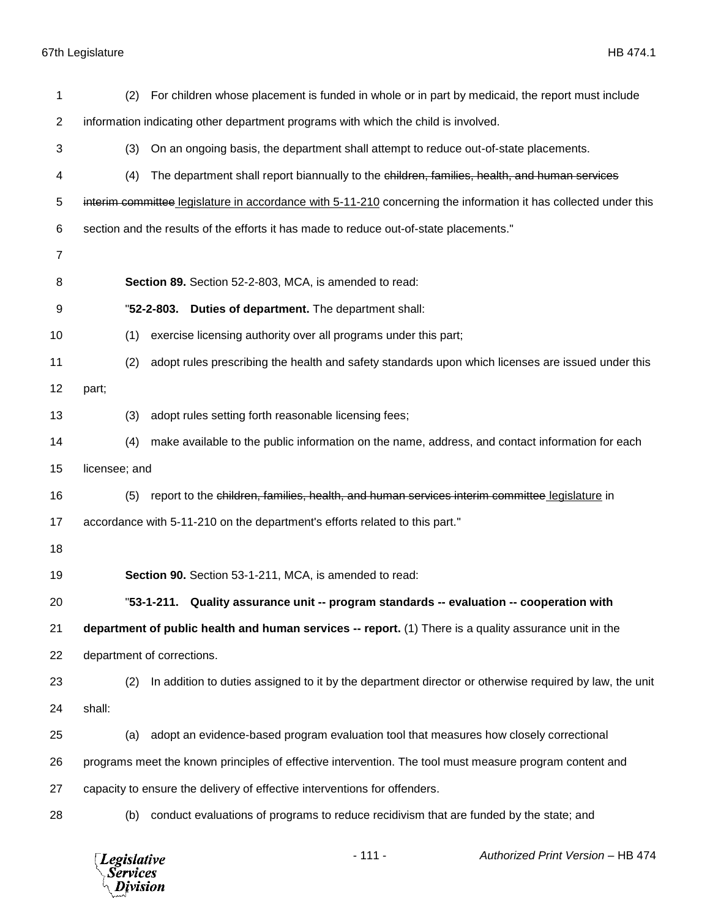*Legislative*<br>Services<br>*Division* 

| 1              | For children whose placement is funded in whole or in part by medicaid, the report must include<br>(2)           |  |  |  |
|----------------|------------------------------------------------------------------------------------------------------------------|--|--|--|
| $\overline{c}$ | information indicating other department programs with which the child is involved.                               |  |  |  |
| 3              | (3)<br>On an ongoing basis, the department shall attempt to reduce out-of-state placements.                      |  |  |  |
| 4              | (4)<br>The department shall report biannually to the children, families, health, and human services              |  |  |  |
| 5              | interim committee legislature in accordance with 5-11-210 concerning the information it has collected under this |  |  |  |
| 6              | section and the results of the efforts it has made to reduce out-of-state placements."                           |  |  |  |
| 7              |                                                                                                                  |  |  |  |
| 8              | Section 89. Section 52-2-803, MCA, is amended to read:                                                           |  |  |  |
| 9              | "52-2-803.<br>Duties of department. The department shall:                                                        |  |  |  |
| 10             | exercise licensing authority over all programs under this part;<br>(1)                                           |  |  |  |
| 11             | adopt rules prescribing the health and safety standards upon which licenses are issued under this<br>(2)         |  |  |  |
| 12             | part;                                                                                                            |  |  |  |
| 13             | adopt rules setting forth reasonable licensing fees;<br>(3)                                                      |  |  |  |
| 14             | (4)<br>make available to the public information on the name, address, and contact information for each           |  |  |  |
| 15             | licensee; and                                                                                                    |  |  |  |
| 16             | report to the children, families, health, and human services interim committee legislature in<br>(5)             |  |  |  |
| 17             | accordance with 5-11-210 on the department's efforts related to this part."                                      |  |  |  |
| 18             |                                                                                                                  |  |  |  |
| 19             | Section 90. Section 53-1-211, MCA, is amended to read:                                                           |  |  |  |
| 20             | "53-1-211. Quality assurance unit -- program standards -- evaluation -- cooperation with                         |  |  |  |
| 21             | department of public health and human services -- report. (1) There is a quality assurance unit in the           |  |  |  |
| 22             | department of corrections.                                                                                       |  |  |  |
| 23             | In addition to duties assigned to it by the department director or otherwise required by law, the unit<br>(2)    |  |  |  |
| 24             | shall:                                                                                                           |  |  |  |
| 25             | adopt an evidence-based program evaluation tool that measures how closely correctional<br>(a)                    |  |  |  |
| 26             | programs meet the known principles of effective intervention. The tool must measure program content and          |  |  |  |
| 27             | capacity to ensure the delivery of effective interventions for offenders.                                        |  |  |  |
| 28             | conduct evaluations of programs to reduce recidivism that are funded by the state; and<br>(b)                    |  |  |  |
|                |                                                                                                                  |  |  |  |

- 111 - *Authorized Print Version* – HB 474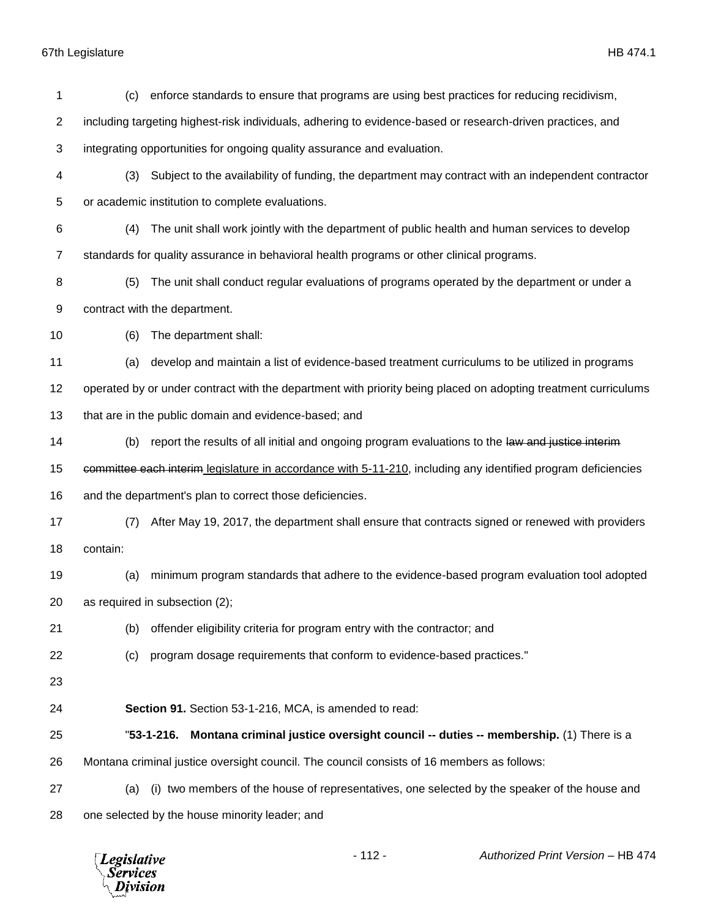| 1              | enforce standards to ensure that programs are using best practices for reducing recidivism,<br>(c)             |  |
|----------------|----------------------------------------------------------------------------------------------------------------|--|
| $\overline{2}$ | including targeting highest-risk individuals, adhering to evidence-based or research-driven practices, and     |  |
| 3              | integrating opportunities for ongoing quality assurance and evaluation.                                        |  |
| 4              | Subject to the availability of funding, the department may contract with an independent contractor<br>(3)      |  |
| 5              | or academic institution to complete evaluations.                                                               |  |
| 6              | The unit shall work jointly with the department of public health and human services to develop<br>(4)          |  |
| $\overline{7}$ | standards for quality assurance in behavioral health programs or other clinical programs.                      |  |
| 8              | The unit shall conduct regular evaluations of programs operated by the department or under a<br>(5)            |  |
| 9              | contract with the department.                                                                                  |  |
| 10             | The department shall:<br>(6)                                                                                   |  |
| 11             | develop and maintain a list of evidence-based treatment curriculums to be utilized in programs<br>(a)          |  |
| 12             | operated by or under contract with the department with priority being placed on adopting treatment curriculums |  |
| 13             | that are in the public domain and evidence-based; and                                                          |  |
| 14             | report the results of all initial and ongoing program evaluations to the law and justice interim<br>(b)        |  |
| 15             | committee each interim legislature in accordance with 5-11-210, including any identified program deficiencies  |  |
| 16             | and the department's plan to correct those deficiencies.                                                       |  |
| 17             | After May 19, 2017, the department shall ensure that contracts signed or renewed with providers<br>(7)         |  |
| 18             | contain:                                                                                                       |  |
| 19             | minimum program standards that adhere to the evidence-based program evaluation tool adopted<br>(a)             |  |
| 20             | as required in subsection (2);                                                                                 |  |
| 21             | offender eligibility criteria for program entry with the contractor; and<br>(b)                                |  |
| 22             | program dosage requirements that conform to evidence-based practices."<br>(c)                                  |  |
| 23             |                                                                                                                |  |
| 24             | Section 91. Section 53-1-216, MCA, is amended to read:                                                         |  |
| 25             | Montana criminal justice oversight council -- duties -- membership. (1) There is a<br>"53-1-216.               |  |
| 26             | Montana criminal justice oversight council. The council consists of 16 members as follows:                     |  |
| 27             | (i) two members of the house of representatives, one selected by the speaker of the house and<br>(a)           |  |
| 28             | one selected by the house minority leader; and                                                                 |  |
|                |                                                                                                                |  |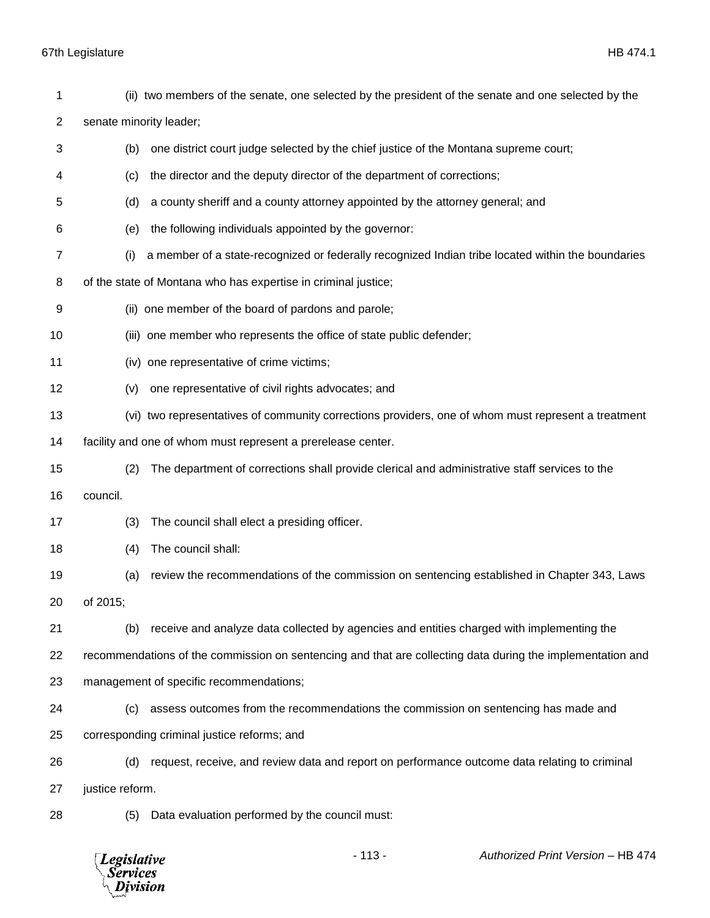| 1  |                                                                                                            | (ii) two members of the senate, one selected by the president of the senate and one selected by the |
|----|------------------------------------------------------------------------------------------------------------|-----------------------------------------------------------------------------------------------------|
| 2  | senate minority leader;                                                                                    |                                                                                                     |
| 3  | one district court judge selected by the chief justice of the Montana supreme court;<br>(b)                |                                                                                                     |
| 4  | the director and the deputy director of the department of corrections;<br>(c)                              |                                                                                                     |
| 5  | a county sheriff and a county attorney appointed by the attorney general; and<br>(d)                       |                                                                                                     |
| 6  | (e)                                                                                                        | the following individuals appointed by the governor:                                                |
| 7  | a member of a state-recognized or federally recognized Indian tribe located within the boundaries<br>(i)   |                                                                                                     |
| 8  |                                                                                                            | of the state of Montana who has expertise in criminal justice;                                      |
| 9  |                                                                                                            | (ii) one member of the board of pardons and parole;                                                 |
| 10 |                                                                                                            | (iii) one member who represents the office of state public defender;                                |
| 11 |                                                                                                            | (iv) one representative of crime victims;                                                           |
| 12 | (v)                                                                                                        | one representative of civil rights advocates; and                                                   |
| 13 |                                                                                                            | (vi) two representatives of community corrections providers, one of whom must represent a treatment |
| 14 |                                                                                                            | facility and one of whom must represent a prerelease center.                                        |
| 15 | (2)                                                                                                        | The department of corrections shall provide clerical and administrative staff services to the       |
| 16 | council.                                                                                                   |                                                                                                     |
| 17 | (3)                                                                                                        | The council shall elect a presiding officer.                                                        |
| 18 | The council shall:<br>(4)                                                                                  |                                                                                                     |
| 19 | (a)                                                                                                        | review the recommendations of the commission on sentencing established in Chapter 343, Laws         |
| 20 | of 2015;                                                                                                   |                                                                                                     |
| 21 | (b)                                                                                                        | receive and analyze data collected by agencies and entities charged with implementing the           |
| 22 | recommendations of the commission on sentencing and that are collecting data during the implementation and |                                                                                                     |
| 23 |                                                                                                            | management of specific recommendations;                                                             |
| 24 | (c)                                                                                                        | assess outcomes from the recommendations the commission on sentencing has made and                  |
| 25 |                                                                                                            | corresponding criminal justice reforms; and                                                         |
| 26 | (d)                                                                                                        | request, receive, and review data and report on performance outcome data relating to criminal       |
| 27 | justice reform.                                                                                            |                                                                                                     |
| 28 | (5)                                                                                                        | Data evaluation performed by the council must:                                                      |

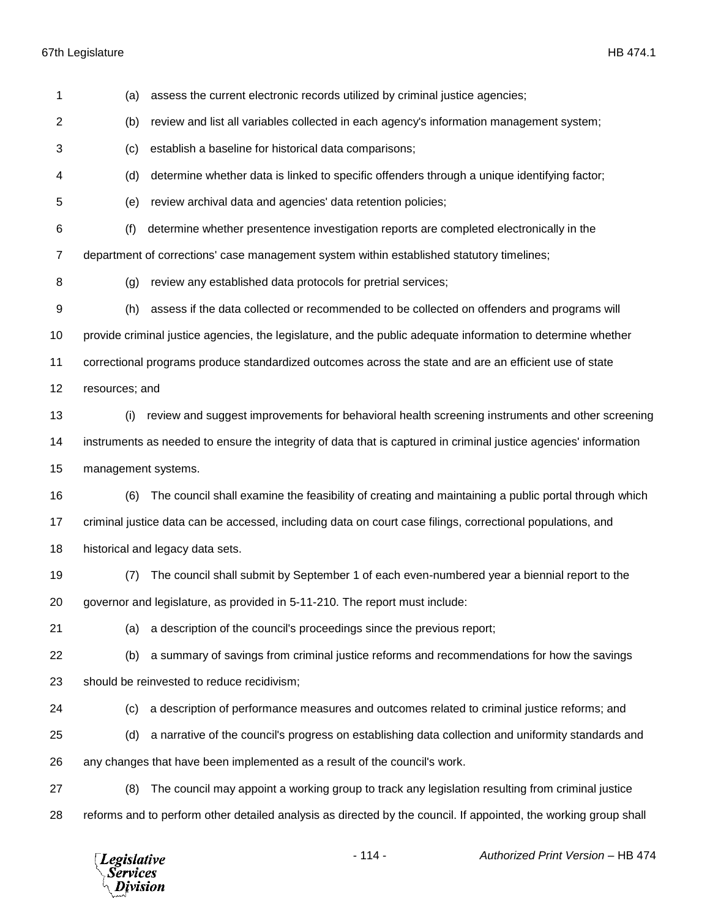| 1  | (a)                                                                                                          | assess the current electronic records utilized by criminal justice agencies;                                     |  |
|----|--------------------------------------------------------------------------------------------------------------|------------------------------------------------------------------------------------------------------------------|--|
| 2  | review and list all variables collected in each agency's information management system;<br>(b)               |                                                                                                                  |  |
| 3  | establish a baseline for historical data comparisons;<br>(c)                                                 |                                                                                                                  |  |
| 4  | (d)                                                                                                          | determine whether data is linked to specific offenders through a unique identifying factor;                      |  |
| 5  | (e)                                                                                                          | review archival data and agencies' data retention policies;                                                      |  |
| 6  | (f)                                                                                                          | determine whether presentence investigation reports are completed electronically in the                          |  |
| 7  |                                                                                                              | department of corrections' case management system within established statutory timelines;                        |  |
| 8  | (g)                                                                                                          | review any established data protocols for pretrial services;                                                     |  |
| 9  | (h)                                                                                                          | assess if the data collected or recommended to be collected on offenders and programs will                       |  |
| 10 | provide criminal justice agencies, the legislature, and the public adequate information to determine whether |                                                                                                                  |  |
| 11 | correctional programs produce standardized outcomes across the state and are an efficient use of state       |                                                                                                                  |  |
| 12 | resources; and                                                                                               |                                                                                                                  |  |
| 13 | (i)                                                                                                          | review and suggest improvements for behavioral health screening instruments and other screening                  |  |
| 14 |                                                                                                              | instruments as needed to ensure the integrity of data that is captured in criminal justice agencies' information |  |
|    |                                                                                                              |                                                                                                                  |  |
| 15 | management systems.                                                                                          |                                                                                                                  |  |
| 16 | (6)                                                                                                          | The council shall examine the feasibility of creating and maintaining a public portal through which              |  |
| 17 |                                                                                                              | criminal justice data can be accessed, including data on court case filings, correctional populations, and       |  |
| 18 |                                                                                                              | historical and legacy data sets.                                                                                 |  |
| 19 | (7)                                                                                                          | The council shall submit by September 1 of each even-numbered year a biennial report to the                      |  |
| 20 |                                                                                                              | governor and legislature, as provided in 5-11-210. The report must include:                                      |  |
| 21 | (a)                                                                                                          | a description of the council's proceedings since the previous report;                                            |  |
| 22 | (b)                                                                                                          | a summary of savings from criminal justice reforms and recommendations for how the savings                       |  |
| 23 |                                                                                                              | should be reinvested to reduce recidivism;                                                                       |  |
| 24 | (c)                                                                                                          | a description of performance measures and outcomes related to criminal justice reforms; and                      |  |
| 25 | (d)                                                                                                          | a narrative of the council's progress on establishing data collection and uniformity standards and               |  |
| 26 |                                                                                                              | any changes that have been implemented as a result of the council's work.                                        |  |
| 27 | (8)                                                                                                          | The council may appoint a working group to track any legislation resulting from criminal justice                 |  |

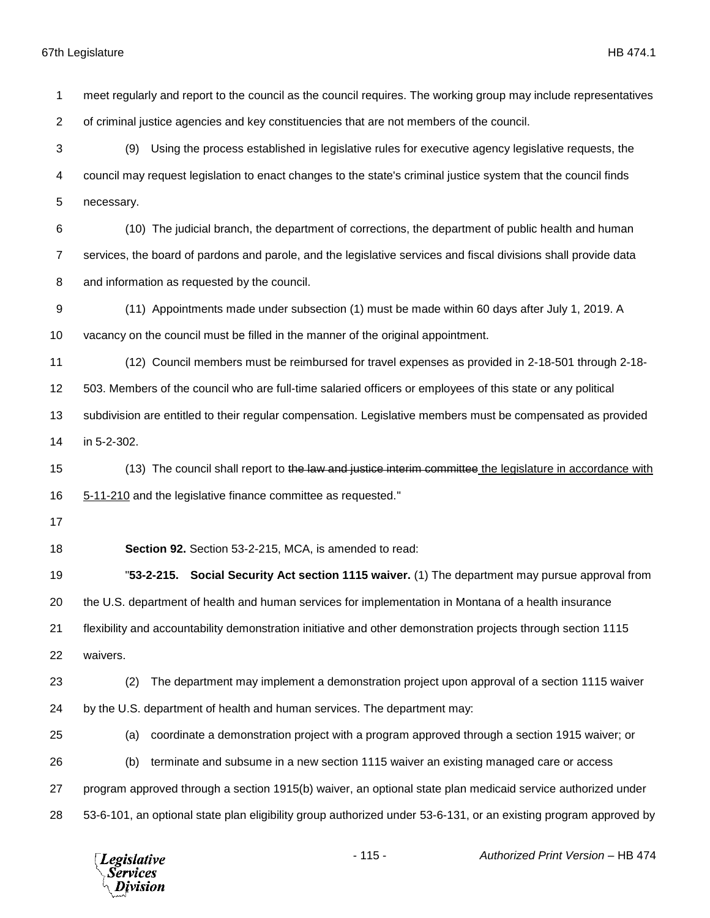meet regularly and report to the council as the council requires. The working group may include representatives of criminal justice agencies and key constituencies that are not members of the council. (9) Using the process established in legislative rules for executive agency legislative requests, the council may request legislation to enact changes to the state's criminal justice system that the council finds necessary. (10) The judicial branch, the department of corrections, the department of public health and human services, the board of pardons and parole, and the legislative services and fiscal divisions shall provide data and information as requested by the council. (11) Appointments made under subsection (1) must be made within 60 days after July 1, 2019. A vacancy on the council must be filled in the manner of the original appointment. (12) Council members must be reimbursed for travel expenses as provided in 2-18-501 through 2-18- 503. Members of the council who are full-time salaried officers or employees of this state or any political subdivision are entitled to their regular compensation. Legislative members must be compensated as provided in 5-2-302. 15 (13) The council shall report to the law and justice interim committee the legislature in accordance with 5-11-210 and the legislative finance committee as requested." **Section 92.** Section 53-2-215, MCA, is amended to read: "**53-2-215. Social Security Act section 1115 waiver.** (1) The department may pursue approval from the U.S. department of health and human services for implementation in Montana of a health insurance flexibility and accountability demonstration initiative and other demonstration projects through section 1115 waivers. (2) The department may implement a demonstration project upon approval of a section 1115 waiver by the U.S. department of health and human services. The department may: (a) coordinate a demonstration project with a program approved through a section 1915 waiver; or (b) terminate and subsume in a new section 1115 waiver an existing managed care or access program approved through a section 1915(b) waiver, an optional state plan medicaid service authorized under 53-6-101, an optional state plan eligibility group authorized under 53-6-131, or an existing program approved by

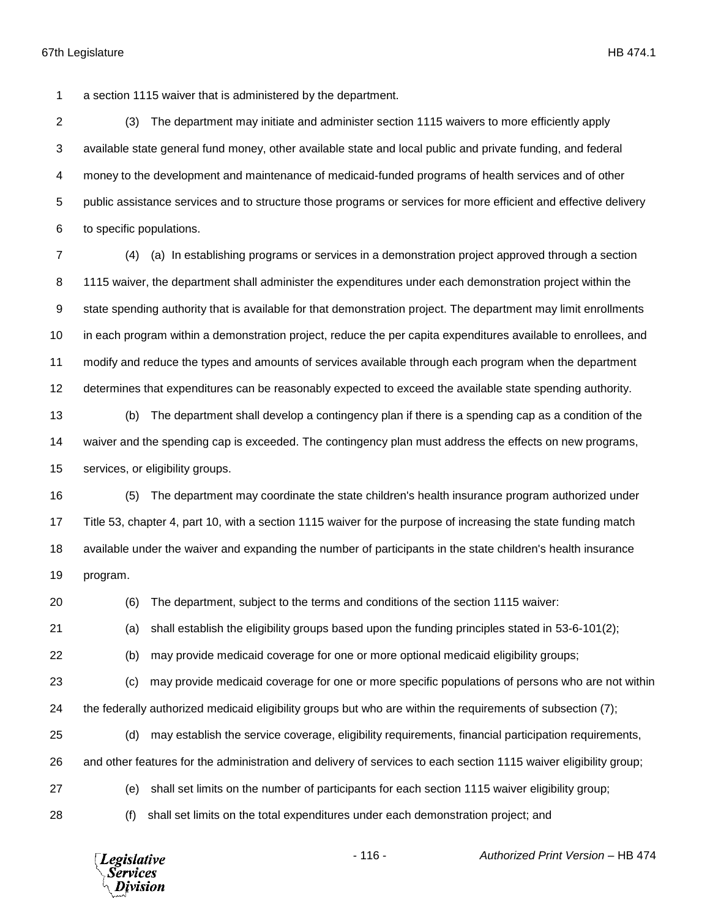a section 1115 waiver that is administered by the department.

 (3) The department may initiate and administer section 1115 waivers to more efficiently apply available state general fund money, other available state and local public and private funding, and federal money to the development and maintenance of medicaid-funded programs of health services and of other public assistance services and to structure those programs or services for more efficient and effective delivery to specific populations.

 (4) (a) In establishing programs or services in a demonstration project approved through a section 1115 waiver, the department shall administer the expenditures under each demonstration project within the state spending authority that is available for that demonstration project. The department may limit enrollments 10 in each program within a demonstration project, reduce the per capita expenditures available to enrollees, and modify and reduce the types and amounts of services available through each program when the department determines that expenditures can be reasonably expected to exceed the available state spending authority.

 (b) The department shall develop a contingency plan if there is a spending cap as a condition of the waiver and the spending cap is exceeded. The contingency plan must address the effects on new programs, services, or eligibility groups.

 (5) The department may coordinate the state children's health insurance program authorized under Title 53, chapter 4, part 10, with a section 1115 waiver for the purpose of increasing the state funding match available under the waiver and expanding the number of participants in the state children's health insurance program.

(6) The department, subject to the terms and conditions of the section 1115 waiver:

(a) shall establish the eligibility groups based upon the funding principles stated in 53-6-101(2);

(b) may provide medicaid coverage for one or more optional medicaid eligibility groups;

 (c) may provide medicaid coverage for one or more specific populations of persons who are not within the federally authorized medicaid eligibility groups but who are within the requirements of subsection (7);

(d) may establish the service coverage, eligibility requirements, financial participation requirements,

and other features for the administration and delivery of services to each section 1115 waiver eligibility group;

(e) shall set limits on the number of participants for each section 1115 waiver eligibility group;

(f) shall set limits on the total expenditures under each demonstration project; and

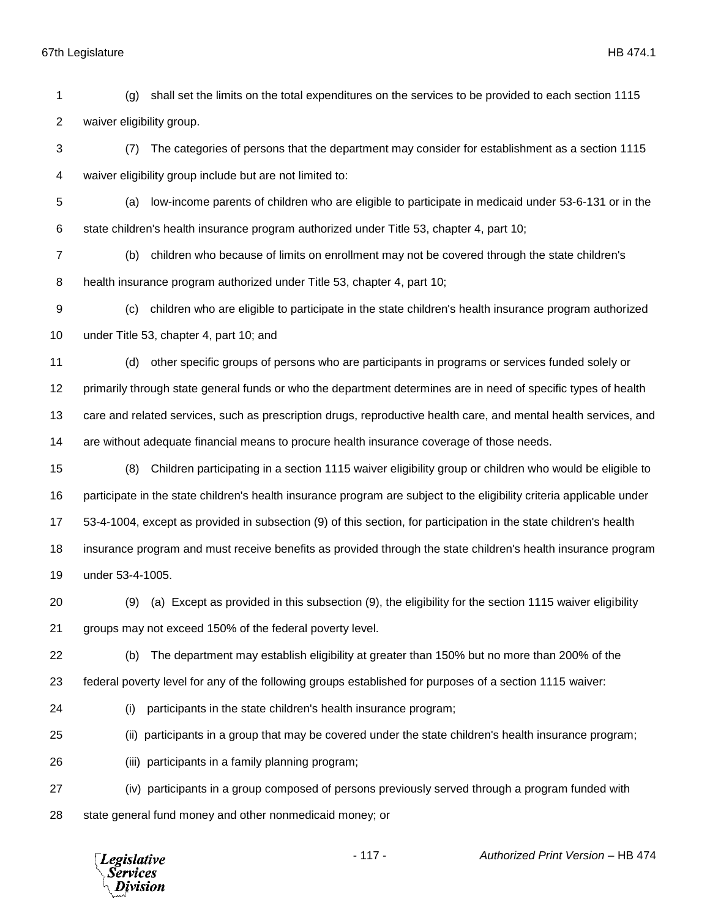(g) shall set the limits on the total expenditures on the services to be provided to each section 1115 waiver eligibility group.

 (7) The categories of persons that the department may consider for establishment as a section 1115 waiver eligibility group include but are not limited to:

 (a) low-income parents of children who are eligible to participate in medicaid under 53-6-131 or in the state children's health insurance program authorized under Title 53, chapter 4, part 10;

 (b) children who because of limits on enrollment may not be covered through the state children's health insurance program authorized under Title 53, chapter 4, part 10;

 (c) children who are eligible to participate in the state children's health insurance program authorized under Title 53, chapter 4, part 10; and

 (d) other specific groups of persons who are participants in programs or services funded solely or primarily through state general funds or who the department determines are in need of specific types of health care and related services, such as prescription drugs, reproductive health care, and mental health services, and are without adequate financial means to procure health insurance coverage of those needs.

 (8) Children participating in a section 1115 waiver eligibility group or children who would be eligible to participate in the state children's health insurance program are subject to the eligibility criteria applicable under 53-4-1004, except as provided in subsection (9) of this section, for participation in the state children's health insurance program and must receive benefits as provided through the state children's health insurance program under 53-4-1005.

 (9) (a) Except as provided in this subsection (9), the eligibility for the section 1115 waiver eligibility groups may not exceed 150% of the federal poverty level.

(b) The department may establish eligibility at greater than 150% but no more than 200% of the

- federal poverty level for any of the following groups established for purposes of a section 1115 waiver:
- 

(i) participants in the state children's health insurance program;

(ii) participants in a group that may be covered under the state children's health insurance program;

(iii) participants in a family planning program;

 (iv) participants in a group composed of persons previously served through a program funded with state general fund money and other nonmedicaid money; or

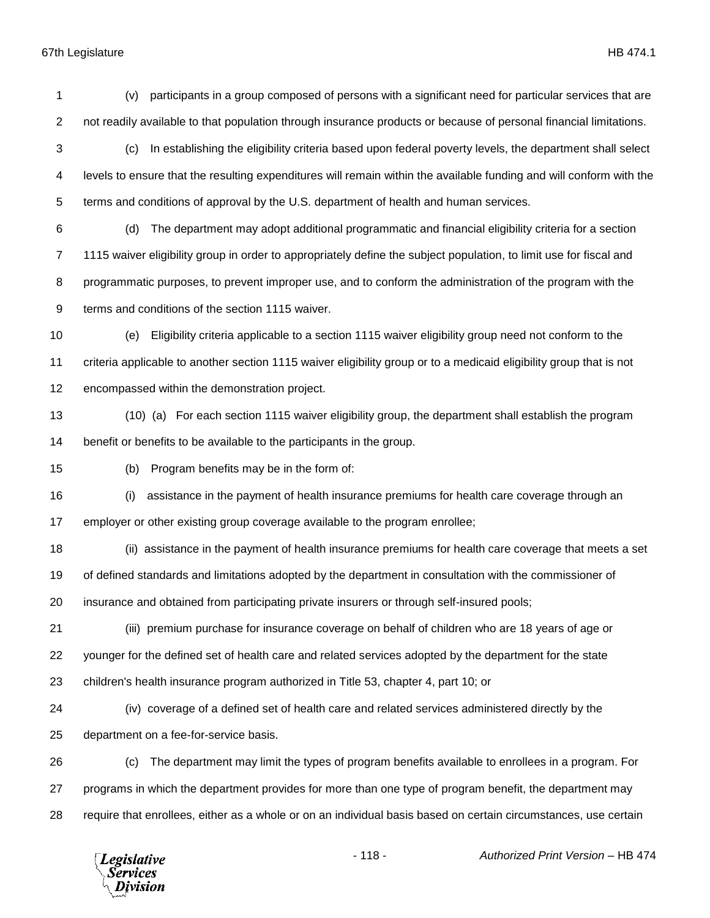(v) participants in a group composed of persons with a significant need for particular services that are not readily available to that population through insurance products or because of personal financial limitations. (c) In establishing the eligibility criteria based upon federal poverty levels, the department shall select levels to ensure that the resulting expenditures will remain within the available funding and will conform with the terms and conditions of approval by the U.S. department of health and human services. (d) The department may adopt additional programmatic and financial eligibility criteria for a section 1115 waiver eligibility group in order to appropriately define the subject population, to limit use for fiscal and programmatic purposes, to prevent improper use, and to conform the administration of the program with the terms and conditions of the section 1115 waiver. (e) Eligibility criteria applicable to a section 1115 waiver eligibility group need not conform to the criteria applicable to another section 1115 waiver eligibility group or to a medicaid eligibility group that is not encompassed within the demonstration project. (10) (a) For each section 1115 waiver eligibility group, the department shall establish the program benefit or benefits to be available to the participants in the group. (b) Program benefits may be in the form of: (i) assistance in the payment of health insurance premiums for health care coverage through an employer or other existing group coverage available to the program enrollee; (ii) assistance in the payment of health insurance premiums for health care coverage that meets a set of defined standards and limitations adopted by the department in consultation with the commissioner of insurance and obtained from participating private insurers or through self-insured pools; (iii) premium purchase for insurance coverage on behalf of children who are 18 years of age or younger for the defined set of health care and related services adopted by the department for the state children's health insurance program authorized in Title 53, chapter 4, part 10; or (iv) coverage of a defined set of health care and related services administered directly by the department on a fee-for-service basis. (c) The department may limit the types of program benefits available to enrollees in a program. For programs in which the department provides for more than one type of program benefit, the department may require that enrollees, either as a whole or on an individual basis based on certain circumstances, use certain



- 118 - *Authorized Print Version* – HB 474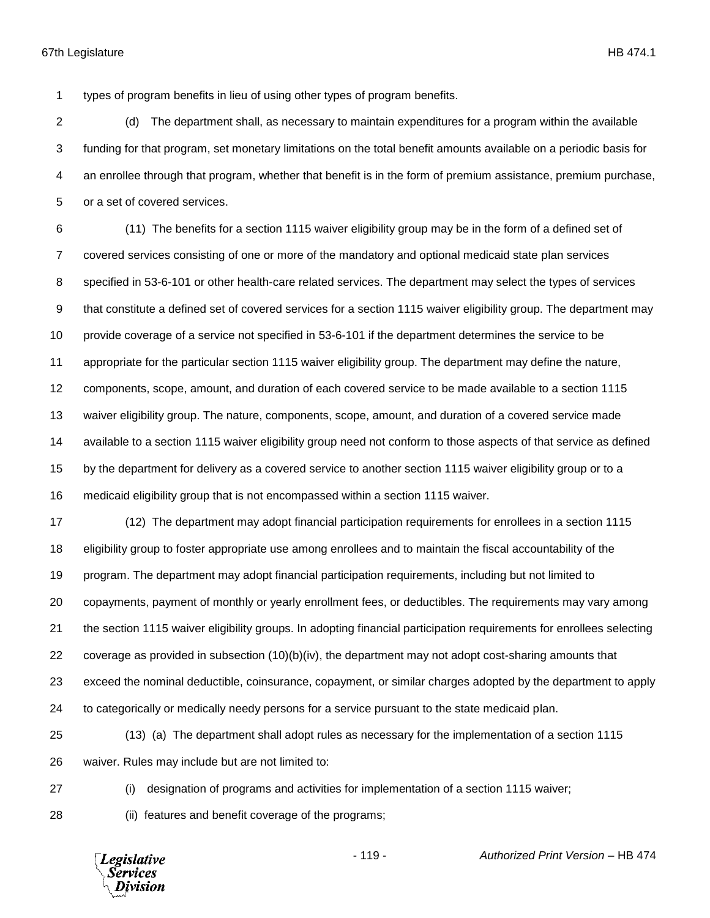types of program benefits in lieu of using other types of program benefits.

 (d) The department shall, as necessary to maintain expenditures for a program within the available funding for that program, set monetary limitations on the total benefit amounts available on a periodic basis for an enrollee through that program, whether that benefit is in the form of premium assistance, premium purchase, or a set of covered services.

 (11) The benefits for a section 1115 waiver eligibility group may be in the form of a defined set of covered services consisting of one or more of the mandatory and optional medicaid state plan services specified in 53-6-101 or other health-care related services. The department may select the types of services that constitute a defined set of covered services for a section 1115 waiver eligibility group. The department may provide coverage of a service not specified in 53-6-101 if the department determines the service to be appropriate for the particular section 1115 waiver eligibility group. The department may define the nature, components, scope, amount, and duration of each covered service to be made available to a section 1115 waiver eligibility group. The nature, components, scope, amount, and duration of a covered service made available to a section 1115 waiver eligibility group need not conform to those aspects of that service as defined by the department for delivery as a covered service to another section 1115 waiver eligibility group or to a medicaid eligibility group that is not encompassed within a section 1115 waiver.

 (12) The department may adopt financial participation requirements for enrollees in a section 1115 eligibility group to foster appropriate use among enrollees and to maintain the fiscal accountability of the program. The department may adopt financial participation requirements, including but not limited to copayments, payment of monthly or yearly enrollment fees, or deductibles. The requirements may vary among the section 1115 waiver eligibility groups. In adopting financial participation requirements for enrollees selecting 22 coverage as provided in subsection  $(10)(b)(iv)$ , the department may not adopt cost-sharing amounts that exceed the nominal deductible, coinsurance, copayment, or similar charges adopted by the department to apply to categorically or medically needy persons for a service pursuant to the state medicaid plan.

 (13) (a) The department shall adopt rules as necessary for the implementation of a section 1115 waiver. Rules may include but are not limited to:

(i) designation of programs and activities for implementation of a section 1115 waiver;

(ii) features and benefit coverage of the programs;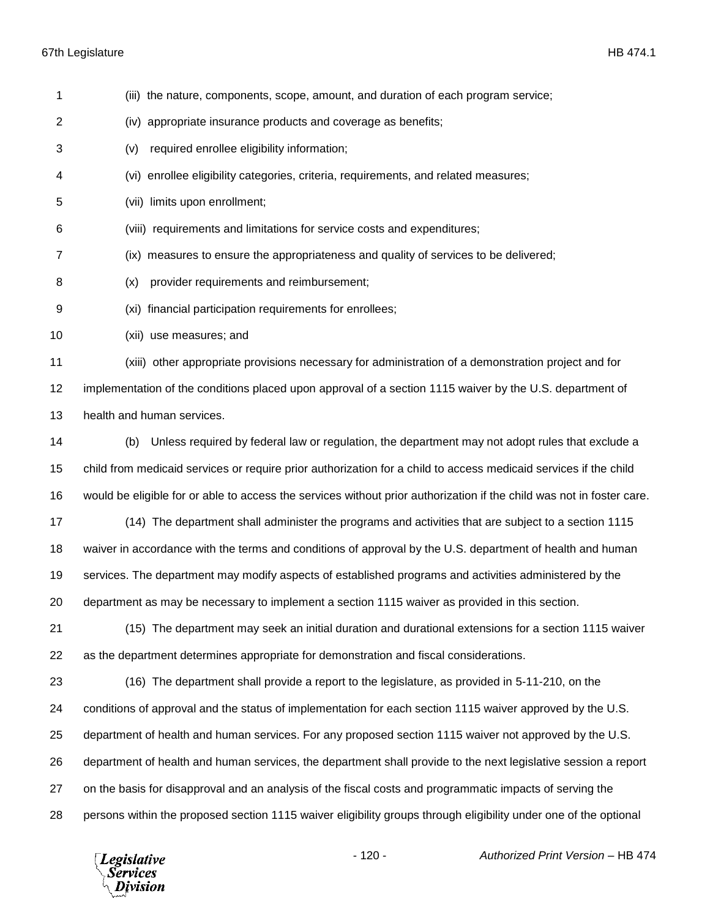| 1  | (iii) the nature, components, scope, amount, and duration of each program service;                                    |
|----|-----------------------------------------------------------------------------------------------------------------------|
| 2  | appropriate insurance products and coverage as benefits;<br>(iv)                                                      |
| 3  | required enrollee eligibility information;<br>(v)                                                                     |
| 4  | (vi) enrollee eligibility categories, criteria, requirements, and related measures;                                   |
| 5  | (vii) limits upon enrollment;                                                                                         |
| 6  | (viii) requirements and limitations for service costs and expenditures;                                               |
| 7  | (ix) measures to ensure the appropriateness and quality of services to be delivered;                                  |
| 8  | provider requirements and reimbursement;<br>(x)                                                                       |
| 9  | (xi) financial participation requirements for enrollees;                                                              |
| 10 | (xii) use measures; and                                                                                               |
| 11 | (xiii) other appropriate provisions necessary for administration of a demonstration project and for                   |
| 12 | implementation of the conditions placed upon approval of a section 1115 waiver by the U.S. department of              |
| 13 | health and human services.                                                                                            |
| 14 | Unless required by federal law or regulation, the department may not adopt rules that exclude a<br>(b)                |
| 15 | child from medicaid services or require prior authorization for a child to access medicaid services if the child      |
| 16 | would be eligible for or able to access the services without prior authorization if the child was not in foster care. |
| 17 | (14) The department shall administer the programs and activities that are subject to a section 1115                   |
| 18 | waiver in accordance with the terms and conditions of approval by the U.S. department of health and human             |
| 19 | services. The department may modify aspects of established programs and activities administered by the                |
| 20 | department as may be necessary to implement a section 1115 waiver as provided in this section.                        |
| 21 | (15) The department may seek an initial duration and durational extensions for a section 1115 waiver                  |
| 22 | as the department determines appropriate for demonstration and fiscal considerations.                                 |
| 23 | (16) The department shall provide a report to the legislature, as provided in 5-11-210, on the                        |
| 24 | conditions of approval and the status of implementation for each section 1115 waiver approved by the U.S.             |
| 25 | department of health and human services. For any proposed section 1115 waiver not approved by the U.S.                |
| 26 | department of health and human services, the department shall provide to the next legislative session a report        |
| 27 | on the basis for disapproval and an analysis of the fiscal costs and programmatic impacts of serving the              |
| 28 | persons within the proposed section 1115 waiver eligibility groups through eligibility under one of the optional      |

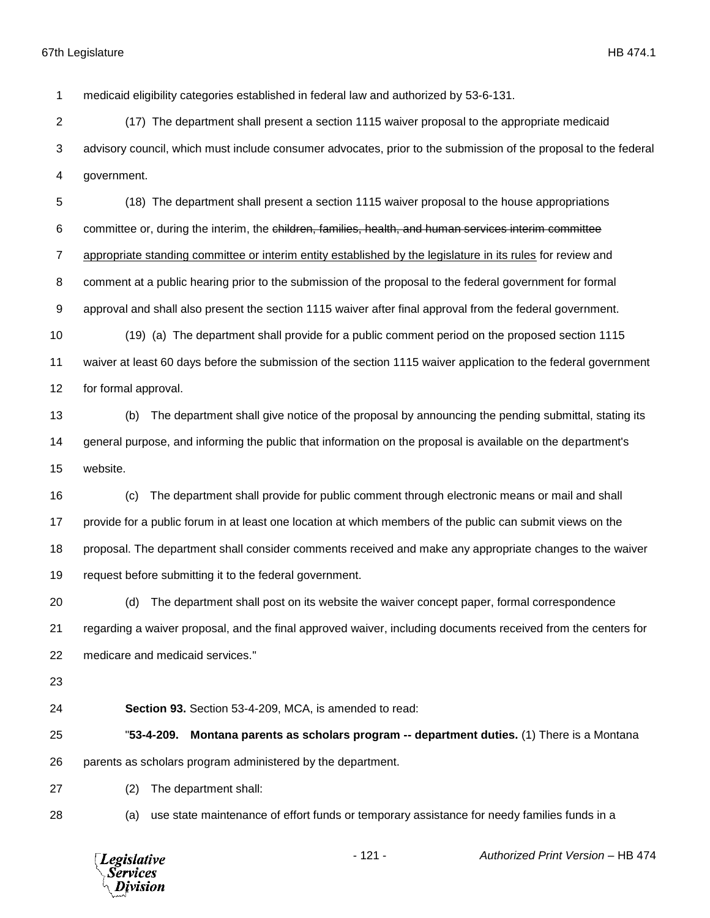medicaid eligibility categories established in federal law and authorized by 53-6-131.

 (17) The department shall present a section 1115 waiver proposal to the appropriate medicaid advisory council, which must include consumer advocates, prior to the submission of the proposal to the federal government.

 (18) The department shall present a section 1115 waiver proposal to the house appropriations committee or, during the interim, the children, families, health, and human services interim committee appropriate standing committee or interim entity established by the legislature in its rules for review and comment at a public hearing prior to the submission of the proposal to the federal government for formal approval and shall also present the section 1115 waiver after final approval from the federal government.

 (19) (a) The department shall provide for a public comment period on the proposed section 1115 waiver at least 60 days before the submission of the section 1115 waiver application to the federal government for formal approval.

 (b) The department shall give notice of the proposal by announcing the pending submittal, stating its general purpose, and informing the public that information on the proposal is available on the department's website.

 (c) The department shall provide for public comment through electronic means or mail and shall provide for a public forum in at least one location at which members of the public can submit views on the proposal. The department shall consider comments received and make any appropriate changes to the waiver request before submitting it to the federal government.

 (d) The department shall post on its website the waiver concept paper, formal correspondence regarding a waiver proposal, and the final approved waiver, including documents received from the centers for medicare and medicaid services."

**Section 93.** Section 53-4-209, MCA, is amended to read:

 "**53-4-209. Montana parents as scholars program -- department duties.** (1) There is a Montana parents as scholars program administered by the department.

(2) The department shall:

(a) use state maintenance of effort funds or temporary assistance for needy families funds in a

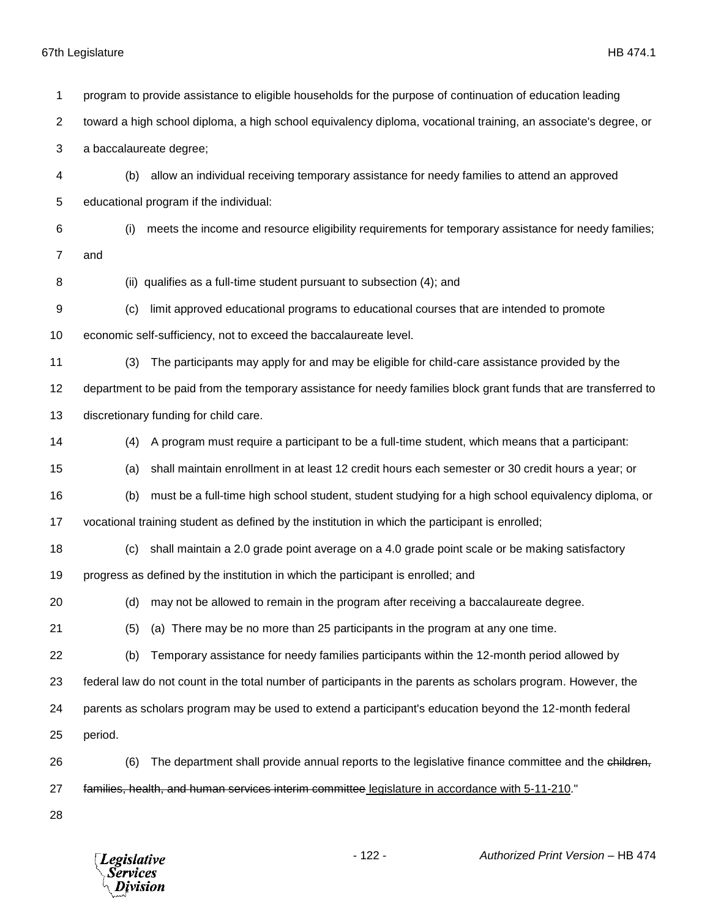*Legislative*<br>Services<br>*Division* 

| 1  | program to provide assistance to eligible households for the purpose of continuation of education leading        |  |  |
|----|------------------------------------------------------------------------------------------------------------------|--|--|
| 2  | toward a high school diploma, a high school equivalency diploma, vocational training, an associate's degree, or  |  |  |
| 3  | a baccalaureate degree;                                                                                          |  |  |
| 4  | allow an individual receiving temporary assistance for needy families to attend an approved<br>(b)               |  |  |
| 5  | educational program if the individual:                                                                           |  |  |
| 6  | meets the income and resource eligibility requirements for temporary assistance for needy families;<br>(i)       |  |  |
| 7  | and                                                                                                              |  |  |
| 8  | (ii) qualifies as a full-time student pursuant to subsection (4); and                                            |  |  |
| 9  | limit approved educational programs to educational courses that are intended to promote<br>(c)                   |  |  |
| 10 | economic self-sufficiency, not to exceed the baccalaureate level.                                                |  |  |
| 11 | The participants may apply for and may be eligible for child-care assistance provided by the<br>(3)              |  |  |
| 12 | department to be paid from the temporary assistance for needy families block grant funds that are transferred to |  |  |
| 13 | discretionary funding for child care.                                                                            |  |  |
| 14 | A program must require a participant to be a full-time student, which means that a participant:<br>(4)           |  |  |
| 15 | shall maintain enrollment in at least 12 credit hours each semester or 30 credit hours a year; or<br>(a)         |  |  |
| 16 | must be a full-time high school student, student studying for a high school equivalency diploma, or<br>(b)       |  |  |
| 17 | vocational training student as defined by the institution in which the participant is enrolled;                  |  |  |
| 18 | shall maintain a 2.0 grade point average on a 4.0 grade point scale or be making satisfactory<br>(c)             |  |  |
| 19 | progress as defined by the institution in which the participant is enrolled; and                                 |  |  |
| 20 | may not be allowed to remain in the program after receiving a baccalaureate degree.<br>(d)                       |  |  |
| 21 | (a) There may be no more than 25 participants in the program at any one time.<br>(5)                             |  |  |
| 22 | Temporary assistance for needy families participants within the 12-month period allowed by<br>(b)                |  |  |
| 23 | federal law do not count in the total number of participants in the parents as scholars program. However, the    |  |  |
| 24 | parents as scholars program may be used to extend a participant's education beyond the 12-month federal          |  |  |
| 25 | period.                                                                                                          |  |  |
| 26 | The department shall provide annual reports to the legislative finance committee and the children,<br>(6)        |  |  |
| 27 | families, health, and human services interim committee legislature in accordance with 5-11-210."                 |  |  |
| 28 |                                                                                                                  |  |  |

- 122 - *Authorized Print Version* – HB 474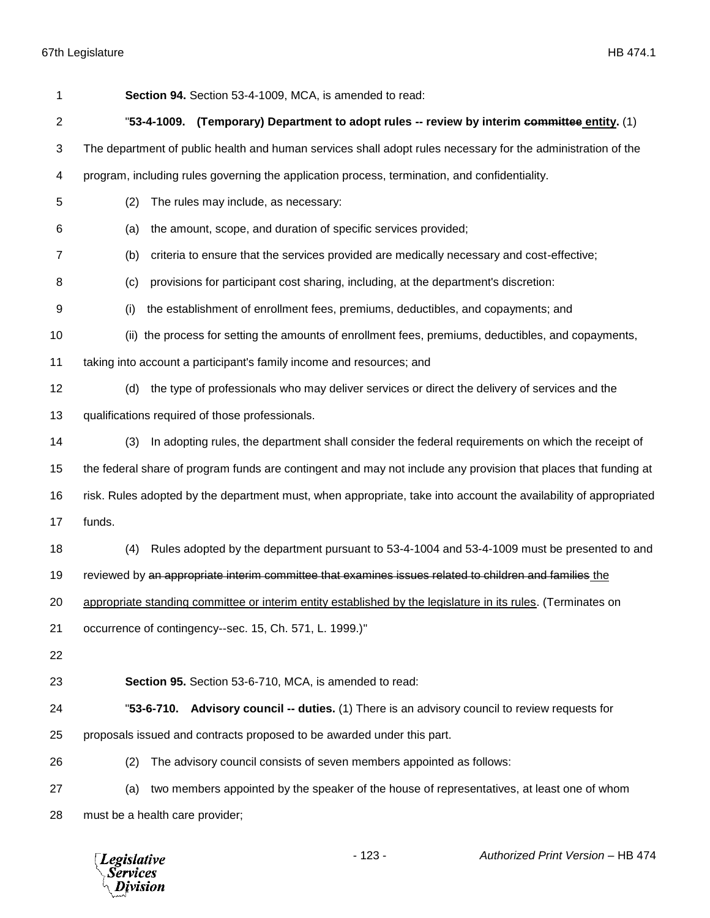| 1  | Section 94. Section 53-4-1009, MCA, is amended to read:                                                          |
|----|------------------------------------------------------------------------------------------------------------------|
| 2  | "53-4-1009. (Temporary) Department to adopt rules -- review by interim committee entity. (1)                     |
| 3  | The department of public health and human services shall adopt rules necessary for the administration of the     |
| 4  | program, including rules governing the application process, termination, and confidentiality.                    |
| 5  | The rules may include, as necessary:<br>(2)                                                                      |
| 6  | the amount, scope, and duration of specific services provided;<br>(a)                                            |
| 7  | criteria to ensure that the services provided are medically necessary and cost-effective;<br>(b)                 |
| 8  | provisions for participant cost sharing, including, at the department's discretion:<br>(c)                       |
| 9  | the establishment of enrollment fees, premiums, deductibles, and copayments; and<br>(i)                          |
| 10 | (ii) the process for setting the amounts of enrollment fees, premiums, deductibles, and copayments,              |
| 11 | taking into account a participant's family income and resources; and                                             |
| 12 | the type of professionals who may deliver services or direct the delivery of services and the<br>(d)             |
| 13 | qualifications required of those professionals.                                                                  |
| 14 | In adopting rules, the department shall consider the federal requirements on which the receipt of<br>(3)         |
| 15 | the federal share of program funds are contingent and may not include any provision that places that funding at  |
| 16 | risk. Rules adopted by the department must, when appropriate, take into account the availability of appropriated |
| 17 | funds.                                                                                                           |
| 18 | Rules adopted by the department pursuant to 53-4-1004 and 53-4-1009 must be presented to and<br>(4)              |
| 19 | reviewed by an appropriate interim committee that examines issues related to children and families the           |
| 20 | appropriate standing committee or interim entity established by the legislature in its rules. (Terminates on     |
| 21 | occurrence of contingency--sec. 15, Ch. 571, L. 1999.)"                                                          |
| 22 |                                                                                                                  |
| 23 | Section 95. Section 53-6-710, MCA, is amended to read:                                                           |
| 24 | "53-6-710.<br>Advisory council -- duties. (1) There is an advisory council to review requests for                |
| 25 | proposals issued and contracts proposed to be awarded under this part.                                           |
| 26 | The advisory council consists of seven members appointed as follows:<br>(2)                                      |
| 27 | two members appointed by the speaker of the house of representatives, at least one of whom<br>(a)                |
| 28 | must be a health care provider;                                                                                  |

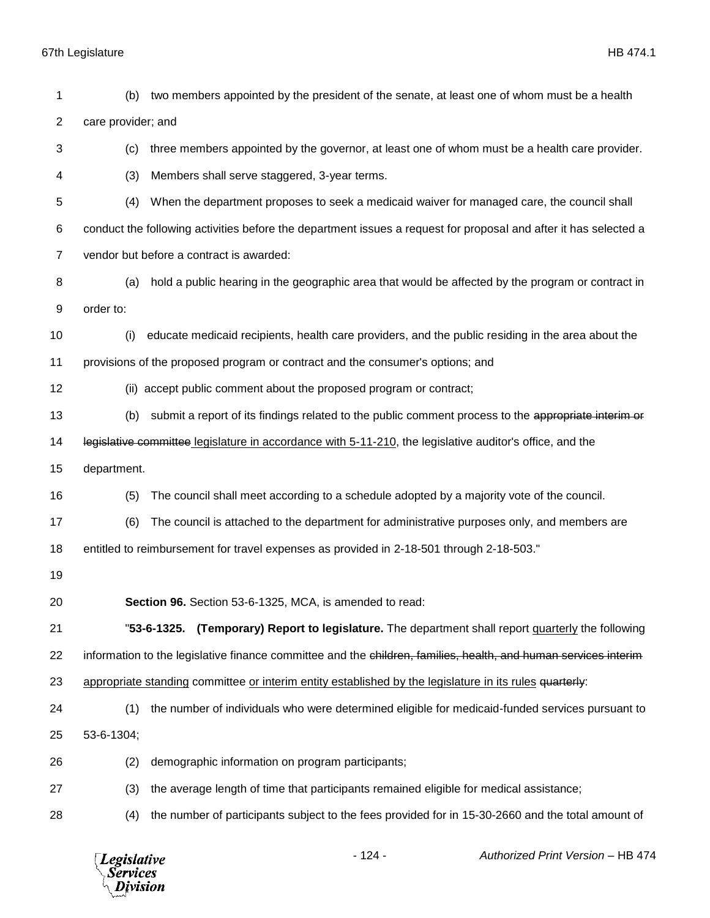| 1              | (b)                                                                                                              | two members appointed by the president of the senate, at least one of whom must be a health                     |  |  |
|----------------|------------------------------------------------------------------------------------------------------------------|-----------------------------------------------------------------------------------------------------------------|--|--|
| $\overline{2}$ | care provider; and                                                                                               |                                                                                                                 |  |  |
| 3              | three members appointed by the governor, at least one of whom must be a health care provider.<br>(c)             |                                                                                                                 |  |  |
| 4              | (3)<br>Members shall serve staggered, 3-year terms.                                                              |                                                                                                                 |  |  |
| 5              | When the department proposes to seek a medicaid waiver for managed care, the council shall<br>(4)                |                                                                                                                 |  |  |
| 6              | conduct the following activities before the department issues a request for proposal and after it has selected a |                                                                                                                 |  |  |
| $\overline{7}$ |                                                                                                                  | vendor but before a contract is awarded:                                                                        |  |  |
| 8              | (a)                                                                                                              | hold a public hearing in the geographic area that would be affected by the program or contract in               |  |  |
| 9              | order to:                                                                                                        |                                                                                                                 |  |  |
| 10             | (i)                                                                                                              | educate medicaid recipients, health care providers, and the public residing in the area about the               |  |  |
| 11             |                                                                                                                  | provisions of the proposed program or contract and the consumer's options; and                                  |  |  |
| 12             |                                                                                                                  | (ii) accept public comment about the proposed program or contract;                                              |  |  |
| 13             | (b)                                                                                                              | submit a report of its findings related to the public comment process to the appropriate interim or             |  |  |
| 14             |                                                                                                                  | legislative committee legislature in accordance with 5-11-210, the legislative auditor's office, and the        |  |  |
| 15             | department.                                                                                                      |                                                                                                                 |  |  |
| 16             | (5)                                                                                                              | The council shall meet according to a schedule adopted by a majority vote of the council.                       |  |  |
| 17             | (6)                                                                                                              | The council is attached to the department for administrative purposes only, and members are                     |  |  |
| 18             |                                                                                                                  | entitled to reimbursement for travel expenses as provided in 2-18-501 through 2-18-503."                        |  |  |
| 19             |                                                                                                                  |                                                                                                                 |  |  |
| 20             |                                                                                                                  | Section 96. Section 53-6-1325, MCA, is amended to read:                                                         |  |  |
| 21             |                                                                                                                  | (Temporary) Report to legislature. The department shall report quarterly the following<br>"53-6-1325.           |  |  |
| 22             |                                                                                                                  | information to the legislative finance committee and the children, families, health, and human services interim |  |  |
| 23             |                                                                                                                  | appropriate standing committee or interim entity established by the legislature in its rules quarterly:         |  |  |
| 24             | (1)                                                                                                              | the number of individuals who were determined eligible for medicaid-funded services pursuant to                 |  |  |
| 25             | 53-6-1304;                                                                                                       |                                                                                                                 |  |  |
| 26             | (2)                                                                                                              | demographic information on program participants;                                                                |  |  |
| 27             | (3)                                                                                                              | the average length of time that participants remained eligible for medical assistance;                          |  |  |
| 28             | (4)                                                                                                              | the number of participants subject to the fees provided for in 15-30-2660 and the total amount of               |  |  |
|                |                                                                                                                  |                                                                                                                 |  |  |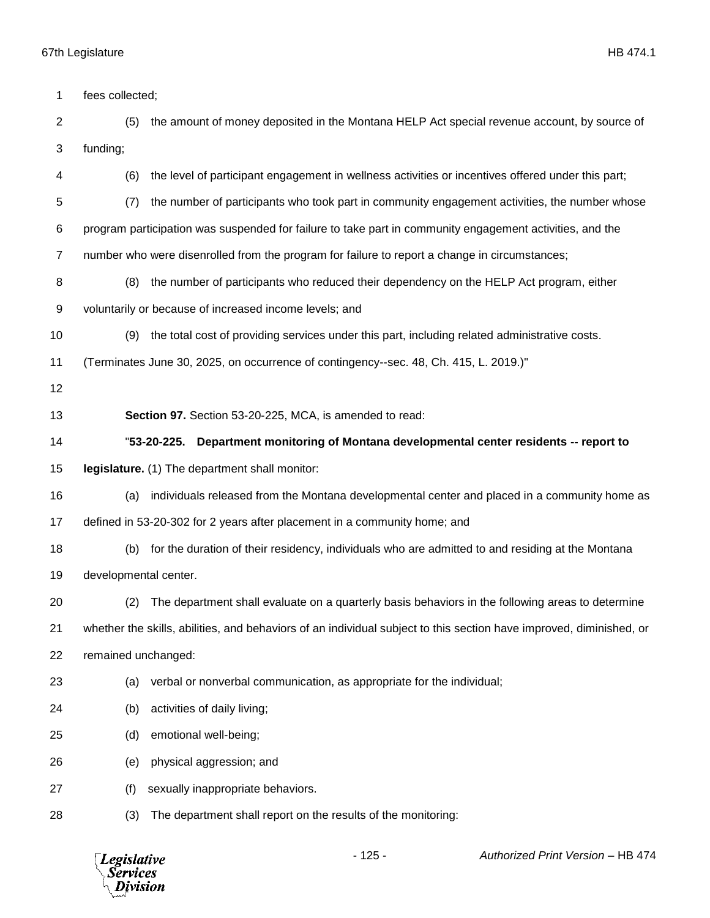| 1              | fees collected;                                                                                    |                                                                                                                     |
|----------------|----------------------------------------------------------------------------------------------------|---------------------------------------------------------------------------------------------------------------------|
| $\overline{2}$ | the amount of money deposited in the Montana HELP Act special revenue account, by source of<br>(5) |                                                                                                                     |
| 3              | funding;                                                                                           |                                                                                                                     |
| 4              | (6)                                                                                                | the level of participant engagement in wellness activities or incentives offered under this part;                   |
| 5              | (7)                                                                                                | the number of participants who took part in community engagement activities, the number whose                       |
| 6              |                                                                                                    | program participation was suspended for failure to take part in community engagement activities, and the            |
| 7              |                                                                                                    | number who were disenrolled from the program for failure to report a change in circumstances;                       |
| 8              | (8)                                                                                                | the number of participants who reduced their dependency on the HELP Act program, either                             |
| 9              |                                                                                                    | voluntarily or because of increased income levels; and                                                              |
| 10             | (9)                                                                                                | the total cost of providing services under this part, including related administrative costs.                       |
| 11             |                                                                                                    | (Terminates June 30, 2025, on occurrence of contingency--sec. 48, Ch. 415, L. 2019.)"                               |
| 12             |                                                                                                    |                                                                                                                     |
| 13             |                                                                                                    | Section 97. Section 53-20-225, MCA, is amended to read:                                                             |
| 14             |                                                                                                    | Department monitoring of Montana developmental center residents -- report to<br>"53-20-225.                         |
| 15             |                                                                                                    | legislature. (1) The department shall monitor:                                                                      |
| 16             | (a)                                                                                                | individuals released from the Montana developmental center and placed in a community home as                        |
| 17             |                                                                                                    | defined in 53-20-302 for 2 years after placement in a community home; and                                           |
| 18             | (b)                                                                                                | for the duration of their residency, individuals who are admitted to and residing at the Montana                    |
| 19             | developmental center.                                                                              |                                                                                                                     |
| 20             | (2)                                                                                                | The department shall evaluate on a quarterly basis behaviors in the following areas to determine                    |
| 21             |                                                                                                    | whether the skills, abilities, and behaviors of an individual subject to this section have improved, diminished, or |
| 22             | remained unchanged:                                                                                |                                                                                                                     |
| 23             | (a)                                                                                                | verbal or nonverbal communication, as appropriate for the individual;                                               |
| 24             | (b)                                                                                                | activities of daily living;                                                                                         |
| 25             | (d)                                                                                                | emotional well-being;                                                                                               |
| 26             | (e)                                                                                                | physical aggression; and                                                                                            |
| 27             | (f)                                                                                                | sexually inappropriate behaviors.                                                                                   |
|                |                                                                                                    |                                                                                                                     |

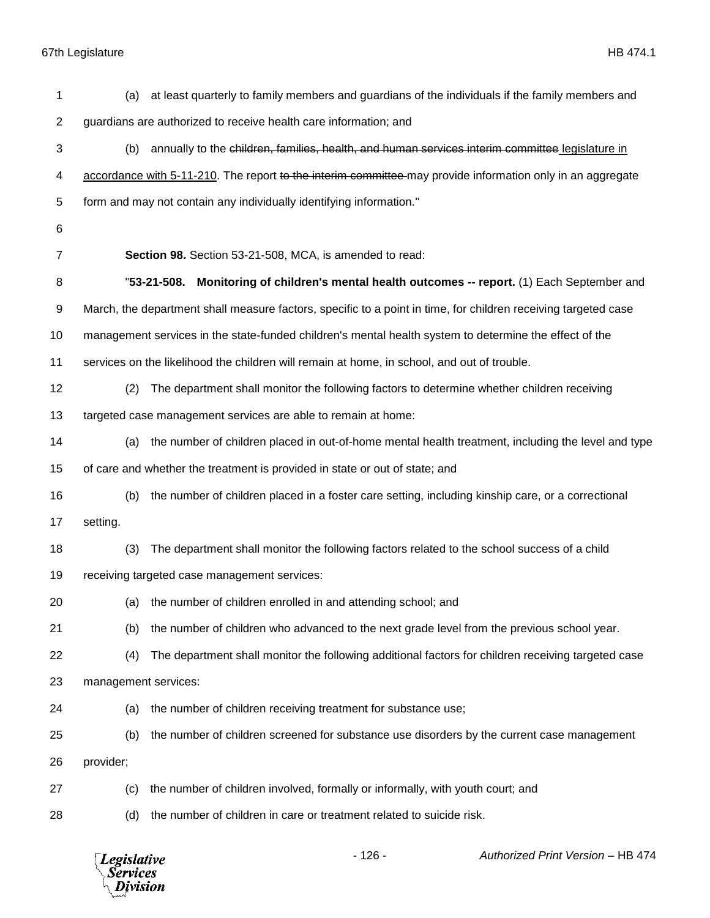| 1              | (a)                                                                                                        | at least quarterly to family members and guardians of the individuals if the family members and                |  |
|----------------|------------------------------------------------------------------------------------------------------------|----------------------------------------------------------------------------------------------------------------|--|
| $\overline{2}$ | guardians are authorized to receive health care information; and                                           |                                                                                                                |  |
| 3              | annually to the children, families, health, and human services interim committee legislature in<br>(b)     |                                                                                                                |  |
| 4              | accordance with 5-11-210. The report to the interim committee-may provide information only in an aggregate |                                                                                                                |  |
| 5              | form and may not contain any individually identifying information."                                        |                                                                                                                |  |
| 6              |                                                                                                            |                                                                                                                |  |
| 7              | Section 98. Section 53-21-508, MCA, is amended to read:                                                    |                                                                                                                |  |
| 8              |                                                                                                            | "53-21-508. Monitoring of children's mental health outcomes -- report. (1) Each September and                  |  |
| 9              |                                                                                                            | March, the department shall measure factors, specific to a point in time, for children receiving targeted case |  |
| 10             |                                                                                                            | management services in the state-funded children's mental health system to determine the effect of the         |  |
| 11             | services on the likelihood the children will remain at home, in school, and out of trouble.                |                                                                                                                |  |
| 12             | (2)                                                                                                        | The department shall monitor the following factors to determine whether children receiving                     |  |
| 13             | targeted case management services are able to remain at home:                                              |                                                                                                                |  |
| 14             | (a)                                                                                                        | the number of children placed in out-of-home mental health treatment, including the level and type             |  |
| 15             | of care and whether the treatment is provided in state or out of state; and                                |                                                                                                                |  |
| 16             | (b)                                                                                                        | the number of children placed in a foster care setting, including kinship care, or a correctional              |  |
| 17             | setting.                                                                                                   |                                                                                                                |  |
| 18             | (3)                                                                                                        | The department shall monitor the following factors related to the school success of a child                    |  |
| 19             | receiving targeted case management services:                                                               |                                                                                                                |  |
| 20             | (a) the number of children enrolled in and attending school; and                                           |                                                                                                                |  |
| 21             | (b)                                                                                                        | the number of children who advanced to the next grade level from the previous school year.                     |  |
| 22             | (4)                                                                                                        | The department shall monitor the following additional factors for children receiving targeted case             |  |
| 23             | management services:                                                                                       |                                                                                                                |  |
| 24             | the number of children receiving treatment for substance use;<br>(a)                                       |                                                                                                                |  |
| 25             | (b)                                                                                                        | the number of children screened for substance use disorders by the current case management                     |  |
| 26             | provider;                                                                                                  |                                                                                                                |  |
| 27             | (c)                                                                                                        | the number of children involved, formally or informally, with youth court; and                                 |  |
| 28             | (d)                                                                                                        | the number of children in care or treatment related to suicide risk.                                           |  |
|                |                                                                                                            |                                                                                                                |  |

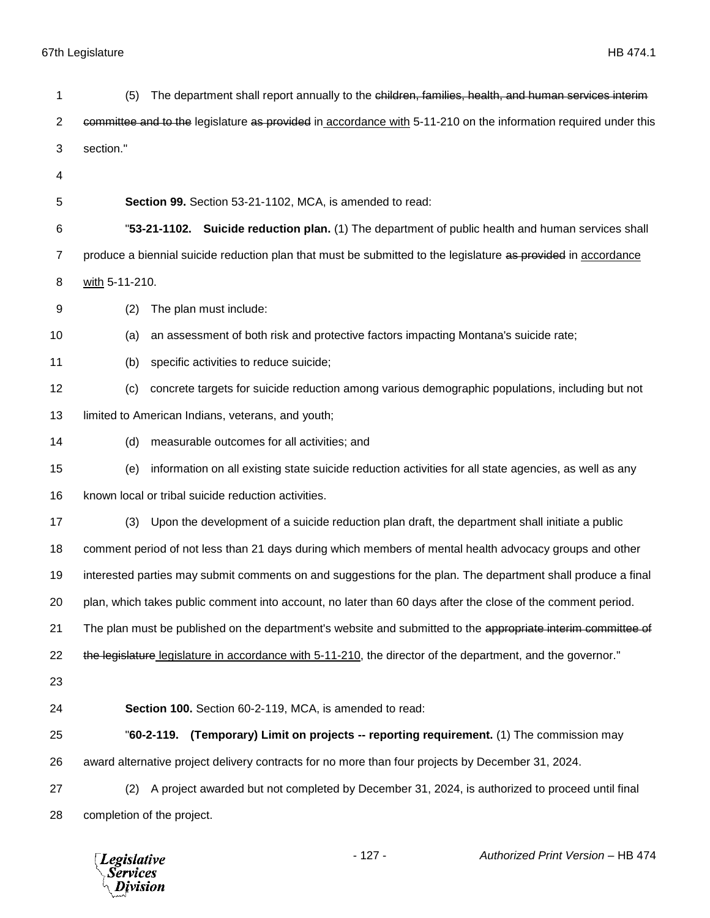| 1  | The department shall report annually to the children, families, health, and human services interiment<br>(5)    |  |  |
|----|-----------------------------------------------------------------------------------------------------------------|--|--|
| 2  | committee and to the legislature as provided in accordance with 5-11-210 on the information required under this |  |  |
| 3  | section."                                                                                                       |  |  |
| 4  |                                                                                                                 |  |  |
| 5  | Section 99. Section 53-21-1102, MCA, is amended to read:                                                        |  |  |
| 6  | "53-21-1102. Suicide reduction plan. (1) The department of public health and human services shall               |  |  |
| 7  | produce a biennial suicide reduction plan that must be submitted to the legislature as provided in accordance   |  |  |
| 8  | with 5-11-210.                                                                                                  |  |  |
| 9  | The plan must include:<br>(2)                                                                                   |  |  |
| 10 | an assessment of both risk and protective factors impacting Montana's suicide rate;<br>(a)                      |  |  |
| 11 | specific activities to reduce suicide;<br>(b)                                                                   |  |  |
| 12 | concrete targets for suicide reduction among various demographic populations, including but not<br>(c)          |  |  |
| 13 | limited to American Indians, veterans, and youth;                                                               |  |  |
| 14 | measurable outcomes for all activities; and<br>(d)                                                              |  |  |
| 15 | information on all existing state suicide reduction activities for all state agencies, as well as any<br>(e)    |  |  |
| 16 | known local or tribal suicide reduction activities.                                                             |  |  |
| 17 | (3)<br>Upon the development of a suicide reduction plan draft, the department shall initiate a public           |  |  |
| 18 | comment period of not less than 21 days during which members of mental health advocacy groups and other         |  |  |
| 19 | interested parties may submit comments on and suggestions for the plan. The department shall produce a final    |  |  |
| 20 | plan, which takes public comment into account, no later than 60 days after the close of the comment period.     |  |  |
| 21 | The plan must be published on the department's website and submitted to the appropriate interim committee of    |  |  |
| 22 | the legislature legislature in accordance with 5-11-210, the director of the department, and the governor."     |  |  |
| 23 |                                                                                                                 |  |  |
| 24 | Section 100. Section 60-2-119, MCA, is amended to read:                                                         |  |  |
| 25 | "60-2-119. (Temporary) Limit on projects -- reporting requirement. (1) The commission may                       |  |  |
| 26 | award alternative project delivery contracts for no more than four projects by December 31, 2024.               |  |  |
| 27 | A project awarded but not completed by December 31, 2024, is authorized to proceed until final<br>(2)           |  |  |
| 28 | completion of the project.                                                                                      |  |  |
|    |                                                                                                                 |  |  |

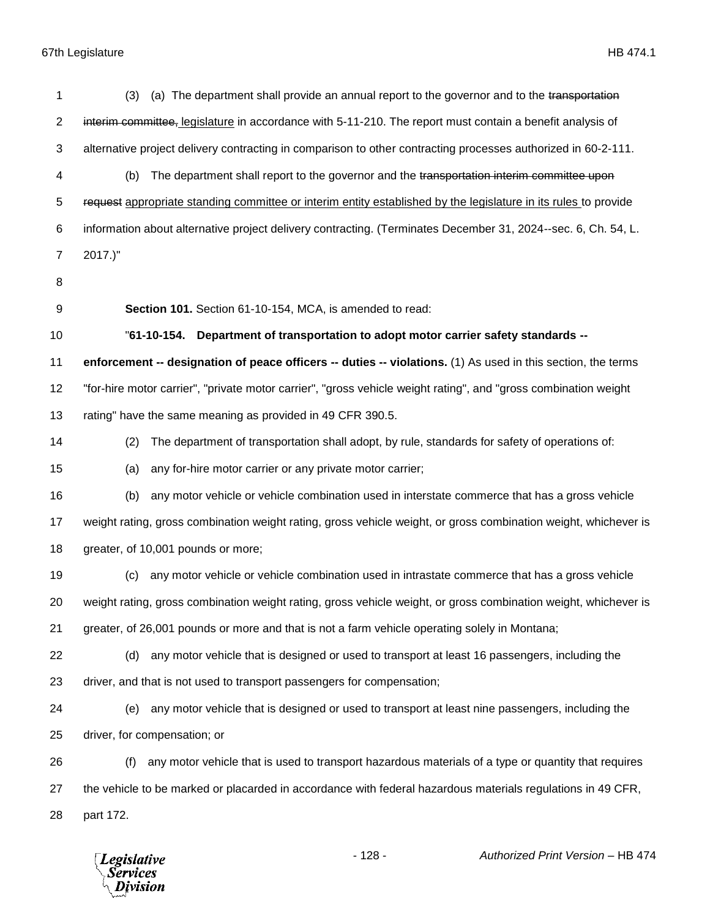| 1              | (a) The department shall provide an annual report to the governor and to the transportation<br>(3)              |
|----------------|-----------------------------------------------------------------------------------------------------------------|
| $\overline{2}$ | interim committee, legislature in accordance with 5-11-210. The report must contain a benefit analysis of       |
| 3              | alternative project delivery contracting in comparison to other contracting processes authorized in 60-2-111.   |
| 4              | The department shall report to the governor and the transportation interim committee upon<br>(b)                |
| 5              | request appropriate standing committee or interim entity established by the legislature in its rules to provide |
| 6              | information about alternative project delivery contracting. (Terminates December 31, 2024--sec. 6, Ch. 54, L.   |
| $\overline{7}$ | $2017.$ "                                                                                                       |
| 8              |                                                                                                                 |
| 9              | Section 101. Section 61-10-154, MCA, is amended to read:                                                        |
| 10             | "61-10-154. Department of transportation to adopt motor carrier safety standards --                             |
| 11             | enforcement -- designation of peace officers -- duties -- violations. (1) As used in this section, the terms    |
| 12             | "for-hire motor carrier", "private motor carrier", "gross vehicle weight rating", and "gross combination weight |
| 13             | rating" have the same meaning as provided in 49 CFR 390.5.                                                      |
| 14             | The department of transportation shall adopt, by rule, standards for safety of operations of:<br>(2)            |
| 15             | any for-hire motor carrier or any private motor carrier;<br>(a)                                                 |
| 16             | any motor vehicle or vehicle combination used in interstate commerce that has a gross vehicle<br>(b)            |
| 17             | weight rating, gross combination weight rating, gross vehicle weight, or gross combination weight, whichever is |
| 18             | greater, of 10,001 pounds or more;                                                                              |
| 19             | any motor vehicle or vehicle combination used in intrastate commerce that has a gross vehicle<br>(c)            |
| 20             | weight rating, gross combination weight rating, gross vehicle weight, or gross combination weight, whichever is |
| 21             | greater, of 26,001 pounds or more and that is not a farm vehicle operating solely in Montana;                   |
| 22             | any motor vehicle that is designed or used to transport at least 16 passengers, including the<br>(d)            |
| 23             | driver, and that is not used to transport passengers for compensation;                                          |
| 24             | any motor vehicle that is designed or used to transport at least nine passengers, including the<br>(e)          |
| 25             | driver, for compensation; or                                                                                    |
| 26             | any motor vehicle that is used to transport hazardous materials of a type or quantity that requires<br>(f)      |
| 27             | the vehicle to be marked or placarded in accordance with federal hazardous materials regulations in 49 CFR,     |
| 28             | part 172.                                                                                                       |
|                |                                                                                                                 |

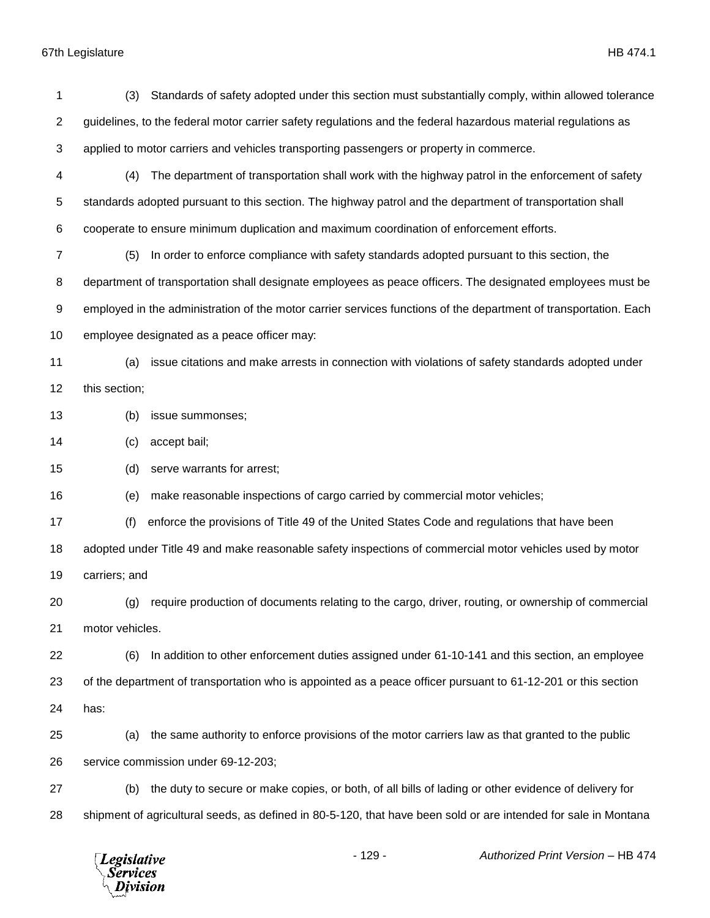| 1              | Standards of safety adopted under this section must substantially comply, within allowed tolerance<br>(3)        |  |
|----------------|------------------------------------------------------------------------------------------------------------------|--|
| $\overline{2}$ | guidelines, to the federal motor carrier safety regulations and the federal hazardous material regulations as    |  |
| 3              | applied to motor carriers and vehicles transporting passengers or property in commerce.                          |  |
| 4              | The department of transportation shall work with the highway patrol in the enforcement of safety<br>(4)          |  |
| 5              | standards adopted pursuant to this section. The highway patrol and the department of transportation shall        |  |
| 6              | cooperate to ensure minimum duplication and maximum coordination of enforcement efforts.                         |  |
| $\overline{7}$ | In order to enforce compliance with safety standards adopted pursuant to this section, the<br>(5)                |  |
| 8              | department of transportation shall designate employees as peace officers. The designated employees must be       |  |
| 9              | employed in the administration of the motor carrier services functions of the department of transportation. Each |  |
| 10             | employee designated as a peace officer may:                                                                      |  |
| 11             | issue citations and make arrests in connection with violations of safety standards adopted under<br>(a)          |  |
| 12             | this section;                                                                                                    |  |
| 13             | (b)<br>issue summonses;                                                                                          |  |
| 14             | accept bail;<br>(c)                                                                                              |  |
| 15             | serve warrants for arrest;<br>(d)                                                                                |  |
| 16             | make reasonable inspections of cargo carried by commercial motor vehicles;<br>(e)                                |  |
| 17             | enforce the provisions of Title 49 of the United States Code and regulations that have been<br>(f)               |  |
| 18             | adopted under Title 49 and make reasonable safety inspections of commercial motor vehicles used by motor         |  |
| 19             | carriers; and                                                                                                    |  |
| 20             | (g) require production of documents relating to the cargo, driver, routing, or ownership of commercial           |  |
| 21             | motor vehicles.                                                                                                  |  |
| 22             | In addition to other enforcement duties assigned under 61-10-141 and this section, an employee<br>(6)            |  |
| 23             | of the department of transportation who is appointed as a peace officer pursuant to 61-12-201 or this section    |  |
| 24             | has:                                                                                                             |  |
| 25             | the same authority to enforce provisions of the motor carriers law as that granted to the public<br>(a)          |  |
| 26             | service commission under 69-12-203;                                                                              |  |
| 27             | the duty to secure or make copies, or both, of all bills of lading or other evidence of delivery for<br>(b)      |  |
| 28             | shipment of agricultural seeds, as defined in 80-5-120, that have been sold or are intended for sale in Montana  |  |
|                |                                                                                                                  |  |

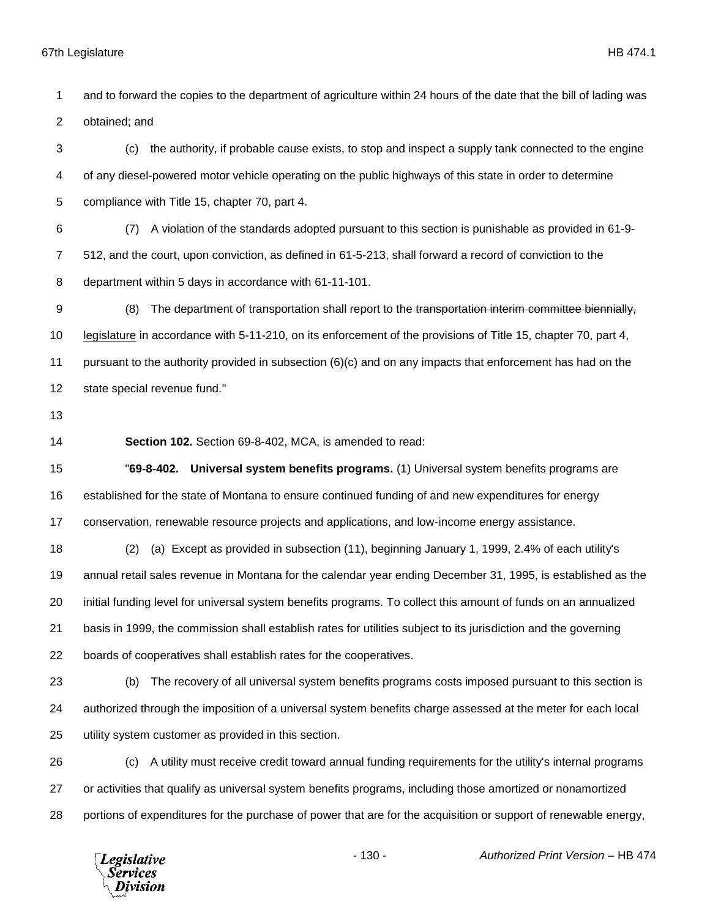and to forward the copies to the department of agriculture within 24 hours of the date that the bill of lading was obtained; and

 (c) the authority, if probable cause exists, to stop and inspect a supply tank connected to the engine of any diesel-powered motor vehicle operating on the public highways of this state in order to determine compliance with Title 15, chapter 70, part 4.

 (7) A violation of the standards adopted pursuant to this section is punishable as provided in 61-9- 512, and the court, upon conviction, as defined in 61-5-213, shall forward a record of conviction to the department within 5 days in accordance with 61-11-101.

9 (8) The department of transportation shall report to the transportation interim committee biennially, legislature in accordance with 5-11-210, on its enforcement of the provisions of Title 15, chapter 70, part 4, pursuant to the authority provided in subsection (6)(c) and on any impacts that enforcement has had on the state special revenue fund."

**Section 102.** Section 69-8-402, MCA, is amended to read:

 "**69-8-402. Universal system benefits programs.** (1) Universal system benefits programs are established for the state of Montana to ensure continued funding of and new expenditures for energy conservation, renewable resource projects and applications, and low-income energy assistance.

 (2) (a) Except as provided in subsection (11), beginning January 1, 1999, 2.4% of each utility's annual retail sales revenue in Montana for the calendar year ending December 31, 1995, is established as the initial funding level for universal system benefits programs. To collect this amount of funds on an annualized basis in 1999, the commission shall establish rates for utilities subject to its jurisdiction and the governing boards of cooperatives shall establish rates for the cooperatives.

 (b) The recovery of all universal system benefits programs costs imposed pursuant to this section is authorized through the imposition of a universal system benefits charge assessed at the meter for each local utility system customer as provided in this section.

 (c) A utility must receive credit toward annual funding requirements for the utility's internal programs or activities that qualify as universal system benefits programs, including those amortized or nonamortized portions of expenditures for the purchase of power that are for the acquisition or support of renewable energy,

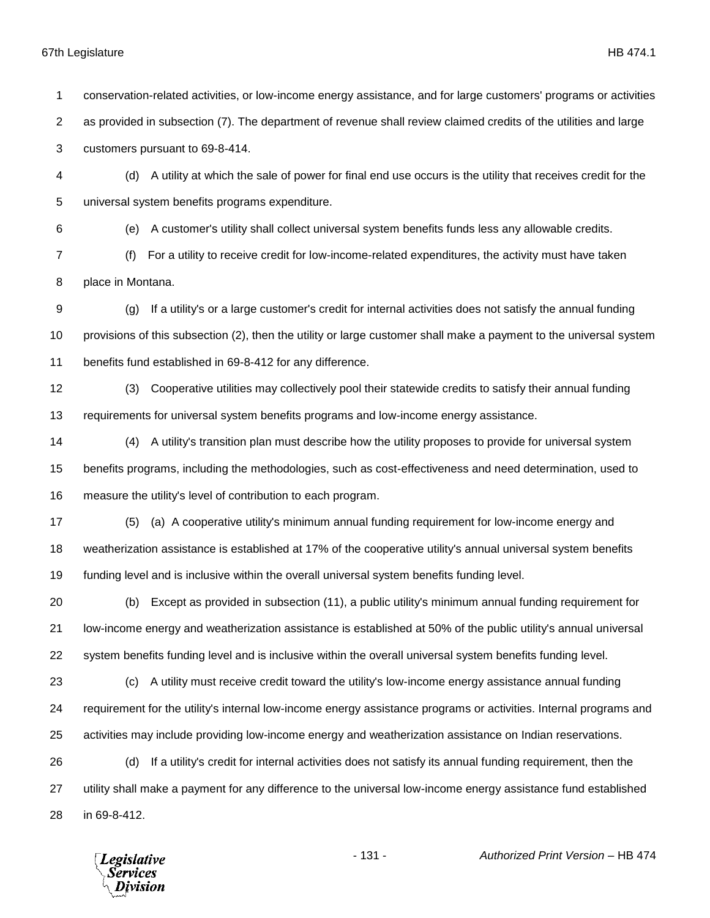conservation-related activities, or low-income energy assistance, and for large customers' programs or activities as provided in subsection (7). The department of revenue shall review claimed credits of the utilities and large customers pursuant to 69-8-414. (d) A utility at which the sale of power for final end use occurs is the utility that receives credit for the universal system benefits programs expenditure. (e) A customer's utility shall collect universal system benefits funds less any allowable credits. (f) For a utility to receive credit for low-income-related expenditures, the activity must have taken place in Montana. (g) If a utility's or a large customer's credit for internal activities does not satisfy the annual funding provisions of this subsection (2), then the utility or large customer shall make a payment to the universal system benefits fund established in 69-8-412 for any difference. (3) Cooperative utilities may collectively pool their statewide credits to satisfy their annual funding requirements for universal system benefits programs and low-income energy assistance. (4) A utility's transition plan must describe how the utility proposes to provide for universal system benefits programs, including the methodologies, such as cost-effectiveness and need determination, used to measure the utility's level of contribution to each program. (5) (a) A cooperative utility's minimum annual funding requirement for low-income energy and weatherization assistance is established at 17% of the cooperative utility's annual universal system benefits funding level and is inclusive within the overall universal system benefits funding level. (b) Except as provided in subsection (11), a public utility's minimum annual funding requirement for low-income energy and weatherization assistance is established at 50% of the public utility's annual universal system benefits funding level and is inclusive within the overall universal system benefits funding level. (c) A utility must receive credit toward the utility's low-income energy assistance annual funding requirement for the utility's internal low-income energy assistance programs or activities. Internal programs and activities may include providing low-income energy and weatherization assistance on Indian reservations. (d) If a utility's credit for internal activities does not satisfy its annual funding requirement, then the utility shall make a payment for any difference to the universal low-income energy assistance fund established in 69-8-412.- 131 - *Authorized Print Version* – HB 474 **Legislative** *Services* Division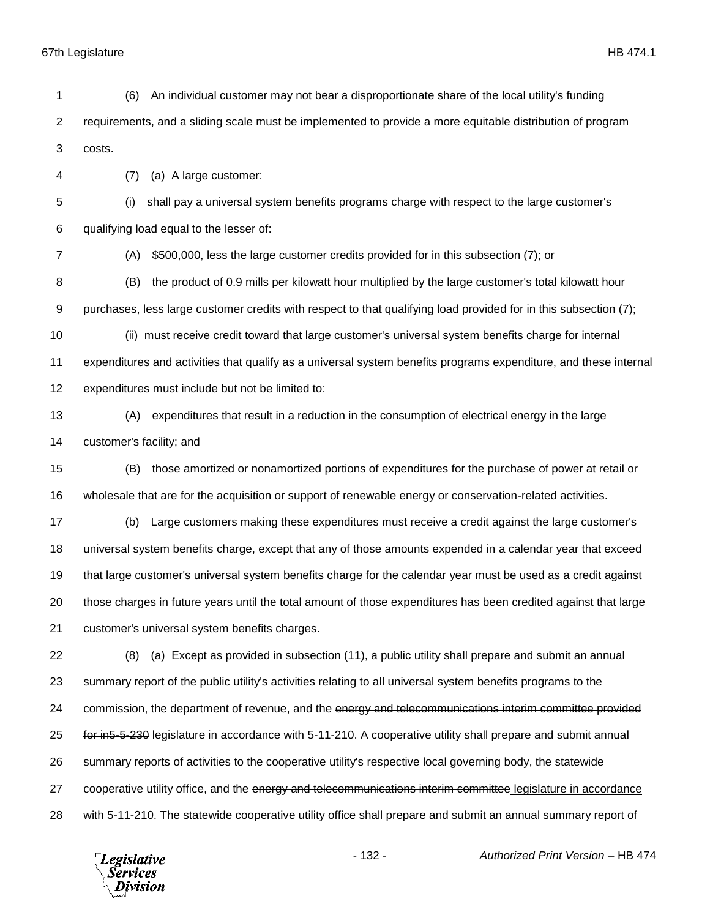Division

 (6) An individual customer may not bear a disproportionate share of the local utility's funding requirements, and a sliding scale must be implemented to provide a more equitable distribution of program costs. (7) (a) A large customer: (i) shall pay a universal system benefits programs charge with respect to the large customer's qualifying load equal to the lesser of: (A) \$500,000, less the large customer credits provided for in this subsection (7); or (B) the product of 0.9 mills per kilowatt hour multiplied by the large customer's total kilowatt hour purchases, less large customer credits with respect to that qualifying load provided for in this subsection (7); (ii) must receive credit toward that large customer's universal system benefits charge for internal expenditures and activities that qualify as a universal system benefits programs expenditure, and these internal expenditures must include but not be limited to: (A) expenditures that result in a reduction in the consumption of electrical energy in the large customer's facility; and (B) those amortized or nonamortized portions of expenditures for the purchase of power at retail or wholesale that are for the acquisition or support of renewable energy or conservation-related activities. (b) Large customers making these expenditures must receive a credit against the large customer's universal system benefits charge, except that any of those amounts expended in a calendar year that exceed that large customer's universal system benefits charge for the calendar year must be used as a credit against those charges in future years until the total amount of those expenditures has been credited against that large customer's universal system benefits charges. (8) (a) Except as provided in subsection (11), a public utility shall prepare and submit an annual summary report of the public utility's activities relating to all universal system benefits programs to the 24 commission, the department of revenue, and the energy and telecommunications interim committee provided for in5-5-230 legislature in accordance with 5-11-210. A cooperative utility shall prepare and submit annual summary reports of activities to the cooperative utility's respective local governing body, the statewide 27 cooperative utility office, and the energy and telecommunications interim committee legislature in accordance with 5-11-210. The statewide cooperative utility office shall prepare and submit an annual summary report of - 132 - *Authorized Print Version* – HB 474 **Legislative** *Services*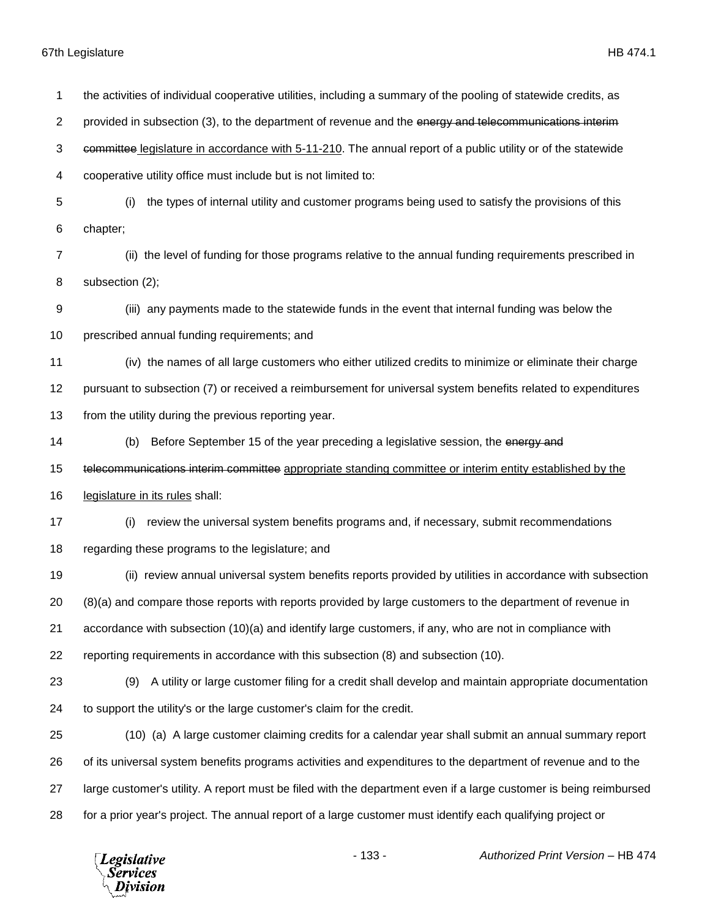the activities of individual cooperative utilities, including a summary of the pooling of statewide credits, as 2 provided in subsection (3), to the department of revenue and the energy and telecommunications interiment committee legislature in accordance with 5-11-210. The annual report of a public utility or of the statewide cooperative utility office must include but is not limited to: (i) the types of internal utility and customer programs being used to satisfy the provisions of this chapter; (ii) the level of funding for those programs relative to the annual funding requirements prescribed in subsection (2); (iii) any payments made to the statewide funds in the event that internal funding was below the prescribed annual funding requirements; and (iv) the names of all large customers who either utilized credits to minimize or eliminate their charge pursuant to subsection (7) or received a reimbursement for universal system benefits related to expenditures from the utility during the previous reporting year. 14 (b) Before September 15 of the year preceding a legislative session, the energy and 15 telecommunications interim committee appropriate standing committee or interim entity established by the legislature in its rules shall: (i) review the universal system benefits programs and, if necessary, submit recommendations regarding these programs to the legislature; and (ii) review annual universal system benefits reports provided by utilities in accordance with subsection (8)(a) and compare those reports with reports provided by large customers to the department of revenue in accordance with subsection (10)(a) and identify large customers, if any, who are not in compliance with reporting requirements in accordance with this subsection (8) and subsection (10). (9) A utility or large customer filing for a credit shall develop and maintain appropriate documentation to support the utility's or the large customer's claim for the credit. (10) (a) A large customer claiming credits for a calendar year shall submit an annual summary report of its universal system benefits programs activities and expenditures to the department of revenue and to the large customer's utility. A report must be filed with the department even if a large customer is being reimbursed for a prior year's project. The annual report of a large customer must identify each qualifying project or

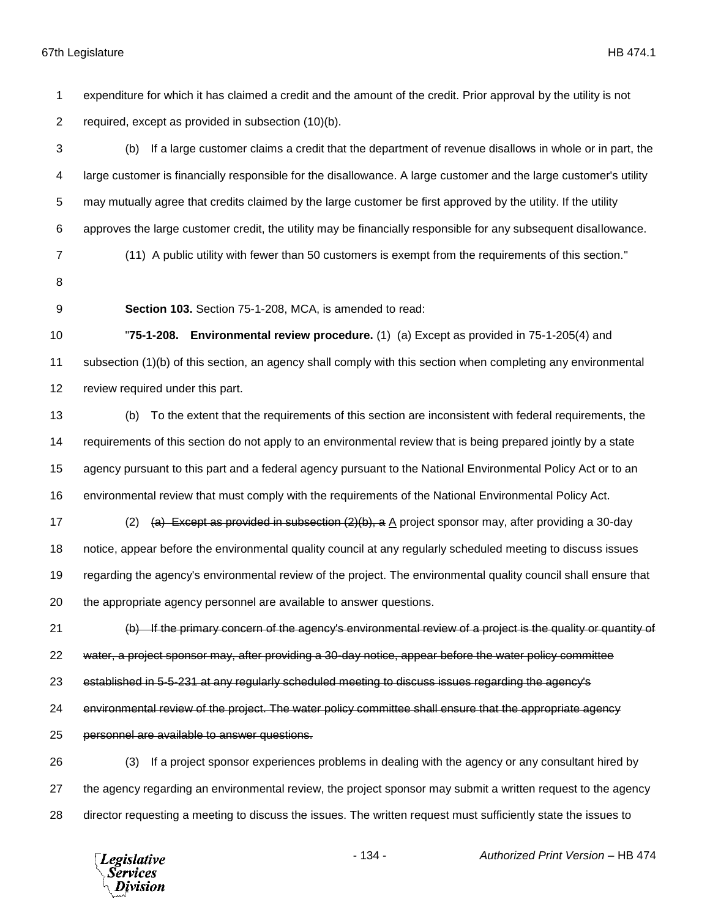expenditure for which it has claimed a credit and the amount of the credit. Prior approval by the utility is not required, except as provided in subsection (10)(b).

 (b) If a large customer claims a credit that the department of revenue disallows in whole or in part, the large customer is financially responsible for the disallowance. A large customer and the large customer's utility may mutually agree that credits claimed by the large customer be first approved by the utility. If the utility approves the large customer credit, the utility may be financially responsible for any subsequent disallowance.

(11) A public utility with fewer than 50 customers is exempt from the requirements of this section."

- 
- 

**Section 103.** Section 75-1-208, MCA, is amended to read:

 "**75-1-208. Environmental review procedure.** (1) (a) Except as provided in 75-1-205(4) and subsection (1)(b) of this section, an agency shall comply with this section when completing any environmental review required under this part.

 (b) To the extent that the requirements of this section are inconsistent with federal requirements, the requirements of this section do not apply to an environmental review that is being prepared jointly by a state agency pursuant to this part and a federal agency pursuant to the National Environmental Policy Act or to an environmental review that must comply with the requirements of the National Environmental Policy Act.

17 (2) (a) Except as provided in subsection  $(2)(b)$ , a A project sponsor may, after providing a 30-day notice, appear before the environmental quality council at any regularly scheduled meeting to discuss issues regarding the agency's environmental review of the project. The environmental quality council shall ensure that the appropriate agency personnel are available to answer questions.

21 (b) If the primary concern of the agency's environmental review of a project is the quality or quantity of water, a project sponsor may, after providing a 30-day notice, appear before the water policy committee

established in 5-5-231 at any regularly scheduled meeting to discuss issues regarding the agency's

environmental review of the project. The water policy committee shall ensure that the appropriate agency

personnel are available to answer questions.

 (3) If a project sponsor experiences problems in dealing with the agency or any consultant hired by the agency regarding an environmental review, the project sponsor may submit a written request to the agency director requesting a meeting to discuss the issues. The written request must sufficiently state the issues to

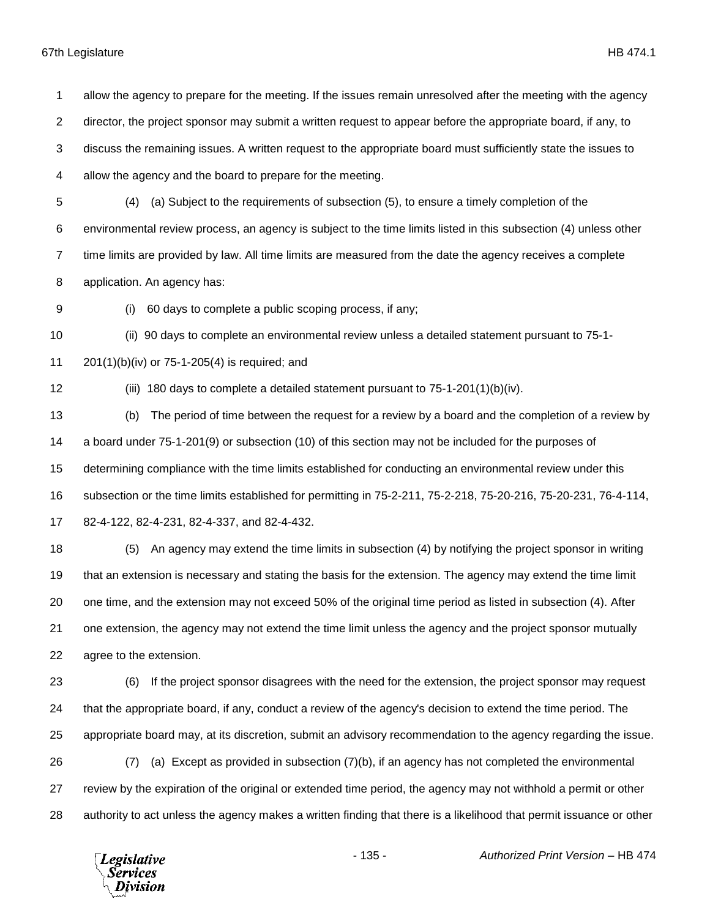allow the agency to prepare for the meeting. If the issues remain unresolved after the meeting with the agency

director, the project sponsor may submit a written request to appear before the appropriate board, if any, to

discuss the remaining issues. A written request to the appropriate board must sufficiently state the issues to

allow the agency and the board to prepare for the meeting.

 (4) (a) Subject to the requirements of subsection (5), to ensure a timely completion of the environmental review process, an agency is subject to the time limits listed in this subsection (4) unless other time limits are provided by law. All time limits are measured from the date the agency receives a complete application. An agency has:

(i) 60 days to complete a public scoping process, if any;

(ii) 90 days to complete an environmental review unless a detailed statement pursuant to 75-1-

201(1)(b)(iv) or 75-1-205(4) is required; and

(iii) 180 days to complete a detailed statement pursuant to 75-1-201(1)(b)(iv).

 (b) The period of time between the request for a review by a board and the completion of a review by a board under 75-1-201(9) or subsection (10) of this section may not be included for the purposes of determining compliance with the time limits established for conducting an environmental review under this subsection or the time limits established for permitting in 75-2-211, 75-2-218, 75-20-216, 75-20-231, 76-4-114, 82-4-122, 82-4-231, 82-4-337, and 82-4-432.

 (5) An agency may extend the time limits in subsection (4) by notifying the project sponsor in writing that an extension is necessary and stating the basis for the extension. The agency may extend the time limit one time, and the extension may not exceed 50% of the original time period as listed in subsection (4). After one extension, the agency may not extend the time limit unless the agency and the project sponsor mutually agree to the extension.

 (6) If the project sponsor disagrees with the need for the extension, the project sponsor may request that the appropriate board, if any, conduct a review of the agency's decision to extend the time period. The appropriate board may, at its discretion, submit an advisory recommendation to the agency regarding the issue. (7) (a) Except as provided in subsection (7)(b), if an agency has not completed the environmental

 review by the expiration of the original or extended time period, the agency may not withhold a permit or other authority to act unless the agency makes a written finding that there is a likelihood that permit issuance or other

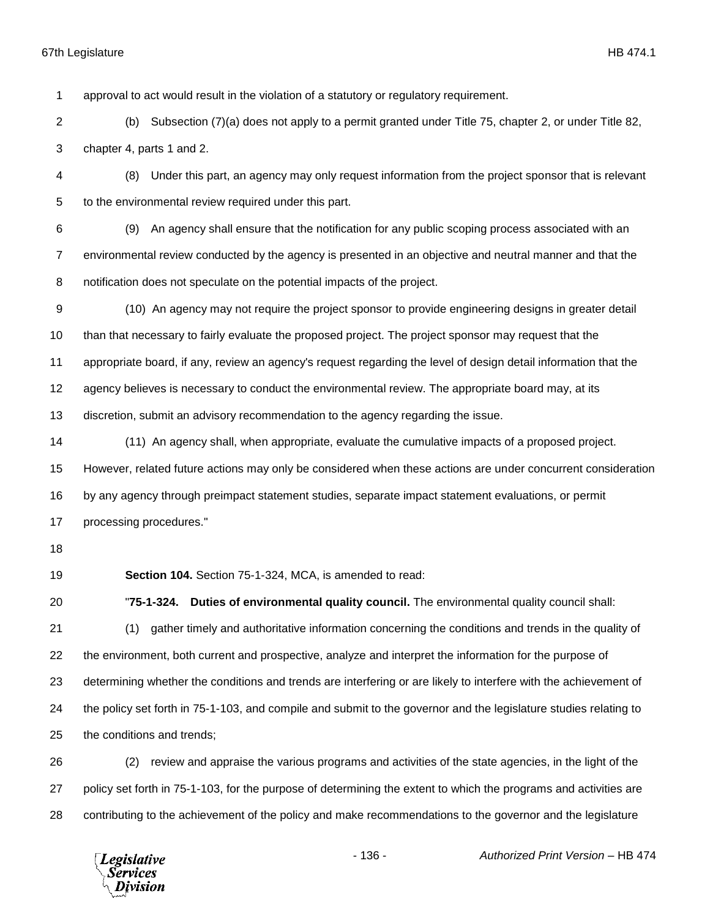approval to act would result in the violation of a statutory or regulatory requirement.

- (b) Subsection (7)(a) does not apply to a permit granted under Title 75, chapter 2, or under Title 82, chapter 4, parts 1 and 2.
- (8) Under this part, an agency may only request information from the project sponsor that is relevant to the environmental review required under this part.
- (9) An agency shall ensure that the notification for any public scoping process associated with an environmental review conducted by the agency is presented in an objective and neutral manner and that the notification does not speculate on the potential impacts of the project.
- (10) An agency may not require the project sponsor to provide engineering designs in greater detail than that necessary to fairly evaluate the proposed project. The project sponsor may request that the appropriate board, if any, review an agency's request regarding the level of design detail information that the agency believes is necessary to conduct the environmental review. The appropriate board may, at its discretion, submit an advisory recommendation to the agency regarding the issue.
- (11) An agency shall, when appropriate, evaluate the cumulative impacts of a proposed project. However, related future actions may only be considered when these actions are under concurrent consideration by any agency through preimpact statement studies, separate impact statement evaluations, or permit processing procedures."
- 

**Section 104.** Section 75-1-324, MCA, is amended to read:

- "**75-1-324. Duties of environmental quality council.** The environmental quality council shall: (1) gather timely and authoritative information concerning the conditions and trends in the quality of 22 the environment, both current and prospective, analyze and interpret the information for the purpose of determining whether the conditions and trends are interfering or are likely to interfere with the achievement of the policy set forth in 75-1-103, and compile and submit to the governor and the legislature studies relating to the conditions and trends;
- (2) review and appraise the various programs and activities of the state agencies, in the light of the policy set forth in 75-1-103, for the purpose of determining the extent to which the programs and activities are contributing to the achievement of the policy and make recommendations to the governor and the legislature

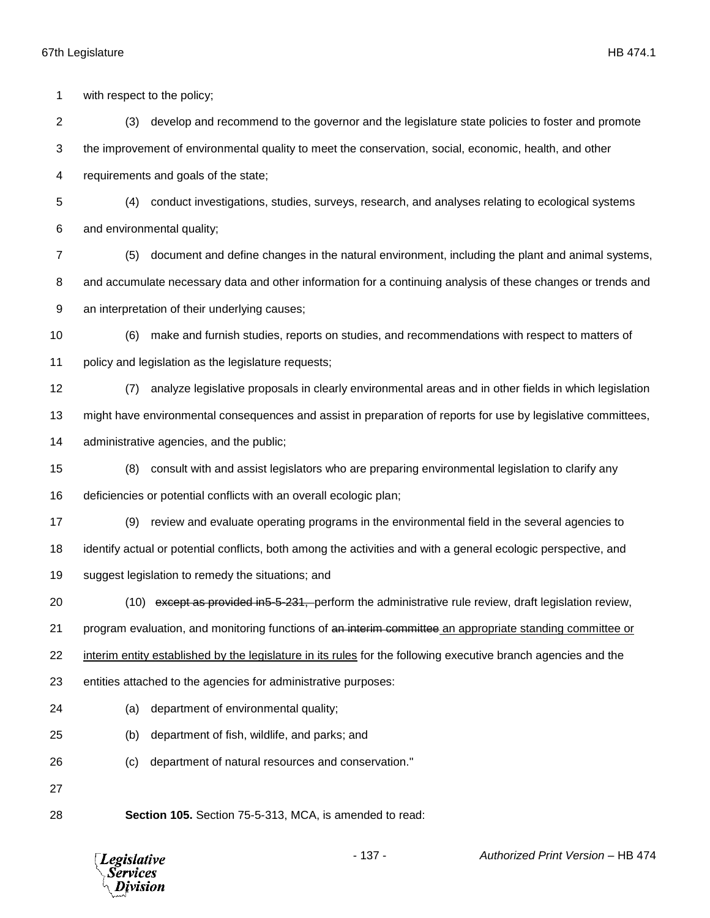*Services* Division

 with respect to the policy; (3) develop and recommend to the governor and the legislature state policies to foster and promote the improvement of environmental quality to meet the conservation, social, economic, health, and other requirements and goals of the state; (4) conduct investigations, studies, surveys, research, and analyses relating to ecological systems and environmental quality; (5) document and define changes in the natural environment, including the plant and animal systems, and accumulate necessary data and other information for a continuing analysis of these changes or trends and an interpretation of their underlying causes; (6) make and furnish studies, reports on studies, and recommendations with respect to matters of policy and legislation as the legislature requests; (7) analyze legislative proposals in clearly environmental areas and in other fields in which legislation might have environmental consequences and assist in preparation of reports for use by legislative committees, administrative agencies, and the public; (8) consult with and assist legislators who are preparing environmental legislation to clarify any deficiencies or potential conflicts with an overall ecologic plan; (9) review and evaluate operating programs in the environmental field in the several agencies to identify actual or potential conflicts, both among the activities and with a general ecologic perspective, and suggest legislation to remedy the situations; and (10) except as provided in5-5-231, perform the administrative rule review, draft legislation review, 21 program evaluation, and monitoring functions of an interim committee an appropriate standing committee or interim entity established by the legislature in its rules for the following executive branch agencies and the entities attached to the agencies for administrative purposes: (a) department of environmental quality; (b) department of fish, wildlife, and parks; and (c) department of natural resources and conservation." **Section 105.** Section 75-5-313, MCA, is amended to read:- 137 - *Authorized Print Version* – HB 474 **Legislative**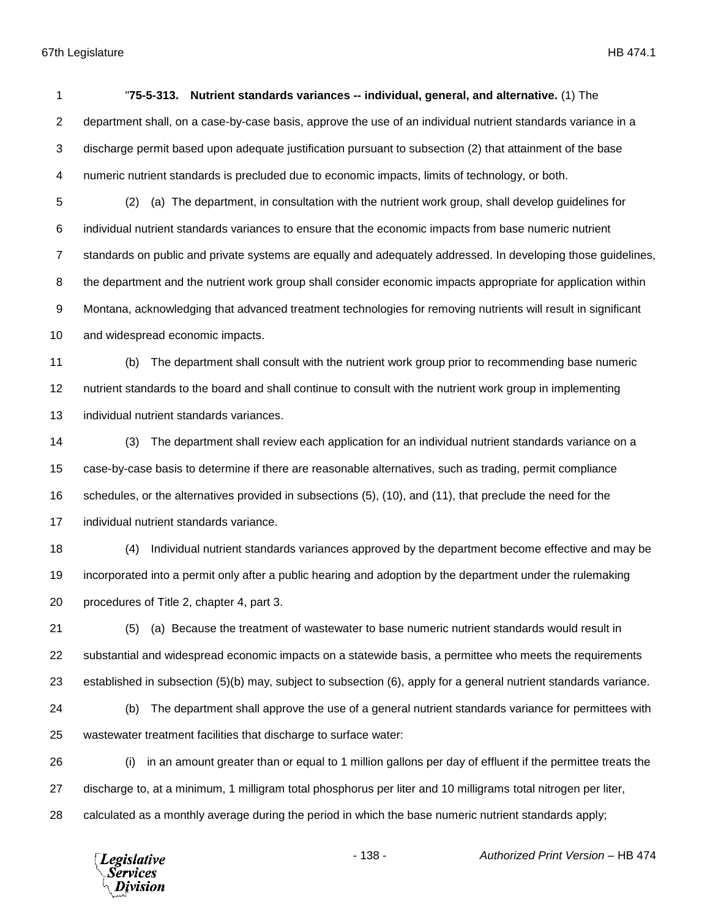Services ivision

 "**75-5-313. Nutrient standards variances -- individual, general, and alternative.** (1) The department shall, on a case-by-case basis, approve the use of an individual nutrient standards variance in a discharge permit based upon adequate justification pursuant to subsection (2) that attainment of the base numeric nutrient standards is precluded due to economic impacts, limits of technology, or both. (2) (a) The department, in consultation with the nutrient work group, shall develop guidelines for individual nutrient standards variances to ensure that the economic impacts from base numeric nutrient standards on public and private systems are equally and adequately addressed. In developing those guidelines, 8 the department and the nutrient work group shall consider economic impacts appropriate for application within Montana, acknowledging that advanced treatment technologies for removing nutrients will result in significant and widespread economic impacts. (b) The department shall consult with the nutrient work group prior to recommending base numeric nutrient standards to the board and shall continue to consult with the nutrient work group in implementing individual nutrient standards variances. (3) The department shall review each application for an individual nutrient standards variance on a case-by-case basis to determine if there are reasonable alternatives, such as trading, permit compliance schedules, or the alternatives provided in subsections (5), (10), and (11), that preclude the need for the individual nutrient standards variance. (4) Individual nutrient standards variances approved by the department become effective and may be incorporated into a permit only after a public hearing and adoption by the department under the rulemaking procedures of Title 2, chapter 4, part 3. (5) (a) Because the treatment of wastewater to base numeric nutrient standards would result in substantial and widespread economic impacts on a statewide basis, a permittee who meets the requirements established in subsection (5)(b) may, subject to subsection (6), apply for a general nutrient standards variance. (b) The department shall approve the use of a general nutrient standards variance for permittees with wastewater treatment facilities that discharge to surface water: (i) in an amount greater than or equal to 1 million gallons per day of effluent if the permittee treats the discharge to, at a minimum, 1 milligram total phosphorus per liter and 10 milligrams total nitrogen per liter, calculated as a monthly average during the period in which the base numeric nutrient standards apply;- 138 - *Authorized Print Version* – HB 474 **Legislative**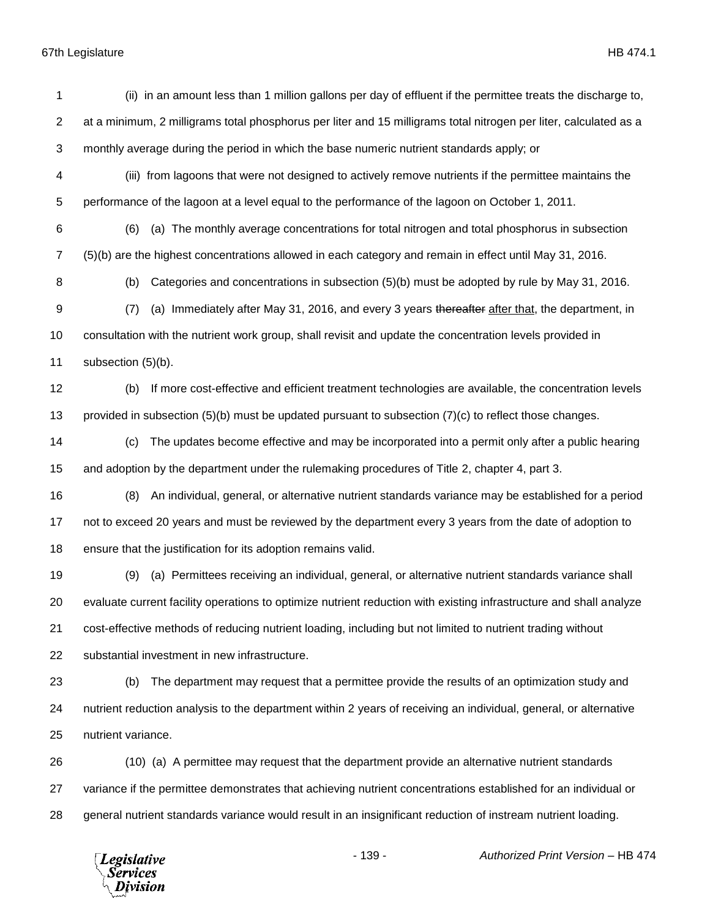(ii) in an amount less than 1 million gallons per day of effluent if the permittee treats the discharge to, at a minimum, 2 milligrams total phosphorus per liter and 15 milligrams total nitrogen per liter, calculated as a monthly average during the period in which the base numeric nutrient standards apply; or (iii) from lagoons that were not designed to actively remove nutrients if the permittee maintains the performance of the lagoon at a level equal to the performance of the lagoon on October 1, 2011. (6) (a) The monthly average concentrations for total nitrogen and total phosphorus in subsection (5)(b) are the highest concentrations allowed in each category and remain in effect until May 31, 2016. (b) Categories and concentrations in subsection (5)(b) must be adopted by rule by May 31, 2016. 9 (7) (a) Immediately after May 31, 2016, and every 3 years thereafter after that, the department, in consultation with the nutrient work group, shall revisit and update the concentration levels provided in subsection (5)(b). (b) If more cost-effective and efficient treatment technologies are available, the concentration levels provided in subsection (5)(b) must be updated pursuant to subsection (7)(c) to reflect those changes. (c) The updates become effective and may be incorporated into a permit only after a public hearing and adoption by the department under the rulemaking procedures of Title 2, chapter 4, part 3. (8) An individual, general, or alternative nutrient standards variance may be established for a period not to exceed 20 years and must be reviewed by the department every 3 years from the date of adoption to ensure that the justification for its adoption remains valid. (9) (a) Permittees receiving an individual, general, or alternative nutrient standards variance shall evaluate current facility operations to optimize nutrient reduction with existing infrastructure and shall analyze cost-effective methods of reducing nutrient loading, including but not limited to nutrient trading without substantial investment in new infrastructure. (b) The department may request that a permittee provide the results of an optimization study and nutrient reduction analysis to the department within 2 years of receiving an individual, general, or alternative nutrient variance. (10) (a) A permittee may request that the department provide an alternative nutrient standards variance if the permittee demonstrates that achieving nutrient concentrations established for an individual or general nutrient standards variance would result in an insignificant reduction of instream nutrient loading.

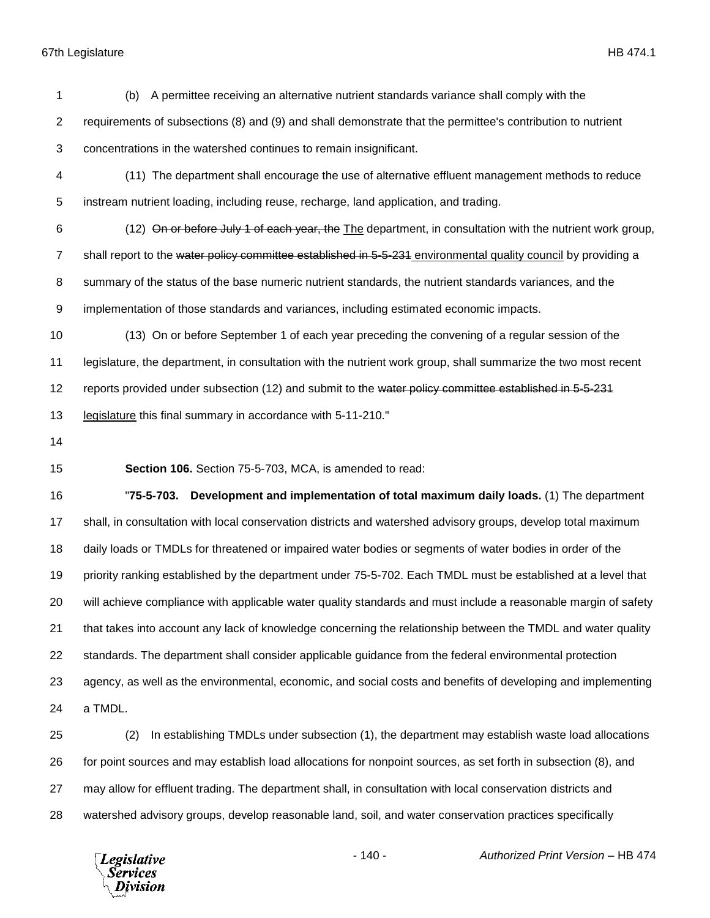(b) A permittee receiving an alternative nutrient standards variance shall comply with the requirements of subsections (8) and (9) and shall demonstrate that the permittee's contribution to nutrient concentrations in the watershed continues to remain insignificant. (11) The department shall encourage the use of alternative effluent management methods to reduce instream nutrient loading, including reuse, recharge, land application, and trading. (12) On or before July 1 of each year, the The department, in consultation with the nutrient work group, 7 shall report to the water policy committee established in 5-5-231 environmental quality council by providing a summary of the status of the base numeric nutrient standards, the nutrient standards variances, and the implementation of those standards and variances, including estimated economic impacts. (13) On or before September 1 of each year preceding the convening of a regular session of the legislature, the department, in consultation with the nutrient work group, shall summarize the two most recent 12 reports provided under subsection (12) and submit to the water policy committee established in 5-5-231 legislature this final summary in accordance with 5-11-210." **Section 106.** Section 75-5-703, MCA, is amended to read: "**75-5-703. Development and implementation of total maximum daily loads.** (1) The department shall, in consultation with local conservation districts and watershed advisory groups, develop total maximum daily loads or TMDLs for threatened or impaired water bodies or segments of water bodies in order of the priority ranking established by the department under 75-5-702. Each TMDL must be established at a level that will achieve compliance with applicable water quality standards and must include a reasonable margin of safety that takes into account any lack of knowledge concerning the relationship between the TMDL and water quality standards. The department shall consider applicable guidance from the federal environmental protection agency, as well as the environmental, economic, and social costs and benefits of developing and implementing a TMDL. (2) In establishing TMDLs under subsection (1), the department may establish waste load allocations for point sources and may establish load allocations for nonpoint sources, as set forth in subsection (8), and may allow for effluent trading. The department shall, in consultation with local conservation districts and

watershed advisory groups, develop reasonable land, soil, and water conservation practices specifically

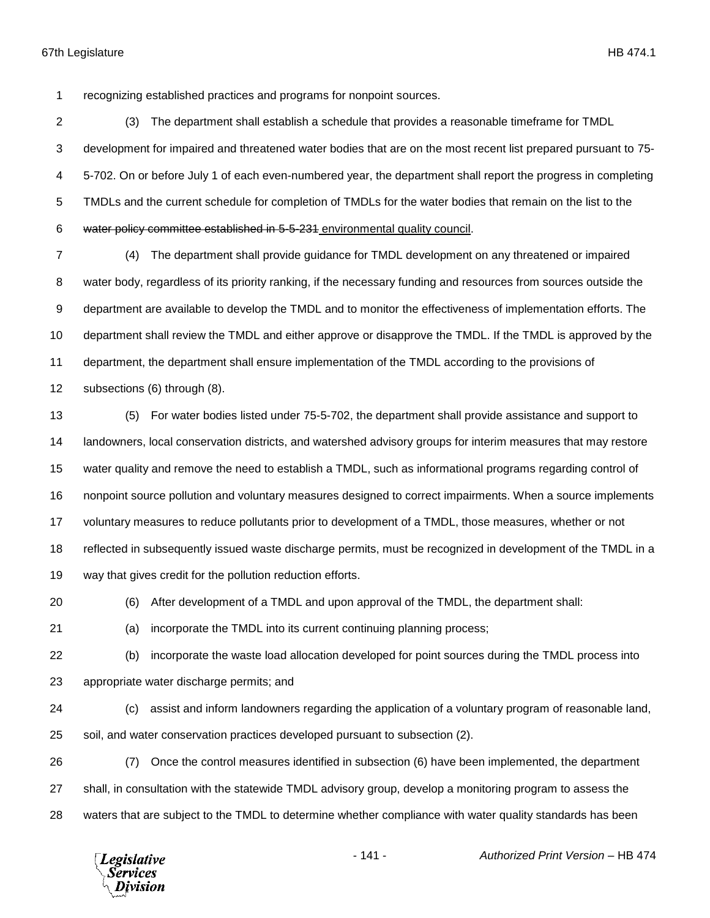recognizing established practices and programs for nonpoint sources.

 (3) The department shall establish a schedule that provides a reasonable timeframe for TMDL development for impaired and threatened water bodies that are on the most recent list prepared pursuant to 75- 5-702. On or before July 1 of each even-numbered year, the department shall report the progress in completing TMDLs and the current schedule for completion of TMDLs for the water bodies that remain on the list to the water policy committee established in 5-5-231 environmental quality council.

 (4) The department shall provide guidance for TMDL development on any threatened or impaired water body, regardless of its priority ranking, if the necessary funding and resources from sources outside the department are available to develop the TMDL and to monitor the effectiveness of implementation efforts. The department shall review the TMDL and either approve or disapprove the TMDL. If the TMDL is approved by the department, the department shall ensure implementation of the TMDL according to the provisions of subsections (6) through (8).

 (5) For water bodies listed under 75-5-702, the department shall provide assistance and support to landowners, local conservation districts, and watershed advisory groups for interim measures that may restore water quality and remove the need to establish a TMDL, such as informational programs regarding control of nonpoint source pollution and voluntary measures designed to correct impairments. When a source implements voluntary measures to reduce pollutants prior to development of a TMDL, those measures, whether or not reflected in subsequently issued waste discharge permits, must be recognized in development of the TMDL in a way that gives credit for the pollution reduction efforts.

(6) After development of a TMDL and upon approval of the TMDL, the department shall:

(a) incorporate the TMDL into its current continuing planning process;

- (b) incorporate the waste load allocation developed for point sources during the TMDL process into appropriate water discharge permits; and
	- (c) assist and inform landowners regarding the application of a voluntary program of reasonable land, soil, and water conservation practices developed pursuant to subsection (2).

 (7) Once the control measures identified in subsection (6) have been implemented, the department shall, in consultation with the statewide TMDL advisory group, develop a monitoring program to assess the waters that are subject to the TMDL to determine whether compliance with water quality standards has been

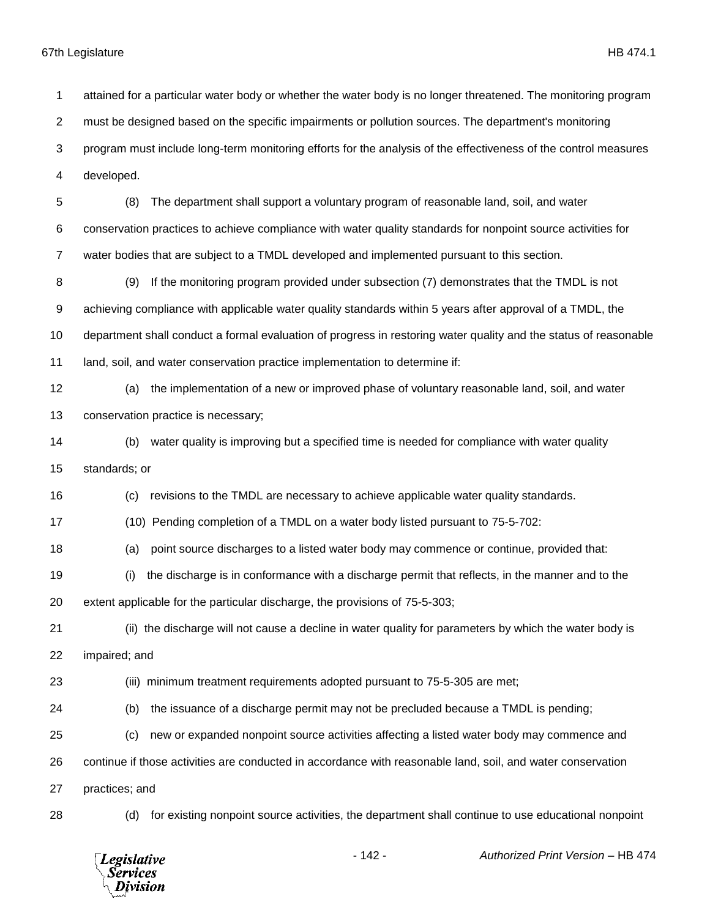attained for a particular water body or whether the water body is no longer threatened. The monitoring program must be designed based on the specific impairments or pollution sources. The department's monitoring program must include long-term monitoring efforts for the analysis of the effectiveness of the control measures developed. (8) The department shall support a voluntary program of reasonable land, soil, and water conservation practices to achieve compliance with water quality standards for nonpoint source activities for water bodies that are subject to a TMDL developed and implemented pursuant to this section. (9) If the monitoring program provided under subsection (7) demonstrates that the TMDL is not achieving compliance with applicable water quality standards within 5 years after approval of a TMDL, the department shall conduct a formal evaluation of progress in restoring water quality and the status of reasonable land, soil, and water conservation practice implementation to determine if: (a) the implementation of a new or improved phase of voluntary reasonable land, soil, and water conservation practice is necessary; (b) water quality is improving but a specified time is needed for compliance with water quality standards; or (c) revisions to the TMDL are necessary to achieve applicable water quality standards. (10) Pending completion of a TMDL on a water body listed pursuant to 75-5-702: (a) point source discharges to a listed water body may commence or continue, provided that: (i) the discharge is in conformance with a discharge permit that reflects, in the manner and to the extent applicable for the particular discharge, the provisions of 75-5-303; (ii) the discharge will not cause a decline in water quality for parameters by which the water body is impaired; and (iii) minimum treatment requirements adopted pursuant to 75-5-305 are met; (b) the issuance of a discharge permit may not be precluded because a TMDL is pending; (c) new or expanded nonpoint source activities affecting a listed water body may commence and continue if those activities are conducted in accordance with reasonable land, soil, and water conservation practices; and (d) for existing nonpoint source activities, the department shall continue to use educational nonpoint

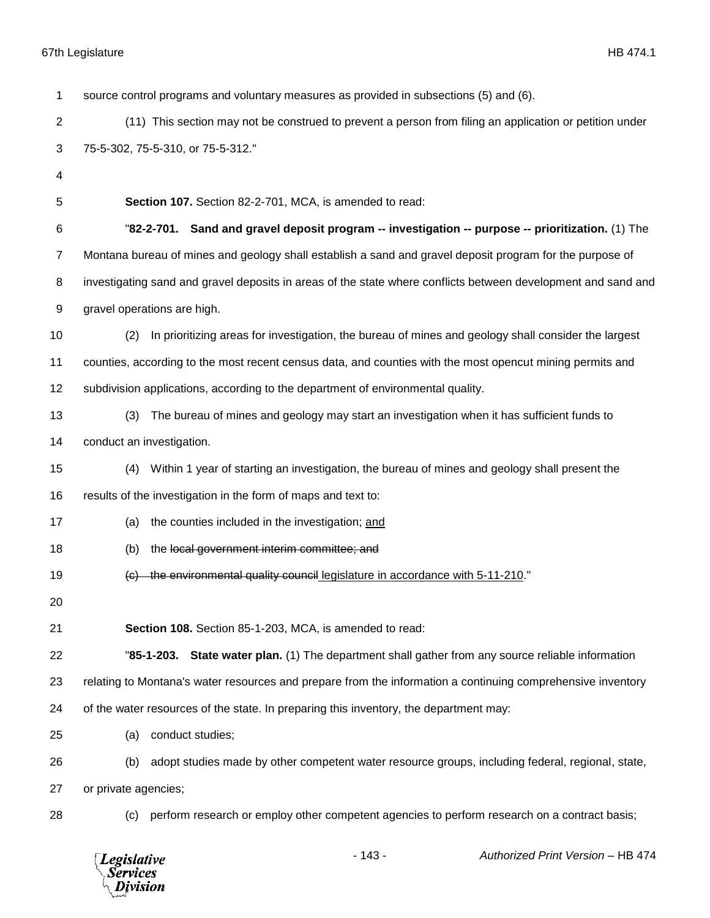| 1              | source control programs and voluntary measures as provided in subsections (5) and (6).                        |
|----------------|---------------------------------------------------------------------------------------------------------------|
| $\overline{2}$ | (11) This section may not be construed to prevent a person from filing an application or petition under       |
| 3              | 75-5-302, 75-5-310, or 75-5-312."                                                                             |
| 4              |                                                                                                               |
| 5              | Section 107. Section 82-2-701, MCA, is amended to read:                                                       |
| 6              | "82-2-701. Sand and gravel deposit program -- investigation -- purpose -- prioritization. (1) The             |
| 7              | Montana bureau of mines and geology shall establish a sand and gravel deposit program for the purpose of      |
| 8              | investigating sand and gravel deposits in areas of the state where conflicts between development and sand and |
| 9              | gravel operations are high.                                                                                   |
| 10             | In prioritizing areas for investigation, the bureau of mines and geology shall consider the largest<br>(2)    |
| 11             | counties, according to the most recent census data, and counties with the most opencut mining permits and     |
| 12             | subdivision applications, according to the department of environmental quality.                               |
| 13             | The bureau of mines and geology may start an investigation when it has sufficient funds to<br>(3)             |
| 14             | conduct an investigation.                                                                                     |
| 15             | Within 1 year of starting an investigation, the bureau of mines and geology shall present the<br>(4)          |
| 16             | results of the investigation in the form of maps and text to:                                                 |
| 17             | the counties included in the investigation; and<br>(a)                                                        |
| 18             | the local government interim committee; and<br>(b)                                                            |
| 19             | the environmental quality council legislature in accordance with 5-11-210."<br>$\left( \Theta \right)$        |
| 20             |                                                                                                               |
| 21             | Section 108. Section 85-1-203, MCA, is amended to read:                                                       |
| 22             | "85-1-203. State water plan. (1) The department shall gather from any source reliable information             |
| 23             | relating to Montana's water resources and prepare from the information a continuing comprehensive inventory   |
| 24             | of the water resources of the state. In preparing this inventory, the department may:                         |
| 25             | conduct studies;<br>(a)                                                                                       |
| 26             | adopt studies made by other competent water resource groups, including federal, regional, state,<br>(b)       |
| 27             | or private agencies;                                                                                          |
| 28             | perform research or employ other competent agencies to perform research on a contract basis;<br>(C)           |
|                |                                                                                                               |

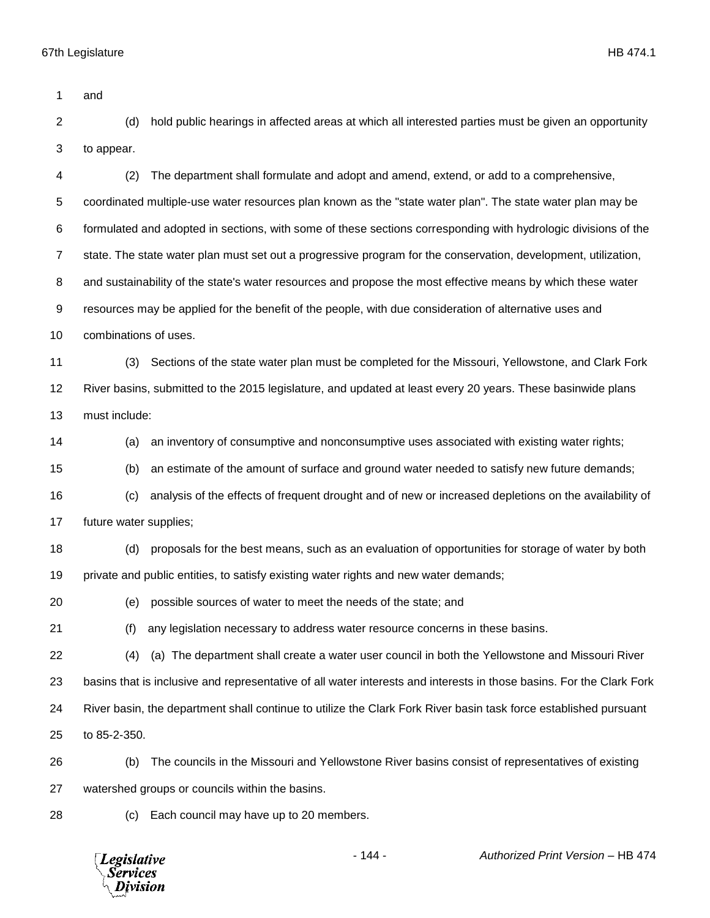**Legislative** *Services* Division

 and (d) hold public hearings in affected areas at which all interested parties must be given an opportunity to appear. (2) The department shall formulate and adopt and amend, extend, or add to a comprehensive, coordinated multiple-use water resources plan known as the "state water plan". The state water plan may be formulated and adopted in sections, with some of these sections corresponding with hydrologic divisions of the state. The state water plan must set out a progressive program for the conservation, development, utilization, and sustainability of the state's water resources and propose the most effective means by which these water resources may be applied for the benefit of the people, with due consideration of alternative uses and combinations of uses. (3) Sections of the state water plan must be completed for the Missouri, Yellowstone, and Clark Fork River basins, submitted to the 2015 legislature, and updated at least every 20 years. These basinwide plans must include: (a) an inventory of consumptive and nonconsumptive uses associated with existing water rights; (b) an estimate of the amount of surface and ground water needed to satisfy new future demands; (c) analysis of the effects of frequent drought and of new or increased depletions on the availability of future water supplies; (d) proposals for the best means, such as an evaluation of opportunities for storage of water by both private and public entities, to satisfy existing water rights and new water demands; (e) possible sources of water to meet the needs of the state; and (f) any legislation necessary to address water resource concerns in these basins. (4) (a) The department shall create a water user council in both the Yellowstone and Missouri River basins that is inclusive and representative of all water interests and interests in those basins. For the Clark Fork River basin, the department shall continue to utilize the Clark Fork River basin task force established pursuant to 85-2-350. (b) The councils in the Missouri and Yellowstone River basins consist of representatives of existing watershed groups or councils within the basins. (c) Each council may have up to 20 members.

- 144 - *Authorized Print Version* – HB 474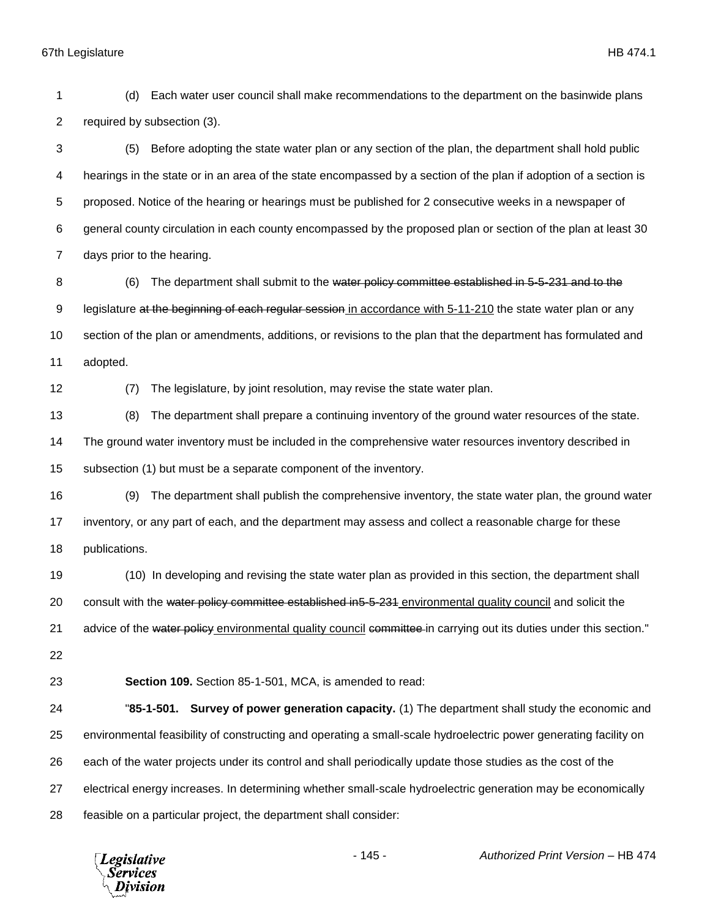(d) Each water user council shall make recommendations to the department on the basinwide plans required by subsection (3). (5) Before adopting the state water plan or any section of the plan, the department shall hold public hearings in the state or in an area of the state encompassed by a section of the plan if adoption of a section is proposed. Notice of the hearing or hearings must be published for 2 consecutive weeks in a newspaper of general county circulation in each county encompassed by the proposed plan or section of the plan at least 30 days prior to the hearing. (6) The department shall submit to the water policy committee established in 5-5-231 and to the 9 legislature at the beginning of each regular session in accordance with 5-11-210 the state water plan or any section of the plan or amendments, additions, or revisions to the plan that the department has formulated and adopted. (7) The legislature, by joint resolution, may revise the state water plan. (8) The department shall prepare a continuing inventory of the ground water resources of the state. The ground water inventory must be included in the comprehensive water resources inventory described in subsection (1) but must be a separate component of the inventory. (9) The department shall publish the comprehensive inventory, the state water plan, the ground water inventory, or any part of each, and the department may assess and collect a reasonable charge for these publications. (10) In developing and revising the state water plan as provided in this section, the department shall 20 consult with the water policy committee established in5-5-231 environmental quality council and solicit the 21 advice of the water policy environmental quality council committee in carrying out its duties under this section." **Section 109.** Section 85-1-501, MCA, is amended to read: "**85-1-501. Survey of power generation capacity.** (1) The department shall study the economic and environmental feasibility of constructing and operating a small-scale hydroelectric power generating facility on each of the water projects under its control and shall periodically update those studies as the cost of the electrical energy increases. In determining whether small-scale hydroelectric generation may be economically

feasible on a particular project, the department shall consider:

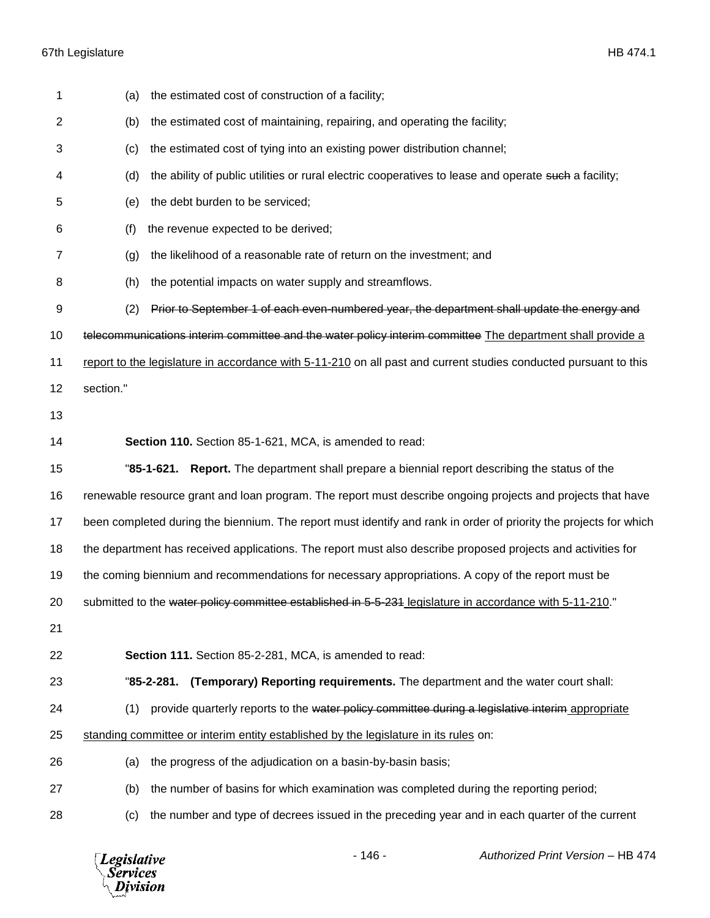| 1              | the estimated cost of construction of a facility;<br>(a)                                                          |
|----------------|-------------------------------------------------------------------------------------------------------------------|
| $\overline{2}$ | the estimated cost of maintaining, repairing, and operating the facility;<br>(b)                                  |
| 3              | the estimated cost of tying into an existing power distribution channel;<br>(c)                                   |
| 4              | (d)<br>the ability of public utilities or rural electric cooperatives to lease and operate such a facility;       |
| 5              | the debt burden to be serviced;<br>(e)                                                                            |
| 6              | the revenue expected to be derived;<br>(f)                                                                        |
| 7              | the likelihood of a reasonable rate of return on the investment; and<br>(g)                                       |
| 8              | the potential impacts on water supply and streamflows.<br>(h)                                                     |
| 9              | Prior to September 1 of each even-numbered year, the department shall update the energy and<br>(2)                |
| 10             | telecommunications interim committee and the water policy interim committee The department shall provide a        |
| 11             | report to the legislature in accordance with 5-11-210 on all past and current studies conducted pursuant to this  |
| 12             | section."                                                                                                         |
| 13             |                                                                                                                   |
| 14             | Section 110. Section 85-1-621, MCA, is amended to read:                                                           |
| 15             | "85-1-621. Report. The department shall prepare a biennial report describing the status of the                    |
| 16             | renewable resource grant and loan program. The report must describe ongoing projects and projects that have       |
| 17             | been completed during the biennium. The report must identify and rank in order of priority the projects for which |
| 18             | the department has received applications. The report must also describe proposed projects and activities for      |
| 19             | the coming biennium and recommendations for necessary appropriations. A copy of the report must be                |
| 20             | submitted to the water policy committee established in 5-5-231 legislature in accordance with 5-11-210."          |
| 21             |                                                                                                                   |
| 22             | Section 111. Section 85-2-281, MCA, is amended to read:                                                           |
| 23             | "85-2-281. (Temporary) Reporting requirements. The department and the water court shall:                          |
| 24             | provide quarterly reports to the water policy committee during a legislative interim appropriate<br>(1)           |
| 25             | standing committee or interim entity established by the legislature in its rules on:                              |
| 26             | the progress of the adjudication on a basin-by-basin basis;<br>(a)                                                |
| 27             | the number of basins for which examination was completed during the reporting period;<br>(b)                      |
|                |                                                                                                                   |

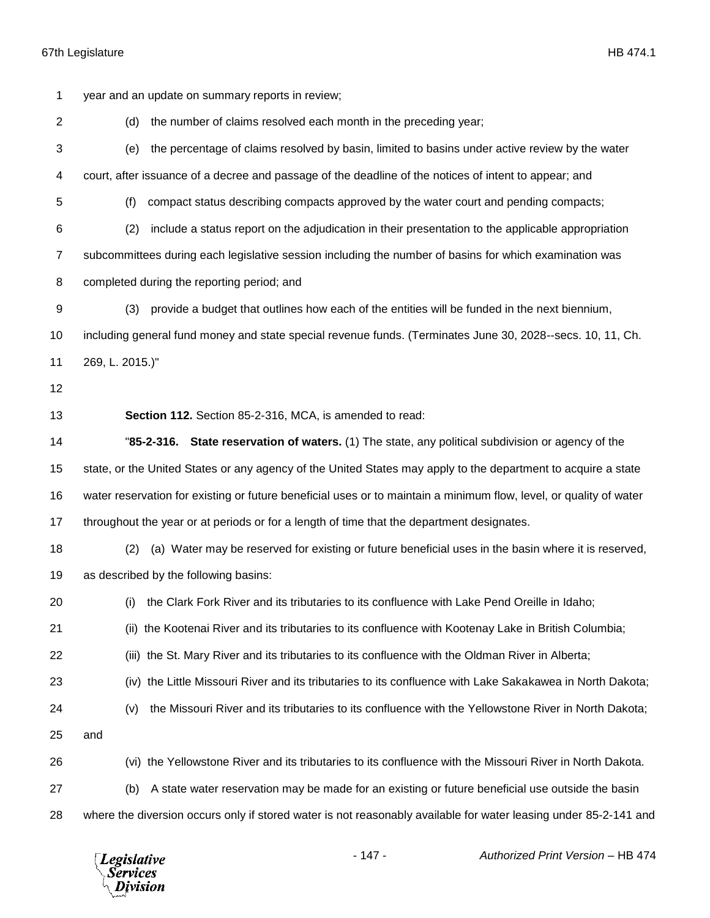year and an update on summary reports in review; (d) the number of claims resolved each month in the preceding year; (e) the percentage of claims resolved by basin, limited to basins under active review by the water court, after issuance of a decree and passage of the deadline of the notices of intent to appear; and (f) compact status describing compacts approved by the water court and pending compacts; (2) include a status report on the adjudication in their presentation to the applicable appropriation subcommittees during each legislative session including the number of basins for which examination was completed during the reporting period; and (3) provide a budget that outlines how each of the entities will be funded in the next biennium, including general fund money and state special revenue funds. (Terminates June 30, 2028--secs. 10, 11, Ch. 269, L. 2015.)" **Section 112.** Section 85-2-316, MCA, is amended to read: "**85-2-316. State reservation of waters.** (1) The state, any political subdivision or agency of the state, or the United States or any agency of the United States may apply to the department to acquire a state water reservation for existing or future beneficial uses or to maintain a minimum flow, level, or quality of water 17 throughout the year or at periods or for a length of time that the department designates. (2) (a) Water may be reserved for existing or future beneficial uses in the basin where it is reserved, as described by the following basins: (i) the Clark Fork River and its tributaries to its confluence with Lake Pend Oreille in Idaho; (ii) the Kootenai River and its tributaries to its confluence with Kootenay Lake in British Columbia; (iii) the St. Mary River and its tributaries to its confluence with the Oldman River in Alberta; (iv) the Little Missouri River and its tributaries to its confluence with Lake Sakakawea in North Dakota; (v) the Missouri River and its tributaries to its confluence with the Yellowstone River in North Dakota; and (vi) the Yellowstone River and its tributaries to its confluence with the Missouri River in North Dakota. (b) A state water reservation may be made for an existing or future beneficial use outside the basin where the diversion occurs only if stored water is not reasonably available for water leasing under 85-2-141 and

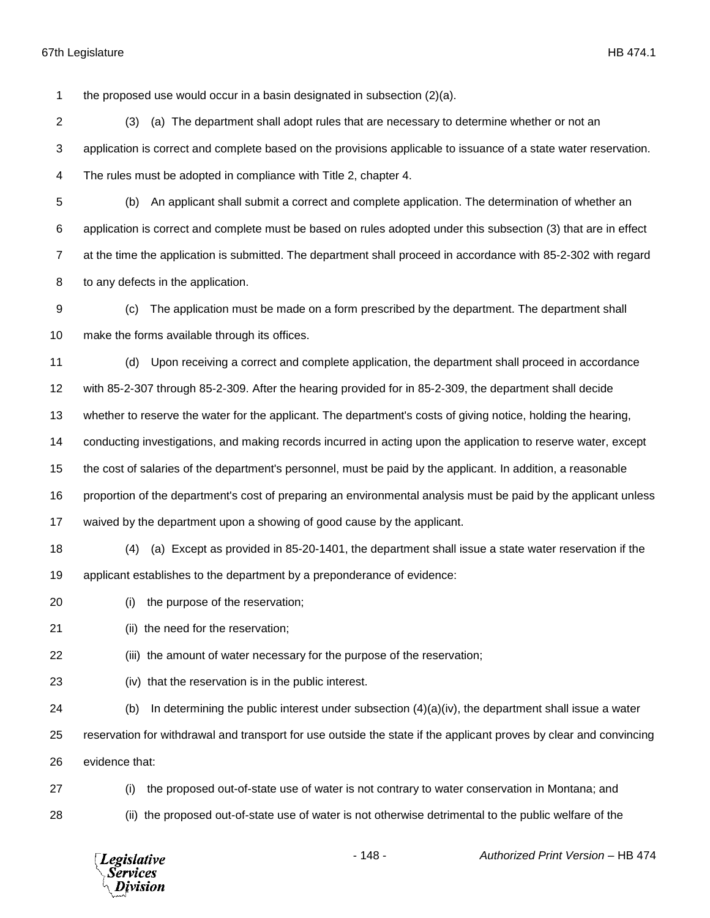the proposed use would occur in a basin designated in subsection (2)(a).

 (3) (a) The department shall adopt rules that are necessary to determine whether or not an application is correct and complete based on the provisions applicable to issuance of a state water reservation. The rules must be adopted in compliance with Title 2, chapter 4.

 (b) An applicant shall submit a correct and complete application. The determination of whether an application is correct and complete must be based on rules adopted under this subsection (3) that are in effect at the time the application is submitted. The department shall proceed in accordance with 85-2-302 with regard to any defects in the application.

 (c) The application must be made on a form prescribed by the department. The department shall make the forms available through its offices.

(d) Upon receiving a correct and complete application, the department shall proceed in accordance

with 85-2-307 through 85-2-309. After the hearing provided for in 85-2-309, the department shall decide

whether to reserve the water for the applicant. The department's costs of giving notice, holding the hearing,

conducting investigations, and making records incurred in acting upon the application to reserve water, except

the cost of salaries of the department's personnel, must be paid by the applicant. In addition, a reasonable

proportion of the department's cost of preparing an environmental analysis must be paid by the applicant unless

- waived by the department upon a showing of good cause by the applicant.
- (4) (a) Except as provided in 85-20-1401, the department shall issue a state water reservation if the applicant establishes to the department by a preponderance of evidence:
- (i) the purpose of the reservation;
- 21 (ii) the need for the reservation;
- (iii) the amount of water necessary for the purpose of the reservation;
- (iv) that the reservation is in the public interest.

(b) In determining the public interest under subsection (4)(a)(iv), the department shall issue a water

reservation for withdrawal and transport for use outside the state if the applicant proves by clear and convincing

- evidence that:
- (i) the proposed out-of-state use of water is not contrary to water conservation in Montana; and (ii) the proposed out-of-state use of water is not otherwise detrimental to the public welfare of the

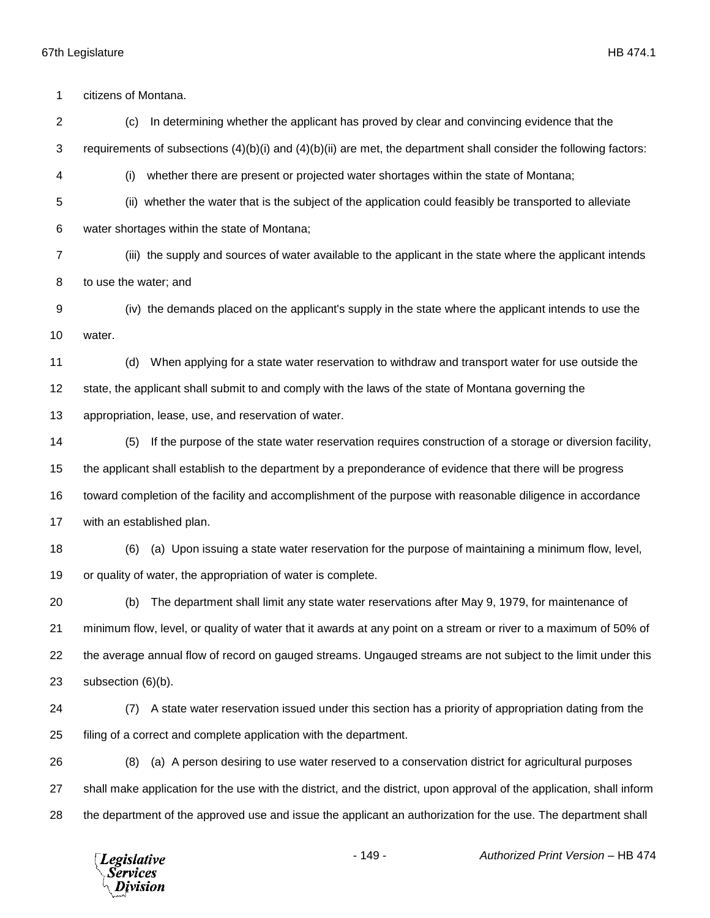citizens of Montana. (c) In determining whether the applicant has proved by clear and convincing evidence that the requirements of subsections (4)(b)(i) and (4)(b)(ii) are met, the department shall consider the following factors: (i) whether there are present or projected water shortages within the state of Montana; (ii) whether the water that is the subject of the application could feasibly be transported to alleviate water shortages within the state of Montana; (iii) the supply and sources of water available to the applicant in the state where the applicant intends to use the water; and (iv) the demands placed on the applicant's supply in the state where the applicant intends to use the water. (d) When applying for a state water reservation to withdraw and transport water for use outside the state, the applicant shall submit to and comply with the laws of the state of Montana governing the appropriation, lease, use, and reservation of water. (5) If the purpose of the state water reservation requires construction of a storage or diversion facility, the applicant shall establish to the department by a preponderance of evidence that there will be progress toward completion of the facility and accomplishment of the purpose with reasonable diligence in accordance with an established plan. (6) (a) Upon issuing a state water reservation for the purpose of maintaining a minimum flow, level, or quality of water, the appropriation of water is complete. (b) The department shall limit any state water reservations after May 9, 1979, for maintenance of minimum flow, level, or quality of water that it awards at any point on a stream or river to a maximum of 50% of the average annual flow of record on gauged streams. Ungauged streams are not subject to the limit under this subsection (6)(b). (7) A state water reservation issued under this section has a priority of appropriation dating from the filing of a correct and complete application with the department. (8) (a) A person desiring to use water reserved to a conservation district for agricultural purposes shall make application for the use with the district, and the district, upon approval of the application, shall inform the department of the approved use and issue the applicant an authorization for the use. The department shall

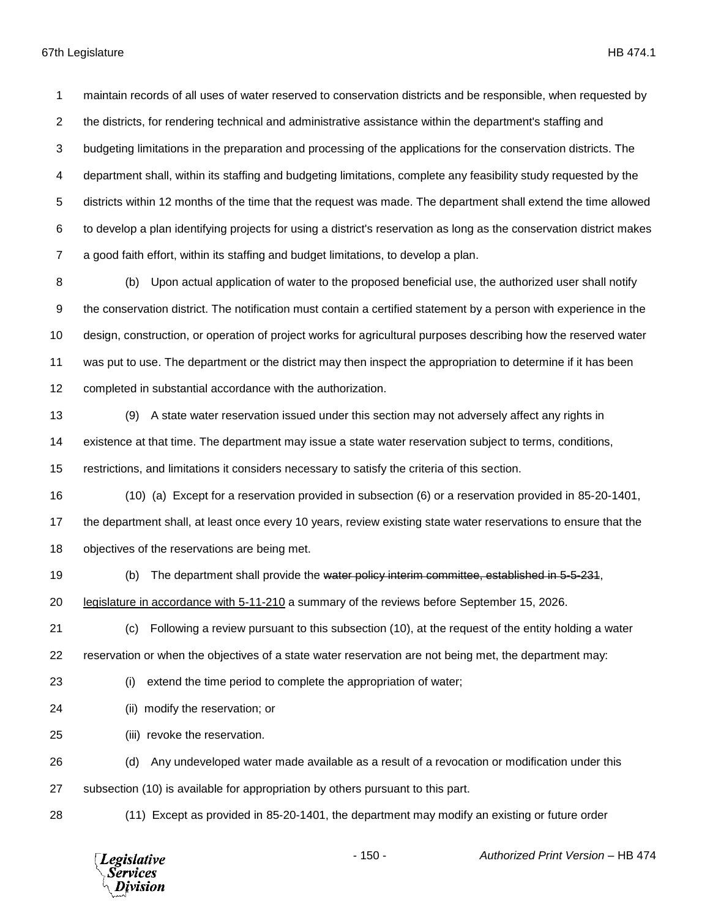maintain records of all uses of water reserved to conservation districts and be responsible, when requested by the districts, for rendering technical and administrative assistance within the department's staffing and budgeting limitations in the preparation and processing of the applications for the conservation districts. The department shall, within its staffing and budgeting limitations, complete any feasibility study requested by the districts within 12 months of the time that the request was made. The department shall extend the time allowed to develop a plan identifying projects for using a district's reservation as long as the conservation district makes a good faith effort, within its staffing and budget limitations, to develop a plan.

 (b) Upon actual application of water to the proposed beneficial use, the authorized user shall notify the conservation district. The notification must contain a certified statement by a person with experience in the design, construction, or operation of project works for agricultural purposes describing how the reserved water was put to use. The department or the district may then inspect the appropriation to determine if it has been completed in substantial accordance with the authorization.

- (9) A state water reservation issued under this section may not adversely affect any rights in existence at that time. The department may issue a state water reservation subject to terms, conditions, restrictions, and limitations it considers necessary to satisfy the criteria of this section.
- (10) (a) Except for a reservation provided in subsection (6) or a reservation provided in 85-20-1401, the department shall, at least once every 10 years, review existing state water reservations to ensure that the
- objectives of the reservations are being met.
- 

(b) The department shall provide the water policy interim committee, established in 5-5-231,

- legislature in accordance with 5-11-210 a summary of the reviews before September 15, 2026.
- (c) Following a review pursuant to this subsection (10), at the request of the entity holding a water reservation or when the objectives of a state water reservation are not being met, the department may:
- 

(i) extend the time period to complete the appropriation of water;

- (ii) modify the reservation; or
- (iii) revoke the reservation.
- (d) Any undeveloped water made available as a result of a revocation or modification under this

subsection (10) is available for appropriation by others pursuant to this part.

(11) Except as provided in 85-20-1401, the department may modify an existing or future order

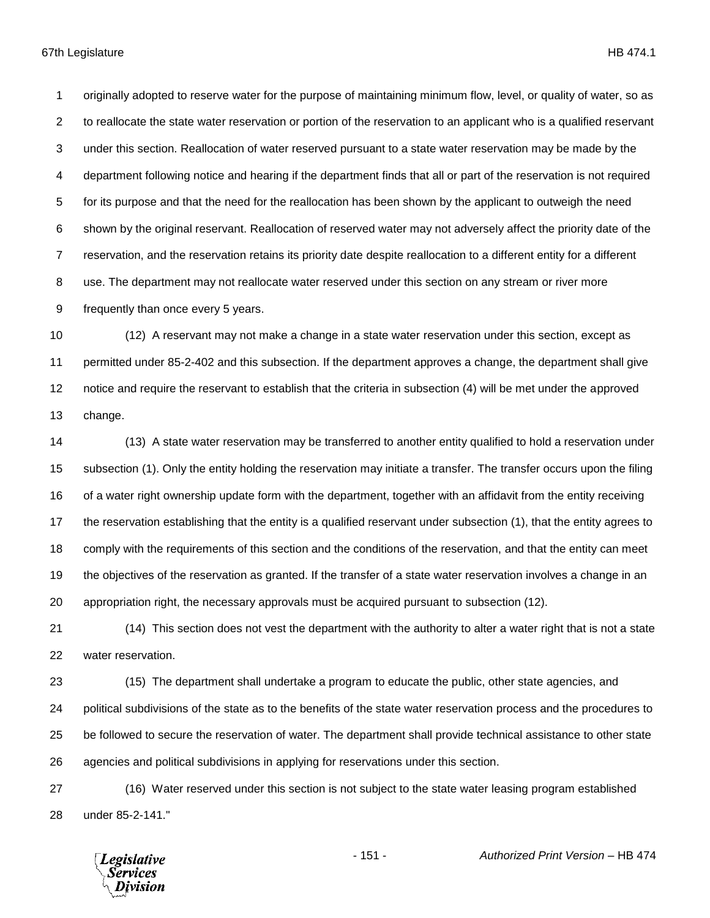originally adopted to reserve water for the purpose of maintaining minimum flow, level, or quality of water, so as to reallocate the state water reservation or portion of the reservation to an applicant who is a qualified reservant under this section. Reallocation of water reserved pursuant to a state water reservation may be made by the department following notice and hearing if the department finds that all or part of the reservation is not required for its purpose and that the need for the reallocation has been shown by the applicant to outweigh the need shown by the original reservant. Reallocation of reserved water may not adversely affect the priority date of the reservation, and the reservation retains its priority date despite reallocation to a different entity for a different use. The department may not reallocate water reserved under this section on any stream or river more frequently than once every 5 years.

 (12) A reservant may not make a change in a state water reservation under this section, except as permitted under 85-2-402 and this subsection. If the department approves a change, the department shall give notice and require the reservant to establish that the criteria in subsection (4) will be met under the approved change.

 (13) A state water reservation may be transferred to another entity qualified to hold a reservation under subsection (1). Only the entity holding the reservation may initiate a transfer. The transfer occurs upon the filing of a water right ownership update form with the department, together with an affidavit from the entity receiving the reservation establishing that the entity is a qualified reservant under subsection (1), that the entity agrees to comply with the requirements of this section and the conditions of the reservation, and that the entity can meet the objectives of the reservation as granted. If the transfer of a state water reservation involves a change in an appropriation right, the necessary approvals must be acquired pursuant to subsection (12).

 (14) This section does not vest the department with the authority to alter a water right that is not a state water reservation.

 (15) The department shall undertake a program to educate the public, other state agencies, and political subdivisions of the state as to the benefits of the state water reservation process and the procedures to be followed to secure the reservation of water. The department shall provide technical assistance to other state agencies and political subdivisions in applying for reservations under this section.

 (16) Water reserved under this section is not subject to the state water leasing program established under 85-2-141."

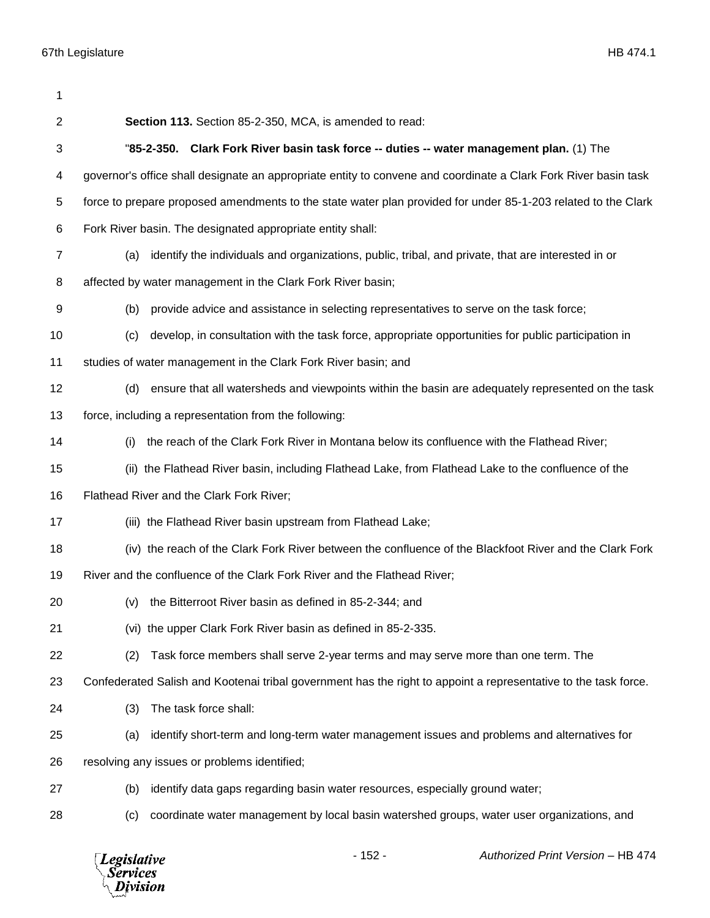| 1  |                                                                                                                 |
|----|-----------------------------------------------------------------------------------------------------------------|
| 2  | Section 113. Section 85-2-350, MCA, is amended to read:                                                         |
| 3  | "85-2-350. Clark Fork River basin task force -- duties -- water management plan. (1) The                        |
| 4  | governor's office shall designate an appropriate entity to convene and coordinate a Clark Fork River basin task |
| 5  | force to prepare proposed amendments to the state water plan provided for under 85-1-203 related to the Clark   |
| 6  | Fork River basin. The designated appropriate entity shall:                                                      |
| 7  | identify the individuals and organizations, public, tribal, and private, that are interested in or<br>(a)       |
| 8  | affected by water management in the Clark Fork River basin;                                                     |
| 9  | provide advice and assistance in selecting representatives to serve on the task force;<br>(b)                   |
| 10 | develop, in consultation with the task force, appropriate opportunities for public participation in<br>(c)      |
| 11 | studies of water management in the Clark Fork River basin; and                                                  |
| 12 | ensure that all watersheds and viewpoints within the basin are adequately represented on the task<br>(d)        |
| 13 | force, including a representation from the following:                                                           |
| 14 | the reach of the Clark Fork River in Montana below its confluence with the Flathead River;<br>(i)               |
| 15 | (ii) the Flathead River basin, including Flathead Lake, from Flathead Lake to the confluence of the             |
| 16 | Flathead River and the Clark Fork River;                                                                        |
| 17 | (iii) the Flathead River basin upstream from Flathead Lake;                                                     |
| 18 | (iv) the reach of the Clark Fork River between the confluence of the Blackfoot River and the Clark Fork         |
| 19 | River and the confluence of the Clark Fork River and the Flathead River;                                        |
| 20 | (v) the Bitterroot River basin as defined in 85-2-344; and                                                      |
| 21 | (vi) the upper Clark Fork River basin as defined in 85-2-335.                                                   |
| 22 | Task force members shall serve 2-year terms and may serve more than one term. The<br>(2)                        |
| 23 | Confederated Salish and Kootenai tribal government has the right to appoint a representative to the task force. |
| 24 | (3)<br>The task force shall:                                                                                    |
| 25 | identify short-term and long-term water management issues and problems and alternatives for<br>(a)              |
| 26 | resolving any issues or problems identified;                                                                    |
| 27 | identify data gaps regarding basin water resources, especially ground water;<br>(b)                             |
| 28 | coordinate water management by local basin watershed groups, water user organizations, and<br>(c)               |

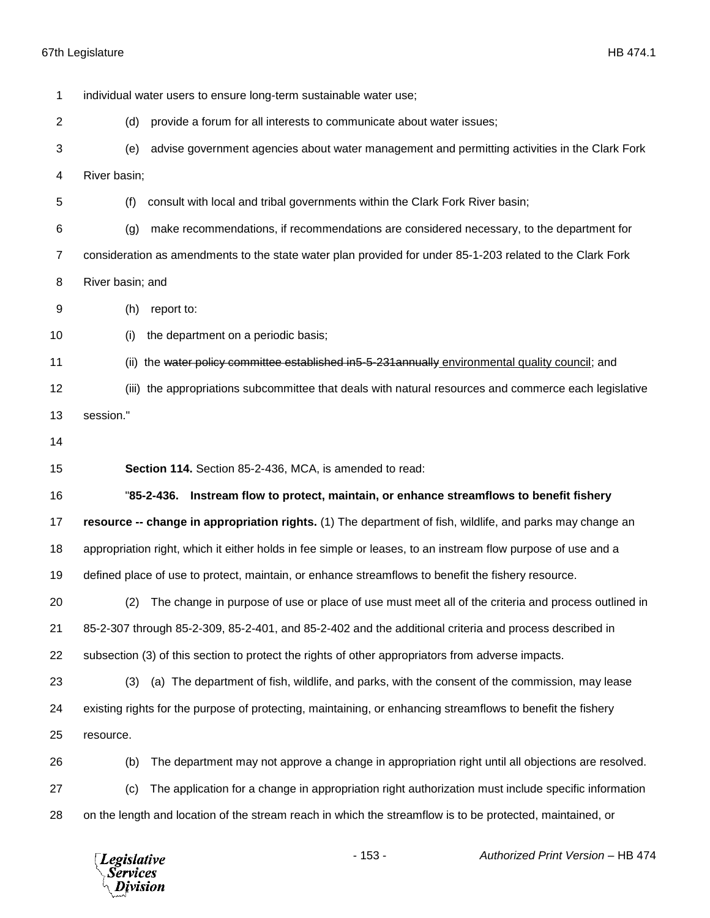| 1              | individual water users to ensure long-term sustainable water use;                                            |  |  |
|----------------|--------------------------------------------------------------------------------------------------------------|--|--|
| $\overline{2}$ | (d)<br>provide a forum for all interests to communicate about water issues;                                  |  |  |
| 3              | advise government agencies about water management and permitting activities in the Clark Fork<br>(e)         |  |  |
| 4              | River basin;                                                                                                 |  |  |
| 5              | consult with local and tribal governments within the Clark Fork River basin;<br>(f)                          |  |  |
| 6              | make recommendations, if recommendations are considered necessary, to the department for<br>(g)              |  |  |
| $\overline{7}$ | consideration as amendments to the state water plan provided for under 85-1-203 related to the Clark Fork    |  |  |
| 8              | River basin; and                                                                                             |  |  |
| 9              | (h)<br>report to:                                                                                            |  |  |
| 10             | the department on a periodic basis;<br>(i)                                                                   |  |  |
| 11             | (ii) the water policy committee established in5-5-231 annually environmental quality council; and            |  |  |
| 12             | (iii) the appropriations subcommittee that deals with natural resources and commerce each legislative        |  |  |
| 13             | session."                                                                                                    |  |  |
| 14             |                                                                                                              |  |  |
| 15             | Section 114. Section 85-2-436, MCA, is amended to read:                                                      |  |  |
| 16             | "85-2-436. Instream flow to protect, maintain, or enhance streamflows to benefit fishery                     |  |  |
| 17             | resource -- change in appropriation rights. (1) The department of fish, wildlife, and parks may change an    |  |  |
| 18             | appropriation right, which it either holds in fee simple or leases, to an instream flow purpose of use and a |  |  |
| 19             | defined place of use to protect, maintain, or enhance streamflows to benefit the fishery resource.           |  |  |
| 20             | (2) The change in purpose of use or place of use must meet all of the criteria and process outlined in       |  |  |
| 21             | 85-2-307 through 85-2-309, 85-2-401, and 85-2-402 and the additional criteria and process described in       |  |  |
| 22             | subsection (3) of this section to protect the rights of other appropriators from adverse impacts.            |  |  |
| 23             | (a) The department of fish, wildlife, and parks, with the consent of the commission, may lease<br>(3)        |  |  |
| 24             | existing rights for the purpose of protecting, maintaining, or enhancing streamflows to benefit the fishery  |  |  |
| 25             | resource.                                                                                                    |  |  |
| 26             | The department may not approve a change in appropriation right until all objections are resolved.<br>(b)     |  |  |
| 27             | The application for a change in appropriation right authorization must include specific information<br>(c)   |  |  |
| 28             | on the length and location of the stream reach in which the streamflow is to be protected, maintained, or    |  |  |
|                | $-153-$<br>Authorized Print Version - HB 474<br>Legislative<br>Services<br>ivision                           |  |  |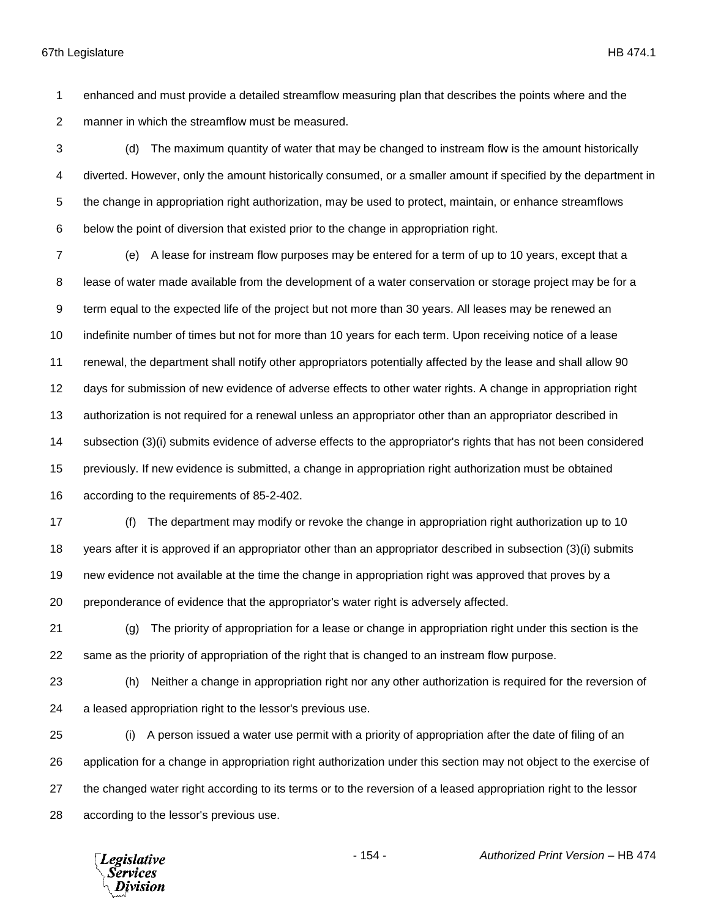enhanced and must provide a detailed streamflow measuring plan that describes the points where and the manner in which the streamflow must be measured.

 (d) The maximum quantity of water that may be changed to instream flow is the amount historically diverted. However, only the amount historically consumed, or a smaller amount if specified by the department in the change in appropriation right authorization, may be used to protect, maintain, or enhance streamflows below the point of diversion that existed prior to the change in appropriation right.

 (e) A lease for instream flow purposes may be entered for a term of up to 10 years, except that a lease of water made available from the development of a water conservation or storage project may be for a term equal to the expected life of the project but not more than 30 years. All leases may be renewed an indefinite number of times but not for more than 10 years for each term. Upon receiving notice of a lease renewal, the department shall notify other appropriators potentially affected by the lease and shall allow 90 days for submission of new evidence of adverse effects to other water rights. A change in appropriation right authorization is not required for a renewal unless an appropriator other than an appropriator described in subsection (3)(i) submits evidence of adverse effects to the appropriator's rights that has not been considered previously. If new evidence is submitted, a change in appropriation right authorization must be obtained according to the requirements of 85-2-402.

 (f) The department may modify or revoke the change in appropriation right authorization up to 10 years after it is approved if an appropriator other than an appropriator described in subsection (3)(i) submits new evidence not available at the time the change in appropriation right was approved that proves by a preponderance of evidence that the appropriator's water right is adversely affected.

 (g) The priority of appropriation for a lease or change in appropriation right under this section is the same as the priority of appropriation of the right that is changed to an instream flow purpose.

 (h) Neither a change in appropriation right nor any other authorization is required for the reversion of a leased appropriation right to the lessor's previous use.

 (i) A person issued a water use permit with a priority of appropriation after the date of filing of an application for a change in appropriation right authorization under this section may not object to the exercise of the changed water right according to its terms or to the reversion of a leased appropriation right to the lessor according to the lessor's previous use.

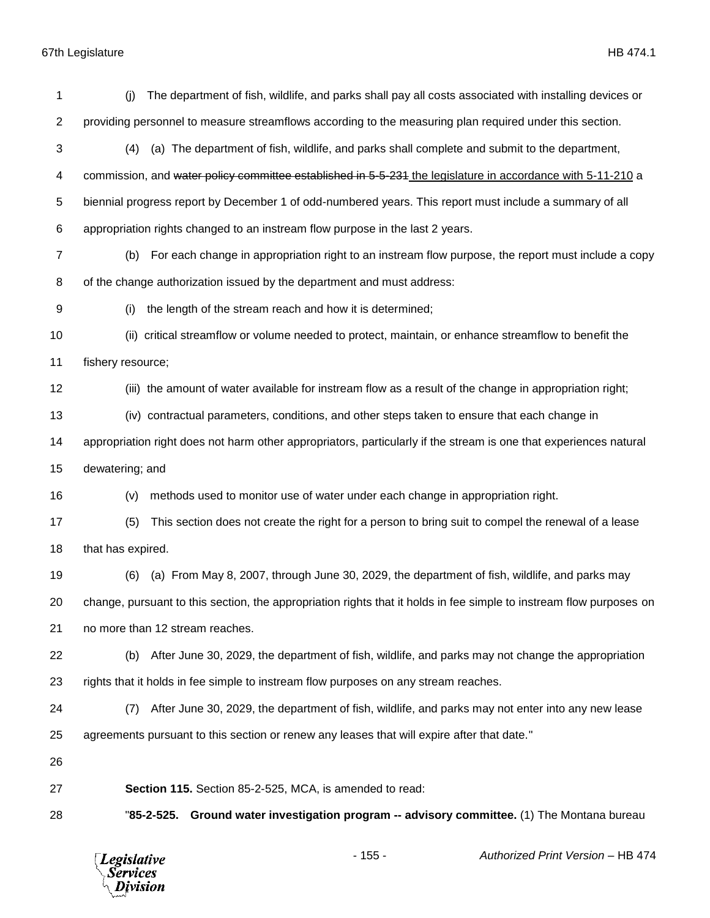| 1              | The department of fish, wildlife, and parks shall pay all costs associated with installing devices or<br>(i)        |  |
|----------------|---------------------------------------------------------------------------------------------------------------------|--|
| $\overline{2}$ | providing personnel to measure streamflows according to the measuring plan required under this section.             |  |
| 3              | (a) The department of fish, wildlife, and parks shall complete and submit to the department,<br>(4)                 |  |
| 4              | commission, and water policy committee established in 5-5-231 the legislature in accordance with 5-11-210 a         |  |
| 5              | biennial progress report by December 1 of odd-numbered years. This report must include a summary of all             |  |
| 6              | appropriation rights changed to an instream flow purpose in the last 2 years.                                       |  |
| 7              | For each change in appropriation right to an instream flow purpose, the report must include a copy<br>(b)           |  |
| 8              | of the change authorization issued by the department and must address:                                              |  |
| 9              | the length of the stream reach and how it is determined;<br>(i)                                                     |  |
| 10             | (ii) critical streamflow or volume needed to protect, maintain, or enhance streamflow to benefit the                |  |
| 11             | fishery resource;                                                                                                   |  |
| 12             | (iii) the amount of water available for instream flow as a result of the change in appropriation right;             |  |
| 13             | (iv) contractual parameters, conditions, and other steps taken to ensure that each change in                        |  |
| 14             | appropriation right does not harm other appropriators, particularly if the stream is one that experiences natural   |  |
| 15             | dewatering; and                                                                                                     |  |
| 16             | methods used to monitor use of water under each change in appropriation right.<br>(v)                               |  |
| 17             | This section does not create the right for a person to bring suit to compel the renewal of a lease<br>(5)           |  |
| 18             | that has expired.                                                                                                   |  |
| 19             | (a) From May 8, 2007, through June 30, 2029, the department of fish, wildlife, and parks may<br>(6)                 |  |
| 20             | change, pursuant to this section, the appropriation rights that it holds in fee simple to instream flow purposes on |  |
| 21             | no more than 12 stream reaches.                                                                                     |  |
| 22             | After June 30, 2029, the department of fish, wildlife, and parks may not change the appropriation<br>(b)            |  |
| 23             | rights that it holds in fee simple to instream flow purposes on any stream reaches.                                 |  |
| 24             | After June 30, 2029, the department of fish, wildlife, and parks may not enter into any new lease<br>(7)            |  |
| 25             | agreements pursuant to this section or renew any leases that will expire after that date."                          |  |
| 26             |                                                                                                                     |  |
| 27             | Section 115. Section 85-2-525, MCA, is amended to read:                                                             |  |
| 28             | Ground water investigation program -- advisory committee. (1) The Montana bureau<br>"85-2-525.                      |  |

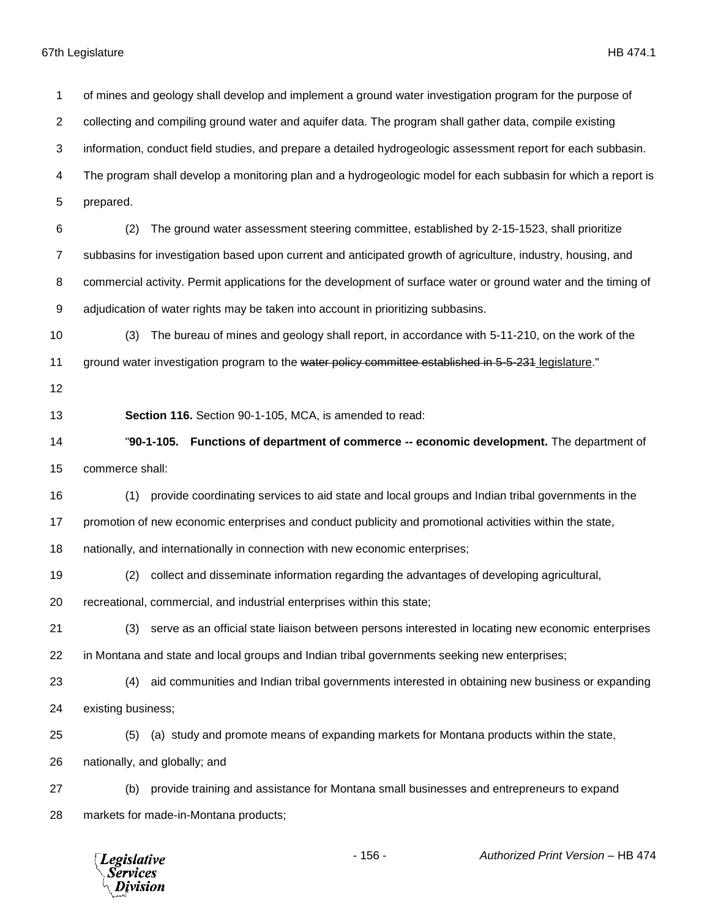of mines and geology shall develop and implement a ground water investigation program for the purpose of collecting and compiling ground water and aquifer data. The program shall gather data, compile existing information, conduct field studies, and prepare a detailed hydrogeologic assessment report for each subbasin. The program shall develop a monitoring plan and a hydrogeologic model for each subbasin for which a report is prepared. (2) The ground water assessment steering committee, established by 2-15-1523, shall prioritize subbasins for investigation based upon current and anticipated growth of agriculture, industry, housing, and commercial activity. Permit applications for the development of surface water or ground water and the timing of adjudication of water rights may be taken into account in prioritizing subbasins. (3) The bureau of mines and geology shall report, in accordance with 5-11-210, on the work of the 11 ground water investigation program to the water policy committee established in 5-5-231 legislature." **Section 116.** Section 90-1-105, MCA, is amended to read: "**90-1-105. Functions of department of commerce -- economic development.** The department of commerce shall: (1) provide coordinating services to aid state and local groups and Indian tribal governments in the promotion of new economic enterprises and conduct publicity and promotional activities within the state, nationally, and internationally in connection with new economic enterprises; (2) collect and disseminate information regarding the advantages of developing agricultural, recreational, commercial, and industrial enterprises within this state; (3) serve as an official state liaison between persons interested in locating new economic enterprises in Montana and state and local groups and Indian tribal governments seeking new enterprises; (4) aid communities and Indian tribal governments interested in obtaining new business or expanding existing business; (5) (a) study and promote means of expanding markets for Montana products within the state, nationally, and globally; and (b) provide training and assistance for Montana small businesses and entrepreneurs to expand markets for made-in-Montana products;

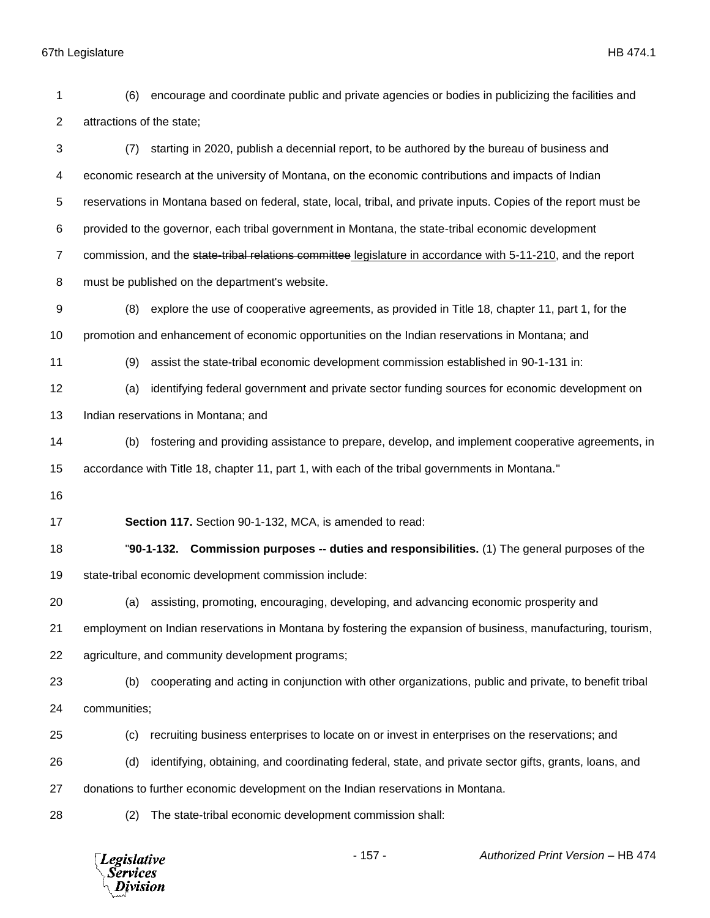attractions of the state; (7) starting in 2020, publish a decennial report, to be authored by the bureau of business and economic research at the university of Montana, on the economic contributions and impacts of Indian reservations in Montana based on federal, state, local, tribal, and private inputs. Copies of the report must be provided to the governor, each tribal government in Montana, the state-tribal economic development 7 commission, and the state-tribal relations committee legislature in accordance with 5-11-210, and the report must be published on the department's website. (8) explore the use of cooperative agreements, as provided in Title 18, chapter 11, part 1, for the promotion and enhancement of economic opportunities on the Indian reservations in Montana; and (9) assist the state-tribal economic development commission established in 90-1-131 in: (a) identifying federal government and private sector funding sources for economic development on Indian reservations in Montana; and (b) fostering and providing assistance to prepare, develop, and implement cooperative agreements, in accordance with Title 18, chapter 11, part 1, with each of the tribal governments in Montana." **Section 117.** Section 90-1-132, MCA, is amended to read: "**90-1-132. Commission purposes -- duties and responsibilities.** (1) The general purposes of the state-tribal economic development commission include: (a) assisting, promoting, encouraging, developing, and advancing economic prosperity and employment on Indian reservations in Montana by fostering the expansion of business, manufacturing, tourism, agriculture, and community development programs; (b) cooperating and acting in conjunction with other organizations, public and private, to benefit tribal communities; (c) recruiting business enterprises to locate on or invest in enterprises on the reservations; and (d) identifying, obtaining, and coordinating federal, state, and private sector gifts, grants, loans, and donations to further economic development on the Indian reservations in Montana. (2) The state-tribal economic development commission shall:- 157 - *Authorized Print Version* – HB 474 **Legislative** *Services* Division

(6) encourage and coordinate public and private agencies or bodies in publicizing the facilities and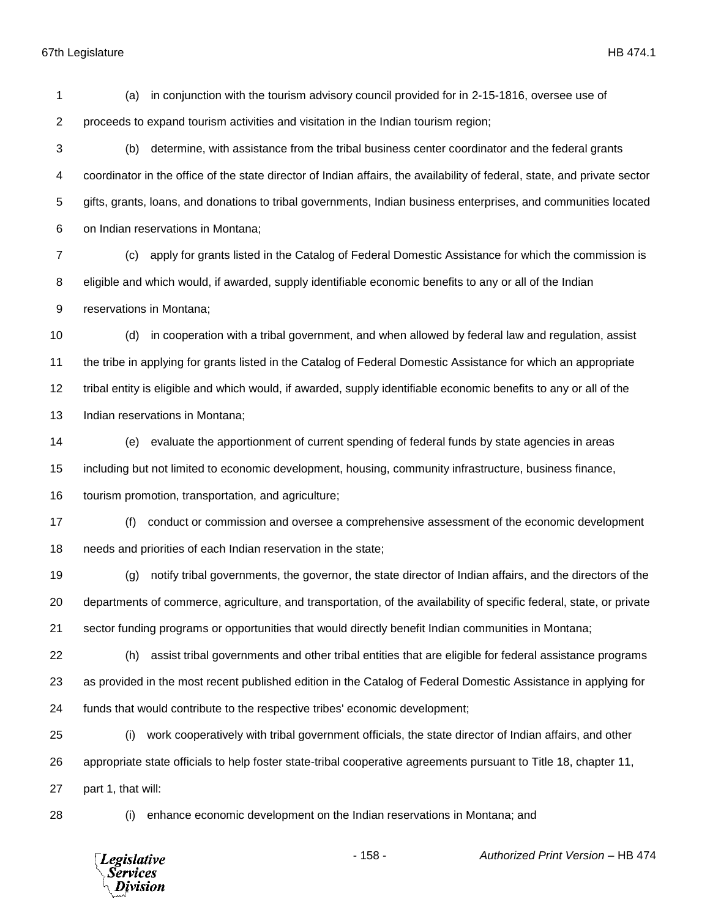(a) in conjunction with the tourism advisory council provided for in 2-15-1816, oversee use of proceeds to expand tourism activities and visitation in the Indian tourism region;

 (b) determine, with assistance from the tribal business center coordinator and the federal grants coordinator in the office of the state director of Indian affairs, the availability of federal, state, and private sector gifts, grants, loans, and donations to tribal governments, Indian business enterprises, and communities located on Indian reservations in Montana;

 (c) apply for grants listed in the Catalog of Federal Domestic Assistance for which the commission is eligible and which would, if awarded, supply identifiable economic benefits to any or all of the Indian reservations in Montana;

 (d) in cooperation with a tribal government, and when allowed by federal law and regulation, assist the tribe in applying for grants listed in the Catalog of Federal Domestic Assistance for which an appropriate tribal entity is eligible and which would, if awarded, supply identifiable economic benefits to any or all of the Indian reservations in Montana;

 (e) evaluate the apportionment of current spending of federal funds by state agencies in areas including but not limited to economic development, housing, community infrastructure, business finance, tourism promotion, transportation, and agriculture;

 (f) conduct or commission and oversee a comprehensive assessment of the economic development needs and priorities of each Indian reservation in the state;

 (g) notify tribal governments, the governor, the state director of Indian affairs, and the directors of the departments of commerce, agriculture, and transportation, of the availability of specific federal, state, or private sector funding programs or opportunities that would directly benefit Indian communities in Montana;

 (h) assist tribal governments and other tribal entities that are eligible for federal assistance programs as provided in the most recent published edition in the Catalog of Federal Domestic Assistance in applying for funds that would contribute to the respective tribes' economic development;

 (i) work cooperatively with tribal government officials, the state director of Indian affairs, and other appropriate state officials to help foster state-tribal cooperative agreements pursuant to Title 18, chapter 11, part 1, that will:

(i) enhance economic development on the Indian reservations in Montana; and

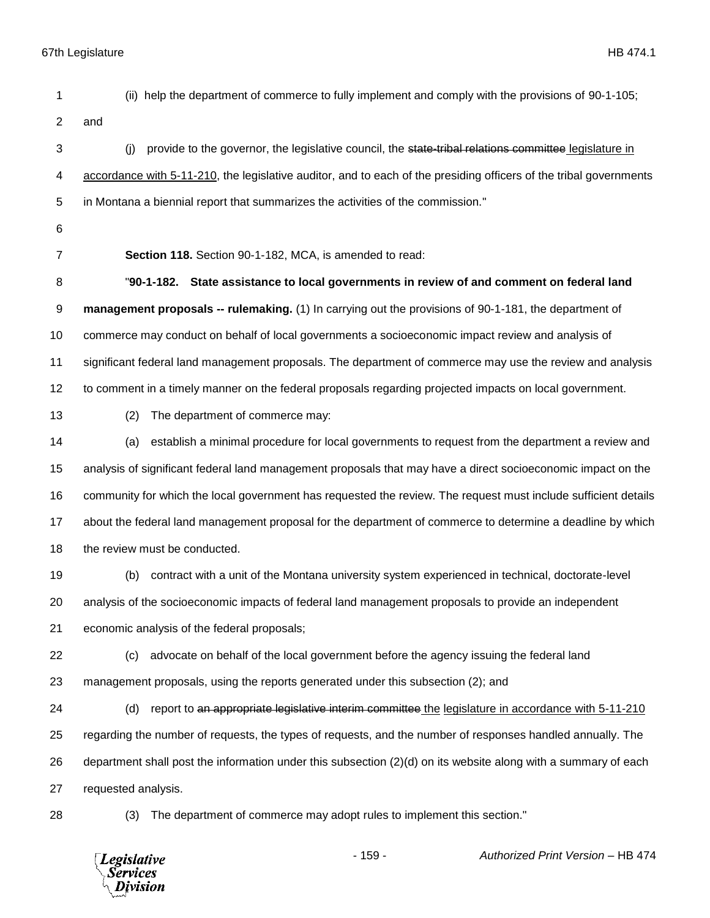(ii) help the department of commerce to fully implement and comply with the provisions of 90-1-105;

and

3 (j) provide to the governor, the legislative council, the state-tribal relations committee legislature in accordance with 5-11-210, the legislative auditor, and to each of the presiding officers of the tribal governments in Montana a biennial report that summarizes the activities of the commission."

- 
- 

**Section 118.** Section 90-1-182, MCA, is amended to read:

 "**90-1-182. State assistance to local governments in review of and comment on federal land management proposals -- rulemaking.** (1) In carrying out the provisions of 90-1-181, the department of commerce may conduct on behalf of local governments a socioeconomic impact review and analysis of significant federal land management proposals. The department of commerce may use the review and analysis to comment in a timely manner on the federal proposals regarding projected impacts on local government.

(2) The department of commerce may:

 (a) establish a minimal procedure for local governments to request from the department a review and analysis of significant federal land management proposals that may have a direct socioeconomic impact on the community for which the local government has requested the review. The request must include sufficient details about the federal land management proposal for the department of commerce to determine a deadline by which 18 the review must be conducted.

(b) contract with a unit of the Montana university system experienced in technical, doctorate-level

analysis of the socioeconomic impacts of federal land management proposals to provide an independent

economic analysis of the federal proposals;

(c) advocate on behalf of the local government before the agency issuing the federal land

management proposals, using the reports generated under this subsection (2); and

24 (d) report to an appropriate legislative interim committee the legislature in accordance with 5-11-210 regarding the number of requests, the types of requests, and the number of responses handled annually. The department shall post the information under this subsection (2)(d) on its website along with a summary of each requested analysis.

(3) The department of commerce may adopt rules to implement this section."

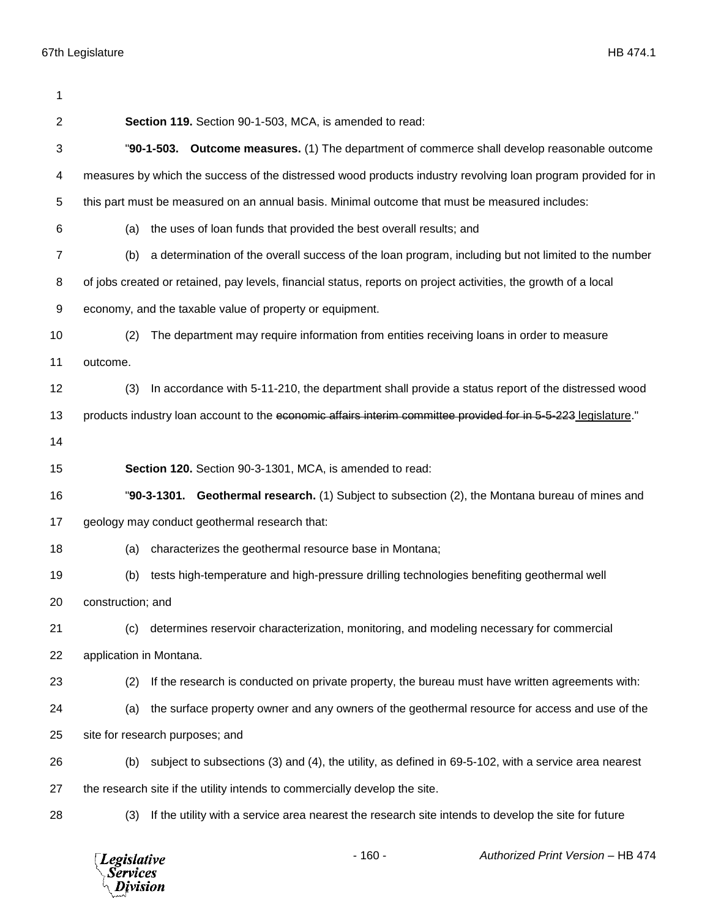| 1  |                                                                                                                 |  |  |
|----|-----------------------------------------------------------------------------------------------------------------|--|--|
| 2  | Section 119. Section 90-1-503, MCA, is amended to read:                                                         |  |  |
| 3  | "90-1-503. Outcome measures. (1) The department of commerce shall develop reasonable outcome                    |  |  |
| 4  | measures by which the success of the distressed wood products industry revolving loan program provided for in   |  |  |
| 5  | this part must be measured on an annual basis. Minimal outcome that must be measured includes:                  |  |  |
| 6  | the uses of loan funds that provided the best overall results; and<br>(a)                                       |  |  |
| 7  | a determination of the overall success of the loan program, including but not limited to the number<br>(b)      |  |  |
| 8  | of jobs created or retained, pay levels, financial status, reports on project activities, the growth of a local |  |  |
| 9  | economy, and the taxable value of property or equipment.                                                        |  |  |
| 10 | The department may require information from entities receiving loans in order to measure<br>(2)                 |  |  |
| 11 | outcome.                                                                                                        |  |  |
| 12 | In accordance with 5-11-210, the department shall provide a status report of the distressed wood<br>(3)         |  |  |
| 13 | products industry loan account to the economic affairs interim committee provided for in 5-5-223 legislature."  |  |  |
| 14 |                                                                                                                 |  |  |
| 15 | Section 120. Section 90-3-1301, MCA, is amended to read:                                                        |  |  |
| 16 | "90-3-1301. Geothermal research. (1) Subject to subsection (2), the Montana bureau of mines and                 |  |  |
| 17 | geology may conduct geothermal research that:                                                                   |  |  |
| 18 | characterizes the geothermal resource base in Montana;<br>(a)                                                   |  |  |
| 19 | tests high-temperature and high-pressure drilling technologies benefiting geothermal well<br>(b)                |  |  |
| 20 | construction; and                                                                                               |  |  |
| 21 | determines reservoir characterization, monitoring, and modeling necessary for commercial<br>(c)                 |  |  |
| 22 | application in Montana.                                                                                         |  |  |
| 23 | If the research is conducted on private property, the bureau must have written agreements with:<br>(2)          |  |  |
| 24 | the surface property owner and any owners of the geothermal resource for access and use of the<br>(a)           |  |  |
| 25 | site for research purposes; and                                                                                 |  |  |
| 26 | subject to subsections (3) and (4), the utility, as defined in 69-5-102, with a service area nearest<br>(b)     |  |  |
| 27 | the research site if the utility intends to commercially develop the site.                                      |  |  |
| 28 | If the utility with a service area nearest the research site intends to develop the site for future<br>(3)      |  |  |
|    |                                                                                                                 |  |  |

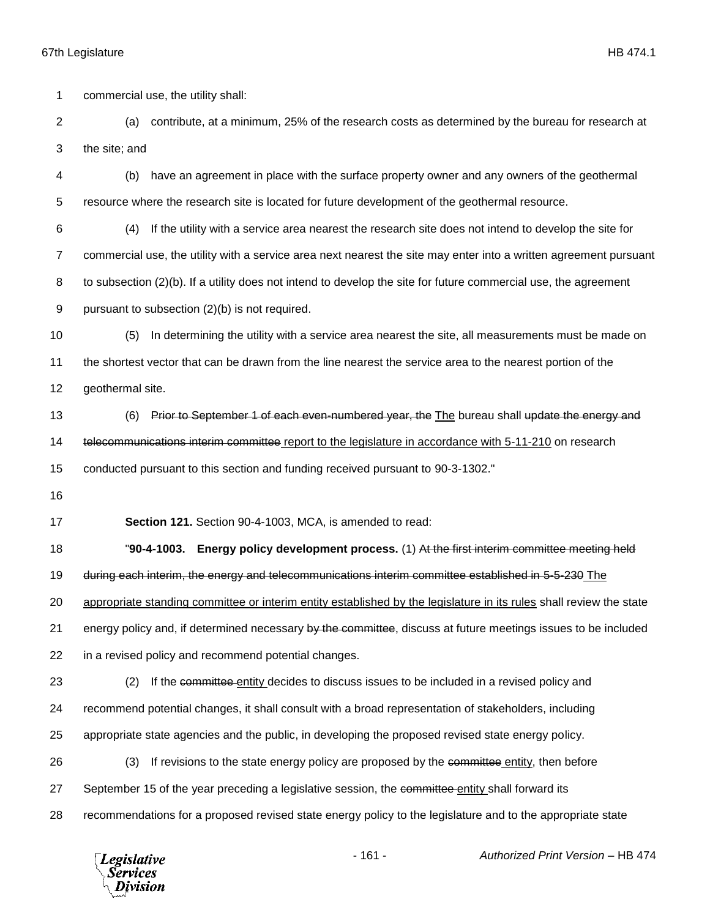67th Legislature HB 474.1 commercial use, the utility shall: (a) contribute, at a minimum, 25% of the research costs as determined by the bureau for research at the site; and (b) have an agreement in place with the surface property owner and any owners of the geothermal resource where the research site is located for future development of the geothermal resource. (4) If the utility with a service area nearest the research site does not intend to develop the site for commercial use, the utility with a service area next nearest the site may enter into a written agreement pursuant to subsection (2)(b). If a utility does not intend to develop the site for future commercial use, the agreement pursuant to subsection (2)(b) is not required. (5) In determining the utility with a service area nearest the site, all measurements must be made on the shortest vector that can be drawn from the line nearest the service area to the nearest portion of the geothermal site. 13 (6) Prior to September 1 of each even-numbered year, the The bureau shall update the energy and 14 telecommunications interim committee report to the legislature in accordance with 5-11-210 on research conducted pursuant to this section and funding received pursuant to 90-3-1302." **Section 121.** Section 90-4-1003, MCA, is amended to read: "**90-4-1003. Energy policy development process.** (1) At the first interim committee meeting held during each interim, the energy and telecommunications interim committee established in 5-5-230 The appropriate standing committee or interim entity established by the legislature in its rules shall review the state 21 energy policy and, if determined necessary by the committee, discuss at future meetings issues to be included in a revised policy and recommend potential changes. 23 (2) If the committee entity decides to discuss issues to be included in a revised policy and recommend potential changes, it shall consult with a broad representation of stakeholders, including appropriate state agencies and the public, in developing the proposed revised state energy policy. 26 (3) If revisions to the state energy policy are proposed by the committee entity, then before 27 September 15 of the year preceding a legislative session, the committee entity shall forward its recommendations for a proposed revised state energy policy to the legislature and to the appropriate state



- 161 - *Authorized Print Version* – HB 474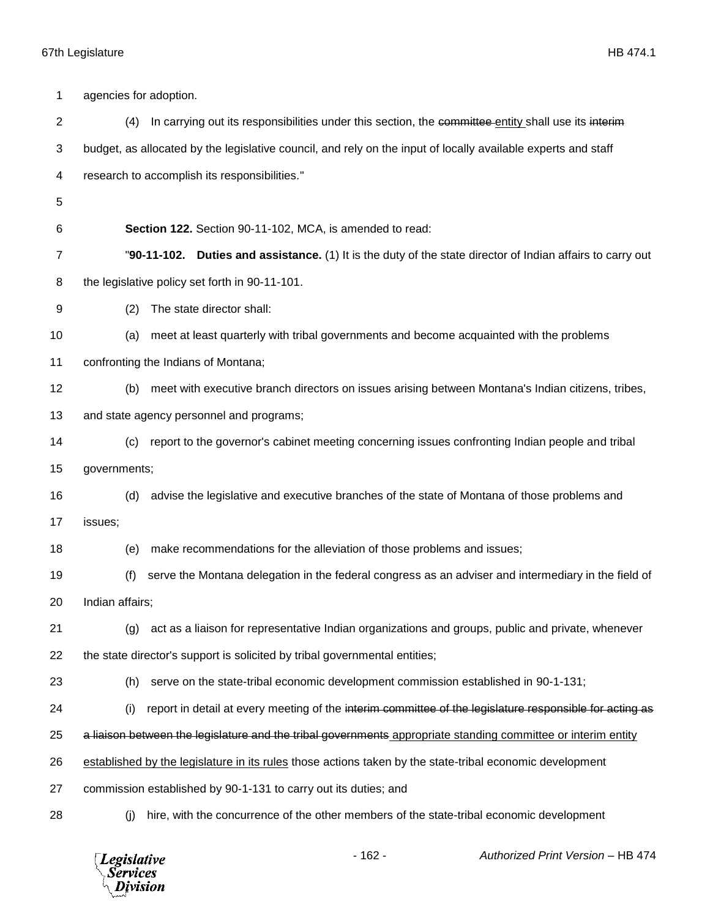| 1              | agencies for adoption.                                   |                                                                                                                      |  |
|----------------|----------------------------------------------------------|----------------------------------------------------------------------------------------------------------------------|--|
| $\overline{c}$ | (4)                                                      | In carrying out its responsibilities under this section, the committee entity shall use its interiment               |  |
| 3              |                                                          | budget, as allocated by the legislative council, and rely on the input of locally available experts and staff        |  |
| 4              |                                                          | research to accomplish its responsibilities."                                                                        |  |
| 5              |                                                          |                                                                                                                      |  |
| 6              | Section 122. Section 90-11-102, MCA, is amended to read: |                                                                                                                      |  |
| 7              |                                                          | "90-11-102.<br><b>Duties and assistance.</b> (1) It is the duty of the state director of Indian affairs to carry out |  |
| 8              |                                                          | the legislative policy set forth in 90-11-101.                                                                       |  |
| 9              | (2)                                                      | The state director shall:                                                                                            |  |
| 10             | (a)                                                      | meet at least quarterly with tribal governments and become acquainted with the problems                              |  |
| 11             |                                                          | confronting the Indians of Montana;                                                                                  |  |
| 12             | (b)                                                      | meet with executive branch directors on issues arising between Montana's Indian citizens, tribes,                    |  |
| 13             | and state agency personnel and programs;                 |                                                                                                                      |  |
| 14             | (c)                                                      | report to the governor's cabinet meeting concerning issues confronting Indian people and tribal                      |  |
| 15             | governments;                                             |                                                                                                                      |  |
| 16             | (d)                                                      | advise the legislative and executive branches of the state of Montana of those problems and                          |  |
| 17             | issues;                                                  |                                                                                                                      |  |
| 18             | (e)                                                      | make recommendations for the alleviation of those problems and issues;                                               |  |
| 19             | (f)                                                      | serve the Montana delegation in the federal congress as an adviser and intermediary in the field of                  |  |
| 20             | Indian affairs;                                          |                                                                                                                      |  |
| 21             | (g)                                                      | act as a liaison for representative Indian organizations and groups, public and private, whenever                    |  |
| 22             |                                                          | the state director's support is solicited by tribal governmental entities;                                           |  |
| 23             | (h)                                                      | serve on the state-tribal economic development commission established in 90-1-131;                                   |  |
| 24             | (i)                                                      | report in detail at every meeting of the interim committee of the legislature responsible for acting as              |  |
| 25             |                                                          | a liaison between the legislature and the tribal governments appropriate standing committee or interim entity        |  |
| 26             |                                                          | established by the legislature in its rules those actions taken by the state-tribal economic development             |  |
| 27             |                                                          | commission established by 90-1-131 to carry out its duties; and                                                      |  |
| 28             | (j)                                                      | hire, with the concurrence of the other members of the state-tribal economic development                             |  |

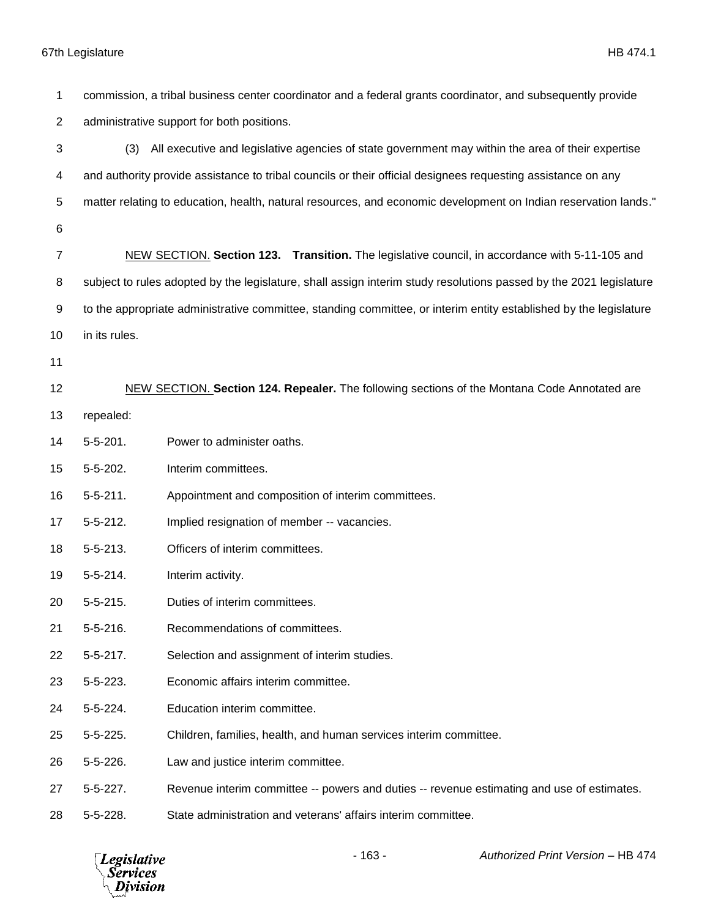commission, a tribal business center coordinator and a federal grants coordinator, and subsequently provide administrative support for both positions. (3) All executive and legislative agencies of state government may within the area of their expertise and authority provide assistance to tribal councils or their official designees requesting assistance on any matter relating to education, health, natural resources, and economic development on Indian reservation lands." NEW SECTION. **Section 123. Transition.** The legislative council, in accordance with 5-11-105 and subject to rules adopted by the legislature, shall assign interim study resolutions passed by the 2021 legislature to the appropriate administrative committee, standing committee, or interim entity established by the legislature in its rules. NEW SECTION. **Section 124. Repealer.** The following sections of the Montana Code Annotated are repealed: 5-5-201. Power to administer oaths. 5-5-202. Interim committees. 5-5-211. Appointment and composition of interim committees. 5-5-212. Implied resignation of member -- vacancies. 5-5-213. Officers of interim committees. 5-5-214. Interim activity. 5-5-215. Duties of interim committees. 5-5-216. Recommendations of committees. 5-5-217. Selection and assignment of interim studies. 5-5-223. Economic affairs interim committee. 5-5-224. Education interim committee. 5-5-225. Children, families, health, and human services interim committee. 5-5-226. Law and justice interim committee. 5-5-227. Revenue interim committee -- powers and duties -- revenue estimating and use of estimates. 5-5-228. State administration and veterans' affairs interim committee.